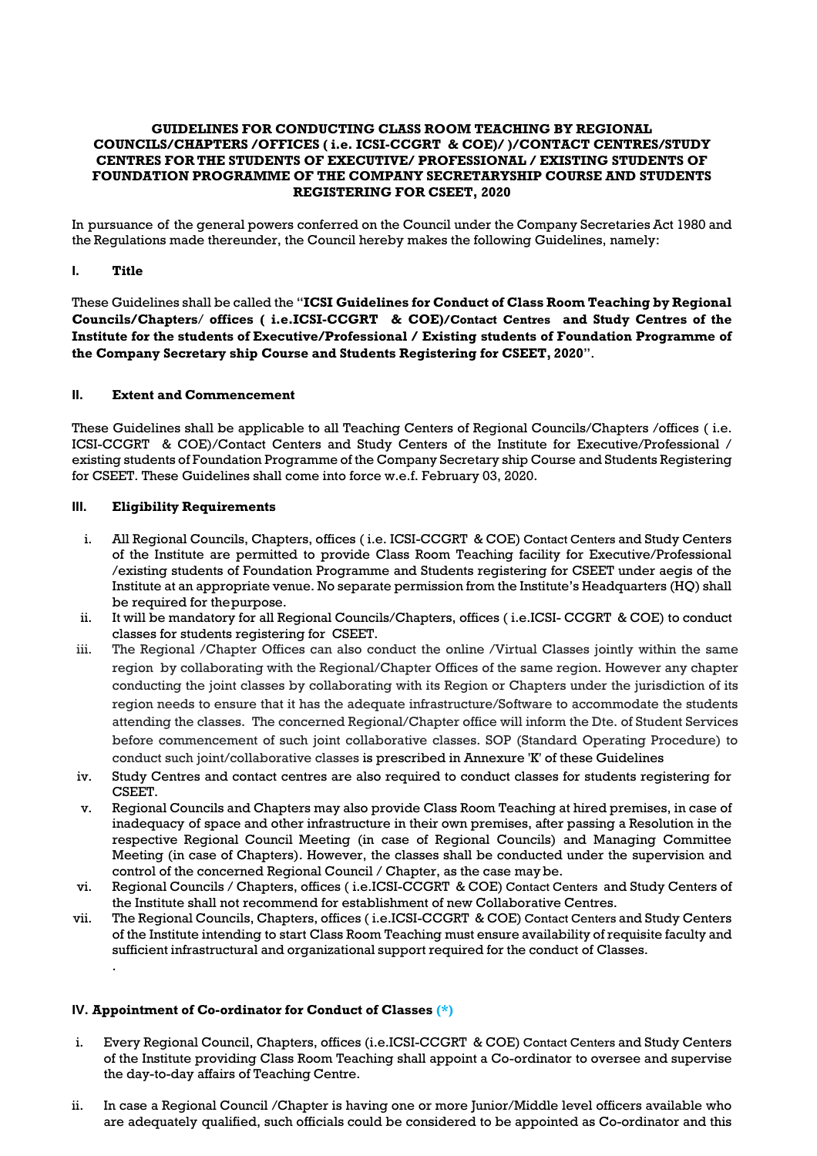#### **GUIDELINES FOR CONDUCTING CLASS ROOM TEACHING BY REGIONAL COUNCILS/CHAPTERS /OFFICES ( i.e. ICSI-CCGRT & COE)/ )/CONTACT CENTRES/STUDY CENTRES FOR THE STUDENTS OF EXECUTIVE/ PROFESSIONAL / EXISTING STUDENTS OF FOUNDATION PROGRAMME OF THE COMPANY SECRETARYSHIP COURSE AND STUDENTS REGISTERING FOR CSEET, 2020**

In pursuance of the general powers conferred on the Council under the Company Secretaries Act 1980 and the Regulations made thereunder, the Council hereby makes the following Guidelines, namely:

#### **I. Title**

These Guidelines shall be called the "**ICSI Guidelines for Conduct of Class Room Teaching by Regional Councils/Chapters**/ **offices ( i.e.ICSI-CCGRT & COE)/Contact Centres and Study Centres of the Institute for the students of Executive/Professional / Existing students of Foundation Programme of the Company Secretary ship Course and Students Registering for CSEET, 2020**".

#### **II. Extent and Commencement**

These Guidelines shall be applicable to all Teaching Centers of Regional Councils/Chapters /offices ( i.e. ICSI-CCGRT & COE)/Contact Centers and Study Centers of the Institute for Executive/Professional / existing students of Foundation Programme of the Company Secretary ship Course and Students Registering for CSEET. These Guidelines shall come into force w.e.f. February 03, 2020.

#### **III. Eligibility Requirements**

- i. All Regional Councils, Chapters, offices ( i.e. ICSI-CCGRT & COE) Contact Centers and Study Centers of the Institute are permitted to provide Class Room Teaching facility for Executive/Professional /existing students of Foundation Programme and Students registering for CSEET under aegis of the Institute at an appropriate venue. No separate permission from the Institute's Headquarters (HQ) shall be required for thepurpose.
- ii. It will be mandatory for all Regional Councils/Chapters, offices ( i.e.ICSI- CCGRT & COE) to conduct classes for students registering for CSEET.
- iii. The Regional /Chapter Offices can also conduct the online /Virtual Classes jointly within the same region by collaborating with the Regional/Chapter Offices of the same region. However any chapter conducting the joint classes by collaborating with its Region or Chapters under the jurisdiction of its region needs to ensure that it has the adequate infrastructure/Software to accommodate the students attending the classes. The concerned Regional/Chapter office will inform the Dte. of Student Services before commencement of such joint collaborative classes. SOP (Standard Operating Procedure) to conduct such joint/collaborative classes is prescribed in Annexure 'K' of these Guidelines
- iv. Study Centres and contact centres are also required to conduct classes for students registering for CSEET.
- v. Regional Councils and Chapters may also provide Class Room Teaching at hired premises, in case of inadequacy of space and other infrastructure in their own premises, after passing a Resolution in the respective Regional Council Meeting (in case of Regional Councils) and Managing Committee Meeting (in case of Chapters). However, the classes shall be conducted under the supervision and control of the concerned Regional Council / Chapter, as the case maybe.
- vi. Regional Councils / Chapters, offices ( i.e.ICSI-CCGRT & COE) Contact Centers and Study Centers of the Institute shall not recommend for establishment of new Collaborative Centres.
- vii. The Regional Councils, Chapters, offices ( i.e.ICSI-CCGRT & COE) Contact Centers and Study Centers of the Institute intending to start Class Room Teaching must ensure availability of requisite faculty and sufficient infrastructural and organizational support required for the conduct of Classes. .

#### **IV. Appointment of Co-ordinator for Conduct of Classes (\*)**

- i. Every Regional Council, Chapters, offices (i.e.ICSI-CCGRT & COE) Contact Centers and Study Centers of the Institute providing Class Room Teaching shall appoint a Co-ordinator to oversee and supervise the day-to-day affairs of Teaching Centre.
- ii. In case a Regional Council /Chapter is having one or more Junior/Middle level officers available who are adequately qualified, such officials could be considered to be appointed as Co-ordinator and this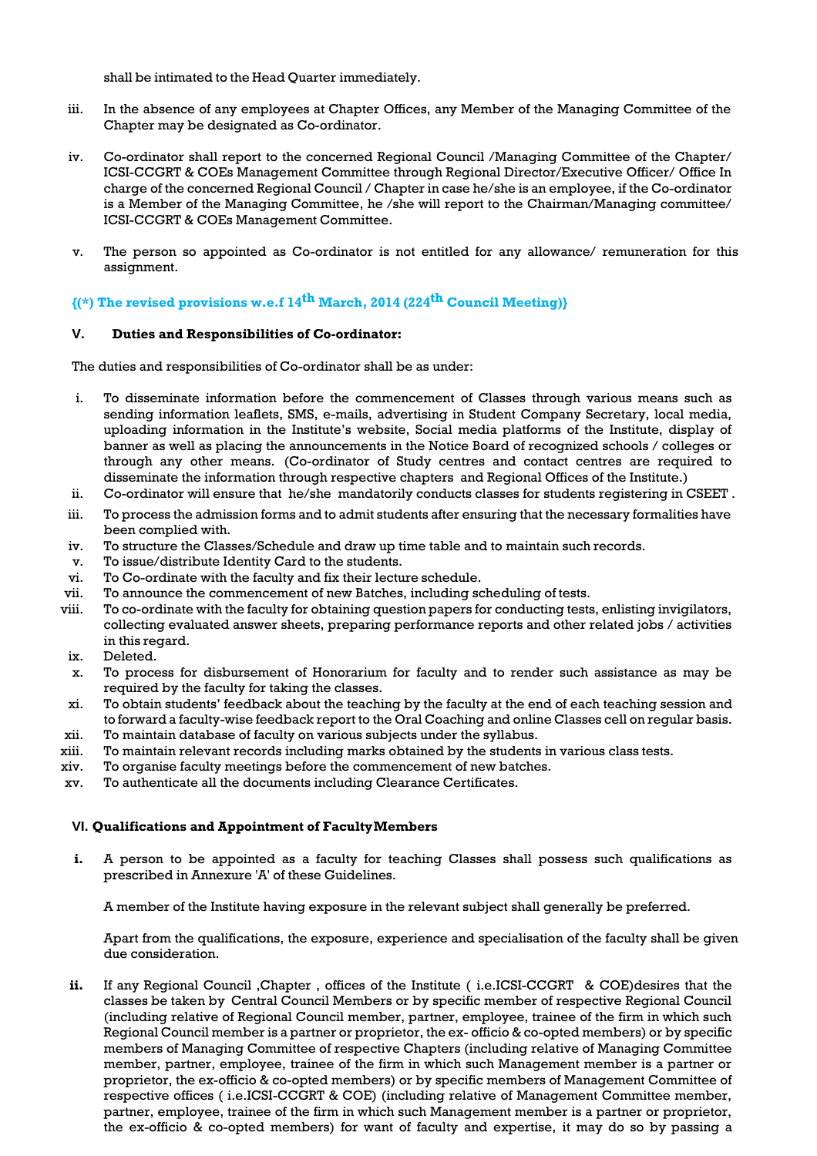shall be intimated to the Head Quarter immediately.

- iii. In the absence of any employees at Chapter Offices, any Member of the Managing Committee of the Chapter may be designated as Co-ordinator.
- iv. Co-ordinator shall report to the concerned Regional Council /Managing Committee of the Chapter/ ICSI-CCGRT & COEs Management Committee through Regional Director/Executive Officer/ Office In charge of the concerned Regional Council / Chapter in case he/she is an employee, if the Co-ordinator is a Member of the Managing Committee, he /she will report to the Chairman/Managing committee/ ICSI-CCGRT & COEs Management Committee.
- v. The person so appointed as Co-ordinator is not entitled for any allowance/ remuneration for this assignment.

#### **{(\*) The revised provisions w.e.f 14th March, 2014 (224th Council Meeting)}**

#### **V. Duties and Responsibilities of Co-ordinator:**

The duties and responsibilities of Co-ordinator shall be as under:

- i. To disseminate information before the commencement of Classes through various means such as sending information leaflets, SMS, e-mails, advertising in Student Company Secretary, local media, uploading information in the Institute's website, Social media platforms of the Institute, display of banner as well as placing the announcements in the Notice Board of recognized schools / colleges or through any other means. (Co-ordinator of Study centres and contact centres are required to disseminate the information through respective chapters and Regional Offices of the Institute.)
- ii. Co-ordinator will ensure that he/she mandatorily conducts classes for students registering in CSEET .
- iii. To process the admission forms and to admit students after ensuring that the necessary formalities have been complied with.
- iv. To structure the Classes/Schedule and draw up time table and to maintain such records.
- v. To issue/distribute Identity Card to the students.
- vi. To Co-ordinate with the faculty and fix their lecture schedule.
- vii. To announce the commencement of new Batches, including scheduling of tests.
- viii. To co-ordinate with the faculty for obtaining question papers for conducting tests, enlisting invigilators, collecting evaluated answer sheets, preparing performance reports and other related jobs / activities in this regard.
- ix. Deleted.
- x. To process for disbursement of Honorarium for faculty and to render such assistance as may be required by the faculty for taking the classes.
- xi. To obtain students' feedback about the teaching by the faculty at the end of each teaching session and to forward a faculty-wise feedback report to the Oral Coaching and online Classes cell on regular basis.
- xii. To maintain database of faculty on various subjects under the syllabus.
- xiii. To maintain relevant records including marks obtained by the students in various class tests.
- xiv. To organise faculty meetings before the commencement of new batches.
- xv. To authenticate all the documents including Clearance Certificates.

#### **VI. Qualifications and Appointment of FacultyMembers**

**i.** A person to be appointed as a faculty for teaching Classes shall possess such qualifications as prescribed in Annexure 'A' of these Guidelines.

A member of the Institute having exposure in the relevant subject shall generally be preferred.

Apart from the qualifications, the exposure, experience and specialisation of the faculty shall be given due consideration.

**ii.** If any Regional Council ,Chapter , offices of the Institute ( i.e.ICSI-CCGRT & COE)desires that the classes be taken by Central Council Members or by specific member of respective Regional Council (including relative of Regional Council member, partner, employee, trainee of the firm in which such Regional Council member is a partner or proprietor, the ex- officio & co-opted members) or by specific members of Managing Committee of respective Chapters (including relative of Managing Committee member, partner, employee, trainee of the firm in which such Management member is a partner or proprietor, the ex-officio & co-opted members) or by specific members of Management Committee of respective offices ( i.e.ICSI-CCGRT & COE) (including relative of Management Committee member, partner, employee, trainee of the firm in which such Management member is a partner or proprietor, the ex-officio & co-opted members) for want of faculty and expertise, it may do so by passing a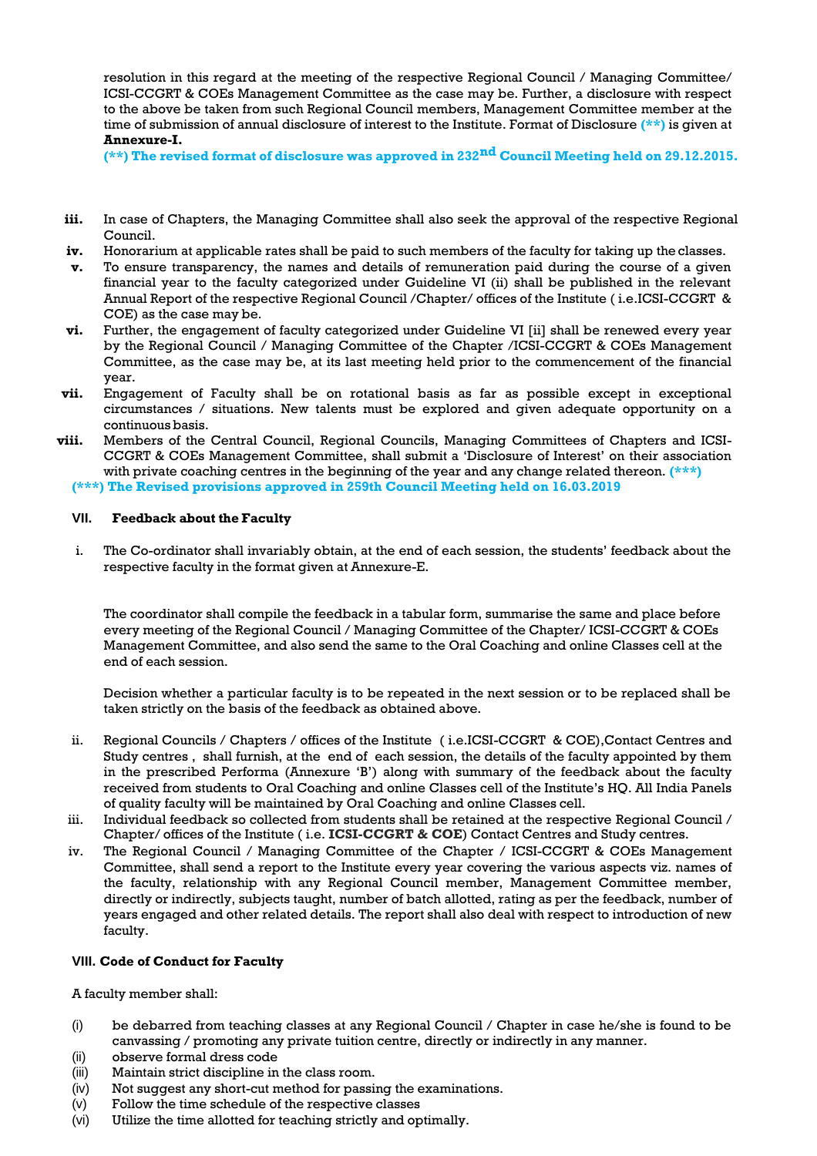resolution in this regard at the meeting of the respective Regional Council / Managing Committee/ ICSI-CCGRT & COEs Management Committee as the case may be. Further, a disclosure with respect to the above be taken from such Regional Council members, Management Committee member at the time of submission of annual disclosure of interest to the Institute. Format of Disclosure **(\*\*)** is given at **Annexure-I.**

**(\*\*) The revised format of disclosure was approved in 232nd Council Meeting held on 29.12.2015.**

- iii. In case of Chapters, the Managing Committee shall also seek the approval of the respective Regional Council.
- **iv.** Honorarium at applicable rates shall be paid to such members of the faculty for taking up the classes.
- **v.** To ensure transparency, the names and details of remuneration paid during the course of a given financial year to the faculty categorized under Guideline VI (ii) shall be published in the relevant Annual Report of the respective Regional Council /Chapter/ offices of the Institute ( i.e.ICSI-CCGRT & COE) as the case may be.
- vi. Further, the engagement of faculty categorized under Guideline VI [ii] shall be renewed every year by the Regional Council / Managing Committee of the Chapter /ICSI-CCGRT & COEs Management Committee, as the case may be, at its last meeting held prior to the commencement of the financial year.
- **vii.** Engagement of Faculty shall be on rotational basis as far as possible except in exceptional circumstances / situations. New talents must be explored and given adequate opportunity on a continuous basis.
- **viii.** Members of the Central Council, Regional Councils, Managing Committees of Chapters and ICSI-CCGRT & COEs Management Committee, shall submit a 'Disclosure of Interest' on their association with private coaching centres in the beginning of the year and any change related thereon. **(\*\*\*) (\*\*\*) The Revised provisions approved in 259th Council Meeting held on 16.03.2019**

**VII. Feedback about the Faculty**

i. The Co-ordinator shall invariably obtain, at the end of each session, the students' feedback about the respective faculty in the format given at Annexure-E.

The coordinator shall compile the feedback in a tabular form, summarise the same and place before every meeting of the Regional Council / Managing Committee of the Chapter/ ICSI-CCGRT & COEs Management Committee, and also send the same to the Oral Coaching and online Classes cell at the end of each session.

Decision whether a particular faculty is to be repeated in the next session or to be replaced shall be taken strictly on the basis of the feedback as obtained above.

- ii. Regional Councils / Chapters / offices of the Institute ( i.e.ICSI-CCGRT & COE),Contact Centres and Study centres , shall furnish, at the end of each session, the details of the faculty appointed by them in the prescribed Performa (Annexure 'B') along with summary of the feedback about the faculty received from students to Oral Coaching and online Classes cell of the Institute's HQ. All India Panels of quality faculty will be maintained by Oral Coaching and online Classes cell.
- iii. Individual feedback so collected from students shall be retained at the respective Regional Council / Chapter/ offices of the Institute ( i.e. **ICSI-CCGRT & COE**) Contact Centres and Study centres.
- iv. The Regional Council / Managing Committee of the Chapter / ICSI-CCGRT & COEs Management Committee, shall send a report to the Institute every year covering the various aspects viz. names of the faculty, relationship with any Regional Council member, Management Committee member, directly or indirectly, subjects taught, number of batch allotted, rating as per the feedback, number of years engaged and other related details. The report shall also deal with respect to introduction of new faculty.

### **VIII. Code of Conduct for Faculty**

A faculty member shall:

- (i) be debarred from teaching classes at any Regional Council / Chapter in case he/she is found to be canvassing / promoting any private tuition centre, directly or indirectly in any manner.
- (ii) observe formal dress code
- (iii) Maintain strict discipline in the class room.
- (iv) Not suggest any short-cut method for passing the examinations.
- (v) Follow the time schedule of the respective classes
- (vi) Utilize the time allotted for teaching strictly and optimally.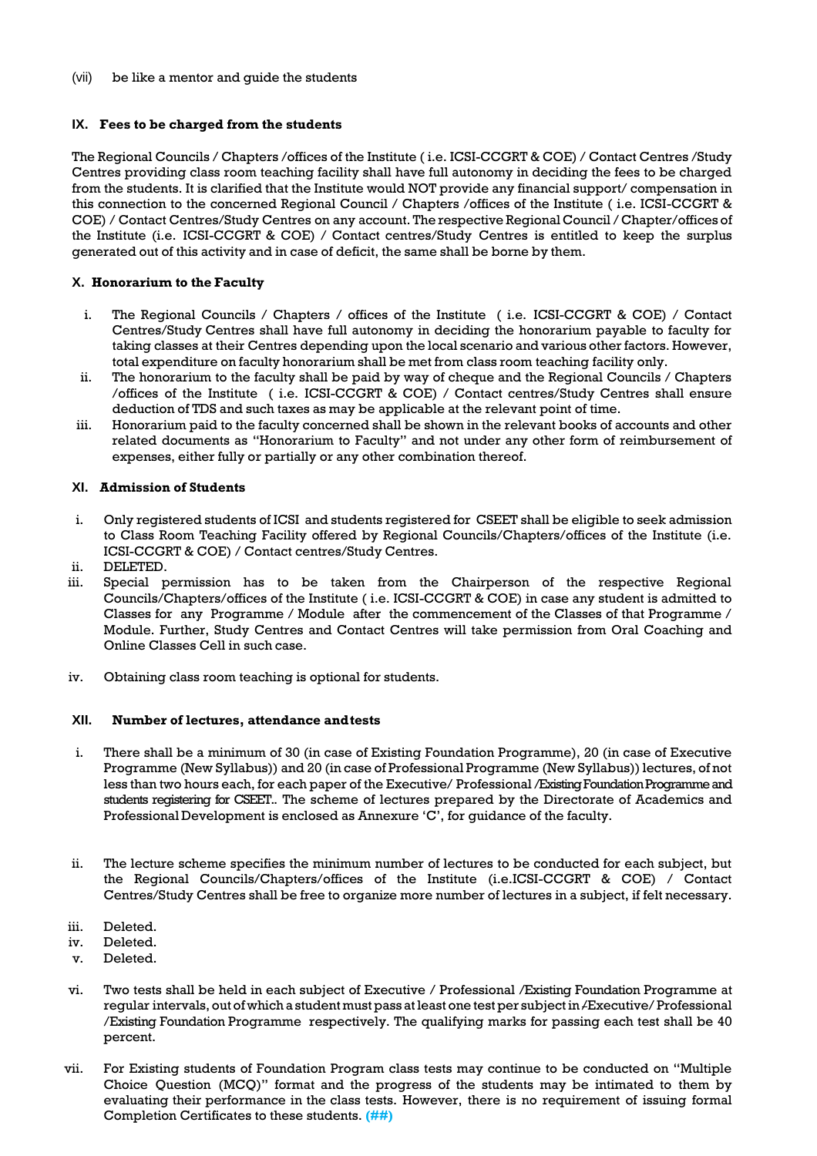#### (vii) be like a mentor and guide the students

#### **IX. Fees to be charged from the students**

The Regional Councils / Chapters /offices of the Institute ( i.e. ICSI-CCGRT & COE) / Contact Centres /Study Centres providing class room teaching facility shall have full autonomy in deciding the fees to be charged from the students. It is clarified that the Institute would NOT provide any financial support/ compensation in this connection to the concerned Regional Council / Chapters /offices of the Institute ( i.e. ICSI-CCGRT & COE) / Contact Centres/Study Centres on any account. The respective Regional Council / Chapter/offices of the Institute (i.e. ICSI-CCGRT & COE) / Contact centres/Study Centres is entitled to keep the surplus generated out of this activity and in case of deficit, the same shall be borne by them.

#### **X. Honorarium to the Faculty**

- i. The Regional Councils / Chapters / offices of the Institute ( i.e. ICSI-CCGRT & COE) / Contact Centres/Study Centres shall have full autonomy in deciding the honorarium payable to faculty for taking classes at their Centres depending upon the local scenario and various other factors. However, total expenditure on faculty honorarium shall be met from class room teaching facility only.
- ii. The honorarium to the faculty shall be paid by way of cheque and the Regional Councils / Chapters /offices of the Institute ( i.e. ICSI-CCGRT & COE) / Contact centres/Study Centres shall ensure deduction of TDS and such taxes as may be applicable at the relevant point of time.
- iii. Honorarium paid to the faculty concerned shall be shown in the relevant books of accounts and other related documents as "Honorarium to Faculty" and not under any other form of reimbursement of expenses, either fully or partially or any other combination thereof.

#### **XI. Admission of Students**

- i. Only registered students of ICSI and students registered for CSEET shall be eligible to seek admission to Class Room Teaching Facility offered by Regional Councils/Chapters/offices of the Institute (i.e. ICSI-CCGRT & COE) / Contact centres/Study Centres.
- ii. DELETED.
- iii. Special permission has to be taken from the Chairperson of the respective Regional Councils/Chapters/offices of the Institute ( i.e. ICSI-CCGRT & COE) in case any student is admitted to Classes for any Programme / Module after the commencement of the Classes of that Programme / Module. Further, Study Centres and Contact Centres will take permission from Oral Coaching and Online Classes Cell in such case.
- iv. Obtaining class room teaching is optional for students.

#### **XII. Number of lectures, attendance andtests**

- i. There shall be a minimum of 30 (in case of Existing Foundation Programme), 20 (in case of Executive Programme (New Syllabus)) and 20 (in case of Professional Programme (New Syllabus)) lectures, of not less than two hours each, for each paper of the Executive/ Professional /Existing Foundation Programme and students registering for CSEET.. The scheme of lectures prepared by the Directorate of Academics and Professional Development is enclosed as Annexure 'C', for guidance of the faculty.
- ii. The lecture scheme specifies the minimum number of lectures to be conducted for each subject, but the Regional Councils/Chapters/offices of the Institute (i.e.ICSI-CCGRT & COE) / Contact Centres/Study Centres shall be free to organize more number of lectures in a subject, if felt necessary.
- iii. Deleted.
- iv. Deleted.
- v. Deleted.
- vi. Two tests shall be held in each subject of Executive / Professional /Existing Foundation Programme at regular intervals, out of which a student must pass atleast one testper subjectin /Executive/ Professional /Existing Foundation Programme respectively. The qualifying marks for passing each test shall be 40 percent.
- vii. For Existing students of Foundation Program class tests may continue to be conducted on "Multiple Choice Question (MCQ)" format and the progress of the students may be intimated to them by evaluating their performance in the class tests. However, there is no requirement of issuing formal Completion Certificates to these students. **(##)**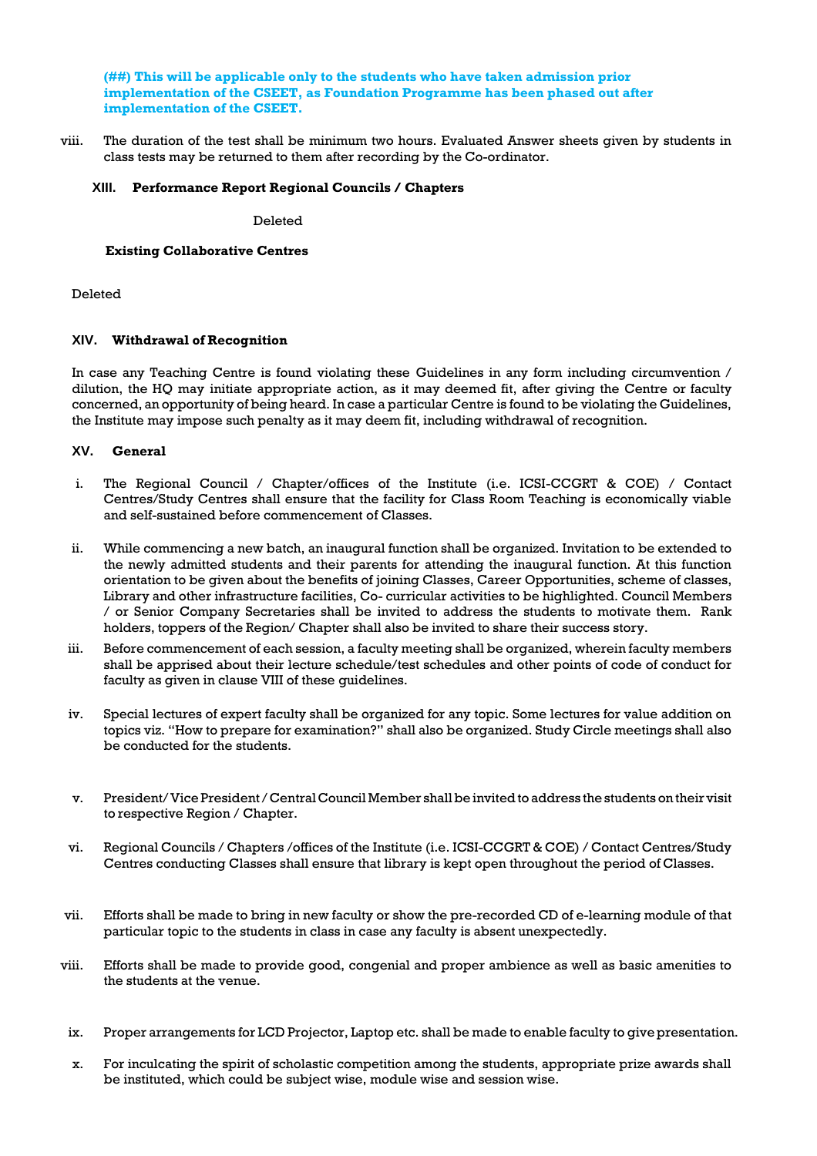**(##) This will be applicable only to the students who have taken admission prior implementation of the CSEET, as Foundation Programme has been phased out after implementation of the CSEET.**

viii. The duration of the test shall be minimum two hours. Evaluated Answer sheets given by students in class tests may be returned to them after recording by the Co-ordinator.

#### **XIII. Performance Report Regional Councils / Chapters**

Deleted

#### **Existing Collaborative Centres**

Deleted

#### **XIV. Withdrawal of Recognition**

In case any Teaching Centre is found violating these Guidelines in any form including circumvention / dilution, the HQ may initiate appropriate action, as it may deemed fit, after giving the Centre or faculty concerned, an opportunity of being heard. In case a particular Centre is found to be violating the Guidelines, the Institute may impose such penalty as it may deem fit, including withdrawal of recognition.

#### **XV. General**

- i. The Regional Council / Chapter/offices of the Institute (i.e. ICSI-CCGRT & COE) / Contact Centres/Study Centres shall ensure that the facility for Class Room Teaching is economically viable and self-sustained before commencement of Classes.
- ii. While commencing a new batch, an inaugural function shall be organized. Invitation to be extended to the newly admitted students and their parents for attending the inaugural function. At this function orientation to be given about the benefits of joining Classes, Career Opportunities, scheme of classes, Library and other infrastructure facilities, Co- curricular activities to be highlighted. Council Members / or Senior Company Secretaries shall be invited to address the students to motivate them. Rank holders, toppers of the Region/ Chapter shall also be invited to share their success story.
- iii. Before commencement of each session, a faculty meeting shall be organized, wherein faculty members shall be apprised about their lecture schedule/test schedules and other points of code of conduct for faculty as given in clause VIII of these guidelines.
- iv. Special lectures of expert faculty shall be organized for any topic. Some lectures for value addition on topics viz. "How to prepare for examination?" shall also be organized. Study Circle meetings shall also be conducted for the students.
- v. President/Vice President/Central Council Member shall be invited to address the students on their visit to respective Region / Chapter.
- vi. Regional Councils / Chapters /offices of the Institute (i.e. ICSI-CCGRT & COE) / Contact Centres/Study Centres conducting Classes shall ensure that library is kept open throughout the period of Classes.
- vii. Efforts shall be made to bring in new faculty or show the pre-recorded CD of e-learning module of that particular topic to the students in class in case any faculty is absent unexpectedly.
- viii. Efforts shall be made to provide good, congenial and proper ambience as well as basic amenities to the students at the venue.
- ix. Proper arrangements for LCD Projector, Laptop etc. shall be made to enable faculty to give presentation.
- x. For inculcating the spirit of scholastic competition among the students, appropriate prize awards shall be instituted, which could be subject wise, module wise and session wise.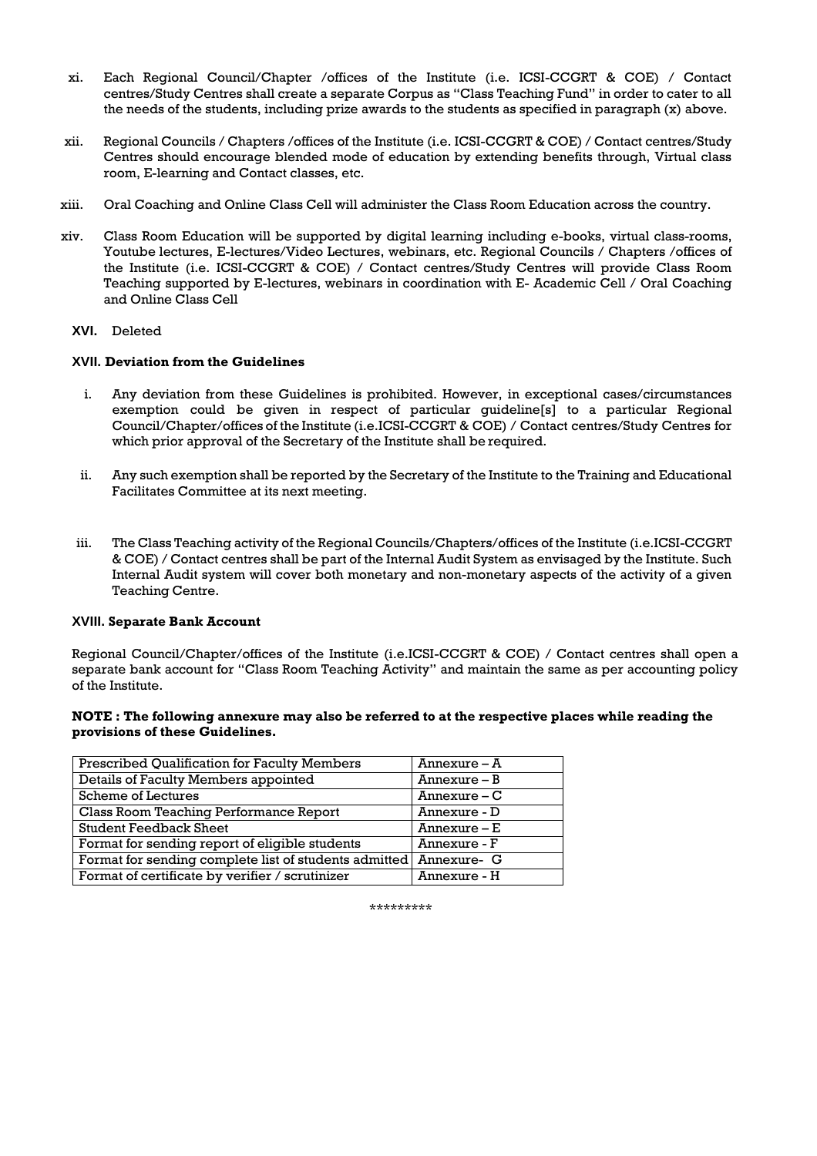- xi. Each Regional Council/Chapter /offices of the Institute (i.e. ICSI-CCGRT & COE) / Contact centres/Study Centres shall create a separate Corpus as "Class Teaching Fund" in order to cater to all the needs of the students, including prize awards to the students as specified in paragraph (x) above.
- xii. Regional Councils / Chapters /offices of the Institute (i.e. ICSI-CCGRT & COE) / Contact centres/Study Centres should encourage blended mode of education by extending benefits through, Virtual class room, E-learning and Contact classes, etc.
- xiii. Oral Coaching and Online Class Cell will administer the Class Room Education across the country.
- xiv. Class Room Education will be supported by digital learning including e-books, virtual class-rooms, Youtube lectures, E-lectures/Video Lectures, webinars, etc. Regional Councils / Chapters /offices of the Institute (i.e. ICSI-CCGRT & COE) / Contact centres/Study Centres will provide Class Room Teaching supported by E-lectures, webinars in coordination with E- Academic Cell / Oral Coaching and Online Class Cell

#### **XVI.** Deleted

#### **XVII. Deviation from the Guidelines**

- i. Any deviation from these Guidelines is prohibited. However, in exceptional cases/circumstances exemption could be given in respect of particular guideline[s] to a particular Regional Council/Chapter/offices of the Institute (i.e.ICSI-CCGRT & COE) / Contact centres/Study Centres for which prior approval of the Secretary of the Institute shall be required.
- ii. Any such exemption shall be reported by the Secretary of the Institute to the Training and Educational Facilitates Committee at its next meeting.
- iii. The Class Teaching activity of the Regional Councils/Chapters/offices of the Institute (i.e.ICSI-CCGRT & COE) / Contact centres shall be part of the Internal Audit System as envisaged by the Institute. Such Internal Audit system will cover both monetary and non-monetary aspects of the activity of a given Teaching Centre.

#### **XVIII. Separate Bank Account**

Regional Council/Chapter/offices of the Institute (i.e.ICSI-CCGRT & COE) / Contact centres shall open a separate bank account for "Class Room Teaching Activity" and maintain the same as per accounting policy of the Institute.

#### **NOTE : The following annexure may also be referred to at the respective places while reading the provisions of these Guidelines.**

| <b>Prescribed Qualification for Faculty Members</b>               | Annexure - A   |
|-------------------------------------------------------------------|----------------|
| Details of Faculty Members appointed                              | $Annexure - B$ |
| <b>Scheme of Lectures</b>                                         | $Annexure-C$   |
| <b>Class Room Teaching Performance Report</b>                     | Annexure - D   |
| <b>Student Feedback Sheet</b>                                     | $Annexure - E$ |
| Format for sending report of eligible students                    | Annexure - F   |
| Format for sending complete list of students admitted Annexure- G |                |
| Format of certificate by verifier / scrutinizer                   | Annexure - H   |

\*\*\*\*\*\*\*\*\*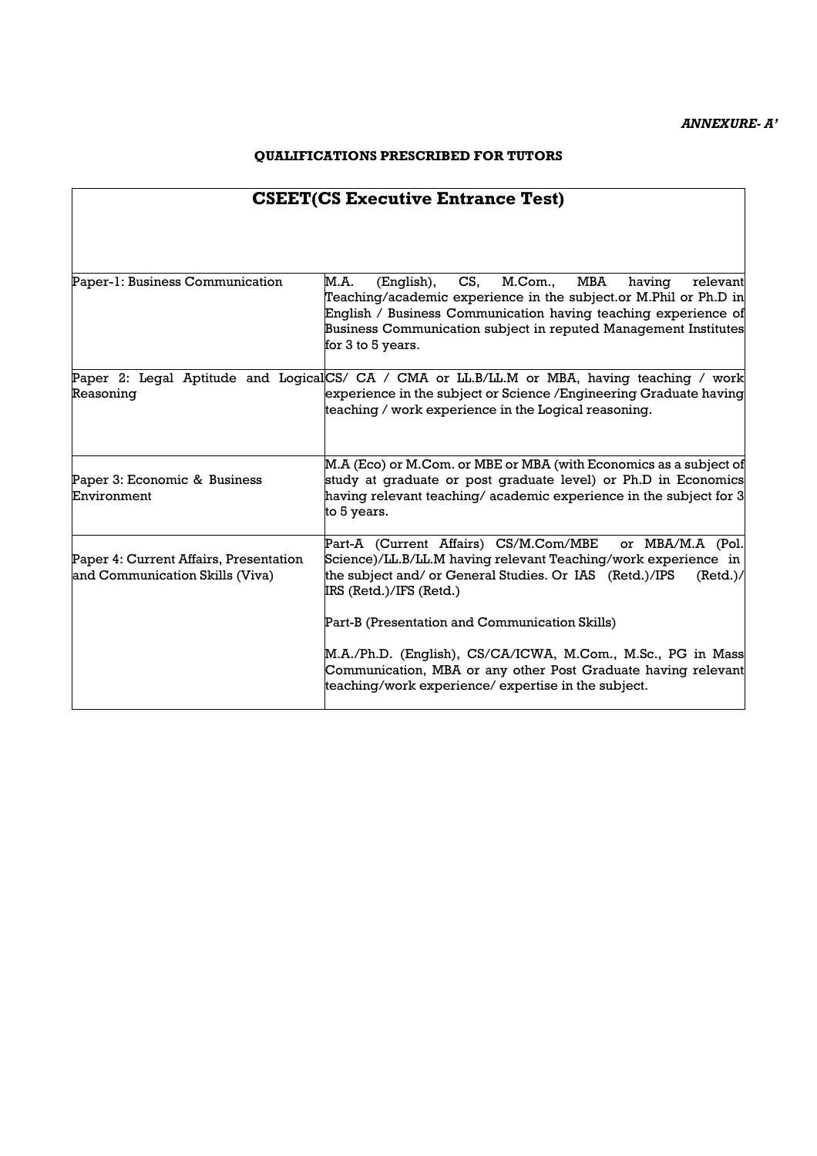### **QUALIFICATIONS PRESCRIBED FOR TUTORS**

| <b>CSEET(CS Executive Entrance Test)</b>                                  |                                                                                                                                                                                                                                                                                                 |  |  |  |
|---------------------------------------------------------------------------|-------------------------------------------------------------------------------------------------------------------------------------------------------------------------------------------------------------------------------------------------------------------------------------------------|--|--|--|
|                                                                           |                                                                                                                                                                                                                                                                                                 |  |  |  |
| Paper-1: Business Communication                                           | MBA<br>M.A.<br>CS,<br>M.Com.,<br>(English),<br>relevant<br>having<br>Teaching/academic experience in the subject.or M.Phil or Ph.D in<br>English / Business Communication having teaching experience of<br>Business Communication subject in reputed Management Institutes<br>for 3 to 5 years. |  |  |  |
| Reasoning                                                                 | Paper 2: Legal Aptitude and LogicalCS/ CA / CMA or LL.B/LL.M or MBA, having teaching / work<br>experience in the subject or Science / Engineering Graduate having<br>teaching / work experience in the Logical reasoning.                                                                       |  |  |  |
| Paper 3: Economic & Business<br>Environment                               | M.A (Eco) or M.Com. or MBE or MBA (with Economics as a subject of<br>study at graduate or post graduate level) or Ph.D in Economics<br>having relevant teaching/ academic experience in the subject for 3<br>to 5 years.                                                                        |  |  |  |
| Paper 4: Current Affairs, Presentation<br>and Communication Skills (Viva) | Part-A (Current Affairs) CS/M.Com/MBE<br>or MBA/M.A (Pol.<br>Science)/LL.B/LL.M having relevant Teaching/work experience in<br>the subject and/ or General Studies. Or IAS (Retd.)/IPS<br>(Red.)/<br>IRS (Retd.)/IFS (Retd.)                                                                    |  |  |  |
|                                                                           | Part-B (Presentation and Communication Skills)                                                                                                                                                                                                                                                  |  |  |  |
|                                                                           | M.A./Ph.D. (English), CS/CA/ICWA, M.Com., M.Sc., PG in Mass<br>Communication, MBA or any other Post Graduate having relevant<br>teaching/work experience/ expertise in the subject.                                                                                                             |  |  |  |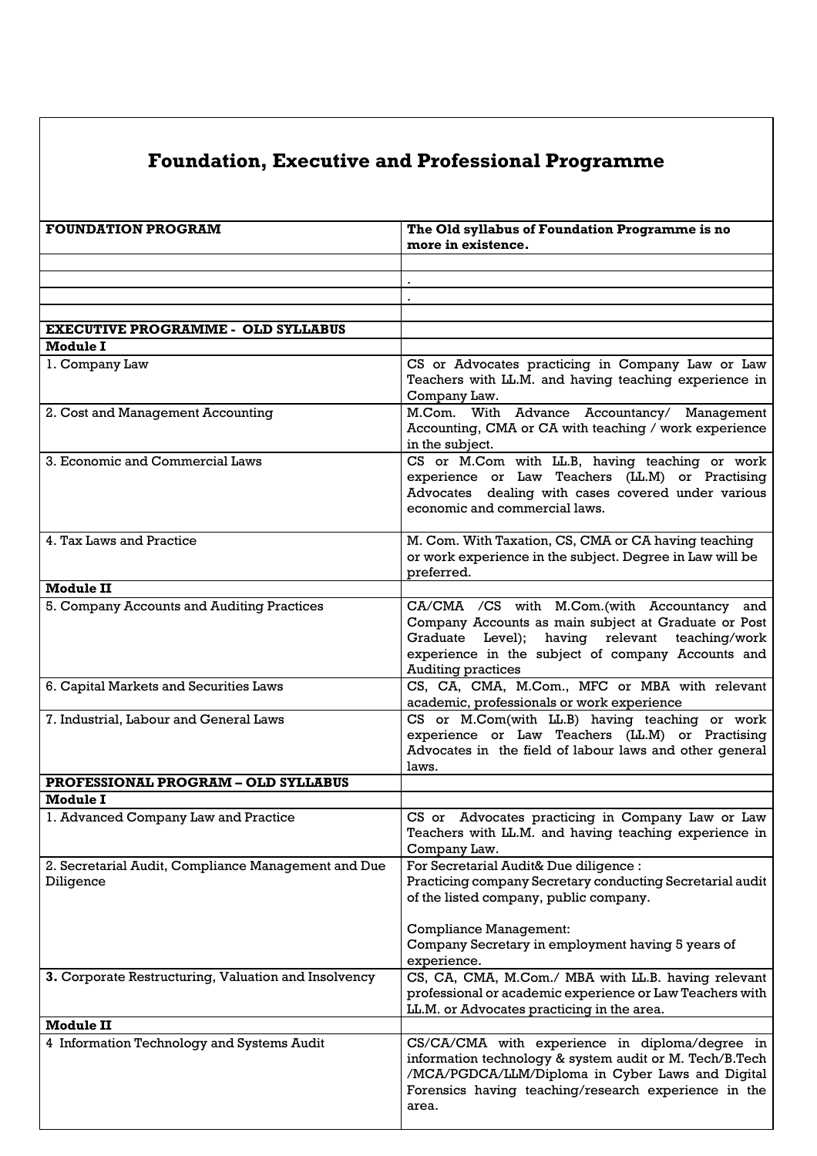# **Foundation, Executive and Professional Programme**

| <b>FOUNDATION PROGRAM</b>                                        | The Old syllabus of Foundation Programme is no<br>more in existence.                                                                                                                                                                    |
|------------------------------------------------------------------|-----------------------------------------------------------------------------------------------------------------------------------------------------------------------------------------------------------------------------------------|
|                                                                  |                                                                                                                                                                                                                                         |
|                                                                  |                                                                                                                                                                                                                                         |
|                                                                  |                                                                                                                                                                                                                                         |
|                                                                  |                                                                                                                                                                                                                                         |
| <b>EXECUTIVE PROGRAMME - OLD SYLLABUS</b>                        |                                                                                                                                                                                                                                         |
| <b>Module I</b>                                                  |                                                                                                                                                                                                                                         |
| 1. Company Law                                                   | CS or Advocates practicing in Company Law or Law<br>Teachers with LL.M. and having teaching experience in<br>Company Law.                                                                                                               |
| 2. Cost and Management Accounting                                | M.Com. With Advance Accountancy/ Management<br>Accounting, CMA or CA with teaching / work experience<br>in the subject.                                                                                                                 |
| 3. Economic and Commercial Laws                                  | CS or M.Com with LL.B, having teaching or work<br>experience or Law Teachers (LL.M) or Practising<br>Advocates dealing with cases covered under various<br>economic and commercial laws.                                                |
| 4. Tax Laws and Practice                                         | M. Com. With Taxation, CS, CMA or CA having teaching<br>or work experience in the subject. Degree in Law will be<br>preferred.                                                                                                          |
| <b>Module II</b>                                                 |                                                                                                                                                                                                                                         |
| 5. Company Accounts and Auditing Practices                       | CA/CMA /CS with M.Com.(with Accountancy and<br>Company Accounts as main subject at Graduate or Post<br>Graduate Level); having relevant teaching/work<br>experience in the subject of company Accounts and<br><b>Auditing practices</b> |
| 6. Capital Markets and Securities Laws                           | CS, CA, CMA, M.Com., MFC or MBA with relevant<br>academic, professionals or work experience                                                                                                                                             |
| 7. Industrial, Labour and General Laws                           | CS or M.Com(with LL.B) having teaching or work<br>experience or Law Teachers (LL.M) or Practising<br>Advocates in the field of labour laws and other general<br>laws.                                                                   |
| <b>PROFESSIONAL PROGRAM - OLD SYLLABUS</b>                       |                                                                                                                                                                                                                                         |
| <b>Module I</b>                                                  |                                                                                                                                                                                                                                         |
| 1. Advanced Company Law and Practice                             | CS or Advocates practicing in Company Law or Law<br>Teachers with LL.M. and having teaching experience in<br>Company Law.                                                                                                               |
| 2. Secretarial Audit, Compliance Management and Due<br>Diligence | For Secretarial Audit& Due diligence :<br>Practicing company Secretary conducting Secretarial audit<br>of the listed company, public company.                                                                                           |
|                                                                  | <b>Compliance Management:</b><br>Company Secretary in employment having 5 years of<br>experience.                                                                                                                                       |
| 3. Corporate Restructuring, Valuation and Insolvency             | CS, CA, CMA, M.Com./ MBA with LL.B. having relevant<br>professional or academic experience or Law Teachers with<br>LL.M. or Advocates practicing in the area.                                                                           |
| <b>Module II</b>                                                 |                                                                                                                                                                                                                                         |
| 4 Information Technology and Systems Audit                       | CS/CA/CMA with experience in diploma/degree in<br>information technology & system audit or M. Tech/B.Tech<br>/MCA/PGDCA/LLM/Diploma in Cyber Laws and Digital<br>Forensics having teaching/research experience in the<br>area.          |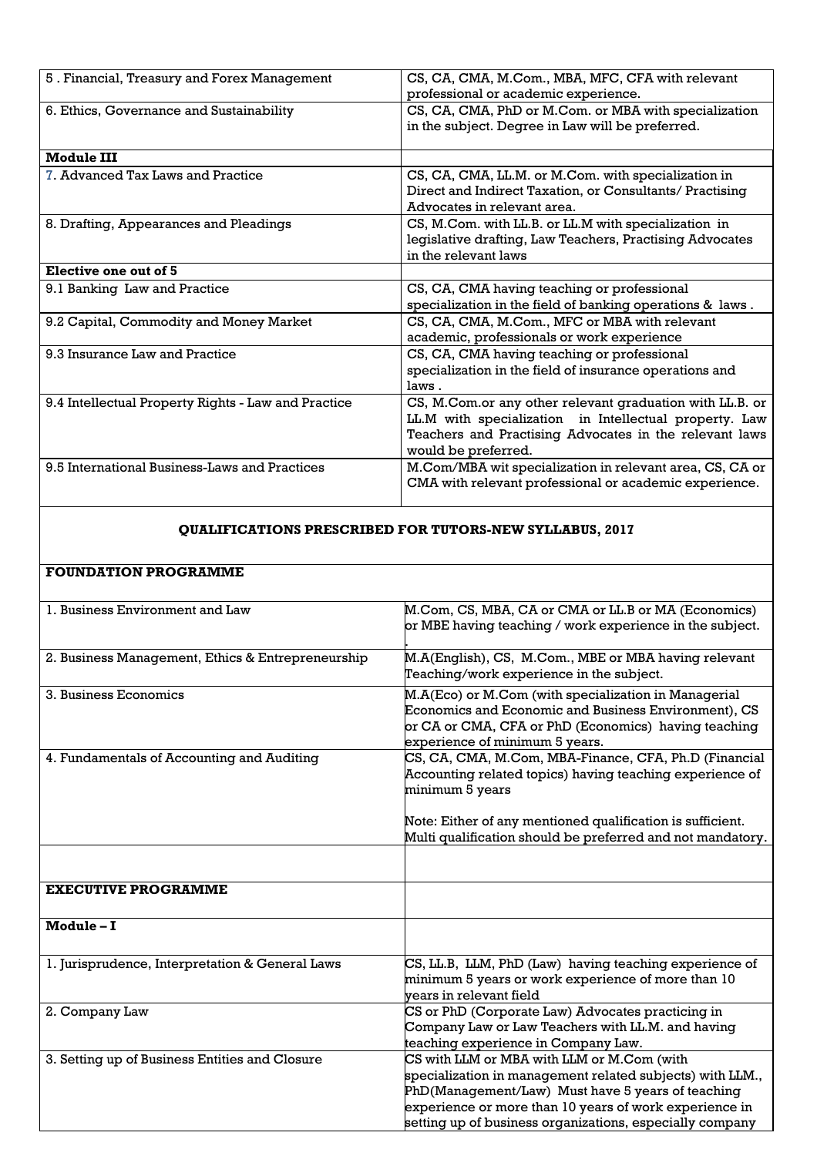| 5. Financial, Treasury and Forex Management         | CS, CA, CMA, M.Com., MBA, MFC, CFA with relevant<br>professional or academic experience.                                                                                                            |
|-----------------------------------------------------|-----------------------------------------------------------------------------------------------------------------------------------------------------------------------------------------------------|
| 6. Ethics, Governance and Sustainability            | CS, CA, CMA, PhD or M.Com. or MBA with specialization<br>in the subject. Degree in Law will be preferred.                                                                                           |
| <b>Module III</b>                                   |                                                                                                                                                                                                     |
| 7. Advanced Tax Laws and Practice                   | CS, CA, CMA, LL.M. or M.Com. with specialization in<br>Direct and Indirect Taxation, or Consultants/ Practising<br>Advocates in relevant area.                                                      |
| 8. Drafting, Appearances and Pleadings              | CS, M.Com. with LL.B. or LL.M with specialization in<br>legislative drafting, Law Teachers, Practising Advocates<br>in the relevant laws                                                            |
| Elective one out of 5                               |                                                                                                                                                                                                     |
| 9.1 Banking Law and Practice                        | CS, CA, CMA having teaching or professional<br>specialization in the field of banking operations & laws.                                                                                            |
| 9.2 Capital, Commodity and Money Market             | CS, CA, CMA, M.Com., MFC or MBA with relevant<br>academic, professionals or work experience                                                                                                         |
| 9.3 Insurance Law and Practice                      | CS, CA, CMA having teaching or professional<br>specialization in the field of insurance operations and<br>laws.                                                                                     |
| 9.4 Intellectual Property Rights - Law and Practice | CS, M.Com.or any other relevant graduation with LL.B. or<br>LL.M with specialization in Intellectual property. Law<br>Teachers and Practising Advocates in the relevant laws<br>would be preferred. |
| 9.5 International Business-Laws and Practices       | M.Com/MBA wit specialization in relevant area, CS, CA or<br>CMA with relevant professional or academic experience.                                                                                  |

### **QUALIFICATIONS PRESCRIBED FOR TUTORS-NEW SYLLABUS, 2017**

# **FOUNDATION PROGRAMME**

| 1. Business Environment and Law                   | M.Com, CS, MBA, CA or CMA or LL.B or MA (Economics)<br>or MBE having teaching / work experience in the subject.                                                                                                                                                                    |
|---------------------------------------------------|------------------------------------------------------------------------------------------------------------------------------------------------------------------------------------------------------------------------------------------------------------------------------------|
| 2. Business Management, Ethics & Entrepreneurship | M.A(English), CS, M.Com., MBE or MBA having relevant<br>Teaching/work experience in the subject.                                                                                                                                                                                   |
| 3. Business Economics                             | M.A(Eco) or M.Com (with specialization in Managerial<br>Economics and Economic and Business Environment), CS<br>or CA or CMA, CFA or PhD (Economics) having teaching<br>experience of minimum 5 years.                                                                             |
| 4. Fundamentals of Accounting and Auditing        | CS, CA, CMA, M.Com, MBA-Finance, CFA, Ph.D (Financial<br>Accounting related topics) having teaching experience of<br>minimum 5 years                                                                                                                                               |
|                                                   | Note: Either of any mentioned qualification is sufficient.<br>Multi qualification should be preferred and not mandatory.                                                                                                                                                           |
|                                                   |                                                                                                                                                                                                                                                                                    |
| <b>EXECUTIVE PROGRAMME</b>                        |                                                                                                                                                                                                                                                                                    |
| Module-I                                          |                                                                                                                                                                                                                                                                                    |
| 1. Jurisprudence, Interpretation & General Laws   | CS, LL.B, LLM, PhD (Law) having teaching experience of<br>minimum 5 years or work experience of more than 10<br>vears in relevant field                                                                                                                                            |
| 2. Company Law                                    | CS or PhD (Corporate Law) Advocates practicing in<br>Company Law or Law Teachers with LL.M. and having<br>teaching experience in Company Law.                                                                                                                                      |
| 3. Setting up of Business Entities and Closure    | CS with LLM or MBA with LLM or M.Com (with<br>specialization in management related subjects) with LLM.,<br>PhD(Management/Law) Must have 5 years of teaching<br>experience or more than 10 years of work experience in<br>setting up of business organizations, especially company |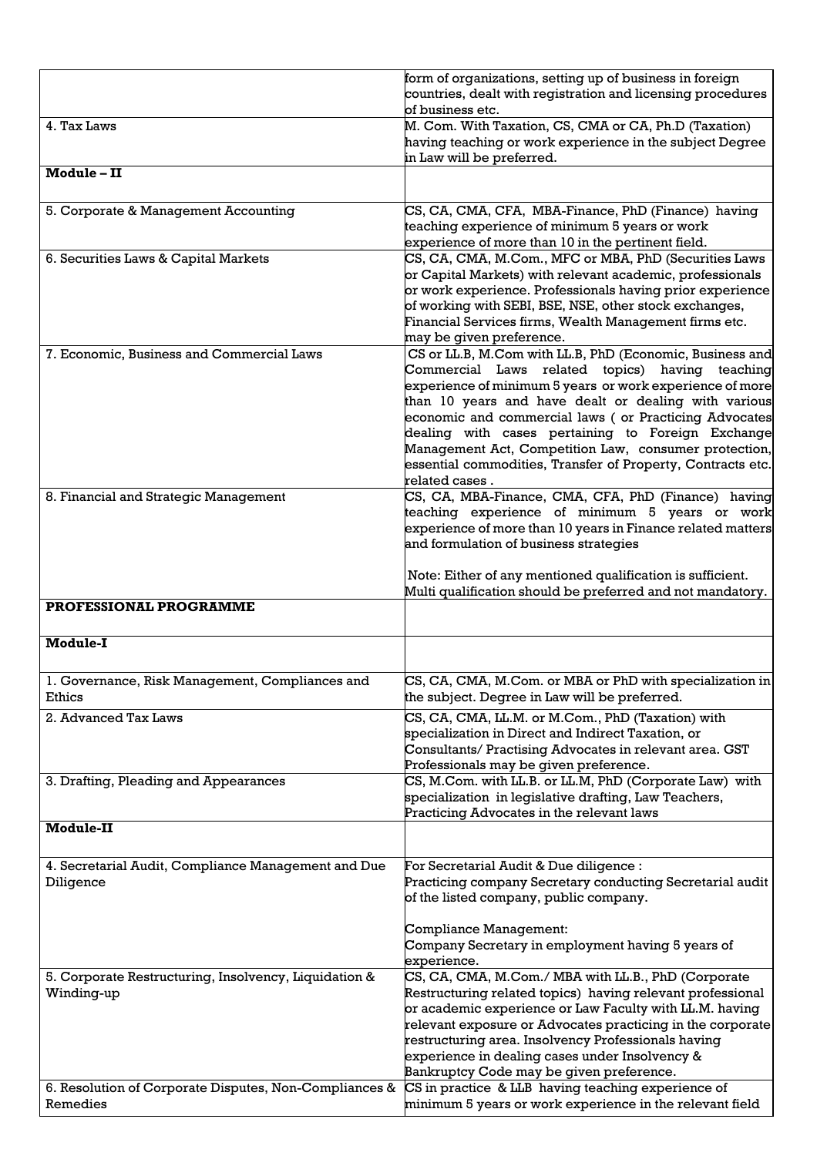|                                                                     | form of organizations, setting up of business in foreign<br>countries, dealt with registration and licensing procedures                                                                                                                                                                                                                                                                                                                                                                 |
|---------------------------------------------------------------------|-----------------------------------------------------------------------------------------------------------------------------------------------------------------------------------------------------------------------------------------------------------------------------------------------------------------------------------------------------------------------------------------------------------------------------------------------------------------------------------------|
| 4. Tax Laws                                                         | of business etc.<br>M. Com. With Taxation, CS, CMA or CA, Ph.D (Taxation)                                                                                                                                                                                                                                                                                                                                                                                                               |
|                                                                     | having teaching or work experience in the subject Degree<br>in Law will be preferred.                                                                                                                                                                                                                                                                                                                                                                                                   |
| Module - II                                                         |                                                                                                                                                                                                                                                                                                                                                                                                                                                                                         |
| 5. Corporate & Management Accounting                                | CS, CA, CMA, CFA, MBA-Finance, PhD (Finance) having<br>teaching experience of minimum 5 years or work<br>experience of more than 10 in the pertinent field.                                                                                                                                                                                                                                                                                                                             |
| 6. Securities Laws & Capital Markets                                | CS, CA, CMA, M.Com., MFC or MBA, PhD (Securities Laws<br>or Capital Markets) with relevant academic, professionals<br>or work experience. Professionals having prior experience<br>of working with SEBI, BSE, NSE, other stock exchanges,<br>Financial Services firms, Wealth Management firms etc.<br>may be given preference.                                                                                                                                                         |
| 7. Economic, Business and Commercial Laws                           | CS or LL.B, M.Com with LL.B, PhD (Economic, Business and<br>Commercial Laws related topics) having teaching<br>experience of minimum 5 years or work experience of more<br>than 10 years and have dealt or dealing with various<br>economic and commercial laws (or Practicing Advocates<br>dealing with cases pertaining to Foreign Exchange<br>Management Act, Competition Law, consumer protection,<br>essential commodities, Transfer of Property, Contracts etc.<br>related cases. |
| 8. Financial and Strategic Management                               | CS, CA, MBA-Finance, CMA, CFA, PhD (Finance) having<br>teaching experience of minimum 5 years or work<br>experience of more than 10 years in Finance related matters<br>and formulation of business strategies<br>Note: Either of any mentioned qualification is sufficient.                                                                                                                                                                                                            |
|                                                                     |                                                                                                                                                                                                                                                                                                                                                                                                                                                                                         |
|                                                                     | Multi qualification should be preferred and not mandatory.                                                                                                                                                                                                                                                                                                                                                                                                                              |
| PROFESSIONAL PROGRAMME                                              |                                                                                                                                                                                                                                                                                                                                                                                                                                                                                         |
| <b>Module-I</b>                                                     |                                                                                                                                                                                                                                                                                                                                                                                                                                                                                         |
| 1. Governance, Risk Management, Compliances and<br>Ethics           | CS, CA, CMA, M.Com. or MBA or PhD with specialization in<br>the subject. Degree in Law will be preferred.                                                                                                                                                                                                                                                                                                                                                                               |
| 2. Advanced Tax Laws                                                | CS, CA, CMA, LL.M. or M.Com., PhD (Taxation) with<br>specialization in Direct and Indirect Taxation, or<br>Consultants/ Practising Advocates in relevant area. GST                                                                                                                                                                                                                                                                                                                      |
| 3. Drafting, Pleading and Appearances                               | Professionals may be given preference.<br>CS, M.Com. with LL.B. or LL.M, PhD (Corporate Law) with<br>specialization in legislative drafting, Law Teachers,<br>Practicing Advocates in the relevant laws                                                                                                                                                                                                                                                                                 |
| <b>Module-II</b>                                                    |                                                                                                                                                                                                                                                                                                                                                                                                                                                                                         |
| 4. Secretarial Audit, Compliance Management and Due<br>Diligence    | For Secretarial Audit & Due diligence :<br>Practicing company Secretary conducting Secretarial audit<br>of the listed company, public company.                                                                                                                                                                                                                                                                                                                                          |
|                                                                     | Compliance Management:<br>Company Secretary in employment having 5 years of<br>experience.                                                                                                                                                                                                                                                                                                                                                                                              |
| 5. Corporate Restructuring, Insolvency, Liquidation &<br>Winding-up | CS, CA, CMA, M.Com./ MBA with LL.B., PhD (Corporate<br>Restructuring related topics) having relevant professional<br>or academic experience or Law Faculty with LL.M. having<br>${\tt relevant}$ exposure or ${\tt Advocates}$ practicing in the corporate $ $<br>restructuring area. Insolvency Professionals having<br>experience in dealing cases under Insolvency &<br>Bankruptcy Code may be given preference.                                                                     |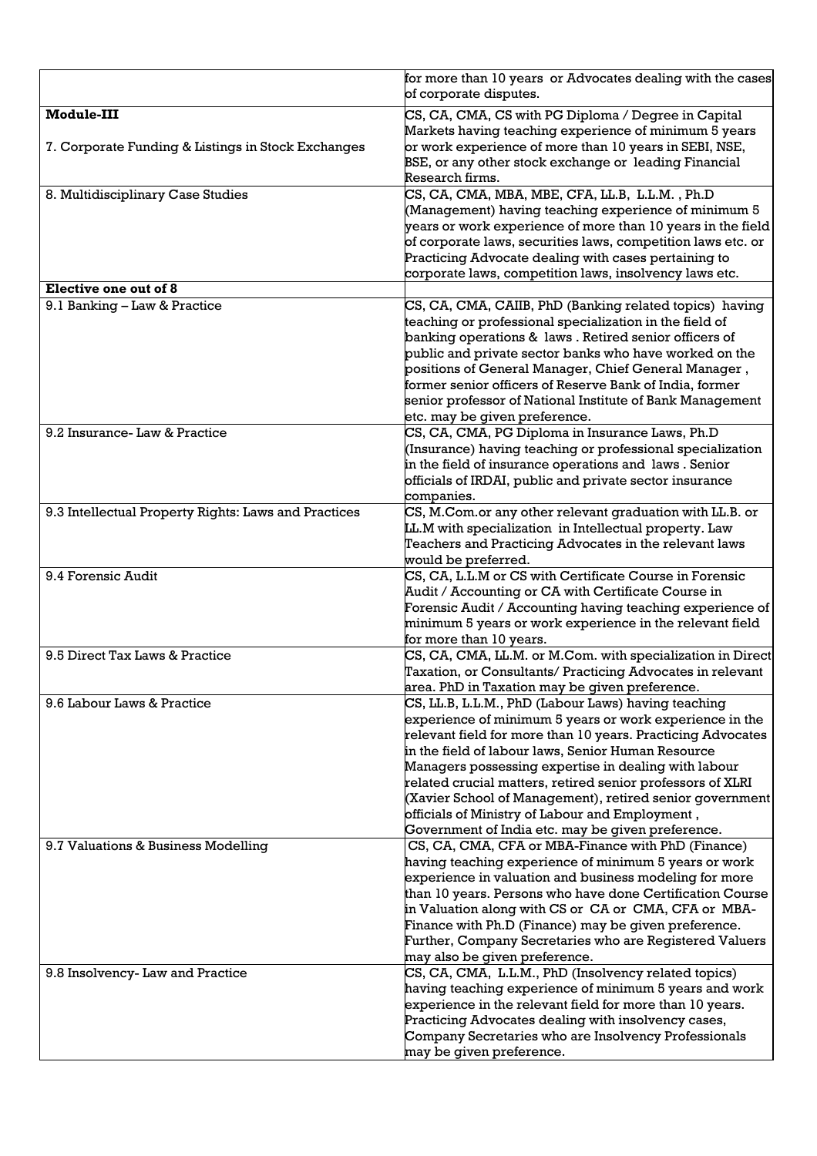|                                                      | for more than 10 years or Advocates dealing with the cases<br>of corporate disputes.                                 |
|------------------------------------------------------|----------------------------------------------------------------------------------------------------------------------|
| <b>Module-III</b>                                    | CS, CA, CMA, CS with PG Diploma / Degree in Capital                                                                  |
|                                                      | Markets having teaching experience of minimum 5 years                                                                |
| 7. Corporate Funding & Listings in Stock Exchanges   | or work experience of more than 10 years in SEBI, NSE,                                                               |
|                                                      | BSE, or any other stock exchange or leading Financial<br>Research firms.                                             |
| 8. Multidisciplinary Case Studies                    | CS, CA, CMA, MBA, MBE, CFA, LL.B, L.L.M., Ph.D                                                                       |
|                                                      | (Management) having teaching experience of minimum 5                                                                 |
|                                                      | years or work experience of more than $10$ years in the field                                                        |
|                                                      | of corporate laws, securities laws, competition laws etc. or                                                         |
|                                                      | Practicing Advocate dealing with cases pertaining to                                                                 |
| Elective one out of 8                                | corporate laws, competition laws, insolvency laws etc.                                                               |
| 9.1 Banking - Law & Practice                         | CS, CA, CMA, CAIIB, PhD (Banking related topics) having                                                              |
|                                                      | teaching or professional specialization in the field of                                                              |
|                                                      | banking operations & laws . Retired senior officers of                                                               |
|                                                      | public and private sector banks who have worked on the                                                               |
|                                                      | positions of General Manager, Chief General Manager,                                                                 |
|                                                      | former senior officers of Reserve Bank of India, former<br>senior professor of National Institute of Bank Management |
|                                                      | etc. may be given preference.                                                                                        |
| 9.2 Insurance-Law & Practice                         | CS, CA, CMA, PG Diploma in Insurance Laws, Ph.D                                                                      |
|                                                      | (Insurance) having teaching or professional specialization                                                           |
|                                                      | in the field of insurance operations and laws . Senior                                                               |
|                                                      | officials of IRDAI, public and private sector insurance                                                              |
| 9.3 Intellectual Property Rights: Laws and Practices | companies.<br>CS, M.Com.or any other relevant graduation with LL.B. or                                               |
|                                                      | LL.M with specialization in Intellectual property. Law                                                               |
|                                                      | Teachers and Practicing Advocates in the relevant laws                                                               |
|                                                      | would be preferred.                                                                                                  |
| 9.4 Forensic Audit                                   | CS, CA, L.L.M or CS with Certificate Course in Forensic                                                              |
|                                                      | Audit / Accounting or CA with Certificate Course in<br>Forensic Audit / Accounting having teaching experience of     |
|                                                      | minimum 5 years or work experience in the relevant field                                                             |
|                                                      | for more than 10 years.                                                                                              |
| 9.5 Direct Tax Laws & Practice                       | CS, CA, CMA, LL.M. or M.Com. with specialization in Direct                                                           |
|                                                      | Taxation, or Consultants/ Practicing Advocates in relevant                                                           |
| 9.6 Labour Laws & Practice                           | area. PhD in Taxation may be given preference.<br>CS, LL.B, L.L.M., PhD (Labour Laws) having teaching                |
|                                                      | experience of minimum 5 years or work experience in the                                                              |
|                                                      | relevant field for more than 10 years. Practicing Advocates                                                          |
|                                                      | in the field of labour laws, Senior Human Resource                                                                   |
|                                                      | Managers possessing expertise in dealing with labour                                                                 |
|                                                      | related crucial matters, retired senior professors of XLRI                                                           |
|                                                      | (Xavier School of Management), retired senior government<br>officials of Ministry of Labour and Employment,          |
|                                                      | Government of India etc. may be given preference.                                                                    |
| 9.7 Valuations & Business Modelling                  | CS, CA, CMA, CFA or MBA-Finance with PhD (Finance)                                                                   |
|                                                      | having teaching experience of minimum 5 years or work                                                                |
|                                                      | experience in valuation and business modeling for more                                                               |
|                                                      | than 10 years. Persons who have done Certification Course<br>in Valuation along with CS or CA or CMA, CFA or MBA-    |
|                                                      | Finance with Ph.D (Finance) may be given preference.                                                                 |
|                                                      | Further, Company Secretaries who are Registered Valuers                                                              |
|                                                      | may also be given preference.                                                                                        |
| 9.8 Insolvency-Law and Practice                      | CS, CA, CMA, L.L.M., PhD (Insolvency related topics)                                                                 |
|                                                      | having teaching experience of minimum 5 years and work<br>experience in the relevant field for more than 10 years.   |
|                                                      | Practicing Advocates dealing with insolvency cases,                                                                  |
|                                                      | Company Secretaries who are Insolvency Professionals                                                                 |
|                                                      |                                                                                                                      |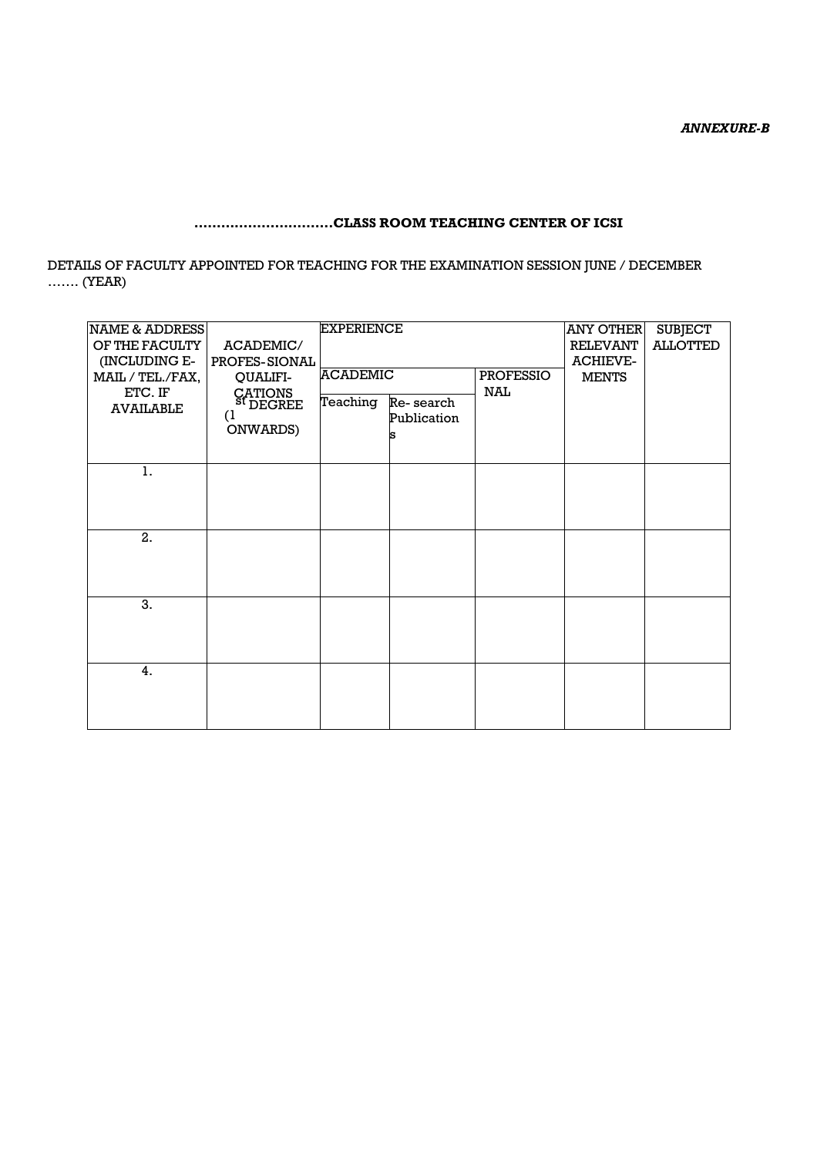## **………………………….CLASS ROOM TEACHING CENTER OF ICSI**

DETAILS OF FACULTY APPOINTED FOR TEACHING FOR THE EXAMINATION SESSION JUNE / DECEMBER ……. (YEAR)

| <b>EXPERIENCE</b><br>NAME & ADDRESS<br>OF THE FACULTY<br>ACADEMIC/<br>(INCLUDING E-<br>PROFES-SIONAL |                                                                   |                 |                          | <b>ANY OTHER</b><br><b>RELEVANT</b><br><b>ACHIEVE-</b> | <b>SUBJECT</b><br><b>ALLOTTED</b> |  |
|------------------------------------------------------------------------------------------------------|-------------------------------------------------------------------|-----------------|--------------------------|--------------------------------------------------------|-----------------------------------|--|
| MAIL / TEL./FAX,                                                                                     | QUALIFI-                                                          | <b>ACADEMIC</b> |                          | <b>PROFESSIO</b>                                       | <b>MENTS</b>                      |  |
| ETC. IF<br><b>AVAILABLE</b>                                                                          | CATIONS<br>- <sup>St</sup> DEGREE<br>$\left(1\right)$<br>ONWARDS) | Teaching        | Re-search<br>Publication | <b>NAL</b>                                             |                                   |  |
| 1.                                                                                                   |                                                                   |                 |                          |                                                        |                                   |  |
|                                                                                                      |                                                                   |                 |                          |                                                        |                                   |  |
| 2.                                                                                                   |                                                                   |                 |                          |                                                        |                                   |  |
| 3.                                                                                                   |                                                                   |                 |                          |                                                        |                                   |  |
| 4.                                                                                                   |                                                                   |                 |                          |                                                        |                                   |  |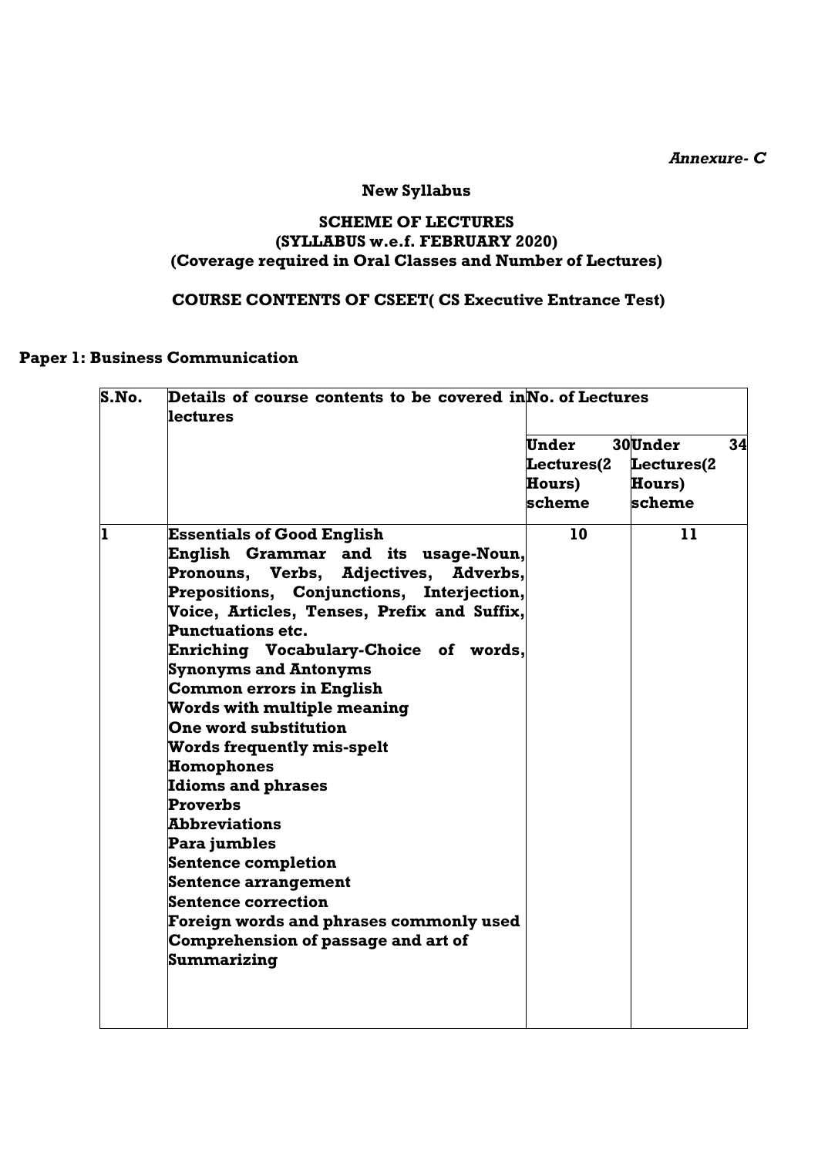*Annexure- C*

# **New Syllabus**

#### **SCHEME OF LECTURES (SYLLABUS w.e.f. FEBRUARY 2020) (Coverage required in Oral Classes and Number of Lectures)**

#### **COURSE CONTENTS OF CSEET( CS Executive Entrance Test)**

#### **Paper 1: Business Communication**

| S.No. | Details of course contents to be covered in No. of Lectures |                   |            |    |  |  |
|-------|-------------------------------------------------------------|-------------------|------------|----|--|--|
|       | lectures                                                    |                   |            |    |  |  |
|       |                                                             | Under             | 30Under    | 34 |  |  |
|       |                                                             | <b>Lectures(2</b> | Lectures(2 |    |  |  |
|       |                                                             | <b>Hours)</b>     | Hours)     |    |  |  |
|       |                                                             | scheme            | scheme     |    |  |  |
| ı     | <b>Essentials of Good English</b>                           | 10                | 11         |    |  |  |
|       | English Grammar and its usage-Noun,                         |                   |            |    |  |  |
|       | Pronouns, Verbs, Adjectives,<br>Adverbs,                    |                   |            |    |  |  |
|       | Prepositions, Conjunctions, Interjection,                   |                   |            |    |  |  |
|       | Voice, Articles, Tenses, Prefix and Suffix,                 |                   |            |    |  |  |
|       | <b>Punctuations etc.</b>                                    |                   |            |    |  |  |
|       | Enriching Vocabulary-Choice of words,                       |                   |            |    |  |  |
|       | <b>Synonyms and Antonyms</b>                                |                   |            |    |  |  |
|       | <b>Common errors in English</b>                             |                   |            |    |  |  |
|       | <b>Words with multiple meaning</b>                          |                   |            |    |  |  |
|       | One word substitution                                       |                   |            |    |  |  |
|       | <b>Words frequently mis-spelt</b>                           |                   |            |    |  |  |
|       | <b>Homophones</b>                                           |                   |            |    |  |  |
|       | <b>Idioms and phrases</b>                                   |                   |            |    |  |  |
|       | Proverbs                                                    |                   |            |    |  |  |
|       | <b>Abbreviations</b>                                        |                   |            |    |  |  |
|       | Para jumbles                                                |                   |            |    |  |  |
|       | <b>Sentence completion</b>                                  |                   |            |    |  |  |
|       | Sentence arrangement                                        |                   |            |    |  |  |
|       | <b>Sentence correction</b>                                  |                   |            |    |  |  |
|       | Foreign words and phrases commonly used                     |                   |            |    |  |  |
|       | Comprehension of passage and art of                         |                   |            |    |  |  |
|       | Summarizing                                                 |                   |            |    |  |  |
|       |                                                             |                   |            |    |  |  |
|       |                                                             |                   |            |    |  |  |
|       |                                                             |                   |            |    |  |  |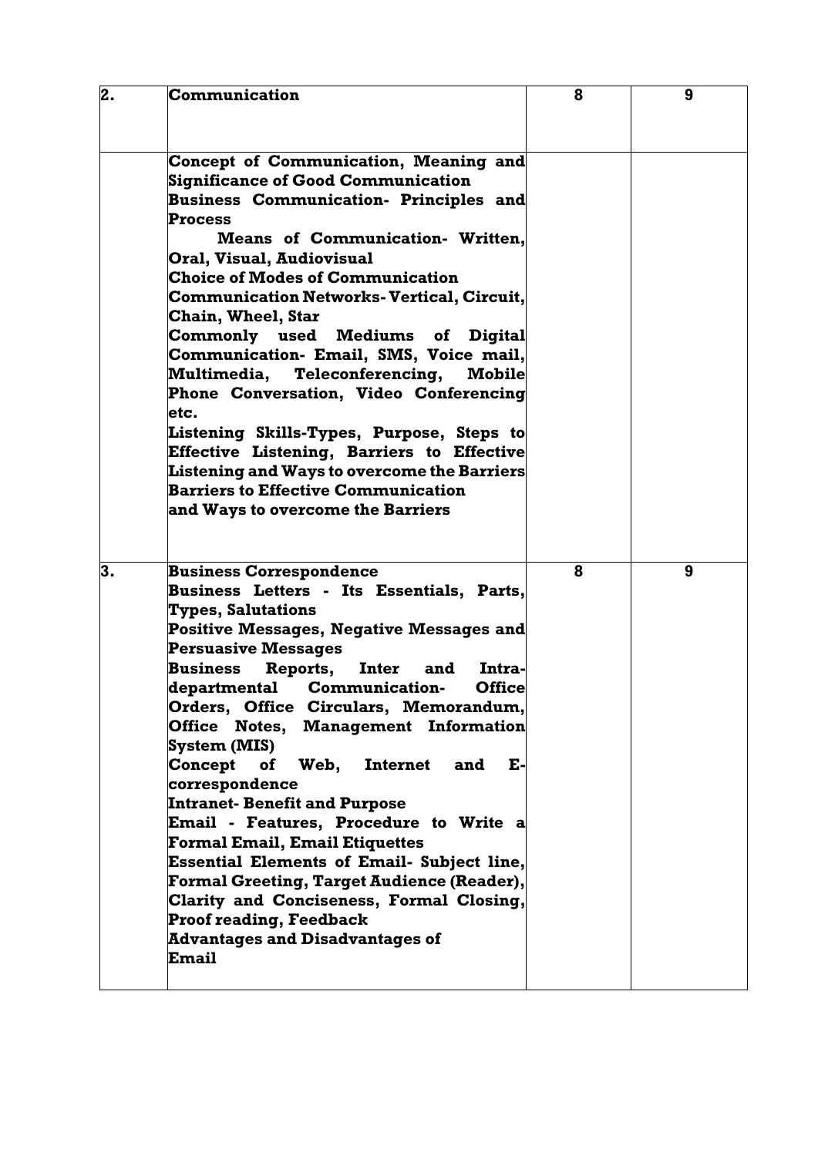| 2. | <b>Communication</b>                                                                             | 8 | 9 |
|----|--------------------------------------------------------------------------------------------------|---|---|
|    |                                                                                                  |   |   |
|    |                                                                                                  |   |   |
|    | Concept of Communication, Meaning and                                                            |   |   |
|    | <b>Significance of Good Communication</b>                                                        |   |   |
|    | <b>Business Communication- Principles and</b>                                                    |   |   |
|    | <b>Process</b>                                                                                   |   |   |
|    | <b>Means of Communication- Written,</b>                                                          |   |   |
|    | Oral, Visual, Audiovisual                                                                        |   |   |
|    | <b>Choice of Modes of Communication</b>                                                          |   |   |
|    | <b>Communication Networks- Vertical, Circuit,</b>                                                |   |   |
|    | <b>Chain, Wheel, Star</b>                                                                        |   |   |
|    | Commonly used Mediums of<br><b>Digital</b>                                                       |   |   |
|    | Communication- Email, SMS, Voice mail,                                                           |   |   |
|    | Multimedia, Teleconferencing,<br><b>Mobile</b>                                                   |   |   |
|    | Phone Conversation, Video Conferencing                                                           |   |   |
|    | letc.                                                                                            |   |   |
|    | Listening Skills-Types, Purpose, Steps to                                                        |   |   |
|    | Effective Listening, Barriers to Effective                                                       |   |   |
|    | <b>Listening and Ways to overcome the Barriers</b><br><b>Barriers to Effective Communication</b> |   |   |
|    |                                                                                                  |   |   |
|    | and Ways to overcome the Barriers                                                                |   |   |
|    |                                                                                                  |   |   |
| 3. | <b>Business Correspondence</b>                                                                   | 8 | 9 |
|    | Business Letters - Its Essentials, Parts,                                                        |   |   |
|    | <b>Types, Salutations</b>                                                                        |   |   |
|    | Positive Messages, Negative Messages and                                                         |   |   |
|    | <b>Persuasive Messages</b>                                                                       |   |   |
|    | Inter and<br><b>Business</b><br>Reports,<br>Intra-                                               |   |   |
|    | departmental Communication-<br><b>Office</b>                                                     |   |   |
|    | Orders, Office Circulars, Memorandum,                                                            |   |   |
|    | Office Notes, Management Information                                                             |   |   |
|    | System (MIS)                                                                                     |   |   |
|    | Concept<br>of Web,<br><b>Internet</b><br>Е-<br>and                                               |   |   |
|    | correspondence                                                                                   |   |   |
|    | <b>Intranet- Benefit and Purpose</b>                                                             |   |   |
|    | <b>Email - Features, Procedure to Write a</b>                                                    |   |   |
|    | <b>Formal Email, Email Etiquettes</b>                                                            |   |   |
|    | <b>Essential Elements of Email- Subject line,</b>                                                |   |   |
|    | Formal Greeting, Target Audience (Reader),                                                       |   |   |
|    | Clarity and Conciseness, Formal Closing,                                                         |   |   |
|    | <b>Proof reading, Feedback</b>                                                                   |   |   |
|    | <b>Advantages and Disadvantages of</b>                                                           |   |   |
|    | Email                                                                                            |   |   |
|    |                                                                                                  |   |   |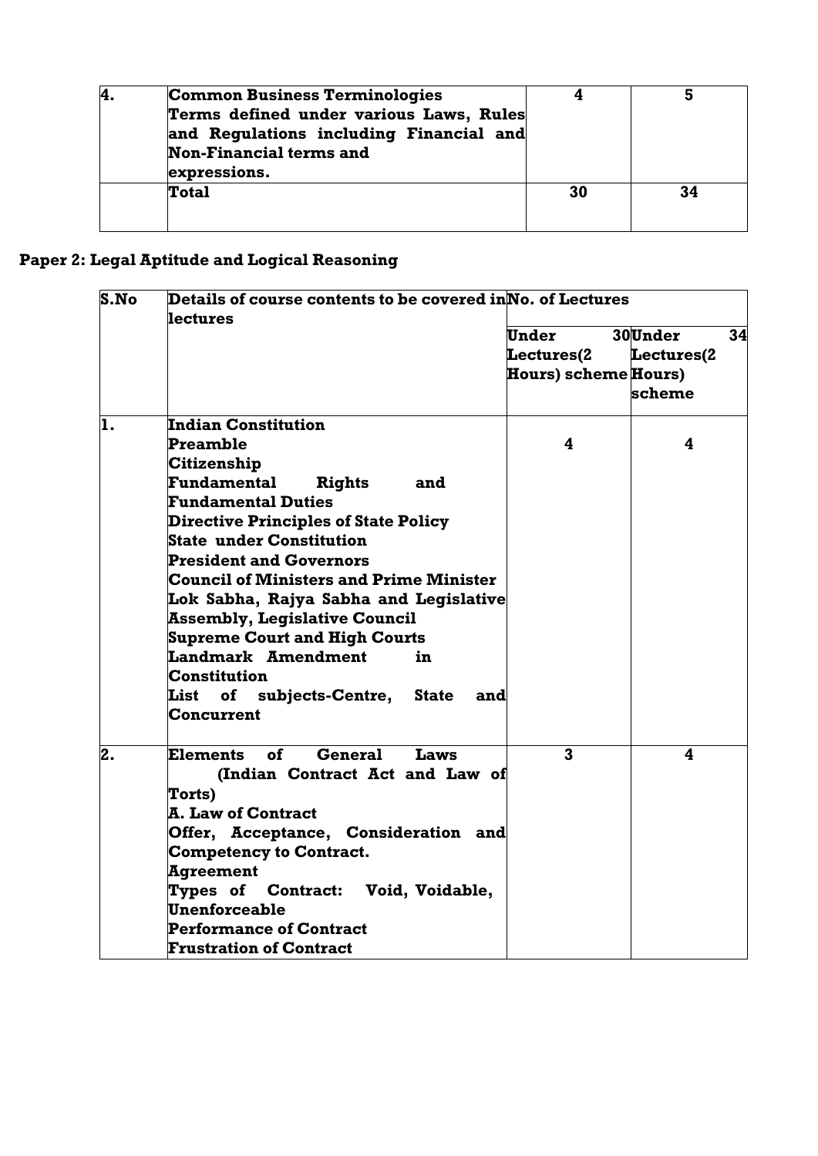| 4. | <b>Common Business Terminologies</b>    |    |    |
|----|-----------------------------------------|----|----|
|    | Terms defined under various Laws, Rules |    |    |
|    | and Regulations including Financial and |    |    |
|    | <b>Non-Financial terms and</b>          |    |    |
|    | expressions.                            |    |    |
|    | <b>Total</b>                            | 30 | 34 |
|    |                                         |    |    |
|    |                                         |    |    |

# **Paper 2: Legal Aptitude and Logical Reasoning**

| S.No | Details of course contents to be covered in $\mathbf N$ o. of Lectures<br><b>lectures</b> |                             |            |    |  |  |
|------|-------------------------------------------------------------------------------------------|-----------------------------|------------|----|--|--|
|      |                                                                                           | <b>Under</b>                | 30Under    | 34 |  |  |
|      |                                                                                           | <b>Lectures(2</b>           | Lectures(2 |    |  |  |
|      |                                                                                           | <b>Hours) scheme Hours)</b> |            |    |  |  |
|      |                                                                                           |                             | scheme     |    |  |  |
| ı.   | Indian Constitution                                                                       |                             |            |    |  |  |
|      | Preamble                                                                                  | 4                           | 4          |    |  |  |
|      | Citizenship                                                                               |                             |            |    |  |  |
|      | Fundamental<br>Rights<br>and                                                              |                             |            |    |  |  |
|      | <b>Fundamental Duties</b>                                                                 |                             |            |    |  |  |
|      | <b>Directive Principles of State Policy</b>                                               |                             |            |    |  |  |
|      | <b>State under Constitution</b>                                                           |                             |            |    |  |  |
|      | <b>President and Governors</b>                                                            |                             |            |    |  |  |
|      | <b>Council of Ministers and Prime Minister</b>                                            |                             |            |    |  |  |
|      | Lok Sabha, Rajya Sabha and Legislative                                                    |                             |            |    |  |  |
|      | <b>Assembly, Legislative Council</b>                                                      |                             |            |    |  |  |
|      | <b>Supreme Court and High Courts</b>                                                      |                             |            |    |  |  |
|      | Landmark Amendment<br>in                                                                  |                             |            |    |  |  |
|      | <b>Constitution</b>                                                                       |                             |            |    |  |  |
|      | List of subjects-Centre, State<br>and                                                     |                             |            |    |  |  |
|      | <b>Concurrent</b>                                                                         |                             |            |    |  |  |
| 2.   | <b>General</b><br><b>Elements</b><br>οf<br>Laws                                           | $\mathbf{3}$                | 4          |    |  |  |
|      | (Indian Contract Act and Law of                                                           |                             |            |    |  |  |
|      | Torts)                                                                                    |                             |            |    |  |  |
|      | <b>A. Law of Contract</b>                                                                 |                             |            |    |  |  |
|      | Offer, Acceptance, Consideration and                                                      |                             |            |    |  |  |
|      | <b>Competency to Contract.</b>                                                            |                             |            |    |  |  |
|      | <b>Agreement</b>                                                                          |                             |            |    |  |  |
|      | Types of Contract: Void, Voidable,                                                        |                             |            |    |  |  |
|      | <b>Unenforceable</b>                                                                      |                             |            |    |  |  |
|      | <b>Performance of Contract</b>                                                            |                             |            |    |  |  |
|      | <b>Frustration of Contract</b>                                                            |                             |            |    |  |  |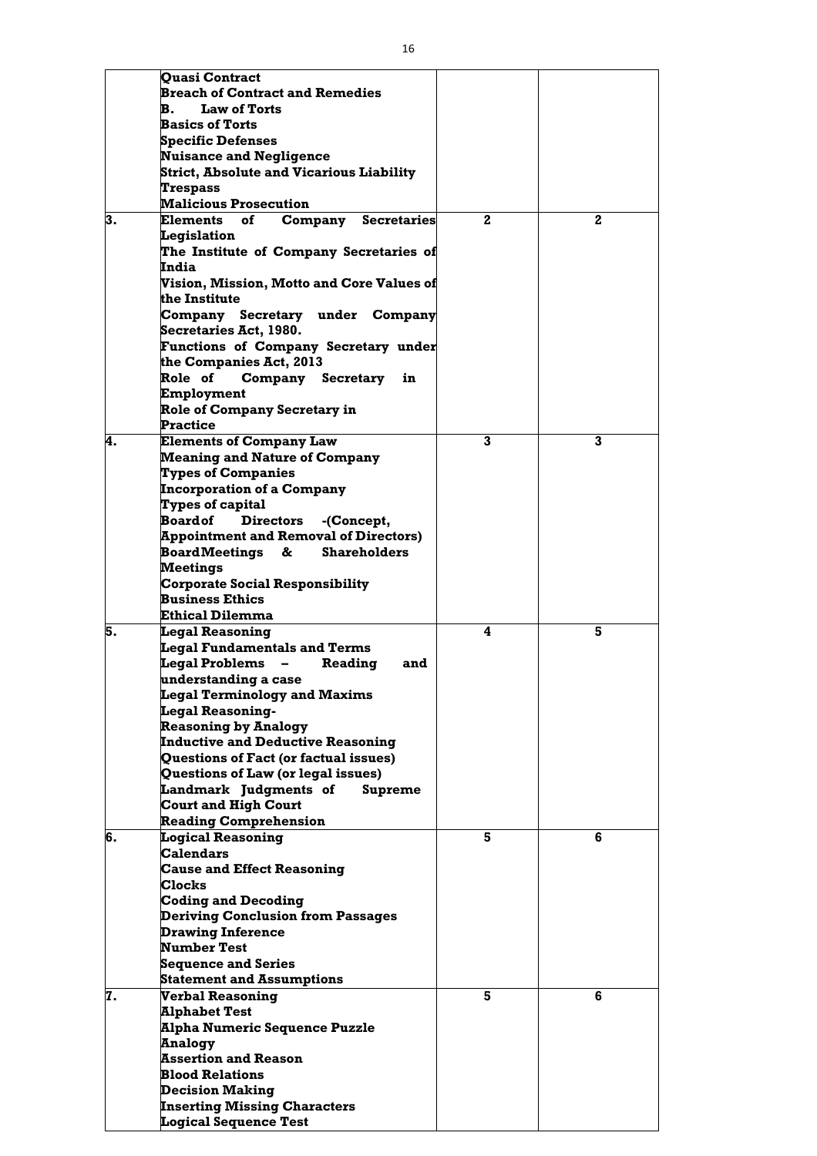|    | <b>Quasi Contract</b>                                            |              |              |
|----|------------------------------------------------------------------|--------------|--------------|
|    | <b>Breach of Contract and Remedies</b>                           |              |              |
|    | <b>Law of Torts</b><br>$\mathbf{B}$                              |              |              |
|    | <b>Basics of Torts</b>                                           |              |              |
|    | <b>Specific Defenses</b><br><b>Nuisance and Negligence</b>       |              |              |
|    | <b>Strict, Absolute and Vicarious Liability</b>                  |              |              |
|    | <b>Trespass</b>                                                  |              |              |
|    | <b>Malicious Prosecution</b>                                     |              |              |
| 3. | <b>Elements</b><br>of<br>Company<br><b>Secretaries</b>           | $\mathbf{2}$ | $\mathbf{2}$ |
|    | Legislation                                                      |              |              |
|    | The Institute of Company Secretaries of                          |              |              |
|    | India                                                            |              |              |
|    | Vision, Mission, Motto and Core Values of                        |              |              |
|    | the Institute                                                    |              |              |
|    | Company Secretary under Company                                  |              |              |
|    | <b>Secretaries Act, 1980.</b>                                    |              |              |
|    | <b>Functions of Company Secretary under</b>                      |              |              |
|    | the Companies Act, 2013                                          |              |              |
|    | Role of<br>Company Secretary<br>in                               |              |              |
|    | Employment                                                       |              |              |
|    | <b>Role of Company Secretary in</b>                              |              |              |
|    | <b>Practice</b>                                                  |              |              |
| 4. | <b>Elements of Company Law</b>                                   | 3            | 3            |
|    | <b>Meaning and Nature of Company</b>                             |              |              |
|    | <b>Types of Companies</b>                                        |              |              |
|    | <b>Incorporation of a Company</b>                                |              |              |
|    | Types of capital                                                 |              |              |
|    | <b>Board of</b><br><b>Directors</b><br>-(Concept,                |              |              |
|    | <b>Appointment and Removal of Directors)</b>                     |              |              |
|    | <b>Board Meetings</b><br>$\&$<br><b>Shareholders</b>             |              |              |
|    | <b>Meetings</b>                                                  |              |              |
|    | <b>Corporate Social Responsibility</b><br><b>Business Ethics</b> |              |              |
|    | Ethical Dilemma                                                  |              |              |
| 5. | <b>Legal Reasoning</b>                                           | 4            | 5            |
|    | <b>Legal Fundamentals and Terms</b>                              |              |              |
|    | <b>Legal Problems</b><br>Reading<br>and                          |              |              |
|    | understanding a case                                             |              |              |
|    | <b>Legal Terminology and Maxims</b>                              |              |              |
|    | <b>Legal Reasoning-</b>                                          |              |              |
|    | <b>Reasoning by Analogy</b>                                      |              |              |
|    | <b>Inductive and Deductive Reasoning</b>                         |              |              |
|    | Questions of Fact (or factual issues)                            |              |              |
|    | Questions of Law (or legal issues)                               |              |              |
|    | Landmark Judgments of<br><b>Supreme</b>                          |              |              |
|    | <b>Court and High Court</b>                                      |              |              |
|    | <b>Reading Comprehension</b>                                     |              |              |
| 6. | <b>Logical Reasoning</b>                                         | 5            | 6            |
|    | <b>Calendars</b>                                                 |              |              |
|    | <b>Cause and Effect Reasoning</b><br><b>Clocks</b>               |              |              |
|    | <b>Coding and Decoding</b>                                       |              |              |
|    | <b>Deriving Conclusion from Passages</b>                         |              |              |
|    | <b>Drawing Inference</b>                                         |              |              |
|    | <b>Number Test</b>                                               |              |              |
|    | <b>Sequence and Series</b>                                       |              |              |
|    | <b>Statement and Assumptions</b>                                 |              |              |
| 7. | <b>Verbal Reasoning</b>                                          | 5            | 6            |
|    | <b>Alphabet Test</b>                                             |              |              |
|    | <b>Alpha Numeric Sequence Puzzle</b>                             |              |              |
|    | <b>Analogy</b>                                                   |              |              |
|    | <b>Assertion and Reason</b>                                      |              |              |
|    | <b>Blood Relations</b>                                           |              |              |
|    | <b>Decision Making</b>                                           |              |              |
|    | <b>Inserting Missing Characters</b>                              |              |              |
|    | <b>Logical Sequence Test</b>                                     |              |              |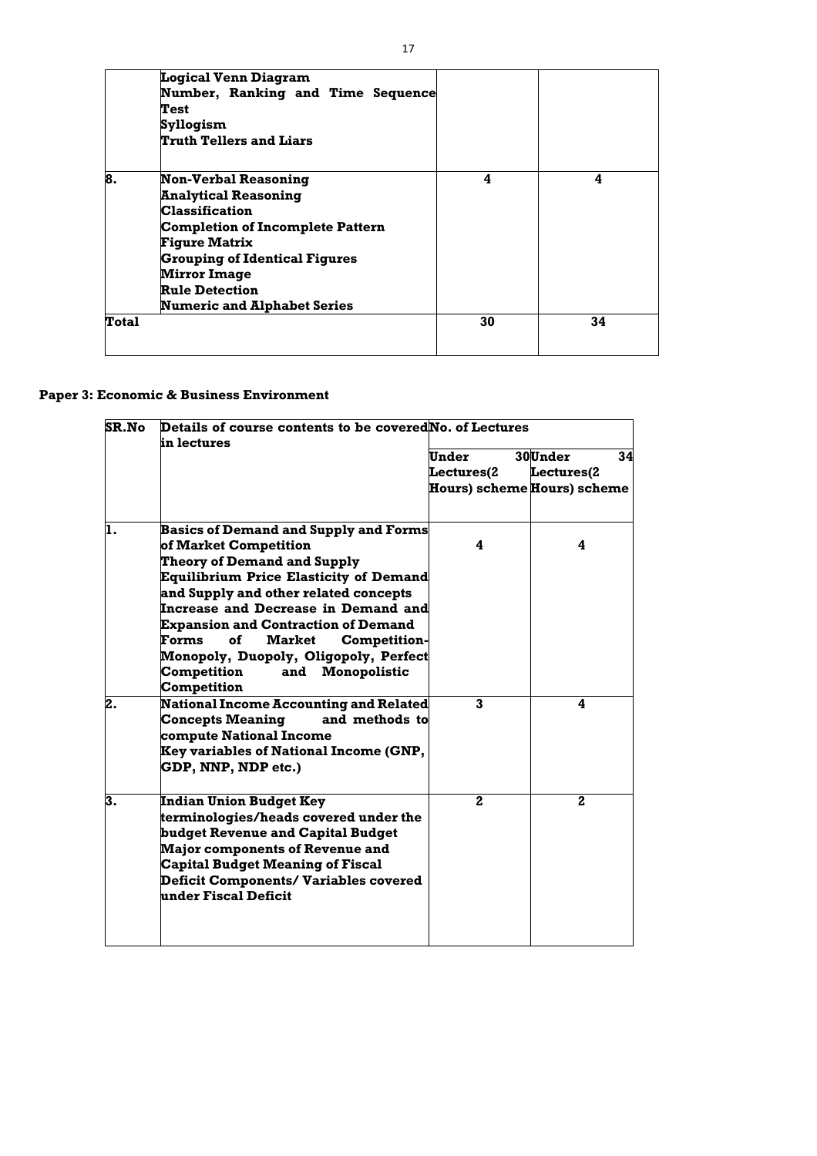|              | <b>Logical Venn Diagram</b><br>Number, Ranking and Time Sequence<br>Test<br>Syllogism<br><b>Truth Tellers and Liars</b>                                                                                                                                                              |    |    |
|--------------|--------------------------------------------------------------------------------------------------------------------------------------------------------------------------------------------------------------------------------------------------------------------------------------|----|----|
| 8.           | <b>Non-Verbal Reasoning</b><br><b>Analytical Reasoning</b><br><b>Classification</b><br><b>Completion of Incomplete Pattern</b><br><b>Figure Matrix</b><br><b>Grouping of Identical Figures</b><br><b>Mirror Image</b><br><b>Rule Detection</b><br><b>Numeric and Alphabet Series</b> | 4  | 4  |
| <b>Total</b> |                                                                                                                                                                                                                                                                                      | 30 | 34 |

# **Paper 3: Economic & Business Environment**

| <b>SR.No</b> | Details of course contents to be covered No. of Lectures<br>in lectures |              |                                    |
|--------------|-------------------------------------------------------------------------|--------------|------------------------------------|
|              |                                                                         | Under        | 30Under<br>34                      |
|              |                                                                         | Lectures(2   | Lectures(2                         |
|              |                                                                         |              | <b>Hours) scheme Hours) scheme</b> |
| lı.          | <b>Basics of Demand and Supply and Forms</b>                            |              |                                    |
|              | of Market Competition                                                   | 4            | 4                                  |
|              | <b>Theory of Demand and Supply</b>                                      |              |                                    |
|              | <b>Equilibrium Price Elasticity of Demand</b>                           |              |                                    |
|              | and Supply and other related concepts                                   |              |                                    |
|              | <b>Increase and Decrease in Demand and</b>                              |              |                                    |
|              | <b>Expansion and Contraction of Demand</b>                              |              |                                    |
|              | <b>of</b><br><b>Market</b><br>Forms<br><b>Competition-</b>              |              |                                    |
|              | Monopoly, Duopoly, Oligopoly, Perfect                                   |              |                                    |
|              | <b>Competition</b><br>Monopolistic<br>and<br><b>Competition</b>         |              |                                    |
| 2.           | <b>National Income Accounting and Related</b>                           | 3            | 4                                  |
|              | <b>Concepts Meaning</b><br>and methods to<br>compute National Income    |              |                                    |
|              | <b>Key variables of National Income (GNP,</b><br>GDP, NNP, NDP etc.)    |              |                                    |
| 3.           | <b>Indian Union Budget Key</b><br>terminologies/heads covered under the | $\mathbf{2}$ | $\mathbf{2}$                       |
|              | budget Revenue and Capital Budget                                       |              |                                    |
|              | <b>Major components of Revenue and</b>                                  |              |                                    |
|              | <b>Capital Budget Meaning of Fiscal</b>                                 |              |                                    |
|              | <b>Deficit Components/ Variables covered</b><br>under Fiscal Deficit    |              |                                    |
|              |                                                                         |              |                                    |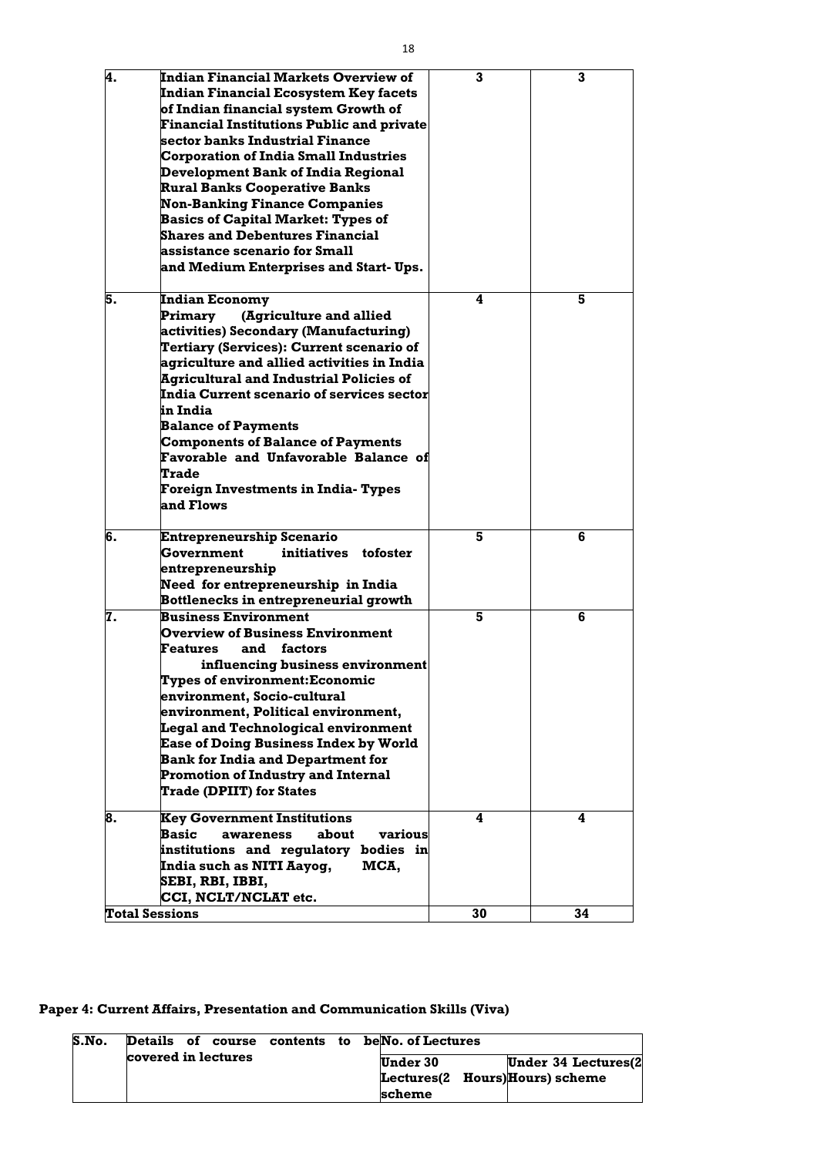| ۰. |                         |
|----|-------------------------|
|    | I<br>۰.<br>۰.<br>×<br>v |

| 4. | Indian Financial Markets Overview of<br>Indian Financial Ecosystem Key facets<br>of Indian financial system Growth of<br><b>Financial Institutions Public and private</b><br>sector banks Industrial Finance<br><b>Corporation of India Small Industries</b><br>Development Bank of India Regional<br><b>Rural Banks Cooperative Banks</b><br><b>Non-Banking Finance Companies</b><br><b>Basics of Capital Market: Types of</b><br><b>Shares and Debentures Financial</b><br>assistance scenario for Small<br>and Medium Enterprises and Start-Ups. | 3  | 3  |
|----|-----------------------------------------------------------------------------------------------------------------------------------------------------------------------------------------------------------------------------------------------------------------------------------------------------------------------------------------------------------------------------------------------------------------------------------------------------------------------------------------------------------------------------------------------------|----|----|
| 5. | <b>Indian Economy</b><br>(Agriculture and allied<br>Primary<br>activities) Secondary (Manufacturing)<br>Tertiary (Services): Current scenario of<br>agriculture and allied activities in India<br><b>Agricultural and Industrial Policies of</b><br>India Current scenario of services sector<br>in India<br><b>Balance of Payments</b><br><b>Components of Balance of Payments</b><br><b>Favorable and Unfavorable Balance of</b><br><b>Trade</b><br>Foreign Investments in India- Types<br>and Flows                                              | 4  | 5  |
| 6. | Entrepreneurship Scenario<br>Government<br>initiatives<br>tofoster<br>entrepreneurship<br>Need for entrepreneurship in India<br><b>Bottlenecks in entrepreneurial growth</b>                                                                                                                                                                                                                                                                                                                                                                        | 5  | 6  |
| 7. | <b>Business Environment</b><br><b>Overview of Business Environment</b><br>and<br>factors<br>Features<br>influencing business environment<br><b>Types of environment:Economic</b><br>environment, Socio-cultural<br>environment, Political environment,<br><b>Legal and Technological environment</b><br><b>Ease of Doing Business Index by World</b><br><b>Bank for India and Department for</b><br><b>Promotion of Industry and Internal</b><br><b>Trade (DPIIT) for States</b>                                                                    | 5  | 6  |
| 8. | <b>Key Government Institutions</b><br><b>Basic</b><br>about<br>various<br>awareness<br>institutions and regulatory bodies in<br>India such as NITI Aayog,<br>MCA,<br>SEBI, RBI, IBBI,<br>CCI, NCLT/NCLAT etc.                                                                                                                                                                                                                                                                                                                                       | 4  | 4  |
|    | <b>Total Sessions</b>                                                                                                                                                                                                                                                                                                                                                                                                                                                                                                                               | 30 | 34 |

**Paper 4: Current Affairs, Presentation and Communication Skills (Viva)**

| S.No. | Details of course contents to beNo. of Lectures |  |                                                |
|-------|-------------------------------------------------|--|------------------------------------------------|
|       | covered in lectures                             |  | <b>Under 30</b><br><b>Under 34 Lectures(2)</b> |
|       |                                                 |  | Lectures(2 Hours)Hours) scheme                 |
|       |                                                 |  | scheme                                         |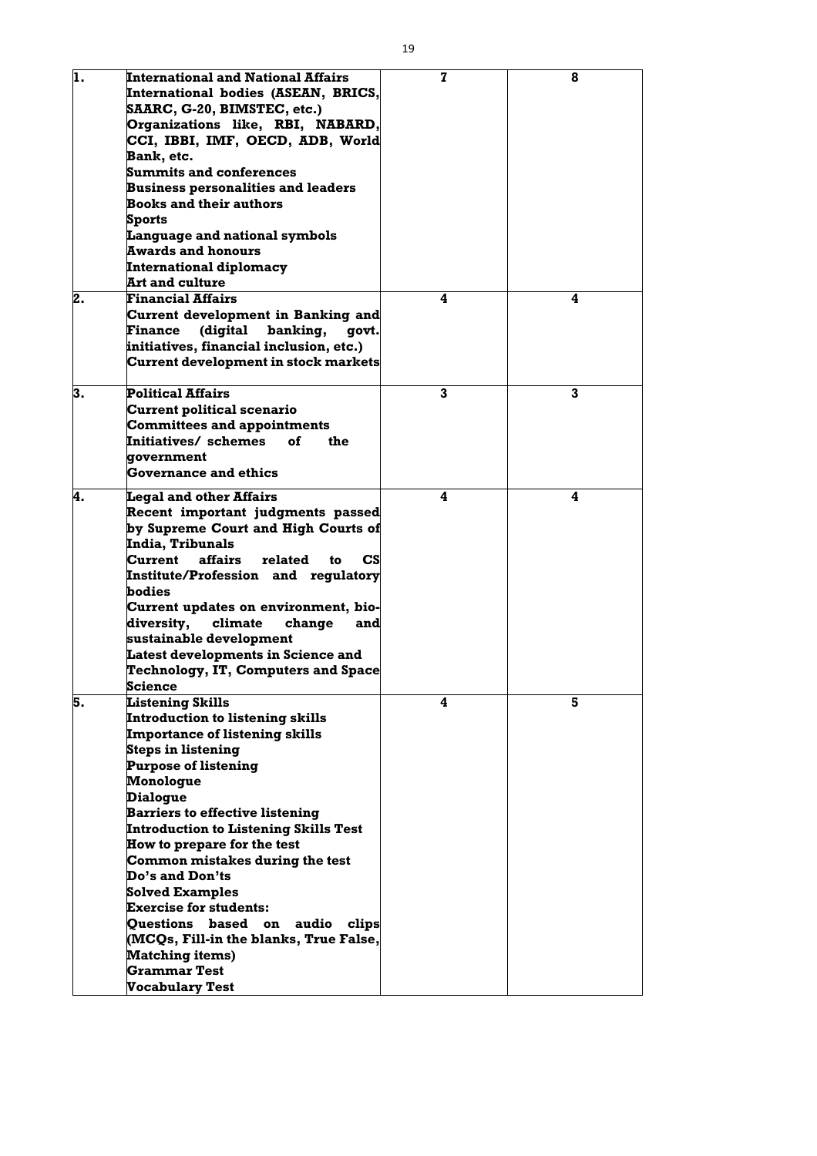| ı. | <b>International and National Affairs</b>               | 7 | 8            |
|----|---------------------------------------------------------|---|--------------|
|    | International bodies (ASEAN, BRICS,                     |   |              |
|    | SAARC, G-20, BIMSTEC, etc.)                             |   |              |
|    | Organizations like, RBI, NABARD,                        |   |              |
|    | CCI, IBBI, IMF, OECD, ADB, World                        |   |              |
|    | Bank, etc.                                              |   |              |
|    | <b>Summits and conferences</b>                          |   |              |
|    | <b>Business personalities and leaders</b>               |   |              |
|    | <b>Books and their authors</b>                          |   |              |
|    | <b>Sports</b>                                           |   |              |
|    | <b>Language and national symbols</b>                    |   |              |
|    | <b>Awards and honours</b>                               |   |              |
|    | <b>International diplomacy</b>                          |   |              |
|    | <b>Art and culture</b>                                  |   |              |
| 2. | <b>Financial Affairs</b>                                | 4 | 4            |
|    | Current development in Banking and                      |   |              |
|    | <b>Finance</b><br>(digital<br>banking,<br>govt.         |   |              |
|    | initiatives, financial inclusion, etc.)                 |   |              |
|    |                                                         |   |              |
|    | <b>Current development in stock markets</b>             |   |              |
| 3. | <b>Political Affairs</b>                                | 3 | $\mathbf{3}$ |
|    | <b>Current political scenario</b>                       |   |              |
|    | <b>Committees and appointments</b>                      |   |              |
|    | Initiatives/ schemes<br>οf<br>the                       |   |              |
|    | government                                              |   |              |
|    | <b>Governance and ethics</b>                            |   |              |
|    |                                                         |   |              |
| 4. | <b>Legal and other Affairs</b>                          | 4 | 4            |
|    | Recent important judgments passed                       |   |              |
|    | by Supreme Court and High Courts of                     |   |              |
|    | India, Tribunals                                        |   |              |
|    | Current<br>affairs<br>$\mathbf{CS}$<br>related<br>to    |   |              |
|    | <b>Institute/Profession and regulatory</b>              |   |              |
|    | <b>bodies</b>                                           |   |              |
|    | Current updates on environment, bio-                    |   |              |
|    | diversity,<br>climate<br>change<br>and                  |   |              |
|    | sustainable development                                 |   |              |
|    | <b>Latest developments in Science and</b>               |   |              |
|    | Technology, IT, Computers and Space                     |   |              |
|    | <b>Science</b>                                          |   |              |
| 5. | <b>Listening Skills</b>                                 | 4 | 5            |
|    | <b>Introduction to listening skills</b>                 |   |              |
|    | <b>Importance of listening skills</b>                   |   |              |
|    | <b>Steps in listening</b>                               |   |              |
|    | <b>Purpose of listening</b>                             |   |              |
|    | Monologue                                               |   |              |
|    | <b>Dialogue</b>                                         |   |              |
|    | <b>Barriers to effective listening</b>                  |   |              |
|    | <b>Introduction to Listening Skills Test</b>            |   |              |
|    | How to prepare for the test                             |   |              |
|    | Common mistakes during the test<br>Do's and Don'ts      |   |              |
|    |                                                         |   |              |
|    | <b>Solved Examples</b><br><b>Exercise for students:</b> |   |              |
|    |                                                         |   |              |
|    | Questions based on<br>audio<br>clips                    |   |              |
|    | $(MCQs,$ Fill-in the blanks, True False, $\mid$         |   |              |
|    | <b>Matching items)</b><br><b>Grammar Test</b>           |   |              |
|    | <b>Vocabulary Test</b>                                  |   |              |
|    |                                                         |   |              |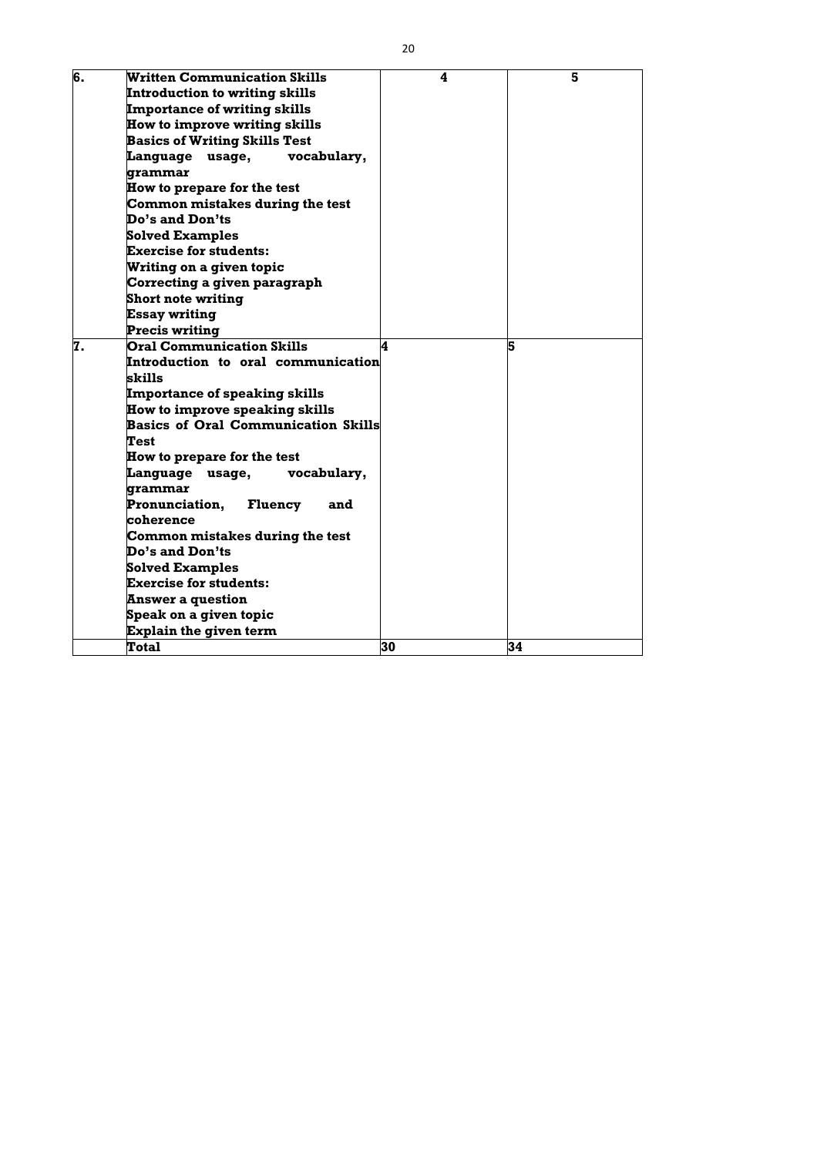| 6. | <b>Written Communication Skills</b>            | 4  | 5  |
|----|------------------------------------------------|----|----|
|    | <b>Introduction to writing skills</b>          |    |    |
|    | <b>Importance of writing skills</b>            |    |    |
|    | <b>How to improve writing skills</b>           |    |    |
|    | <b>Basics of Writing Skills Test</b>           |    |    |
|    | <b>Language usage,</b><br>vocabulary,          |    |    |
|    | grammar                                        |    |    |
|    | How to prepare for the test                    |    |    |
|    | Common mistakes during the test                |    |    |
|    | Do's and Don'ts                                |    |    |
|    | <b>Solved Examples</b>                         |    |    |
|    | <b>Exercise for students:</b>                  |    |    |
|    | Writing on a given topic                       |    |    |
|    | Correcting a given paragraph                   |    |    |
|    | <b>Short note writing</b>                      |    |    |
|    | <b>Essay writing</b>                           |    |    |
|    | <b>Precis writing</b>                          |    |    |
| 7. | <b>Oral Communication Skills</b>               | 4  | 5  |
|    | Introduction to oral communication             |    |    |
|    | skills                                         |    |    |
|    | <b>Importance of speaking skills</b>           |    |    |
|    | <b>How to improve speaking skills</b>          |    |    |
|    | <b>Basics of Oral Communication Skills</b>     |    |    |
|    | Test                                           |    |    |
|    | <b>How to prepare for the test</b>             |    |    |
|    | Language<br>vocabulary,<br>usage,              |    |    |
|    | grammar                                        |    |    |
|    | <b>Pronunciation,</b><br><b>Fluency</b><br>and |    |    |
|    | coherence                                      |    |    |
|    | Common mistakes during the test                |    |    |
|    | Do's and Don'ts                                |    |    |
|    | <b>Solved Examples</b>                         |    |    |
|    | <b>Exercise for students:</b>                  |    |    |
|    | <b>Answer a question</b>                       |    |    |
|    | Speak on a given topic                         |    |    |
|    | <b>Explain the given term</b>                  |    |    |
|    | <b>Total</b>                                   | 30 | 34 |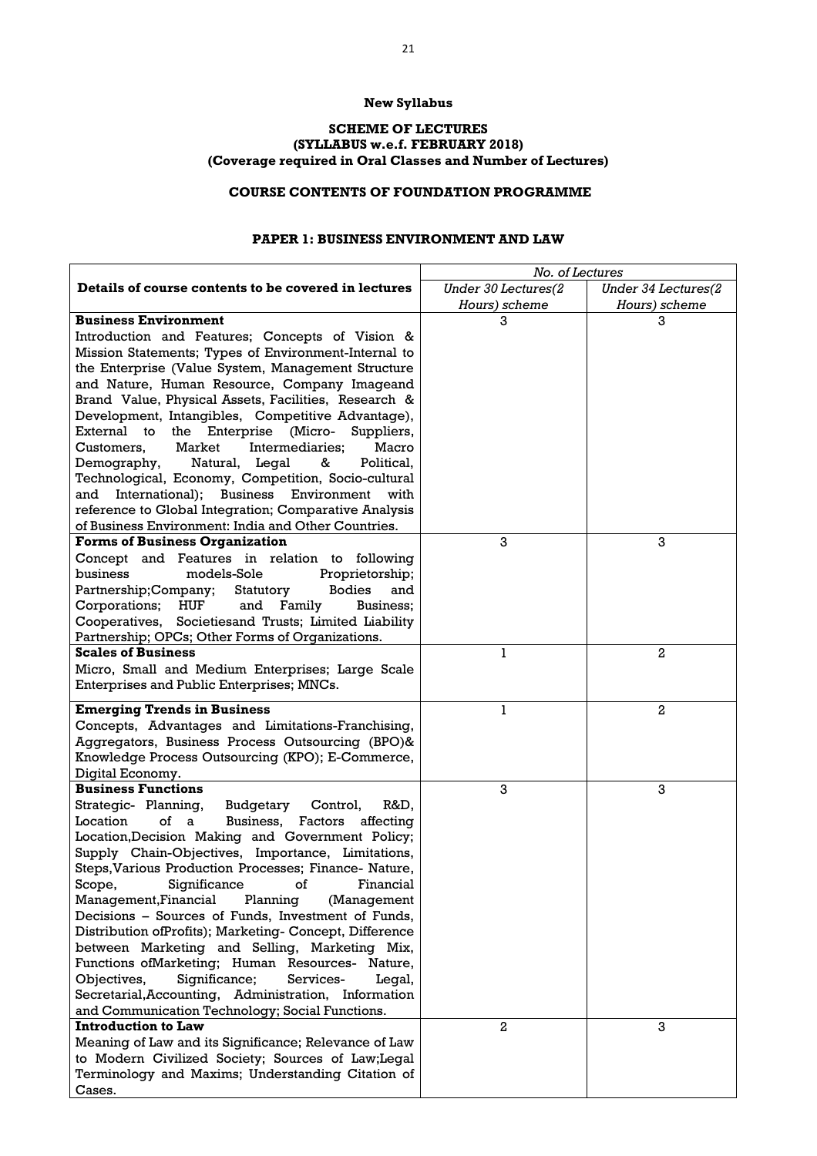### **New Syllabus**

#### **SCHEME OF LECTURES (SYLLABUS w.e.f. FEBRUARY 2018) (Coverage required in Oral Classes and Number of Lectures)**

# **COURSE CONTENTS OF FOUNDATION PROGRAMME**

#### **PAPER 1: BUSINESS ENVIRONMENT AND LAW**

|                                                            | No. of Lectures     |                     |
|------------------------------------------------------------|---------------------|---------------------|
| Details of course contents to be covered in lectures       | Under 30 Lectures(2 | Under 34 Lectures(2 |
|                                                            | Hours) scheme       | Hours) scheme       |
| <b>Business Environment</b>                                | 3                   | 3                   |
| Introduction and Features; Concepts of Vision &            |                     |                     |
| Mission Statements; Types of Environment-Internal to       |                     |                     |
| the Enterprise (Value System, Management Structure         |                     |                     |
| and Nature, Human Resource, Company Imageand               |                     |                     |
| Brand Value, Physical Assets, Facilities, Research &       |                     |                     |
| Development, Intangibles, Competitive Advantage),          |                     |                     |
| External to<br>the Enterprise (Micro-<br>Suppliers,        |                     |                     |
| Market<br>Intermediaries;<br>Customers,<br>Macro           |                     |                     |
| Demography,<br>Natural, Legal<br>&<br>Political,           |                     |                     |
| Technological, Economy, Competition, Socio-cultural        |                     |                     |
| and International); Business Environment with              |                     |                     |
| reference to Global Integration; Comparative Analysis      |                     |                     |
| of Business Environment: India and Other Countries.        |                     |                     |
| <b>Forms of Business Organization</b>                      | 3                   | 3                   |
| Concept and Features in relation to following              |                     |                     |
| business<br>models-Sole<br>Proprietorship;                 |                     |                     |
| <b>Bodies</b><br>Partnership; Company;<br>Statutory<br>and |                     |                     |
| and Family<br>Corporations;<br>HUF<br>Business;            |                     |                     |
| Cooperatives, Societiesand Trusts; Limited Liability       |                     |                     |
| Partnership; OPCs; Other Forms of Organizations.           |                     |                     |
| <b>Scales of Business</b>                                  | 1                   | 2                   |
| Micro, Small and Medium Enterprises; Large Scale           |                     |                     |
| Enterprises and Public Enterprises; MNCs.                  |                     |                     |
| <b>Emerging Trends in Business</b>                         | $\mathbf{1}$        | $\overline{a}$      |
| Concepts, Advantages and Limitations-Franchising,          |                     |                     |
| Aggregators, Business Process Outsourcing (BPO)&           |                     |                     |
| Knowledge Process Outsourcing (KPO); E-Commerce,           |                     |                     |
| Digital Economy.                                           |                     |                     |
| <b>Business Functions</b>                                  | 3                   | 3                   |
| Strategic- Planning,<br>R&D,<br>Budgetary<br>Control,      |                     |                     |
| of a<br>Location<br>Business,<br>Factors<br>affecting      |                     |                     |
| Location, Decision Making and Government Policy;           |                     |                     |
| Supply Chain-Objectives, Importance, Limitations,          |                     |                     |
| Steps, Various Production Processes; Finance- Nature,      |                     |                     |
| Significance<br>Scope,<br><b>of</b><br>Financial           |                     |                     |
| Management, Financial<br>Planning<br>(Management           |                     |                     |
| Decisions - Sources of Funds, Investment of Funds,         |                     |                     |
| Distribution of Profits); Marketing-Concept, Difference    |                     |                     |
| between Marketing and Selling, Marketing Mix,              |                     |                     |
| Functions of Marketing; Human Resources- Nature,           |                     |                     |
| Significance;<br>Objectives,<br>Services-<br>Legal,        |                     |                     |
| Secretarial, Accounting, Administration, Information       |                     |                     |
| and Communication Technology; Social Functions.            |                     |                     |
| <b>Introduction to Law</b>                                 | $\overline{2}$      | 3                   |
| Meaning of Law and its Significance; Relevance of Law      |                     |                     |
| to Modern Civilized Society; Sources of Law; Legal         |                     |                     |
| Terminology and Maxims; Understanding Citation of          |                     |                     |
| Cases.                                                     |                     |                     |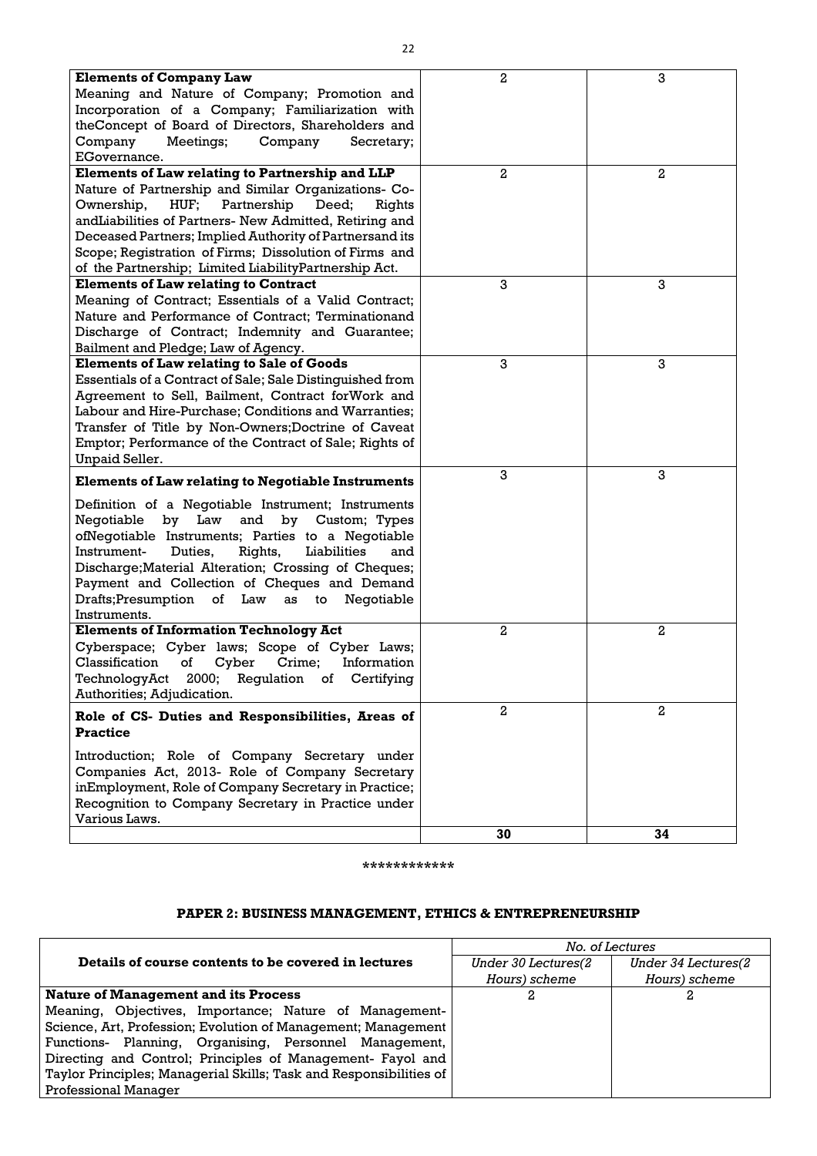| <b>Elements of Company Law</b>                                       | $\overline{2}$ | 3                |
|----------------------------------------------------------------------|----------------|------------------|
| Meaning and Nature of Company; Promotion and                         |                |                  |
| Incorporation of a Company; Familiarization with                     |                |                  |
| theConcept of Board of Directors, Shareholders and                   |                |                  |
| Company<br>Meetings;<br>Company<br>Secretary;                        |                |                  |
| EGovernance.                                                         |                |                  |
| Elements of Law relating to Partnership and LLP                      | 2              | $\boldsymbol{2}$ |
| Nature of Partnership and Similar Organizations- Co-                 |                |                  |
| HUF;<br>Partnership<br>Ownership,<br>Deed;<br>Rights                 |                |                  |
| andLiabilities of Partners- New Admitted, Retiring and               |                |                  |
| Deceased Partners; Implied Authority of Partnersand its              |                |                  |
| Scope; Registration of Firms; Dissolution of Firms and               |                |                  |
| of the Partnership; Limited Liability Partnership Act.               |                |                  |
| <b>Elements of Law relating to Contract</b>                          | 3              | 3                |
| Meaning of Contract; Essentials of a Valid Contract;                 |                |                  |
| Nature and Performance of Contract; Terminationand                   |                |                  |
| Discharge of Contract; Indemnity and Guarantee;                      |                |                  |
| Bailment and Pledge; Law of Agency.                                  |                |                  |
| <b>Elements of Law relating to Sale of Goods</b>                     | 3              | 3                |
| Essentials of a Contract of Sale; Sale Distinguished from            |                |                  |
| Agreement to Sell, Bailment, Contract forWork and                    |                |                  |
| Labour and Hire-Purchase; Conditions and Warranties;                 |                |                  |
| Transfer of Title by Non-Owners; Doctrine of Caveat                  |                |                  |
| Emptor; Performance of the Contract of Sale; Rights of               |                |                  |
| <b>Unpaid Seller.</b>                                                |                |                  |
|                                                                      | 3              | 3                |
| <b>Elements of Law relating to Negotiable Instruments</b>            |                |                  |
| Definition of a Negotiable Instrument; Instruments                   |                |                  |
| Law<br>and<br>Negotiable<br>by<br>by Custom; Types                   |                |                  |
| ofNegotiable Instruments; Parties to a Negotiable                    |                |                  |
| Instrument-<br>Duties,<br>Rights,<br>Liabilities<br>and              |                |                  |
| Discharge; Material Alteration; Crossing of Cheques;                 |                |                  |
| Payment and Collection of Cheques and Demand                         |                |                  |
| Drafts;Presumption of Law as to<br>Negotiable                        |                |                  |
| Instruments.                                                         |                |                  |
| <b>Elements of Information Technology Act</b>                        | $\overline{a}$ | $\overline{2}$   |
| Cyberspace; Cyber laws; Scope of Cyber Laws;                         |                |                  |
| Classification<br>of<br>Cyber Crime;<br>Information                  |                |                  |
| TechnologyAct 2000; Regulation of Certifying                         |                |                  |
| Authorities; Adjudication.                                           |                |                  |
|                                                                      | $\overline{a}$ | $\overline{a}$   |
| Role of CS- Duties and Responsibilities, Areas of<br><b>Practice</b> |                |                  |
| Introduction; Role of Company Secretary under                        |                |                  |
| Companies Act, 2013- Role of Company Secretary                       |                |                  |
| inEmployment, Role of Company Secretary in Practice;                 |                |                  |
| Recognition to Company Secretary in Practice under                   |                |                  |
| Various Laws.                                                        |                |                  |
|                                                                      | 30             | 34               |

**\*\*\*\*\*\*\*\*\*\*\*\***

# **PAPER 2: BUSINESS MANAGEMENT, ETHICS & ENTREPRENEURSHIP**

|                                                                    |                      | No. of Lectures     |
|--------------------------------------------------------------------|----------------------|---------------------|
| Details of course contents to be covered in lectures               | Under 30 Lectures (2 | Under 34 Lectures(2 |
|                                                                    | Hours) scheme        | Hours) scheme       |
| <b>Nature of Management and its Process</b>                        |                      |                     |
| Meaning, Objectives, Importance; Nature of Management-             |                      |                     |
| Science, Art, Profession; Evolution of Management; Management      |                      |                     |
| Functions- Planning, Organising, Personnel Management,             |                      |                     |
| Directing and Control; Principles of Management- Fayol and         |                      |                     |
| Taylor Principles; Managerial Skills; Task and Responsibilities of |                      |                     |
| <b>Professional Manager</b>                                        |                      |                     |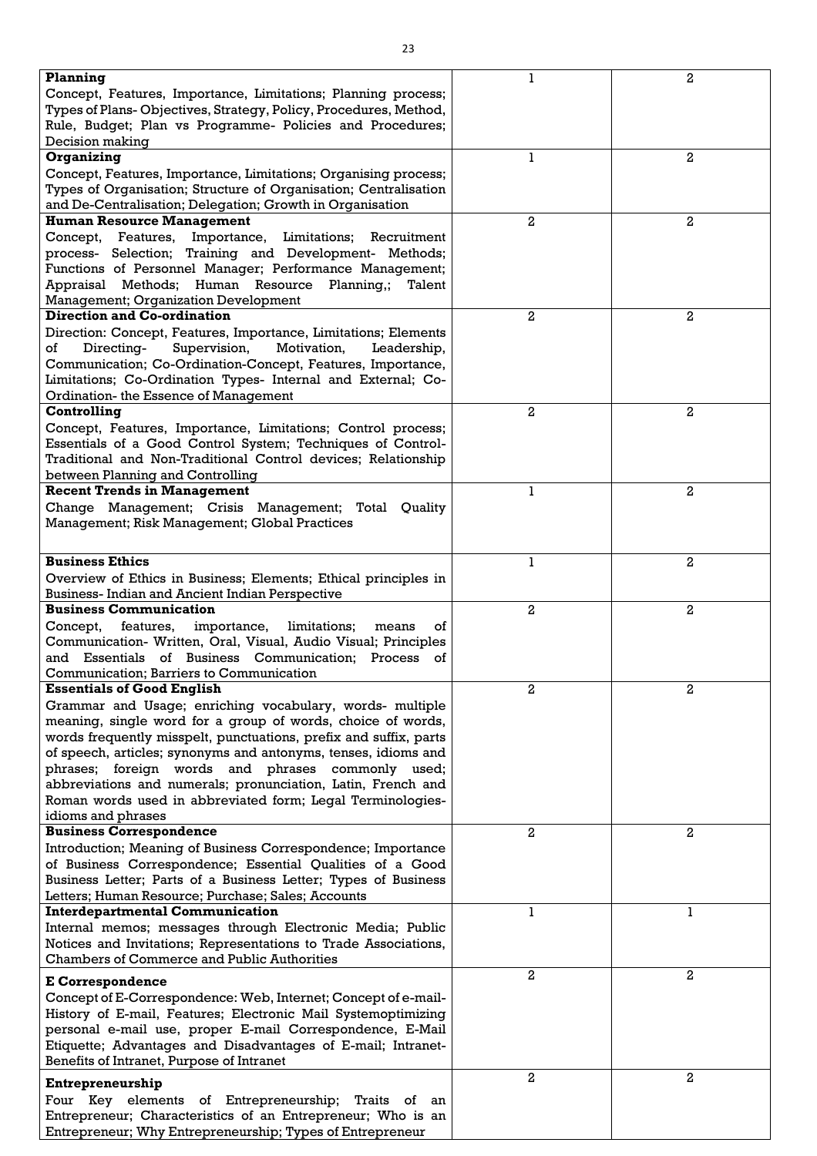| Planning                                                                                                              |                | $\overline{a}$ |
|-----------------------------------------------------------------------------------------------------------------------|----------------|----------------|
| Concept, Features, Importance, Limitations; Planning process;                                                         |                |                |
| Types of Plans-Objectives, Strategy, Policy, Procedures, Method,                                                      |                |                |
| Rule, Budget; Plan vs Programme- Policies and Procedures;                                                             |                |                |
| Decision making                                                                                                       |                |                |
| Organizing                                                                                                            |                | $\overline{2}$ |
| Concept, Features, Importance, Limitations; Organising process;                                                       |                |                |
| Types of Organisation; Structure of Organisation; Centralisation                                                      |                |                |
| and De-Centralisation; Delegation; Growth in Organisation                                                             |                |                |
| <b>Human Resource Management</b>                                                                                      | 2              | 2              |
| Concept, Features, Importance, Limitations; Recruitment                                                               |                |                |
| process- Selection; Training and Development- Methods;                                                                |                |                |
| Functions of Personnel Manager; Performance Management;                                                               |                |                |
| Appraisal Methods; Human Resource Planning,;<br>Talent                                                                |                |                |
| <b>Management</b> ; Organization Development                                                                          |                |                |
| <b>Direction and Co-ordination</b>                                                                                    | $\overline{a}$ | $\mathbf{2}$   |
| Direction: Concept, Features, Importance, Limitations; Elements                                                       |                |                |
| Motivation,<br>of<br>Directing-<br>Supervision,<br>Leadership,                                                        |                |                |
|                                                                                                                       |                |                |
| Communication; Co-Ordination-Concept, Features, Importance,                                                           |                |                |
| Limitations; Co-Ordination Types- Internal and External; Co-                                                          |                |                |
| Ordination- the Essence of Management                                                                                 |                |                |
| Controlling                                                                                                           | $\overline{a}$ | $\overline{2}$ |
| Concept, Features, Importance, Limitations; Control process;                                                          |                |                |
| Essentials of a Good Control System; Techniques of Control-                                                           |                |                |
| Traditional and Non-Traditional Control devices; Relationship                                                         |                |                |
| between Planning and Controlling                                                                                      |                |                |
| <b>Recent Trends in Management</b>                                                                                    | 1              | $\overline{a}$ |
| Change Management; Crisis Management; Total Quality                                                                   |                |                |
| Management; Risk Management; Global Practices                                                                         |                |                |
|                                                                                                                       |                |                |
| <b>Business Ethics</b>                                                                                                |                | 2              |
| Overview of Ethics in Business; Elements; Ethical principles in                                                       |                |                |
| <b>Business-Indian and Ancient Indian Perspective</b>                                                                 |                |                |
| <b>Business Communication</b>                                                                                         |                |                |
|                                                                                                                       |                |                |
|                                                                                                                       | 2              | $\overline{2}$ |
| features,<br>importance, limitations;<br>Concept,<br>οf<br>means                                                      |                |                |
| Communication- Written, Oral, Visual, Audio Visual; Principles                                                        |                |                |
| and Essentials of Business Communication; Process of                                                                  |                |                |
| Communication; Barriers to Communication                                                                              |                |                |
| <b>Essentials of Good English</b>                                                                                     | 2              | $\overline{2}$ |
| Grammar and Usage; enriching vocabulary, words- multiple                                                              |                |                |
| meaning, single word for a group of words, choice of words,                                                           |                |                |
| words frequently misspelt, punctuations, prefix and suffix, parts                                                     |                |                |
| of speech, articles; synonyms and antonyms, tenses, idioms and                                                        |                |                |
| phrases; foreign words and phrases commonly used;                                                                     |                |                |
| abbreviations and numerals; pronunciation, Latin, French and                                                          |                |                |
| Roman words used in abbreviated form; Legal Terminologies-                                                            |                |                |
| idioms and phrases                                                                                                    |                |                |
| <b>Business Correspondence</b>                                                                                        | 2              | 2              |
| Introduction; Meaning of Business Correspondence; Importance                                                          |                |                |
| of Business Correspondence; Essential Qualities of a Good                                                             |                |                |
| Business Letter; Parts of a Business Letter; Types of Business                                                        |                |                |
| Letters; Human Resource; Purchase; Sales; Accounts                                                                    |                |                |
|                                                                                                                       |                |                |
| <b>Interdepartmental Communication</b>                                                                                |                |                |
| Internal memos; messages through Electronic Media; Public                                                             |                |                |
| Notices and Invitations; Representations to Trade Associations,<br><b>Chambers of Commerce and Public Authorities</b> |                |                |
|                                                                                                                       |                | $\overline{a}$ |
| <b>E</b> Correspondence                                                                                               | 2              |                |
| Concept of E-Correspondence: Web, Internet; Concept of e-mail-                                                        |                |                |
| History of E-mail, Features; Electronic Mail Systemoptimizing                                                         |                |                |
| personal e-mail use, proper E-mail Correspondence, E-Mail                                                             |                |                |
| Etiquette; Advantages and Disadvantages of E-mail; Intranet-                                                          |                |                |
| Benefits of Intranet, Purpose of Intranet                                                                             |                |                |
| Entrepreneurship                                                                                                      | 2              | $\overline{2}$ |
| Four Key elements of Entrepreneurship; Traits of an                                                                   |                |                |
| Entrepreneur; Characteristics of an Entrepreneur; Who is an                                                           |                |                |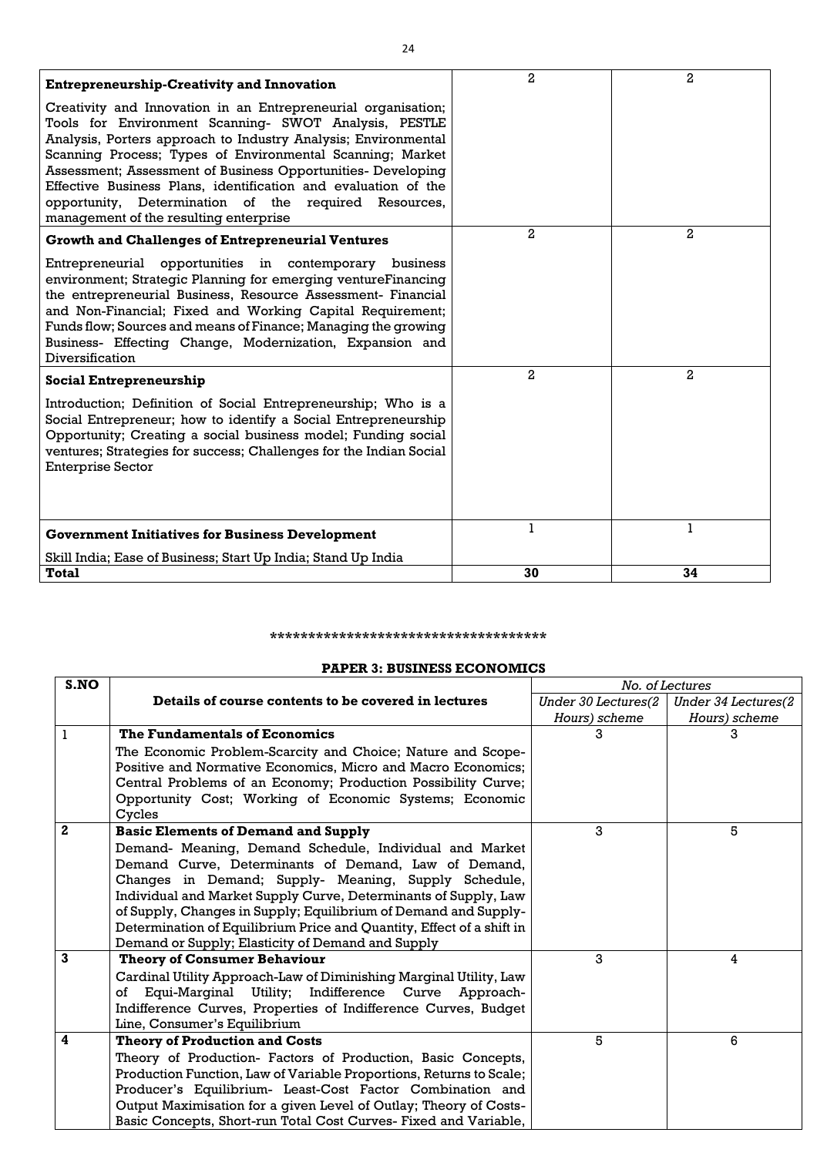| <b>Entrepreneurship-Creativity and Innovation</b>                                                                                                                                                                                                                                                                                                                                                                                                                                          | $\overline{2}$ | $\overline{2}$ |
|--------------------------------------------------------------------------------------------------------------------------------------------------------------------------------------------------------------------------------------------------------------------------------------------------------------------------------------------------------------------------------------------------------------------------------------------------------------------------------------------|----------------|----------------|
| Creativity and Innovation in an Entrepreneurial organisation;<br>Tools for Environment Scanning- SWOT Analysis, PESTLE<br>Analysis, Porters approach to Industry Analysis; Environmental<br>Scanning Process; Types of Environmental Scanning; Market<br>Assessment; Assessment of Business Opportunities- Developing<br>Effective Business Plans, identification and evaluation of the<br>opportunity, Determination of the required Resources,<br>management of the resulting enterprise |                |                |
| <b>Growth and Challenges of Entrepreneurial Ventures</b>                                                                                                                                                                                                                                                                                                                                                                                                                                   | $\overline{a}$ | $\mathbf{2}$   |
| Entrepreneurial opportunities in contemporary<br>business<br>environment; Strategic Planning for emerging ventureFinancing<br>the entrepreneurial Business, Resource Assessment- Financial<br>and Non-Financial; Fixed and Working Capital Requirement;<br>Funds flow; Sources and means of Finance; Managing the growing<br>Business- Effecting Change, Modernization, Expansion and<br>Diversification                                                                                   |                |                |
| <b>Social Entrepreneurship</b>                                                                                                                                                                                                                                                                                                                                                                                                                                                             | $\overline{a}$ | $\mathbf{2}$   |
| Introduction; Definition of Social Entrepreneurship; Who is a<br>Social Entrepreneur; how to identify a Social Entrepreneurship<br>Opportunity; Creating a social business model; Funding social<br>ventures; Strategies for success; Challenges for the Indian Social<br><b>Enterprise Sector</b>                                                                                                                                                                                         |                |                |
| <b>Government Initiatives for Business Development</b>                                                                                                                                                                                                                                                                                                                                                                                                                                     | 1              | 1              |
| Skill India; Ease of Business; Start Up India; Stand Up India                                                                                                                                                                                                                                                                                                                                                                                                                              |                |                |
| <b>Total</b>                                                                                                                                                                                                                                                                                                                                                                                                                                                                               | 30             | 34             |

#### **\*\*\*\*\*\*\*\*\*\*\*\*\*\*\*\*\*\*\*\*\*\*\*\*\*\*\*\*\*\*\*\*\*\*\*\***

#### **PAPER 3: BUSINESS ECONOMICS**

| S.NO         |                                                                       | No. of Lectures     |                     |  |
|--------------|-----------------------------------------------------------------------|---------------------|---------------------|--|
|              | Details of course contents to be covered in lectures                  | Under 30 Lectures(2 | Under 34 Lectures(2 |  |
|              |                                                                       | Hours) scheme       | Hours) scheme       |  |
| 1            | The Fundamentals of Economics                                         | 3                   | 3                   |  |
|              | The Economic Problem-Scarcity and Choice; Nature and Scope-           |                     |                     |  |
|              | Positive and Normative Economics, Micro and Macro Economics;          |                     |                     |  |
|              | Central Problems of an Economy; Production Possibility Curve;         |                     |                     |  |
|              | Opportunity Cost; Working of Economic Systems; Economic<br>Cycles     |                     |                     |  |
| $\mathbf{2}$ | <b>Basic Elements of Demand and Supply</b>                            | 3                   | 5                   |  |
|              | Demand- Meaning, Demand Schedule, Individual and Market               |                     |                     |  |
|              | Demand Curve, Determinants of Demand, Law of Demand,                  |                     |                     |  |
|              | Changes in Demand; Supply- Meaning, Supply Schedule,                  |                     |                     |  |
|              | Individual and Market Supply Curve, Determinants of Supply, Law       |                     |                     |  |
|              | of Supply, Changes in Supply; Equilibrium of Demand and Supply-       |                     |                     |  |
|              | Determination of Equilibrium Price and Quantity, Effect of a shift in |                     |                     |  |
|              | Demand or Supply; Elasticity of Demand and Supply                     |                     |                     |  |
| 3            | <b>Theory of Consumer Behaviour</b>                                   | 3                   | 4                   |  |
|              | Cardinal Utility Approach-Law of Diminishing Marginal Utility, Law    |                     |                     |  |
|              | Equi-Marginal Utility;<br>Indifference Curve Approach-<br>of          |                     |                     |  |
|              | Indifference Curves, Properties of Indifference Curves, Budget        |                     |                     |  |
|              | Line, Consumer's Equilibrium                                          |                     |                     |  |
| 4            | <b>Theory of Production and Costs</b>                                 | 5                   | 6                   |  |
|              | Theory of Production- Factors of Production, Basic Concepts,          |                     |                     |  |
|              | Production Function, Law of Variable Proportions, Returns to Scale;   |                     |                     |  |
|              | Producer's Equilibrium- Least-Cost Factor Combination and             |                     |                     |  |
|              | Output Maximisation for a given Level of Outlay; Theory of Costs-     |                     |                     |  |
|              | Basic Concepts, Short-run Total Cost Curves- Fixed and Variable,      |                     |                     |  |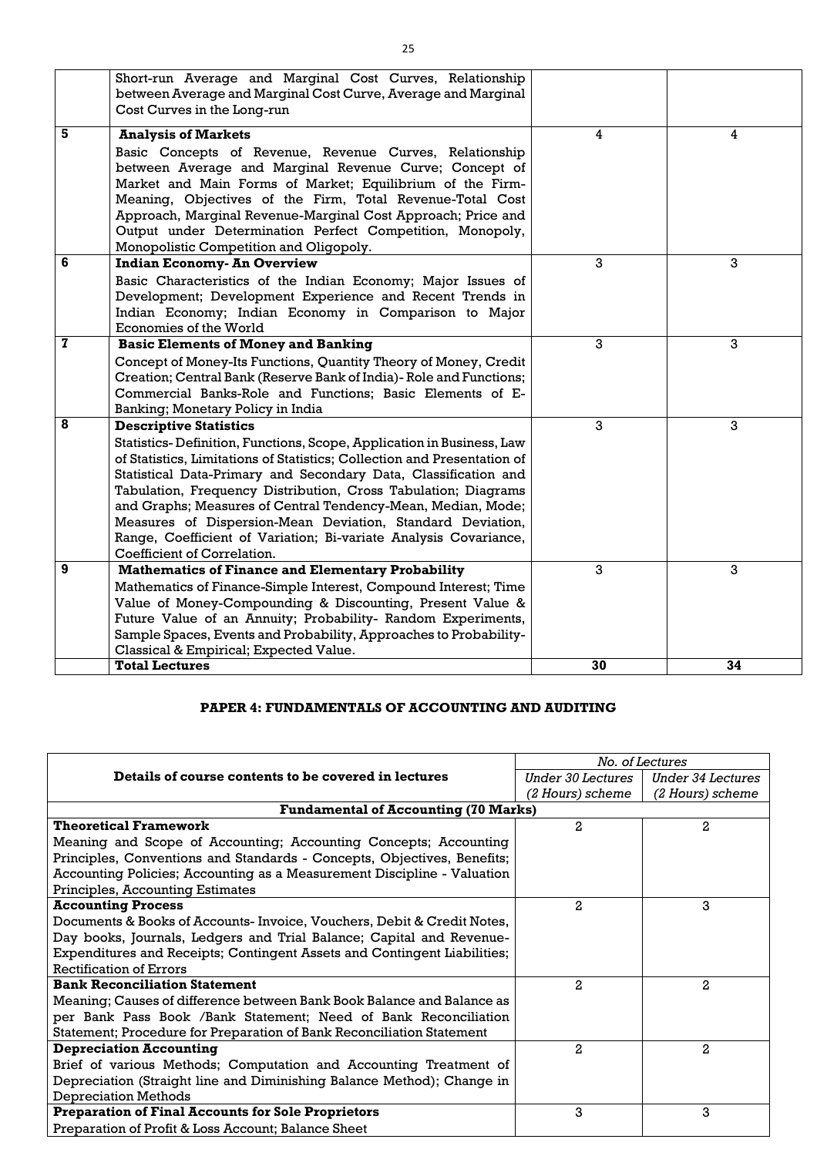|              | Short-run Average and Marginal Cost Curves, Relationship<br>between Average and Marginal Cost Curve, Average and Marginal<br>Cost Curves in the Long-run                                                                                                                                                                                                                                                                                                                                                                                                 |    |    |
|--------------|----------------------------------------------------------------------------------------------------------------------------------------------------------------------------------------------------------------------------------------------------------------------------------------------------------------------------------------------------------------------------------------------------------------------------------------------------------------------------------------------------------------------------------------------------------|----|----|
| 5            | <b>Analysis of Markets</b><br>Basic Concepts of Revenue, Revenue Curves, Relationship<br>between Average and Marginal Revenue Curve; Concept of<br>Market and Main Forms of Market; Equilibrium of the Firm-<br>Meaning, Objectives of the Firm, Total Revenue-Total Cost<br>Approach, Marginal Revenue-Marginal Cost Approach; Price and<br>Output under Determination Perfect Competition, Monopoly,<br>Monopolistic Competition and Oligopoly.                                                                                                        | 4  | 4  |
| 6            | <b>Indian Economy- An Overview</b><br>Basic Characteristics of the Indian Economy; Major Issues of<br>Development; Development Experience and Recent Trends in<br>Indian Economy; Indian Economy in Comparison to Major<br>Economies of the World                                                                                                                                                                                                                                                                                                        | 3  | 3  |
| $\mathbf{z}$ | <b>Basic Elements of Money and Banking</b><br>Concept of Money-Its Functions, Quantity Theory of Money, Credit<br>Creation; Central Bank (Reserve Bank of India) - Role and Functions;<br>Commercial Banks-Role and Functions; Basic Elements of E-<br>Banking; Monetary Policy in India                                                                                                                                                                                                                                                                 | 3  | 3  |
| 8            | <b>Descriptive Statistics</b><br>Statistics-Definition, Functions, Scope, Application in Business, Law<br>of Statistics, Limitations of Statistics; Collection and Presentation of<br>Statistical Data-Primary and Secondary Data, Classification and<br>Tabulation, Frequency Distribution, Cross Tabulation; Diagrams<br>and Graphs; Measures of Central Tendency-Mean, Median, Mode;<br>Measures of Dispersion-Mean Deviation, Standard Deviation,<br>Range, Coefficient of Variation; Bi-variate Analysis Covariance,<br>Coefficient of Correlation. | 3  | 3  |
| 9            | <b>Mathematics of Finance and Elementary Probability</b><br>Mathematics of Finance-Simple Interest, Compound Interest; Time<br>Value of Money-Compounding & Discounting, Present Value &<br>Future Value of an Annuity; Probability- Random Experiments,<br>Sample Spaces, Events and Probability, Approaches to Probability-<br>Classical & Empirical; Expected Value.                                                                                                                                                                                  | 3  | 3  |
|              | <b>Total Lectures</b>                                                                                                                                                                                                                                                                                                                                                                                                                                                                                                                                    | 30 | 34 |

### **PAPER 4: FUNDAMENTALS OF ACCOUNTING AND AUDITING**

|                                                                          | No. of Lectures   |                   |
|--------------------------------------------------------------------------|-------------------|-------------------|
| Details of course contents to be covered in lectures                     | Under 30 Lectures | Under 34 Lectures |
|                                                                          | (2 Hours) scheme  | (2 Hours) scheme  |
| <b>Fundamental of Accounting (70 Marks)</b>                              |                   |                   |
| <b>Theoretical Framework</b>                                             | $\overline{a}$    | 2                 |
| Meaning and Scope of Accounting; Accounting Concepts; Accounting         |                   |                   |
| Principles, Conventions and Standards - Concepts, Objectives, Benefits;  |                   |                   |
| Accounting Policies; Accounting as a Measurement Discipline - Valuation  |                   |                   |
| Principles, Accounting Estimates                                         |                   |                   |
| <b>Accounting Process</b>                                                | $\overline{a}$    | 3                 |
| Documents & Books of Accounts- Invoice, Vouchers, Debit & Credit Notes,  |                   |                   |
| Day books, Journals, Ledgers and Trial Balance; Capital and Revenue-     |                   |                   |
| Expenditures and Receipts; Contingent Assets and Contingent Liabilities; |                   |                   |
| <b>Rectification of Errors</b>                                           |                   |                   |
| <b>Bank Reconciliation Statement</b>                                     | $\mathbf{2}$      | 2                 |
| Meaning; Causes of difference between Bank Book Balance and Balance as   |                   |                   |
| per Bank Pass Book /Bank Statement; Need of Bank Reconciliation          |                   |                   |
| Statement; Procedure for Preparation of Bank Reconciliation Statement    |                   |                   |
| <b>Depreciation Accounting</b>                                           | $\mathbf{2}$      | $\overline{a}$    |
| Brief of various Methods; Computation and Accounting Treatment of        |                   |                   |
| Depreciation (Straight line and Diminishing Balance Method); Change in   |                   |                   |
| <b>Depreciation Methods</b>                                              |                   |                   |
| <b>Preparation of Final Accounts for Sole Proprietors</b>                | 3                 | 3                 |
| Preparation of Profit & Loss Account; Balance Sheet                      |                   |                   |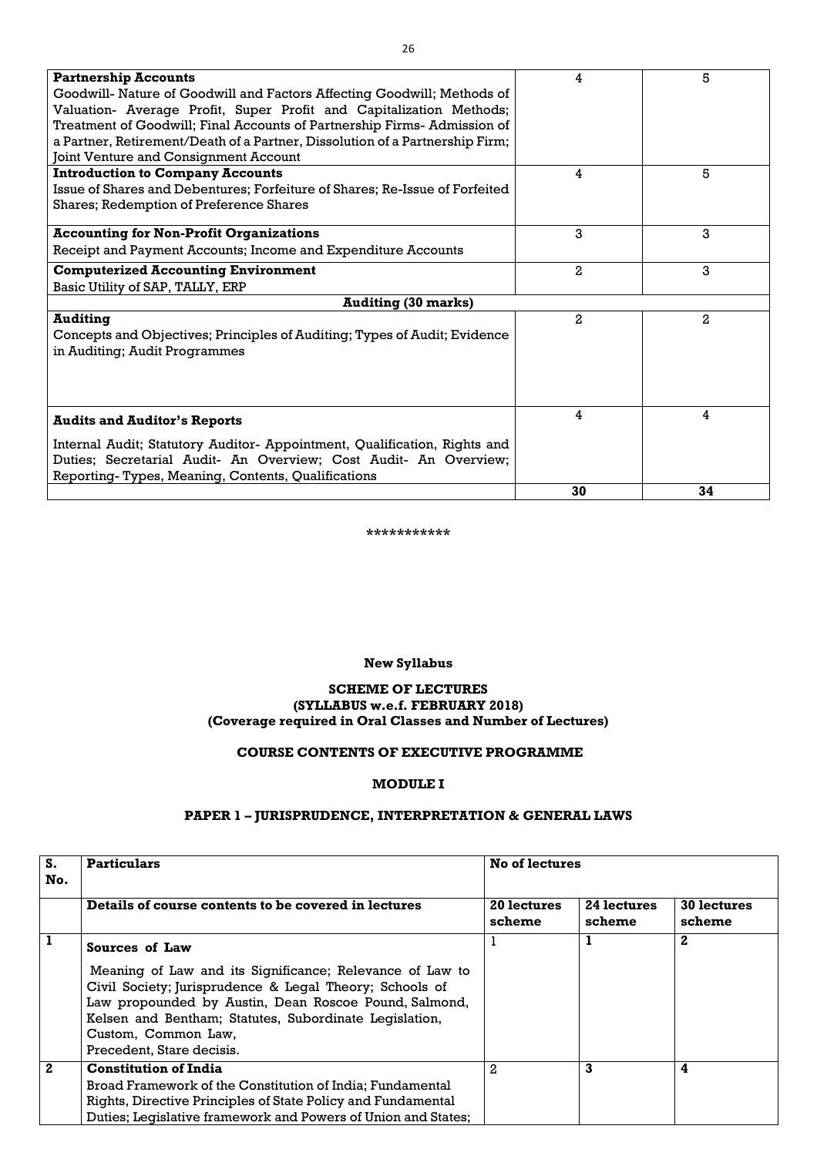| <b>Partnership Accounts</b>                                                  | 4              | 5              |
|------------------------------------------------------------------------------|----------------|----------------|
| Goodwill- Nature of Goodwill and Factors Affecting Goodwill; Methods of      |                |                |
| Valuation- Average Profit, Super Profit and Capitalization Methods;          |                |                |
| Treatment of Goodwill; Final Accounts of Partnership Firms- Admission of     |                |                |
| a Partner, Retirement/Death of a Partner, Dissolution of a Partnership Firm; |                |                |
| Joint Venture and Consignment Account                                        |                |                |
| <b>Introduction to Company Accounts</b>                                      | 4              | 5              |
| Issue of Shares and Debentures; Forfeiture of Shares; Re-Issue of Forfeited  |                |                |
| <b>Shares; Redemption of Preference Shares</b>                               |                |                |
|                                                                              | 3              |                |
| <b>Accounting for Non-Profit Organizations</b>                               |                | 3              |
| Receipt and Payment Accounts; Income and Expenditure Accounts                |                |                |
| <b>Computerized Accounting Environment</b>                                   | 2              | 3              |
| Basic Utility of SAP, TALLY, ERP                                             |                |                |
| <b>Auditing (30 marks)</b>                                                   |                |                |
| <b>Auditing</b>                                                              | $\overline{a}$ | $\overline{2}$ |
| Concepts and Objectives; Principles of Auditing; Types of Audit; Evidence    |                |                |
| in Auditing; Audit Programmes                                                |                |                |
|                                                                              |                |                |
|                                                                              |                |                |
|                                                                              |                |                |
| <b>Audits and Auditor's Reports</b>                                          | 4              | 4              |
|                                                                              |                |                |
| Internal Audit; Statutory Auditor- Appointment, Qualification, Rights and    |                |                |
| Duties; Secretarial Audit- An Overview; Cost Audit- An Overview;             |                |                |
| Reporting-Types, Meaning, Contents, Qualifications                           |                |                |
|                                                                              | 30             | 34             |

#### **\*\*\*\*\*\*\*\*\*\*\***

#### **New Syllabus**

#### **SCHEME OF LECTURES (SYLLABUS w.e.f. FEBRUARY 2018) (Coverage required in Oral Classes and Number of Lectures)**

#### **COURSE CONTENTS OF EXECUTIVE PROGRAMME**

#### **MODULE I**

# **PAPER 1 – JURISPRUDENCE, INTERPRETATION & GENERAL LAWS**

| S.<br>No.    | <b>Particulars</b>                                                                                                                                                                                                                                                                         | <b>No of lectures</b>        |                       |                              |
|--------------|--------------------------------------------------------------------------------------------------------------------------------------------------------------------------------------------------------------------------------------------------------------------------------------------|------------------------------|-----------------------|------------------------------|
|              | Details of course contents to be covered in lectures                                                                                                                                                                                                                                       | <b>20 lectures</b><br>scheme | 24 lectures<br>scheme | <b>30 lectures</b><br>scheme |
|              | Sources of Law                                                                                                                                                                                                                                                                             |                              |                       | $\mathbf{2}$                 |
|              | Meaning of Law and its Significance; Relevance of Law to<br>Civil Society; Jurisprudence & Legal Theory; Schools of<br>Law propounded by Austin, Dean Roscoe Pound, Salmond,<br>Kelsen and Bentham; Statutes, Subordinate Legislation,<br>Custom, Common Law,<br>Precedent, Stare decisis. |                              |                       |                              |
| $\mathbf{2}$ | <b>Constitution of India</b><br>Broad Framework of the Constitution of India; Fundamental<br>Rights, Directive Principles of State Policy and Fundamental<br>Duties; Legislative framework and Powers of Union and States;                                                                 | $\overline{2}$               | 3                     | 4                            |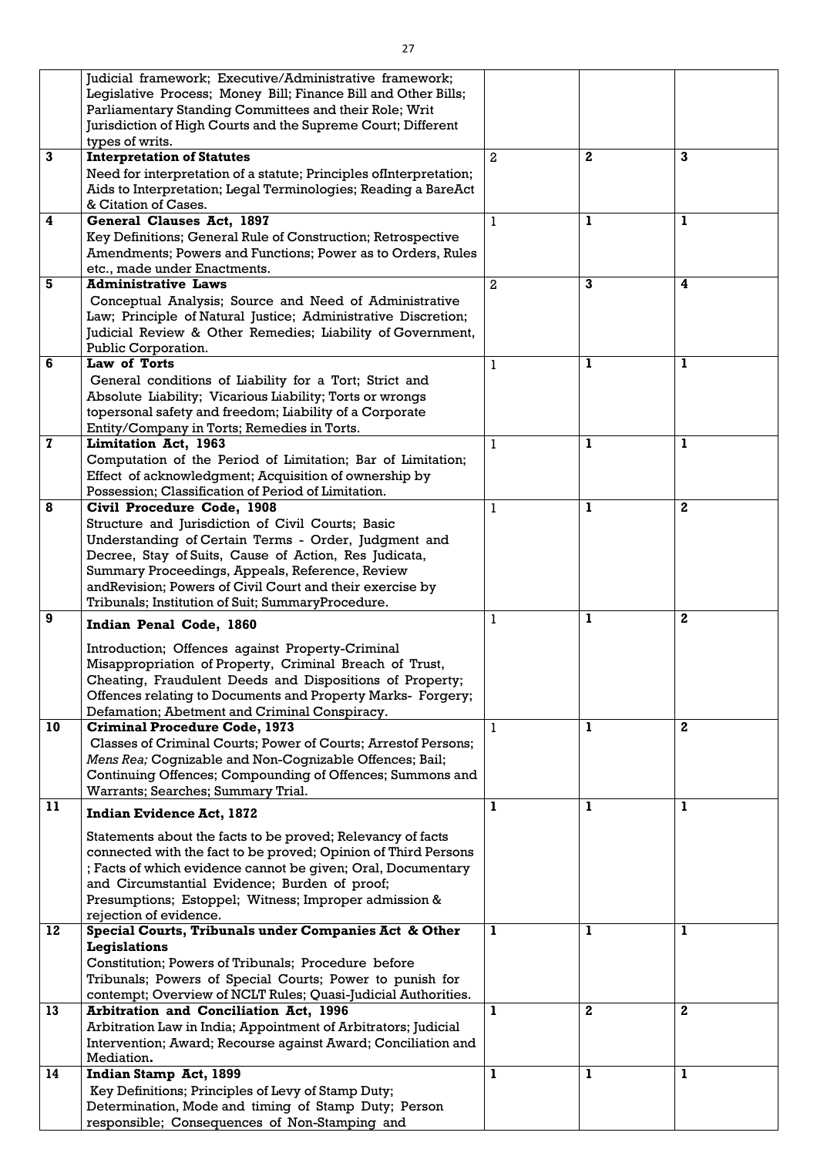|                         | Judicial framework; Executive/Administrative framework;                         |                |              |              |
|-------------------------|---------------------------------------------------------------------------------|----------------|--------------|--------------|
|                         | Legislative Process; Money Bill; Finance Bill and Other Bills;                  |                |              |              |
|                         | Parliamentary Standing Committees and their Role; Writ                          |                |              |              |
|                         | Jurisdiction of High Courts and the Supreme Court; Different                    |                |              |              |
|                         | types of writs.                                                                 |                |              |              |
| 3                       | <b>Interpretation of Statutes</b>                                               | $\overline{2}$ | $\mathbf{2}$ | $\mathbf{3}$ |
|                         | Need for interpretation of a statute; Principles of Interpretation;             |                |              |              |
|                         |                                                                                 |                |              |              |
|                         | Aids to Interpretation; Legal Terminologies; Reading a BareAct                  |                |              |              |
|                         | & Citation of Cases.                                                            |                |              |              |
| $\overline{\mathbf{4}}$ | General Clauses Act, 1897                                                       | 1              | 1            |              |
|                         | Key Definitions; General Rule of Construction; Retrospective                    |                |              |              |
|                         | Amendments; Powers and Functions; Power as to Orders, Rules                     |                |              |              |
|                         | etc., made under Enactments.                                                    |                |              |              |
| 5                       | <b>Administrative Laws</b>                                                      | $\overline{2}$ | $\mathbf{3}$ | 4            |
|                         | Conceptual Analysis; Source and Need of Administrative                          |                |              |              |
|                         | Law; Principle of Natural Justice; Administrative Discretion;                   |                |              |              |
|                         |                                                                                 |                |              |              |
|                         | Judicial Review & Other Remedies; Liability of Government,                      |                |              |              |
|                         | Public Corporation.                                                             |                |              |              |
| 6                       | Law of Torts                                                                    | 1              | 1            | 1            |
|                         | General conditions of Liability for a Tort; Strict and                          |                |              |              |
|                         | Absolute Liability; Vicarious Liability; Torts or wrongs                        |                |              |              |
|                         | topersonal safety and freedom; Liability of a Corporate                         |                |              |              |
|                         | Entity/Company in Torts; Remedies in Torts.                                     |                |              |              |
| $\mathbf{z}$            | <b>Limitation Act, 1963</b>                                                     | 1              | 1            | 1            |
|                         | Computation of the Period of Limitation; Bar of Limitation;                     |                |              |              |
|                         | Effect of acknowledgment; Acquisition of ownership by                           |                |              |              |
|                         | Possession; Classification of Period of Limitation.                             |                |              |              |
| 8                       | Civil Procedure Code, 1908                                                      | 1              | 1            | $\mathbf 2$  |
|                         |                                                                                 |                |              |              |
|                         | Structure and Jurisdiction of Civil Courts; Basic                               |                |              |              |
|                         | Understanding of Certain Terms - Order, Judgment and                            |                |              |              |
|                         | Decree, Stay of Suits, Cause of Action, Res Judicata,                           |                |              |              |
|                         | Summary Proceedings, Appeals, Reference, Review                                 |                |              |              |
|                         | and Revision; Powers of Civil Court and their exercise by                       |                |              |              |
|                         | Tribunals; Institution of Suit; SummaryProcedure.                               |                |              |              |
|                         |                                                                                 |                |              |              |
| 9                       |                                                                                 | 1              | 1            | $\mathbf{2}$ |
|                         | Indian Penal Code, 1860                                                         |                |              |              |
|                         |                                                                                 |                |              |              |
|                         | Introduction; Offences against Property-Criminal                                |                |              |              |
|                         | Misappropriation of Property, Criminal Breach of Trust,                         |                |              |              |
|                         | Cheating, Fraudulent Deeds and Dispositions of Property;                        |                |              |              |
|                         | Offences relating to Documents and Property Marks- Forgery;                     |                |              |              |
|                         | Defamation; Abetment and Criminal Conspiracy.                                   |                |              |              |
| 10                      | <b>Criminal Procedure Code, 1973</b>                                            | 1              | 1            | $\mathbf 2$  |
|                         | Classes of Criminal Courts; Power of Courts; Arrestof Persons;                  |                |              |              |
|                         | Mens Rea; Cognizable and Non-Cognizable Offences; Bail;                         |                |              |              |
|                         | Continuing Offences; Compounding of Offences; Summons and                       |                |              |              |
|                         | Warrants; Searches; Summary Trial.                                              |                |              |              |
| 11                      |                                                                                 | 1              | 1            | ı            |
|                         | <b>Indian Evidence Act, 1872</b>                                                |                |              |              |
|                         | Statements about the facts to be proved; Relevancy of facts                     |                |              |              |
|                         | connected with the fact to be proved; Opinion of Third Persons                  |                |              |              |
|                         | ; Facts of which evidence cannot be given; Oral, Documentary                    |                |              |              |
|                         | and Circumstantial Evidence; Burden of proof;                                   |                |              |              |
|                         |                                                                                 |                |              |              |
|                         | Presumptions; Estoppel; Witness; Improper admission &                           |                |              |              |
| 12                      | rejection of evidence.<br>Special Courts, Tribunals under Companies Act & Other | $\mathbf{1}$   | $\mathbf{1}$ | $\mathbf{1}$ |
|                         |                                                                                 |                |              |              |
|                         | Legislations                                                                    |                |              |              |
|                         | Constitution; Powers of Tribunals; Procedure before                             |                |              |              |
|                         | Tribunals; Powers of Special Courts; Power to punish for                        |                |              |              |
|                         | contempt; Overview of NCLT Rules; Quasi-Judicial Authorities.                   |                |              |              |
| 13                      | <b>Arbitration and Conciliation Act, 1996</b>                                   | 1              | $\mathbf{2}$ | $\mathbf{2}$ |
|                         | Arbitration Law in India; Appointment of Arbitrators; Judicial                  |                |              |              |
|                         | Intervention; Award; Recourse against Award; Conciliation and                   |                |              |              |
|                         | Mediation.                                                                      |                |              |              |
| 14                      | Indian Stamp Act, 1899                                                          |                |              |              |
|                         | Key Definitions; Principles of Levy of Stamp Duty;                              |                |              |              |
|                         | Determination, Mode and timing of Stamp Duty; Person                            |                |              |              |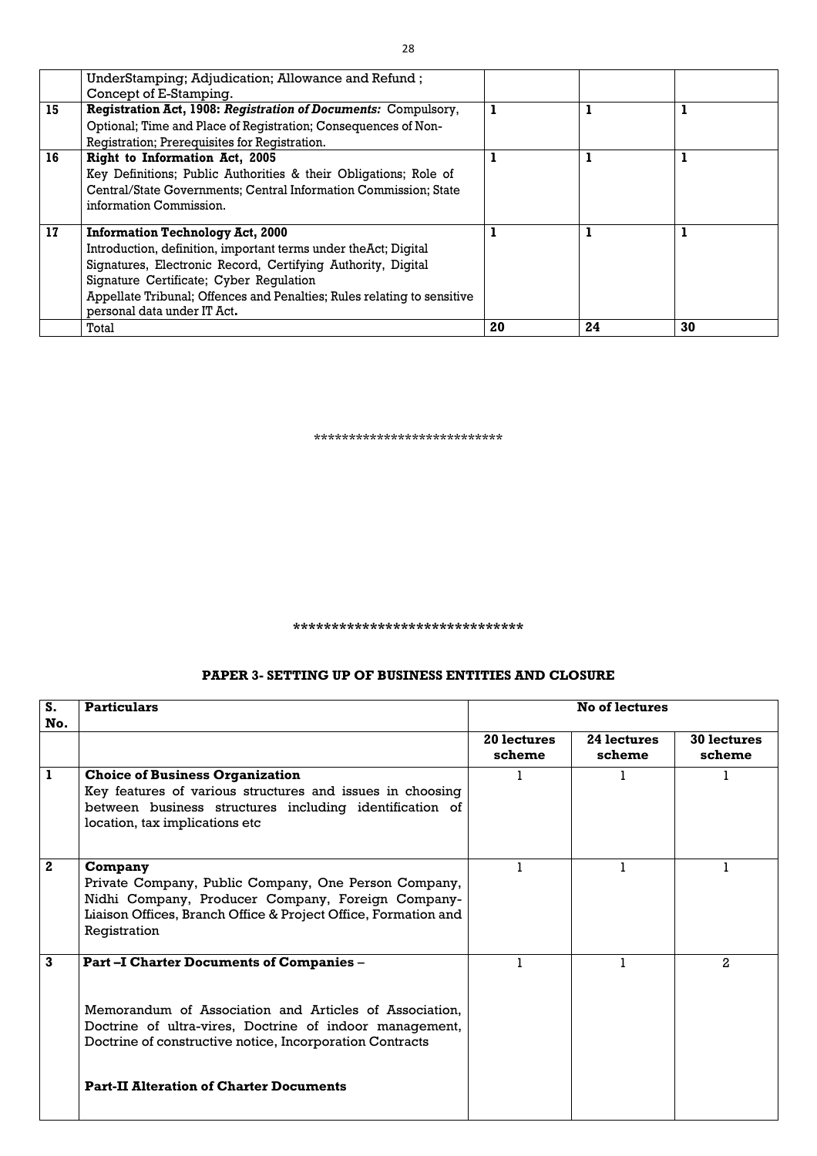|    | UnderStamping; Adjudication; Allowance and Refund;                                                                                                                                                                                                                                                                               |    |    |    |
|----|----------------------------------------------------------------------------------------------------------------------------------------------------------------------------------------------------------------------------------------------------------------------------------------------------------------------------------|----|----|----|
| 15 | Concept of E-Stamping.<br>Registration Act, 1908: Registration of Documents: Compulsory,<br>Optional; Time and Place of Registration; Consequences of Non-<br>Registration; Prerequisites for Registration.                                                                                                                      |    |    |    |
| 16 | <b>Right to Information Act, 2005</b><br>Key Definitions; Public Authorities & their Obligations; Role of<br>Central/State Governments; Central Information Commission; State<br>information Commission.                                                                                                                         |    |    |    |
| 17 | <b>Information Technology Act, 2000</b><br>Introduction, definition, important terms under the Act; Digital<br>Signatures, Electronic Record, Certifying Authority, Digital<br>Signature Certificate; Cyber Regulation<br>Appellate Tribunal; Offences and Penalties; Rules relating to sensitive<br>personal data under IT Act. |    |    |    |
|    | Total                                                                                                                                                                                                                                                                                                                            | 20 | 24 | 30 |

\*\*\*\*\*\*\*\*\*\*\*\*\*\*\*\*\*\*\*\*\*\*\*\*\*\*\*

**\*\*\*\*\*\*\*\*\*\*\*\*\*\*\*\*\*\*\*\*\*\*\*\*\*\*\*\*\*\***

#### **PAPER 3- SETTING UP OF BUSINESS ENTITIES AND CLOSURE**

| S.<br>No.    | <b>Particulars</b>                                                                                                                                                                                                                                                                 | <b>No of lectures</b> |                       |                              |
|--------------|------------------------------------------------------------------------------------------------------------------------------------------------------------------------------------------------------------------------------------------------------------------------------------|-----------------------|-----------------------|------------------------------|
|              |                                                                                                                                                                                                                                                                                    | 20 lectures<br>scheme | 24 lectures<br>scheme | <b>30 lectures</b><br>scheme |
| 1            | <b>Choice of Business Organization</b><br>Key features of various structures and issues in choosing<br>between business structures including identification of<br>location, tax implications etc                                                                                   |                       |                       |                              |
| $\mathbf{2}$ | Company<br>Private Company, Public Company, One Person Company,<br>Nidhi Company, Producer Company, Foreign Company-<br>Liaison Offices, Branch Office & Project Office, Formation and<br>Registration                                                                             |                       |                       |                              |
| 3            | <b>Part -I Charter Documents of Companies -</b><br>Memorandum of Association and Articles of Association,<br>Doctrine of ultra-vires, Doctrine of indoor management,<br>Doctrine of constructive notice, Incorporation Contracts<br><b>Part-II Alteration of Charter Documents</b> |                       |                       | 2                            |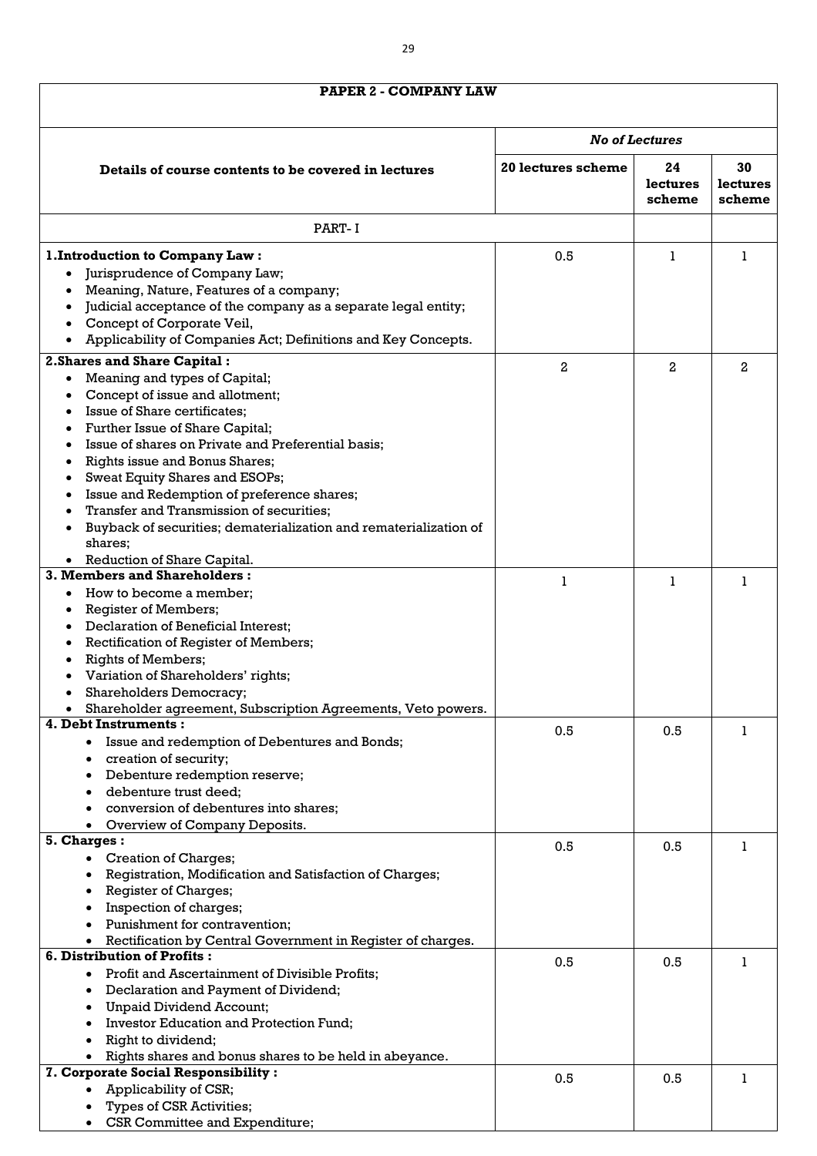# **PAPER 2 - COMPANY LAW**

| PAPER 2 - COMPANY LAW                                                                                                                                                                                                                                                                                                                                                                                                                                       |                    |                          |                                 |
|-------------------------------------------------------------------------------------------------------------------------------------------------------------------------------------------------------------------------------------------------------------------------------------------------------------------------------------------------------------------------------------------------------------------------------------------------------------|--------------------|--------------------------|---------------------------------|
|                                                                                                                                                                                                                                                                                                                                                                                                                                                             |                    |                          |                                 |
|                                                                                                                                                                                                                                                                                                                                                                                                                                                             |                    | <b>No of Lectures</b>    |                                 |
| Details of course contents to be covered in lectures                                                                                                                                                                                                                                                                                                                                                                                                        | 20 lectures scheme | 24<br>lectures<br>scheme | 30<br><b>lectures</b><br>scheme |
| PART-I                                                                                                                                                                                                                                                                                                                                                                                                                                                      |                    |                          |                                 |
| 1. Introduction to Company Law:                                                                                                                                                                                                                                                                                                                                                                                                                             | 0.5                | 1                        |                                 |
| Jurisprudence of Company Law;<br>$\bullet$                                                                                                                                                                                                                                                                                                                                                                                                                  |                    |                          |                                 |
| Meaning, Nature, Features of a company;<br>Judicial acceptance of the company as a separate legal entity;<br>Concept of Corporate Veil,<br>Applicability of Companies Act; Definitions and Key Concepts.                                                                                                                                                                                                                                                    |                    |                          |                                 |
| 2. Shares and Share Capital:                                                                                                                                                                                                                                                                                                                                                                                                                                | 2                  | 2                        | 2                               |
| Meaning and types of Capital;<br>$\bullet$<br>Concept of issue and allotment;<br>Issue of Share certificates;<br>Further Issue of Share Capital;<br>Issue of shares on Private and Preferential basis;<br>Rights issue and Bonus Shares;<br><b>Sweat Equity Shares and ESOPs;</b><br>Issue and Redemption of preference shares;<br>Transfer and Transmission of securities;<br>Buyback of securities; dematerialization and rematerialization of<br>shares; |                    |                          |                                 |
| Reduction of Share Capital.<br>3. Members and Shareholders:                                                                                                                                                                                                                                                                                                                                                                                                 |                    |                          |                                 |
| How to become a member;<br><b>Register of Members;</b><br>Declaration of Beneficial Interest;<br>Rectification of Register of Members;<br><b>Rights of Members;</b><br>Variation of Shareholders' rights;<br><b>Shareholders Democracy;</b><br>Shareholder agreement, Subscription Agreements, Veto powers.                                                                                                                                                 |                    |                          |                                 |
| 4. Debt Instruments:                                                                                                                                                                                                                                                                                                                                                                                                                                        | 0.5                | 0.5                      |                                 |
| Issue and redemption of Debentures and Bonds;<br>creation of security;<br>Debenture redemption reserve;<br>debenture trust deed;<br>conversion of debentures into shares;<br>Overview of Company Deposits.                                                                                                                                                                                                                                                  |                    |                          |                                 |
| 5. Charges:                                                                                                                                                                                                                                                                                                                                                                                                                                                 | 0.5                | 0.5                      |                                 |
| <b>Creation of Charges;</b><br>$\bullet$<br>Registration, Modification and Satisfaction of Charges;<br><b>Register of Charges;</b><br>Inspection of charges;<br>Punishment for contravention;<br>Rectification by Central Government in Register of charges.                                                                                                                                                                                                |                    |                          |                                 |
| 6. Distribution of Profits:                                                                                                                                                                                                                                                                                                                                                                                                                                 | 0.5                | 0.5                      |                                 |
| Profit and Ascertainment of Divisible Profits;<br>Declaration and Payment of Dividend;<br>$\bullet$<br><b>Unpaid Dividend Account;</b><br><b>Investor Education and Protection Fund;</b><br>Right to dividend;<br>Rights shares and bonus shares to be held in abeyance.                                                                                                                                                                                    |                    |                          |                                 |
| 7. Corporate Social Responsibility :<br>Applicability of CSR;<br><b>Types of CSR Activities;</b><br><b>CSR Committee and Expenditure;</b>                                                                                                                                                                                                                                                                                                                   | 0.5                | 0.5                      |                                 |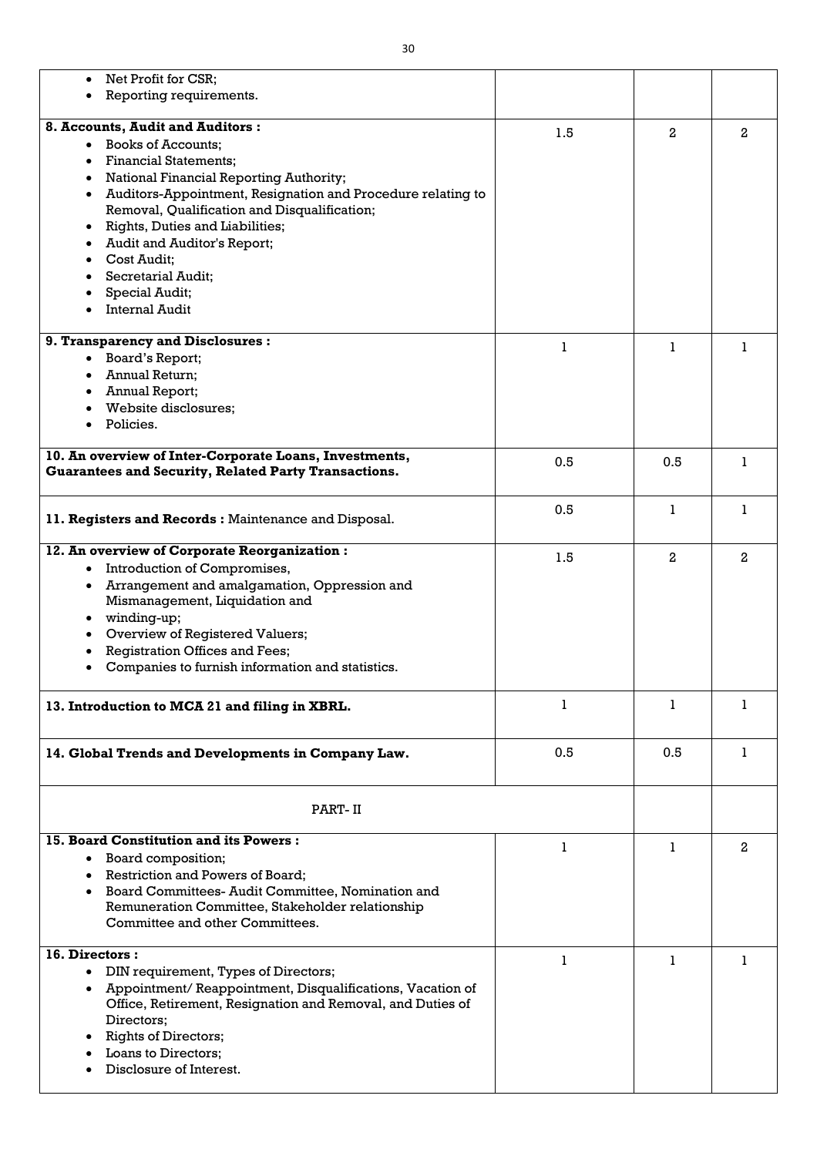| Net Profit for CSR;                                                      |     |                |                |
|--------------------------------------------------------------------------|-----|----------------|----------------|
| Reporting requirements.                                                  |     |                |                |
|                                                                          |     |                |                |
| 8. Accounts, Audit and Auditors:                                         | 1.5 | $\overline{a}$ | $\overline{a}$ |
| <b>Books of Accounts:</b><br>$\bullet$                                   |     |                |                |
| <b>Financial Statements;</b>                                             |     |                |                |
| National Financial Reporting Authority;<br>٠                             |     |                |                |
| Auditors-Appointment, Resignation and Procedure relating to<br>$\bullet$ |     |                |                |
| Removal, Qualification and Disqualification;                             |     |                |                |
| Rights, Duties and Liabilities;                                          |     |                |                |
| Audit and Auditor's Report;                                              |     |                |                |
| Cost Audit;                                                              |     |                |                |
| <b>Secretarial Audit;</b>                                                |     |                |                |
| Special Audit;                                                           |     |                |                |
| <b>Internal Audit</b>                                                    |     |                |                |
|                                                                          |     |                |                |
| 9. Transparency and Disclosures :                                        | 1   | 1              | L              |
| Board's Report;<br>$\bullet$                                             |     |                |                |
| <b>Annual Return;</b>                                                    |     |                |                |
| Annual Report;                                                           |     |                |                |
| Website disclosures;                                                     |     |                |                |
| Policies.                                                                |     |                |                |
|                                                                          |     |                |                |
| 10. An overview of Inter-Corporate Loans, Investments,                   | 0.5 | 0.5            | L              |
| <b>Guarantees and Security, Related Party Transactions.</b>              |     |                |                |
|                                                                          |     |                |                |
|                                                                          | 0.5 | 1              | 1              |
| 11. Registers and Records: Maintenance and Disposal.                     |     |                |                |
| 12. An overview of Corporate Reorganization:                             |     |                |                |
|                                                                          | 1.5 | 2              | $\overline{2}$ |
| Introduction of Compromises,<br>٠                                        |     |                |                |
| Arrangement and amalgamation, Oppression and<br>$\bullet$                |     |                |                |
| Mismanagement, Liquidation and                                           |     |                |                |
| winding-up;<br>٠                                                         |     |                |                |
| Overview of Registered Valuers;                                          |     |                |                |
| <b>Registration Offices and Fees;</b>                                    |     |                |                |
| Companies to furnish information and statistics.                         |     |                |                |
|                                                                          |     |                |                |
| 13. Introduction to MCA 21 and filing in XBRL.                           | 1   | 1              | 1              |
|                                                                          |     |                |                |
|                                                                          |     |                |                |
| 14. Global Trends and Developments in Company Law.                       | 0.5 | 0.5            |                |
|                                                                          |     |                |                |
|                                                                          |     |                |                |
| PART-II                                                                  |     |                |                |
|                                                                          |     |                |                |
| <b>15. Board Constitution and its Powers:</b>                            | 1   |                | $\overline{2}$ |
| Board composition;<br>$\bullet$                                          |     |                |                |
| Restriction and Powers of Board;<br>٠                                    |     |                |                |
| Board Committees- Audit Committee, Nomination and<br>$\bullet$           |     |                |                |
| Remuneration Committee, Stakeholder relationship                         |     |                |                |
| Committee and other Committees.                                          |     |                |                |
|                                                                          |     |                |                |
| 16. Directors:                                                           |     |                |                |
| DIN requirement, Types of Directors;<br>$\bullet$                        |     |                |                |
| Appointment/Reappointment, Disqualifications, Vacation of<br>$\bullet$   |     |                |                |
| Office, Retirement, Resignation and Removal, and Duties of               |     |                |                |
| Directors;                                                               |     |                |                |
| <b>Rights of Directors;</b>                                              |     |                |                |
| Loans to Directors;                                                      |     |                |                |
| Disclosure of Interest.                                                  |     |                |                |
|                                                                          |     |                |                |

 $\overline{\phantom{0}}$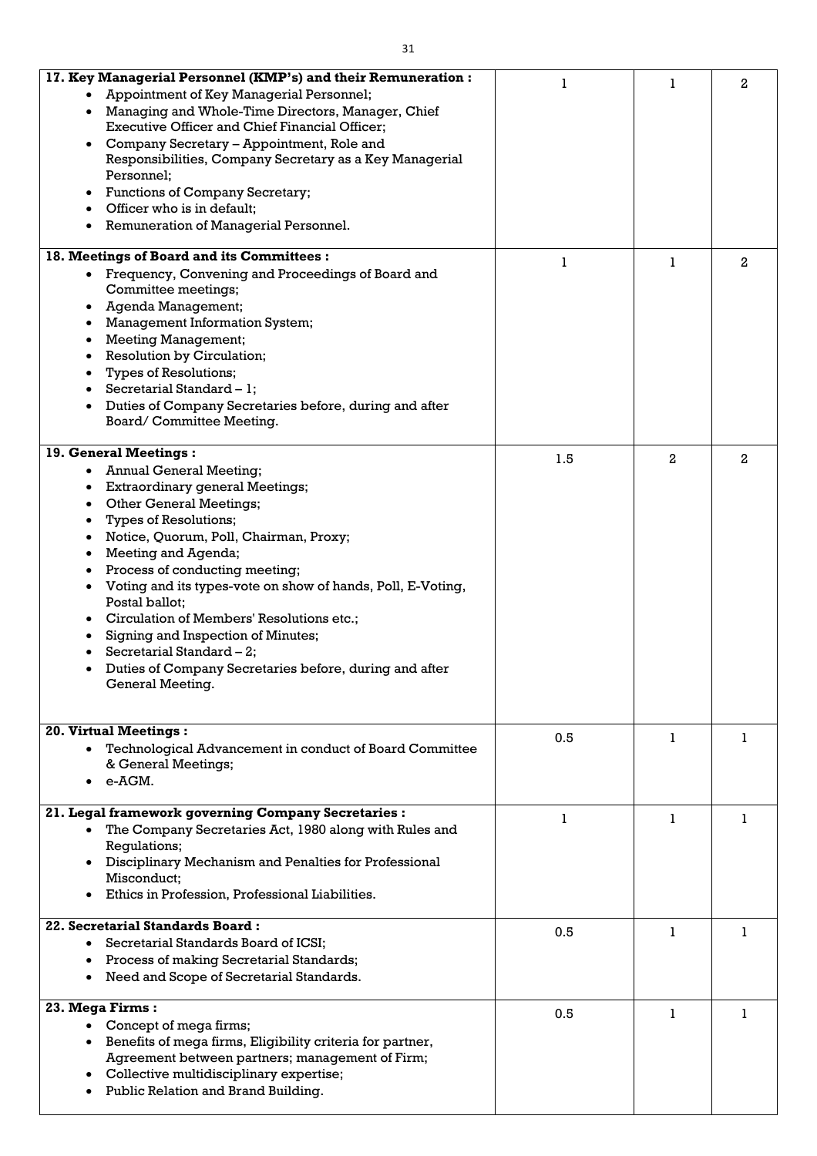| 17. Key Managerial Personnel (KMP's) and their Remuneration:                                                                                                                                                                                                                                                                                                                                                                                                                                                                                                                                                      |     |              | $\overline{2}$ |
|-------------------------------------------------------------------------------------------------------------------------------------------------------------------------------------------------------------------------------------------------------------------------------------------------------------------------------------------------------------------------------------------------------------------------------------------------------------------------------------------------------------------------------------------------------------------------------------------------------------------|-----|--------------|----------------|
| Appointment of Key Managerial Personnel;<br>Managing and Whole-Time Directors, Manager, Chief<br><b>Executive Officer and Chief Financial Officer;</b><br>Company Secretary - Appointment, Role and<br>Responsibilities, Company Secretary as a Key Managerial<br>Personnel;<br>Functions of Company Secretary;<br>Officer who is in default;                                                                                                                                                                                                                                                                     |     |              |                |
| Remuneration of Managerial Personnel.                                                                                                                                                                                                                                                                                                                                                                                                                                                                                                                                                                             |     |              |                |
| 18. Meetings of Board and its Committees :                                                                                                                                                                                                                                                                                                                                                                                                                                                                                                                                                                        |     |              |                |
| Frequency, Convening and Proceedings of Board and<br>$\bullet$<br>Committee meetings;<br>Agenda Management;<br><b>Management Information System;</b><br><b>Meeting Management;</b><br>Resolution by Circulation;<br><b>Types of Resolutions;</b><br>Secretarial Standard $-1$ ;<br>Duties of Company Secretaries before, during and after                                                                                                                                                                                                                                                                         |     | L            | $\overline{2}$ |
| Board/Committee Meeting.                                                                                                                                                                                                                                                                                                                                                                                                                                                                                                                                                                                          |     |              |                |
| 19. General Meetings:<br><b>Annual General Meeting;</b><br>$\bullet$<br><b>Extraordinary general Meetings;</b><br><b>Other General Meetings;</b><br>$\bullet$<br><b>Types of Resolutions;</b><br>Notice, Quorum, Poll, Chairman, Proxy;<br>Meeting and Agenda;<br>Process of conducting meeting;<br>Voting and its types-vote on show of hands, Poll, E-Voting,<br>Postal ballot;<br>Circulation of Members' Resolutions etc.;<br>Signing and Inspection of Minutes;<br>Secretarial Standard $-2$ ;<br>Duties of Company Secretaries before, during and after<br>General Meeting.<br><b>20. Virtual Meetings:</b> | 1.5 | $\mathbf{2}$ | $\overline{2}$ |
| Technological Advancement in conduct of Board Committee<br>& General Meetings;<br>e-AGM.                                                                                                                                                                                                                                                                                                                                                                                                                                                                                                                          | 0.5 | 1            |                |
| 21. Legal framework governing Company Secretaries :<br>The Company Secretaries Act, 1980 along with Rules and<br>Regulations;<br>Disciplinary Mechanism and Penalties for Professional<br>Misconduct;<br>Ethics in Profession, Professional Liabilities.                                                                                                                                                                                                                                                                                                                                                          |     | 1            |                |
| <b>22. Secretarial Standards Board:</b><br>Secretarial Standards Board of ICSI;<br>Process of making Secretarial Standards;<br>$\bullet$<br>Need and Scope of Secretarial Standards.                                                                                                                                                                                                                                                                                                                                                                                                                              | 0.5 | 1            |                |
| 23. Mega Firms:<br>Concept of mega firms;<br>Benefits of mega firms, Eligibility criteria for partner,<br>$\bullet$<br>Agreement between partners; management of Firm;<br>• Collective multidisciplinary expertise;<br>Public Relation and Brand Building.                                                                                                                                                                                                                                                                                                                                                        | 0.5 | 1            |                |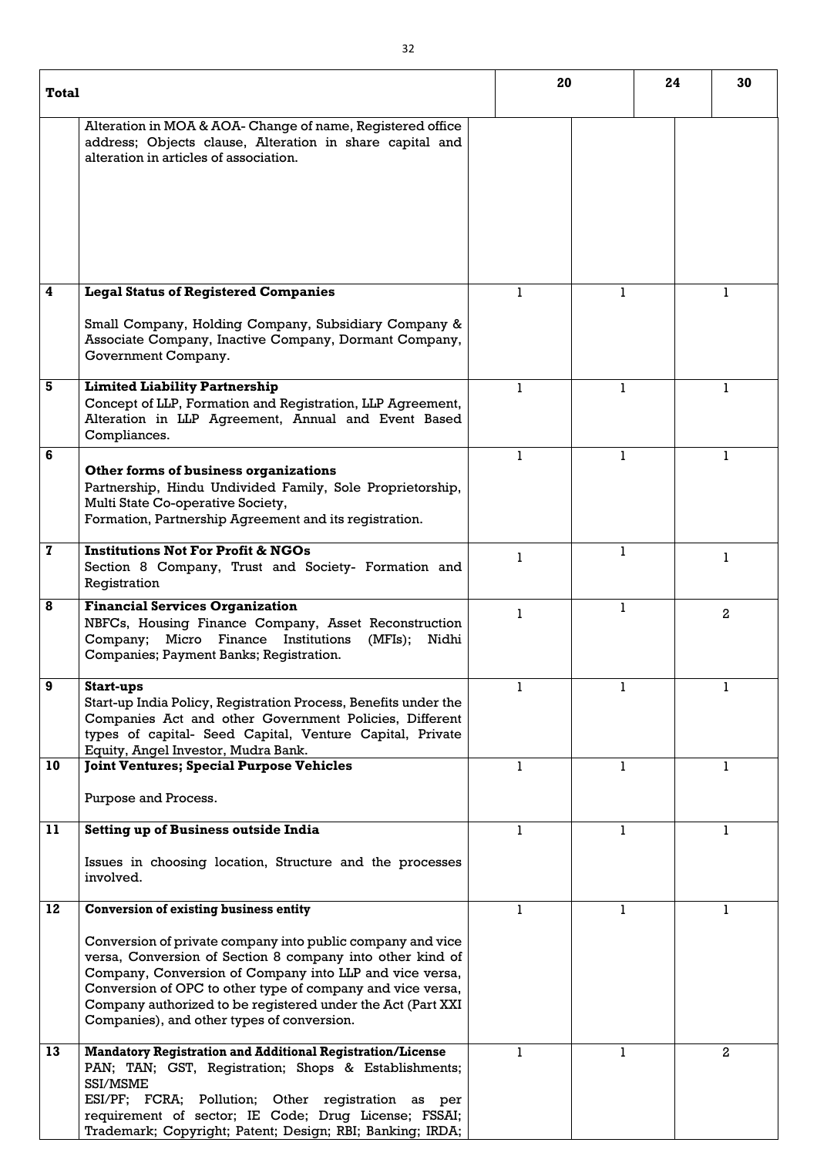| <b>Total</b>            |                                                                                                                                                                                                                                                                                                                                                                | 20           |   | 24 | 30             |
|-------------------------|----------------------------------------------------------------------------------------------------------------------------------------------------------------------------------------------------------------------------------------------------------------------------------------------------------------------------------------------------------------|--------------|---|----|----------------|
|                         | Alteration in MOA & AOA-Change of name, Registered office<br>address; Objects clause, Alteration in share capital and<br>alteration in articles of association.                                                                                                                                                                                                |              |   |    |                |
| $\overline{\mathbf{4}}$ | <b>Legal Status of Registered Companies</b>                                                                                                                                                                                                                                                                                                                    |              |   |    |                |
|                         | Small Company, Holding Company, Subsidiary Company &<br>Associate Company, Inactive Company, Dormant Company,<br>Government Company.                                                                                                                                                                                                                           |              |   |    |                |
| $5\phantom{1}$          | <b>Limited Liability Partnership</b><br>Concept of LLP, Formation and Registration, LLP Agreement,<br>Alteration in LLP Agreement, Annual and Event Based<br>Compliances.                                                                                                                                                                                      | 1            |   |    | 1.             |
| 6                       | Other forms of business organizations<br>Partnership, Hindu Undivided Family, Sole Proprietorship,<br>Multi State Co-operative Society,<br>Formation, Partnership Agreement and its registration.                                                                                                                                                              | $\mathbf{1}$ | 1 |    | 1              |
| $\mathbf 7$             | <b>Institutions Not For Profit &amp; NGOs</b><br>Section 8 Company, Trust and Society- Formation and<br>Registration                                                                                                                                                                                                                                           |              |   |    |                |
| 8                       | <b>Financial Services Organization</b><br>NBFCs, Housing Finance Company, Asset Reconstruction<br>Company; Micro Finance Institutions<br>(MFIs);<br>Nidhi<br>Companies; Payment Banks; Registration.                                                                                                                                                           |              |   |    | $\overline{2}$ |
| 9                       | <b>Start-ups</b><br>Start-up India Policy, Registration Process, Benefits under the<br>Companies Act and other Government Policies, Different<br>types of capital- Seed Capital, Venture Capital, Private<br>Equity, Angel Investor, Mudra Bank.                                                                                                               |              |   |    |                |
| 10                      | <b>Joint Ventures; Special Purpose Vehicles</b><br>Purpose and Process.                                                                                                                                                                                                                                                                                        | 1            |   |    | 1              |
| 11                      | <b>Setting up of Business outside India</b>                                                                                                                                                                                                                                                                                                                    | 1            |   |    | 1              |
|                         | Issues in choosing location, Structure and the processes<br>involved.                                                                                                                                                                                                                                                                                          |              |   |    |                |
| 12                      | <b>Conversion of existing business entity</b>                                                                                                                                                                                                                                                                                                                  | 1            |   |    | 1              |
|                         | Conversion of private company into public company and vice<br>versa, Conversion of Section 8 company into other kind of<br>Company, Conversion of Company into LLP and vice versa,<br>Conversion of OPC to other type of company and vice versa,<br>Company authorized to be registered under the Act (Part XXI)<br>Companies), and other types of conversion. |              |   |    |                |
| 13                      | <b>Mandatory Registration and Additional Registration/License</b><br>PAN; TAN; GST, Registration; Shops & Establishments;<br>SSI/MSME<br>ESI/PF; FCRA; Pollution; Other registration as per<br>requirement of sector; IE Code; Drug License; FSSAI;<br>Trademark; Copyright; Patent; Design; RBI; Banking; IRDA;                                               |              |   |    | $\mathbf{2}$   |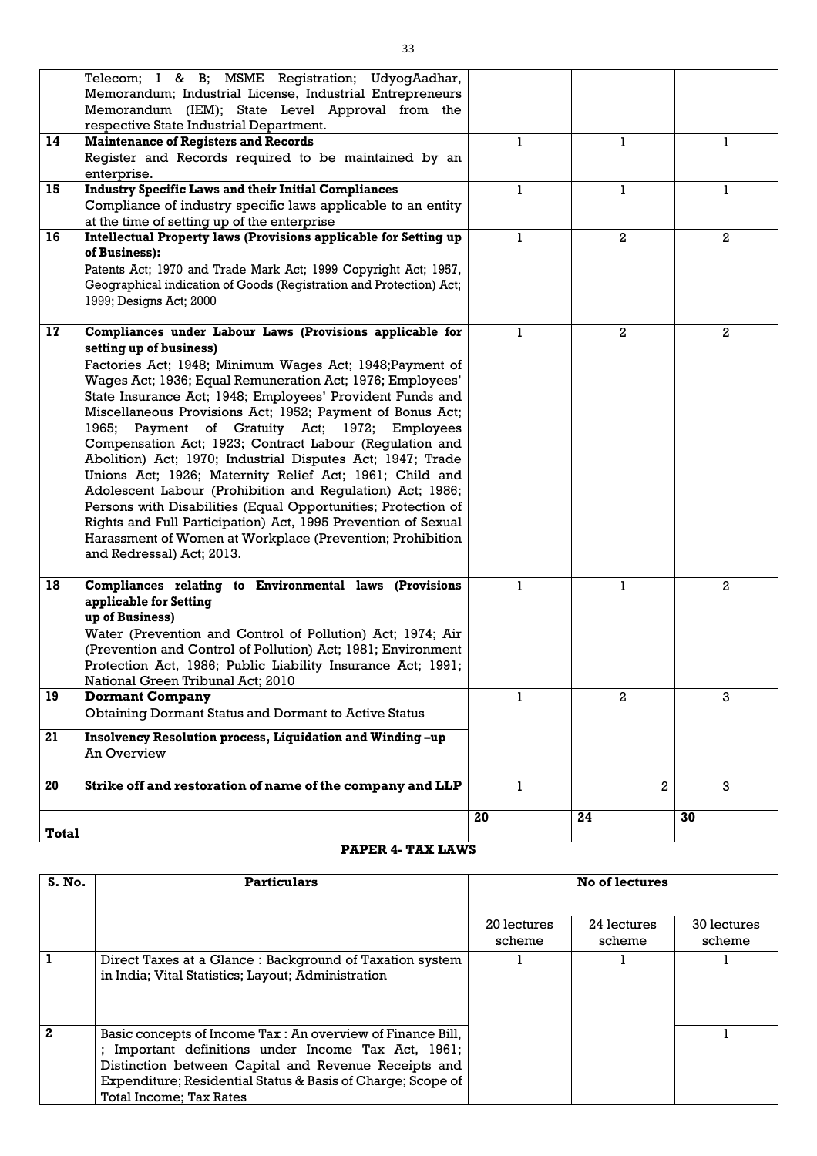|              | Telecom; I & B; MSME Registration; UdyogAadhar,<br>Memorandum; Industrial License, Industrial Entrepreneurs<br>Memorandum (IEM); State Level Approval from the<br>respective State Industrial Department.                                                                                                                                                                                                                                                                                                                                                                                                                                                                                                                                                                                                                                                             |              |                |                |
|--------------|-----------------------------------------------------------------------------------------------------------------------------------------------------------------------------------------------------------------------------------------------------------------------------------------------------------------------------------------------------------------------------------------------------------------------------------------------------------------------------------------------------------------------------------------------------------------------------------------------------------------------------------------------------------------------------------------------------------------------------------------------------------------------------------------------------------------------------------------------------------------------|--------------|----------------|----------------|
| 14           | <b>Maintenance of Registers and Records</b><br>Register and Records required to be maintained by an<br>enterprise.                                                                                                                                                                                                                                                                                                                                                                                                                                                                                                                                                                                                                                                                                                                                                    | $\mathbf{1}$ | $\mathbf{1}$   | $\mathbf{1}$   |
| 15           | <b>Industry Specific Laws and their Initial Compliances</b><br>Compliance of industry specific laws applicable to an entity<br>at the time of setting up of the enterprise                                                                                                                                                                                                                                                                                                                                                                                                                                                                                                                                                                                                                                                                                            | 1            | 1              | ı              |
| 16           | Intellectual Property laws (Provisions applicable for Setting up<br>of Business):<br>Patents Act; 1970 and Trade Mark Act; 1999 Copyright Act; 1957,<br>Geographical indication of Goods (Registration and Protection) Act;<br>1999; Designs Act; 2000                                                                                                                                                                                                                                                                                                                                                                                                                                                                                                                                                                                                                | 1            | $\mathbf{2}$   | $\mathbf{2}$   |
| 17           | Compliances under Labour Laws (Provisions applicable for<br>setting up of business)<br>Factories Act; 1948; Minimum Wages Act; 1948; Payment of<br>Wages Act; 1936; Equal Remuneration Act; 1976; Employees'<br>State Insurance Act; 1948; Employees' Provident Funds and<br>Miscellaneous Provisions Act; 1952; Payment of Bonus Act;<br>1965; Payment of Gratuity Act; 1972; Employees<br>Compensation Act; 1923; Contract Labour (Regulation and<br>Abolition) Act; 1970; Industrial Disputes Act; 1947; Trade<br>Unions Act; 1926; Maternity Relief Act; 1961; Child and<br>Adolescent Labour (Prohibition and Regulation) Act; 1986;<br>Persons with Disabilities (Equal Opportunities; Protection of<br>Rights and Full Participation) Act, 1995 Prevention of Sexual<br>Harassment of Women at Workplace (Prevention; Prohibition<br>and Redressal) Act; 2013. | 1            | 2              | $\mathbf{2}$   |
| 18           | Compliances relating to Environmental laws (Provisions<br>applicable for Setting<br>up of Business)<br>Water (Prevention and Control of Pollution) Act; 1974; Air<br>(Prevention and Control of Pollution) Act; 1981; Environment<br>Protection Act, 1986; Public Liability Insurance Act; 1991;<br>National Green Tribunal Act; 2010                                                                                                                                                                                                                                                                                                                                                                                                                                                                                                                                 |              |                | $\overline{2}$ |
| 19<br>21     | <b>Dormant Company</b><br><b>Obtaining Dormant Status and Dormant to Active Status</b><br>Insolvency Resolution process, Liquidation and Winding -up<br><b>An Overview</b>                                                                                                                                                                                                                                                                                                                                                                                                                                                                                                                                                                                                                                                                                            | $\mathbf{1}$ | $\overline{2}$ | 3              |
| 20           | Strike off and restoration of name of the company and LLP                                                                                                                                                                                                                                                                                                                                                                                                                                                                                                                                                                                                                                                                                                                                                                                                             | 1            | $\overline{2}$ | 3              |
| <b>Total</b> |                                                                                                                                                                                                                                                                                                                                                                                                                                                                                                                                                                                                                                                                                                                                                                                                                                                                       | 20           | 24             | 30             |

# **PAPER 4- TAX LAWS**

| S. No.       | <b>Particulars</b>                                                                                                                                                                                                                                                             | <b>No of lectures</b> |                       |                       |
|--------------|--------------------------------------------------------------------------------------------------------------------------------------------------------------------------------------------------------------------------------------------------------------------------------|-----------------------|-----------------------|-----------------------|
|              |                                                                                                                                                                                                                                                                                |                       |                       |                       |
|              |                                                                                                                                                                                                                                                                                | 20 lectures<br>scheme | 24 lectures<br>scheme | 30 lectures<br>scheme |
|              | Direct Taxes at a Glance: Background of Taxation system<br>in India; Vital Statistics; Layout; Administration                                                                                                                                                                  |                       |                       |                       |
| $\mathbf{2}$ | Basic concepts of Income Tax : An overview of Finance Bill,<br>Important definitions under Income Tax Act, 1961;<br>٠<br>Distinction between Capital and Revenue Receipts and<br>Expenditure; Residential Status & Basis of Charge; Scope of<br><b>Total Income; Tax Rates</b> |                       |                       |                       |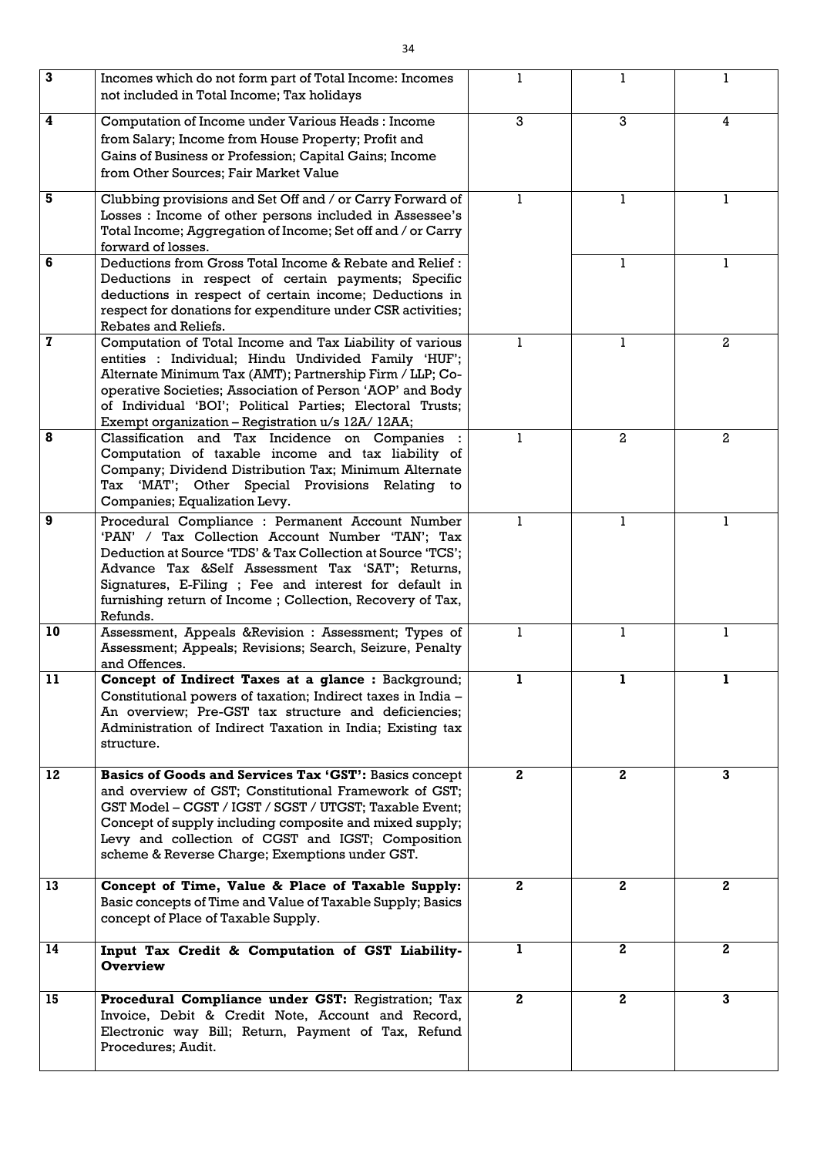| 3               | Incomes which do not form part of Total Income: Incomes<br>not included in Total Income; Tax holidays                                                                                                                                                                                                                                                       |              |                |              |
|-----------------|-------------------------------------------------------------------------------------------------------------------------------------------------------------------------------------------------------------------------------------------------------------------------------------------------------------------------------------------------------------|--------------|----------------|--------------|
| 4               | Computation of Income under Various Heads : Income<br>from Salary; Income from House Property; Profit and<br>Gains of Business or Profession; Capital Gains; Income<br>from Other Sources; Fair Market Value                                                                                                                                                | 3            | 3              | 4            |
| 5               | Clubbing provisions and Set Off and / or Carry Forward of<br>Losses : Income of other persons included in Assessee's<br>Total Income; Aggregation of Income; Set off and / or Carry<br>forward of losses.                                                                                                                                                   | 1            | 1.             | 1            |
| 6               | Deductions from Gross Total Income & Rebate and Relief:<br>Deductions in respect of certain payments; Specific<br>deductions in respect of certain income; Deductions in<br>respect for donations for expenditure under CSR activities;<br>Rebates and Reliefs.                                                                                             |              |                | 1            |
| 7               | Computation of Total Income and Tax Liability of various<br>entities : Individual; Hindu Undivided Family 'HUF';<br>Alternate Minimum Tax (AMT); Partnership Firm / LLP; Co-<br>operative Societies; Association of Person 'AOP' and Body<br>of Individual 'BOI'; Political Parties; Electoral Trusts;<br>Exempt organization – Registration u/s 12A/ 12AA; | 1            | 1              | $\mathbf{2}$ |
| 8               | Classification and Tax Incidence on Companies<br>Computation of taxable income and tax liability of<br>Company; Dividend Distribution Tax; Minimum Alternate<br>Tax 'MAT'; Other Special Provisions Relating to<br>Companies; Equalization Levy.                                                                                                            | 1            | $\overline{2}$ | $\mathbf{2}$ |
| 9               | Procedural Compliance : Permanent Account Number<br>'PAN' / Tax Collection Account Number 'TAN'; Tax<br>Deduction at Source 'TDS' & Tax Collection at Source 'TCS';<br>Advance Tax &Self Assessment Tax 'SAT'; Returns,<br>Signatures, E-Filing ; Fee and interest for default in<br>furnishing return of Income; Collection, Recovery of Tax,<br>Refunds.  | L            |                |              |
| 10 <sup>°</sup> | Assessment, Appeals &Revision : Assessment; Types of<br>Assessment; Appeals; Revisions; Search, Seizure, Penalty<br>and Offences.                                                                                                                                                                                                                           | $\mathbf{1}$ | 1              | 1            |
| 11              | Concept of Indirect Taxes at a glance : Background;<br>Constitutional powers of taxation; Indirect taxes in India -<br>An overview; Pre-GST tax structure and deficiencies;<br>Administration of Indirect Taxation in India; Existing tax<br>structure.                                                                                                     | 1            | 1.             | 1.           |
| 12              | Basics of Goods and Services Tax 'GST': Basics concept<br>and overview of GST; Constitutional Framework of GST;<br>GST Model – CGST / IGST / SGST / UTGST; Taxable Event;<br>Concept of supply including composite and mixed supply;<br>Levy and collection of CGST and IGST; Composition<br>scheme & Reverse Charge; Exemptions under GST.                 | $\mathbf{2}$ | $\mathbf{2}$   | $\mathbf{3}$ |
| 13              | Concept of Time, Value & Place of Taxable Supply:<br>Basic concepts of Time and Value of Taxable Supply; Basics<br>concept of Place of Taxable Supply.                                                                                                                                                                                                      | $\mathbf{2}$ | $\mathbf{2}$   | $\mathbf{2}$ |
| 14              | Input Tax Credit & Computation of GST Liability-<br><b>Overview</b>                                                                                                                                                                                                                                                                                         | 1            | $\mathbf{2}$   | $\mathbf{2}$ |
| 15              | Procedural Compliance under GST: Registration; Tax<br>Invoice, Debit & Credit Note, Account and Record,<br>Electronic way Bill; Return, Payment of Tax, Refund<br>Procedures; Audit.                                                                                                                                                                        | $\mathbf{2}$ | $\mathbf{2}$   | $\mathbf{3}$ |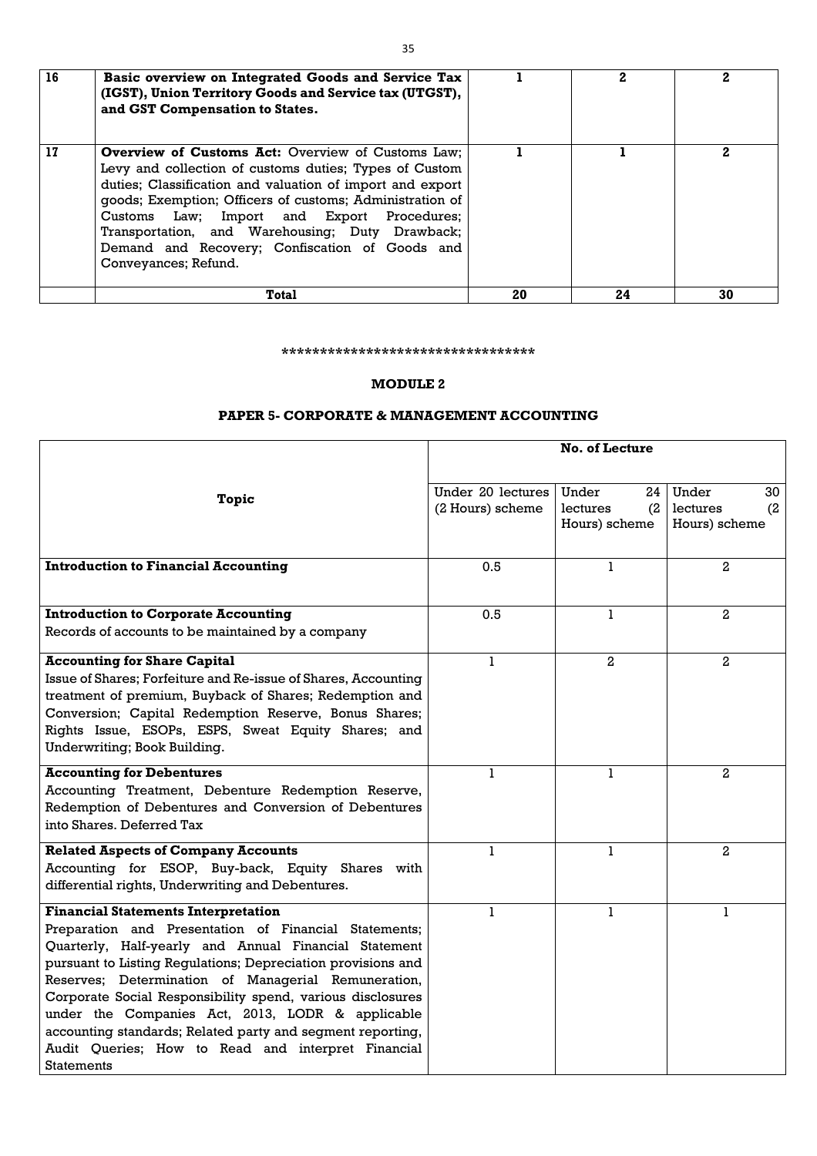| 17 | <b>Overview of Customs Act:</b> Overview of Customs Law;<br>Levy and collection of customs duties; Types of Custom<br>duties; Classification and valuation of import and export<br>goods; Exemption; Officers of customs; Administration of<br>Customs Law; Import and Export Procedures;<br>Transportation, and Warehousing; Duty Drawback;<br>Demand and Recovery; Confiscation of Goods and<br>Conveyances; Refund. |    |    |    |
|----|------------------------------------------------------------------------------------------------------------------------------------------------------------------------------------------------------------------------------------------------------------------------------------------------------------------------------------------------------------------------------------------------------------------------|----|----|----|
|    | <b>Total</b>                                                                                                                                                                                                                                                                                                                                                                                                           | 20 | 24 | 30 |

#### **\*\*\*\*\*\*\*\*\*\*\*\*\*\*\*\*\*\*\*\*\*\*\*\*\*\*\*\*\*\*\*\*\***

#### **MODULE 2**

#### **PAPER 5- CORPORATE & MANAGEMENT ACCOUNTING**

|                                                                                                                                                                                                                                                                                                                                                                                                                                                                                                                                                | <b>No. of Lecture</b>                 |                                                 |                                                 |
|------------------------------------------------------------------------------------------------------------------------------------------------------------------------------------------------------------------------------------------------------------------------------------------------------------------------------------------------------------------------------------------------------------------------------------------------------------------------------------------------------------------------------------------------|---------------------------------------|-------------------------------------------------|-------------------------------------------------|
| Topic                                                                                                                                                                                                                                                                                                                                                                                                                                                                                                                                          | Under 20 lectures<br>(2 Hours) scheme | Under<br>24<br>lectures<br>(2)<br>Hours) scheme | Under<br>30<br>lectures<br>(2)<br>Hours) scheme |
| <b>Introduction to Financial Accounting</b>                                                                                                                                                                                                                                                                                                                                                                                                                                                                                                    | 0.5                                   |                                                 | $\mathbf{2}$                                    |
| <b>Introduction to Corporate Accounting</b><br>Records of accounts to be maintained by a company                                                                                                                                                                                                                                                                                                                                                                                                                                               | 0.5                                   | 1                                               | $\mathbf{2}$                                    |
| <b>Accounting for Share Capital</b><br>Issue of Shares; Forfeiture and Re-issue of Shares, Accounting<br>treatment of premium, Buyback of Shares; Redemption and<br>Conversion; Capital Redemption Reserve, Bonus Shares;<br>Rights Issue, ESOPs, ESPS, Sweat Equity Shares; and<br>Underwriting; Book Building.                                                                                                                                                                                                                               |                                       | 2 <sub>1</sub>                                  | $\mathbf{2}$                                    |
| <b>Accounting for Debentures</b><br>Accounting Treatment, Debenture Redemption Reserve,<br>Redemption of Debentures and Conversion of Debentures<br>into Shares. Deferred Tax                                                                                                                                                                                                                                                                                                                                                                  |                                       | 1                                               | 2                                               |
| <b>Related Aspects of Company Accounts</b><br>Accounting for ESOP, Buy-back, Equity Shares with<br>differential rights, Underwriting and Debentures.                                                                                                                                                                                                                                                                                                                                                                                           |                                       | 1                                               | $\mathbf{2}$                                    |
| <b>Financial Statements Interpretation</b><br>Preparation and Presentation of Financial Statements;<br>Quarterly, Half-yearly and Annual Financial Statement<br>pursuant to Listing Regulations; Depreciation provisions and<br>Reserves; Determination of Managerial Remuneration,<br>Corporate Social Responsibility spend, various disclosures<br>under the Companies Act, 2013, LODR & applicable<br>accounting standards; Related party and segment reporting,<br>Audit Queries; How to Read and interpret Financial<br><b>Statements</b> | 1                                     | 1                                               |                                                 |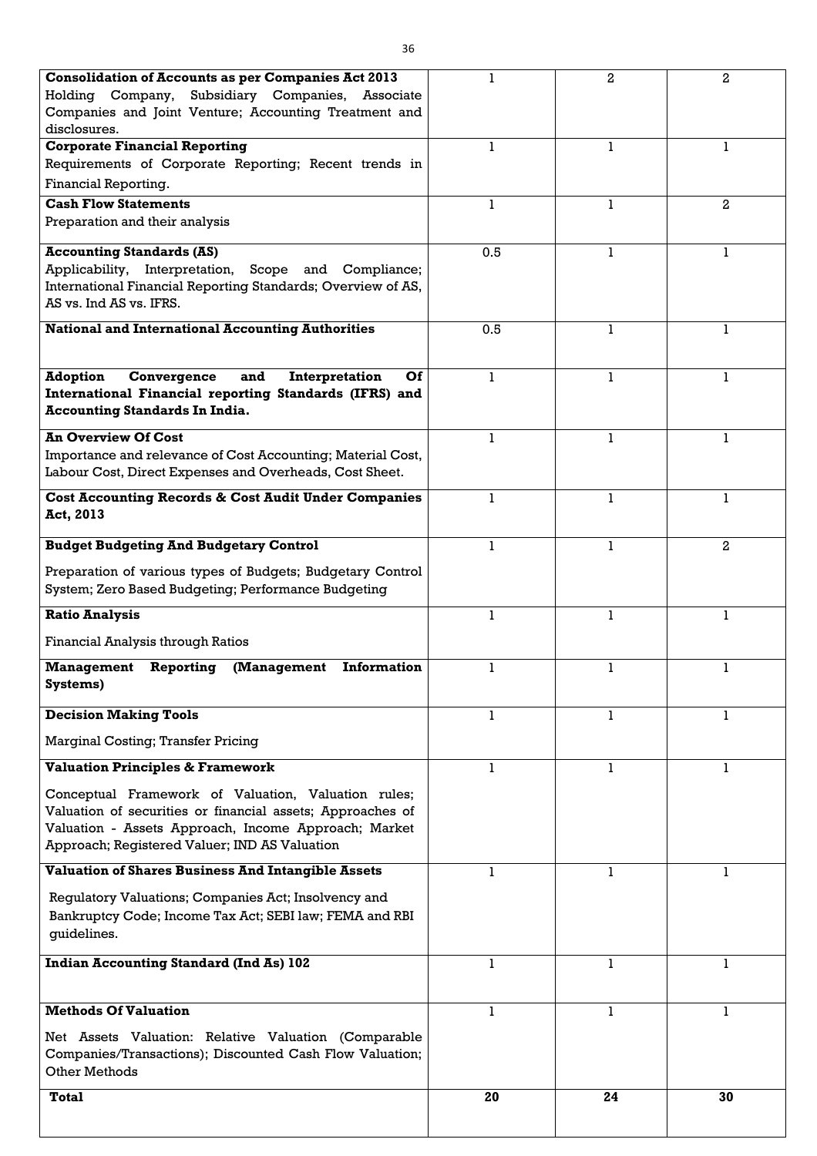| <b>Consolidation of Accounts as per Companies Act 2013</b>           |     | $\overline{2}$ | $\overline{2}$ |
|----------------------------------------------------------------------|-----|----------------|----------------|
| Holding Company, Subsidiary Companies, Associate                     |     |                |                |
| Companies and Joint Venture; Accounting Treatment and                |     |                |                |
| disclosures.                                                         |     |                |                |
| <b>Corporate Financial Reporting</b>                                 |     |                |                |
| Requirements of Corporate Reporting; Recent trends in                |     |                |                |
| Financial Reporting.                                                 |     |                |                |
| <b>Cash Flow Statements</b>                                          | 1   |                | $\mathbf{2}$   |
| Preparation and their analysis                                       |     |                |                |
| <b>Accounting Standards (AS)</b>                                     | 0.5 | 1              |                |
| Applicability, Interpretation, Scope and Compliance;                 |     |                |                |
| International Financial Reporting Standards; Overview of AS,         |     |                |                |
| AS vs. Ind AS vs. IFRS.                                              |     |                |                |
|                                                                      |     |                |                |
| <b>National and International Accounting Authorities</b>             | 0.5 |                |                |
|                                                                      |     |                |                |
| <b>Adoption</b><br>Convergence<br>Interpretation<br>and<br><b>Of</b> | 1   | 1              |                |
| International Financial reporting Standards (IFRS) and               |     |                |                |
| <b>Accounting Standards In India.</b>                                |     |                |                |
| <b>An Overview Of Cost</b>                                           |     |                |                |
| Importance and relevance of Cost Accounting; Material Cost,          |     |                |                |
| Labour Cost, Direct Expenses and Overheads, Cost Sheet.              |     |                |                |
| <b>Cost Accounting Records &amp; Cost Audit Under Companies</b>      |     | 1              | 1              |
| Act, 2013                                                            |     |                |                |
|                                                                      |     |                |                |
| <b>Budget Budgeting And Budgetary Control</b>                        |     |                | $\mathbf{2}$   |
| Preparation of various types of Budgets; Budgetary Control           |     |                |                |
| System; Zero Based Budgeting; Performance Budgeting                  |     |                |                |
| <b>Ratio Analysis</b>                                                | ı   | 1              | 1              |
|                                                                      |     |                |                |
| <b>Financial Analysis through Ratios</b>                             |     |                |                |
| <b>Information</b><br><b>Management</b><br>Reporting<br>(Management  | 1   |                |                |
| Systems)                                                             |     |                |                |
| <b>Decision Making Tools</b>                                         |     |                |                |
|                                                                      |     |                |                |
| <b>Marginal Costing; Transfer Pricing</b>                            |     |                |                |
| <b>Valuation Principles &amp; Framework</b>                          |     |                |                |
| Conceptual Framework of Valuation, Valuation rules;                  |     |                |                |
| Valuation of securities or financial assets; Approaches of           |     |                |                |
| Valuation - Assets Approach, Income Approach; Market                 |     |                |                |
| Approach; Registered Valuer; IND AS Valuation                        |     |                |                |
| <b>Valuation of Shares Business And Intangible Assets</b>            | 1   | 1              | 1              |
|                                                                      |     |                |                |
| Regulatory Valuations; Companies Act; Insolvency and                 |     |                |                |
| Bankruptcy Code; Income Tax Act; SEBI law; FEMA and RBI              |     |                |                |
| guidelines.                                                          |     |                |                |
| <b>Indian Accounting Standard (Ind As) 102</b>                       | 1   |                |                |
|                                                                      |     |                |                |
|                                                                      |     |                |                |
| <b>Methods Of Valuation</b>                                          |     |                |                |
| Net Assets Valuation: Relative Valuation (Comparable                 |     |                |                |
| Companies/Transactions); Discounted Cash Flow Valuation;             |     |                |                |
| Other Methods                                                        |     |                |                |
| <b>Total</b>                                                         | 20  | 24             | 30             |
|                                                                      |     |                |                |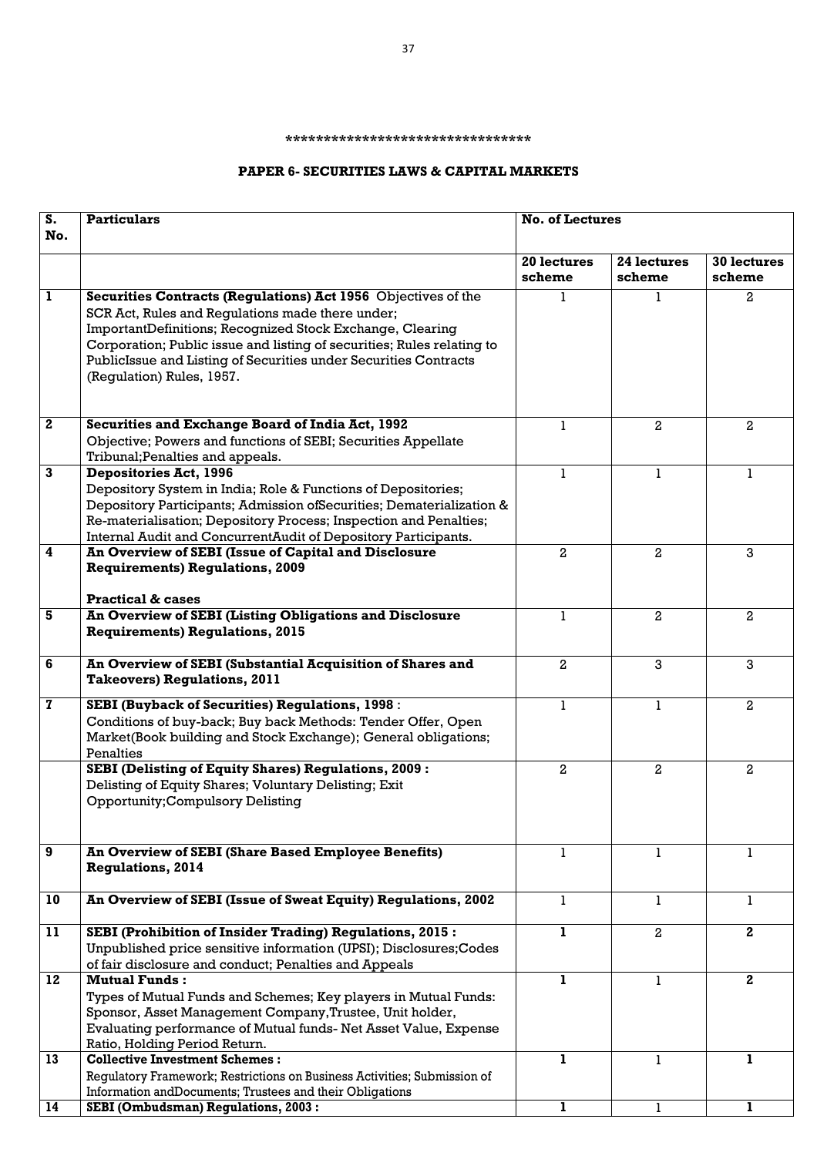#### **\*\*\*\*\*\*\*\*\*\*\*\*\*\*\*\*\*\*\*\*\*\*\*\*\*\*\*\*\*\*\*\***

## **PAPER 6- SECURITIES LAWS & CAPITAL MARKETS**

| $\overline{\mathbf{s}}$ . | <b>Particulars</b>                                                                                                                    | <b>No. of Lectures</b> |                |                         |
|---------------------------|---------------------------------------------------------------------------------------------------------------------------------------|------------------------|----------------|-------------------------|
| No.                       |                                                                                                                                       |                        |                |                         |
|                           |                                                                                                                                       | 20 lectures            | 24 lectures    | <b>30 lectures</b>      |
|                           |                                                                                                                                       | scheme                 | scheme         | scheme                  |
| $\mathbf{1}$              | Securities Contracts (Regulations) Act 1956 Objectives of the                                                                         |                        |                | $\mathbf{2}$            |
|                           | SCR Act, Rules and Regulations made there under;                                                                                      |                        |                |                         |
|                           | ImportantDefinitions; Recognized Stock Exchange, Clearing                                                                             |                        |                |                         |
|                           | Corporation; Public issue and listing of securities; Rules relating to                                                                |                        |                |                         |
|                           | PublicIssue and Listing of Securities under Securities Contracts<br>(Regulation) Rules, 1957.                                         |                        |                |                         |
|                           |                                                                                                                                       |                        |                |                         |
|                           |                                                                                                                                       |                        |                |                         |
| $\boldsymbol{2}$          | <b>Securities and Exchange Board of India Act, 1992</b>                                                                               | 1                      | $\mathbf{2}$   | $\mathbf{2}$            |
|                           | Objective; Powers and functions of SEBI; Securities Appellate                                                                         |                        |                |                         |
| $\mathbf{3}$              | Tribunal; Penalties and appeals.<br><b>Depositories Act, 1996</b>                                                                     |                        |                |                         |
|                           |                                                                                                                                       | 1.                     |                | 1                       |
|                           | Depository System in India; Role & Functions of Depositories;<br>Depository Participants; Admission ofSecurities; Dematerialization & |                        |                |                         |
|                           | Re-materialisation; Depository Process; Inspection and Penalties;                                                                     |                        |                |                         |
|                           | Internal Audit and ConcurrentAudit of Depository Participants.                                                                        |                        |                |                         |
| $\overline{\mathbf{4}}$   | An Overview of SEBI (Issue of Capital and Disclosure                                                                                  | $\mathbf{2}$           | $\overline{2}$ | 3                       |
|                           | <b>Requirements) Regulations, 2009</b>                                                                                                |                        |                |                         |
|                           |                                                                                                                                       |                        |                |                         |
|                           | <b>Practical &amp; cases</b>                                                                                                          |                        |                |                         |
| 5                         | <b>An Overview of SEBI (Listing Obligations and Disclosure</b>                                                                        | L                      | $\overline{2}$ | $\overline{a}$          |
|                           | <b>Requirements) Regulations, 2015</b>                                                                                                |                        |                |                         |
|                           |                                                                                                                                       |                        |                |                         |
| 6                         | An Overview of SEBI (Substantial Acquisition of Shares and                                                                            | $\overline{2}$         | 3              | 3                       |
|                           | <b>Takeovers) Regulations, 2011</b>                                                                                                   |                        |                |                         |
| $\mathbf{z}$              | <b>SEBI (Buyback of Securities) Regulations, 1998:</b>                                                                                |                        |                | 2                       |
|                           | Conditions of buy-back; Buy back Methods: Tender Offer, Open                                                                          |                        |                |                         |
|                           | Market(Book building and Stock Exchange); General obligations;                                                                        |                        |                |                         |
|                           | Penalties                                                                                                                             |                        |                |                         |
|                           | <b>SEBI (Delisting of Equity Shares) Regulations, 2009:</b>                                                                           | $\mathbf{2}$           | $\mathbf{2}$   | $\overline{a}$          |
|                           | Delisting of Equity Shares; Voluntary Delisting; Exit                                                                                 |                        |                |                         |
|                           | <b>Opportunity; Compulsory Delisting</b>                                                                                              |                        |                |                         |
|                           |                                                                                                                                       |                        |                |                         |
| 9                         | <b>An Overview of SEBI (Share Based Employee Benefits)</b>                                                                            |                        |                |                         |
|                           | <b>Regulations, 2014</b>                                                                                                              |                        |                |                         |
|                           |                                                                                                                                       |                        |                |                         |
| 10                        | An Overview of SEBI (Issue of Sweat Equity) Regulations, 2002                                                                         | 1                      |                | 1                       |
|                           |                                                                                                                                       | ı.                     |                |                         |
| 11                        | <b>SEBI (Prohibition of Insider Trading) Regulations, 2015:</b><br>Unpublished price sensitive information (UPSI); Disclosures; Codes |                        | $\overline{a}$ | $\mathbf{2}$            |
|                           | of fair disclosure and conduct; Penalties and Appeals                                                                                 |                        |                |                         |
| 12                        | <b>Mutual Funds:</b>                                                                                                                  | ı                      |                | $\overline{\mathbf{2}}$ |
|                           | Types of Mutual Funds and Schemes; Key players in Mutual Funds:                                                                       |                        |                |                         |
|                           | Sponsor, Asset Management Company, Trustee, Unit holder,                                                                              |                        |                |                         |
|                           | Evaluating performance of Mutual funds- Net Asset Value, Expense                                                                      |                        |                |                         |
|                           | Ratio, Holding Period Return.                                                                                                         |                        |                |                         |
| 13                        | <b>Collective Investment Schemes:</b>                                                                                                 | п                      |                |                         |
|                           | Regulatory Framework; Restrictions on Business Activities; Submission of                                                              |                        |                |                         |
|                           | Information andDocuments; Trustees and their Obligations                                                                              |                        |                |                         |
| 14                        | <b>SEBI (Ombudsman) Regulations, 2003:</b>                                                                                            |                        |                |                         |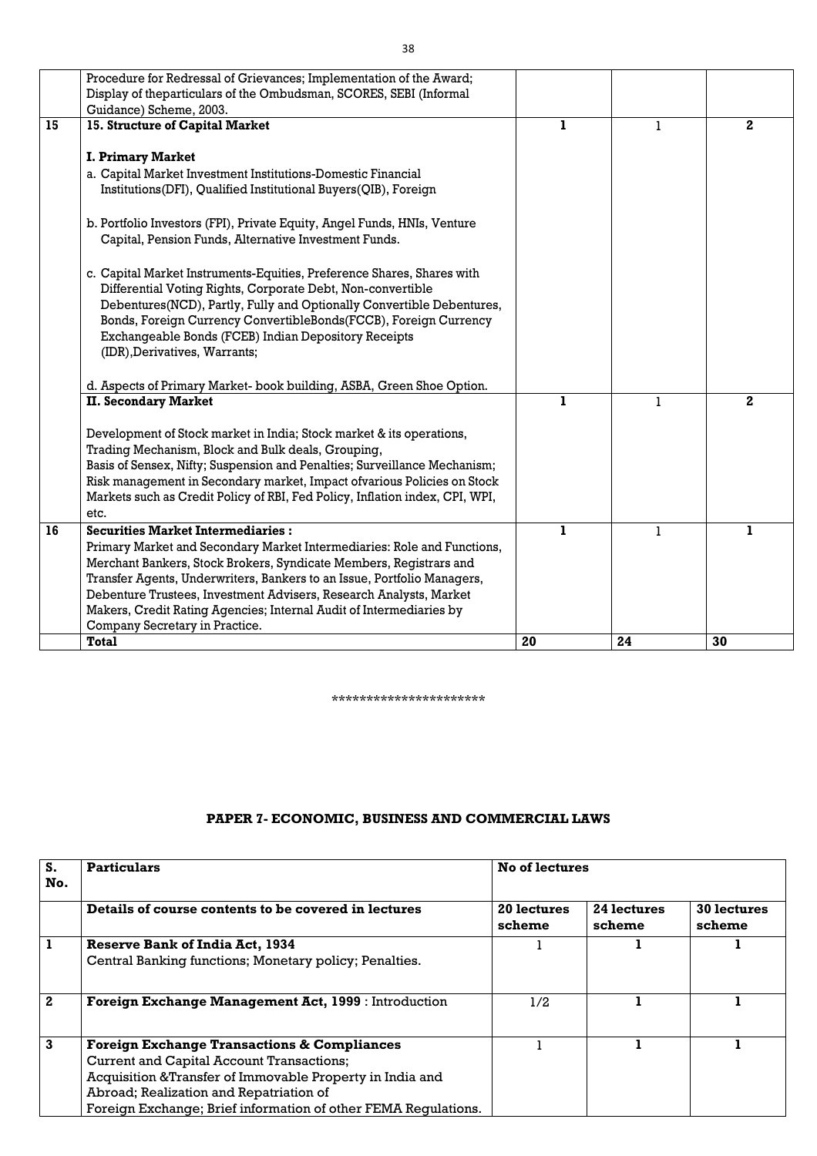|    | Procedure for Redressal of Grievances; Implementation of the Award;          |              |              |                |
|----|------------------------------------------------------------------------------|--------------|--------------|----------------|
|    | Display of theparticulars of the Ombudsman, SCORES, SEBI (Informal           |              |              |                |
|    | Guidance) Scheme, 2003.                                                      |              |              |                |
| 15 | 15. Structure of Capital Market                                              | $\mathbf{I}$ | $\mathbf{1}$ | $\mathbf{2}$   |
|    |                                                                              |              |              |                |
|    | <b>I. Primary Market</b>                                                     |              |              |                |
|    | a. Capital Market Investment Institutions-Domestic Financial                 |              |              |                |
|    | Institutions(DFI), Qualified Institutional Buyers(QIB), Foreign              |              |              |                |
|    |                                                                              |              |              |                |
|    | b. Portfolio Investors (FPI), Private Equity, Angel Funds, HNIs, Venture     |              |              |                |
|    | Capital, Pension Funds, Alternative Investment Funds.                        |              |              |                |
|    |                                                                              |              |              |                |
|    | c. Capital Market Instruments-Equities, Preference Shares, Shares with       |              |              |                |
|    | Differential Voting Rights, Corporate Debt, Non-convertible                  |              |              |                |
|    | Debentures(NCD), Partly, Fully and Optionally Convertible Debentures,        |              |              |                |
|    | Bonds, Foreign Currency ConvertibleBonds(FCCB), Foreign Currency             |              |              |                |
|    | Exchangeable Bonds (FCEB) Indian Depository Receipts                         |              |              |                |
|    | (IDR), Derivatives, Warrants;                                                |              |              |                |
|    |                                                                              |              |              |                |
|    | d. Aspects of Primary Market- book building, ASBA, Green Shoe Option.        |              |              |                |
|    | <b>II. Secondary Market</b>                                                  | $\mathbf{I}$ | $\mathbf{1}$ | $\overline{2}$ |
|    |                                                                              |              |              |                |
|    | Development of Stock market in India; Stock market & its operations,         |              |              |                |
|    | Trading Mechanism, Block and Bulk deals, Grouping,                           |              |              |                |
|    | Basis of Sensex, Nifty; Suspension and Penalties; Surveillance Mechanism;    |              |              |                |
|    | Risk management in Secondary market, Impact of various Policies on Stock     |              |              |                |
|    | Markets such as Credit Policy of RBI, Fed Policy, Inflation index, CPI, WPI, |              |              |                |
|    | etc.                                                                         |              |              |                |
| 16 | <b>Securities Market Intermediaries:</b>                                     | 1            | $\mathbf{1}$ | 1              |
|    | Primary Market and Secondary Market Intermediaries: Role and Functions,      |              |              |                |
|    | Merchant Bankers, Stock Brokers, Syndicate Members, Registrars and           |              |              |                |
|    | Transfer Agents, Underwriters, Bankers to an Issue, Portfolio Managers,      |              |              |                |
|    | Debenture Trustees, Investment Advisers, Research Analysts, Market           |              |              |                |
|    | Makers, Credit Rating Agencies; Internal Audit of Intermediaries by          |              |              |                |
|    | Company Secretary in Practice.                                               |              |              |                |
|    | <b>Total</b>                                                                 | 20           | 24           | 30             |

\*\*\*\*\*\*\*\*\*\*\*\*\*\*\*\*\*\*\*\*\*\*

# **PAPER 7- ECONOMIC, BUSINESS AND COMMERCIAL LAWS**

| S.<br>No.    | <b>Particulars</b>                                             | <b>No of lectures</b> |                       |                       |
|--------------|----------------------------------------------------------------|-----------------------|-----------------------|-----------------------|
|              | Details of course contents to be covered in lectures           | 20 lectures<br>scheme | 24 lectures<br>scheme | 30 lectures<br>scheme |
|              | <b>Reserve Bank of India Act, 1934</b>                         |                       |                       |                       |
|              | Central Banking functions; Monetary policy; Penalties.         |                       |                       |                       |
| $\mathbf{2}$ | Foreign Exchange Management Act, 1999 : Introduction           | 1/2                   |                       |                       |
| $\mathbf{3}$ | <b>Foreign Exchange Transactions &amp; Compliances</b>         |                       |                       |                       |
|              | Current and Capital Account Transactions;                      |                       |                       |                       |
|              | Acquisition & Transfer of Immovable Property in India and      |                       |                       |                       |
|              | Abroad; Realization and Repatriation of                        |                       |                       |                       |
|              | Foreign Exchange; Brief information of other FEMA Regulations. |                       |                       |                       |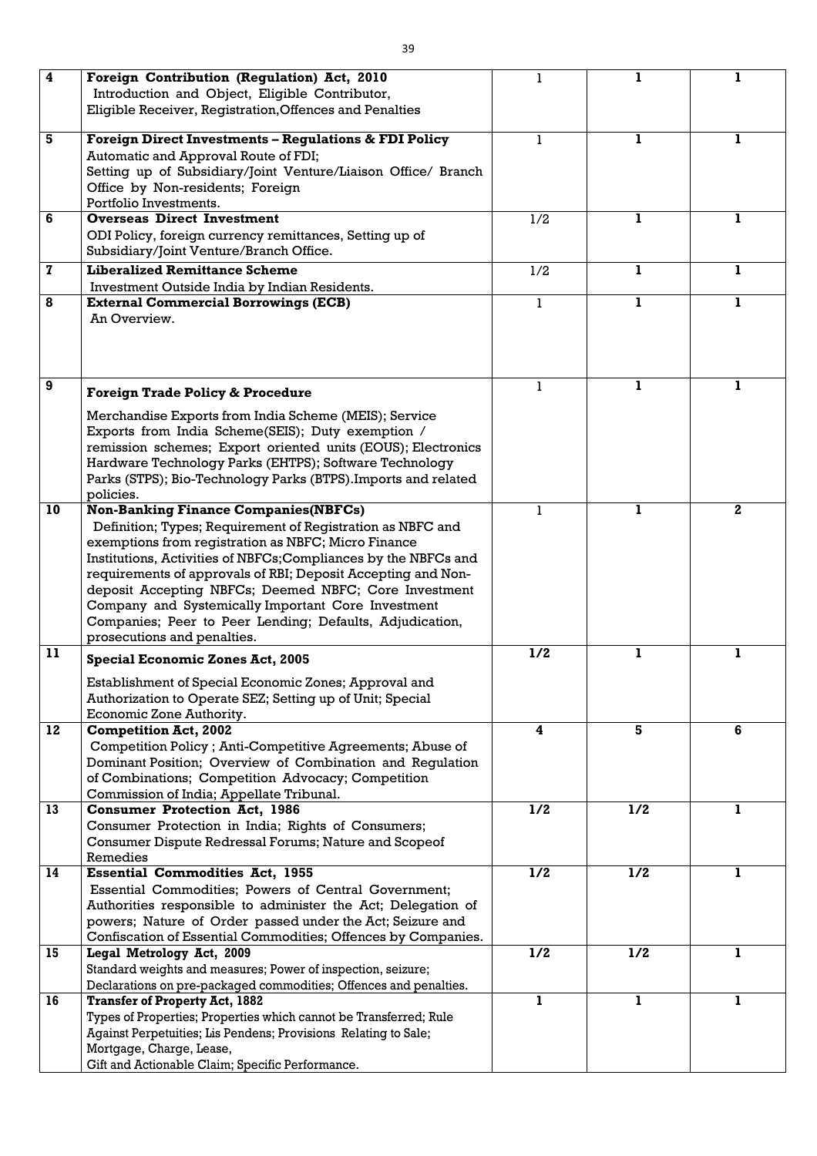| $\overline{\mathbf{4}}$ | Foreign Contribution (Regulation) Act, 2010                       |     |     |              |
|-------------------------|-------------------------------------------------------------------|-----|-----|--------------|
|                         | Introduction and Object, Eligible Contributor,                    |     |     |              |
|                         | Eligible Receiver, Registration, Offences and Penalties           |     |     |              |
|                         |                                                                   |     |     |              |
| 5                       | <b>Foreign Direct Investments - Regulations &amp; FDI Policy</b>  | 1   | 1   | 1            |
|                         | Automatic and Approval Route of FDI;                              |     |     |              |
|                         | Setting up of Subsidiary/Joint Venture/Liaison Office/ Branch     |     |     |              |
|                         | Office by Non-residents; Foreign                                  |     |     |              |
|                         | Portfolio Investments.                                            |     |     |              |
| 6                       | <b>Overseas Direct Investment</b>                                 | 1/2 | 1   | 1            |
|                         | ODI Policy, foreign currency remittances, Setting up of           |     |     |              |
|                         | Subsidiary/Joint Venture/Branch Office.                           |     |     |              |
| $\mathbf 7$             | <b>Liberalized Remittance Scheme</b>                              | 1/2 | ı   |              |
|                         | Investment Outside India by Indian Residents.                     |     |     |              |
| 8                       | <b>External Commercial Borrowings (ECB)</b>                       |     | ı.  | 1            |
|                         | An Overview.                                                      |     |     |              |
|                         |                                                                   |     |     |              |
|                         |                                                                   |     |     |              |
|                         |                                                                   |     |     |              |
| $\boldsymbol{9}$        |                                                                   |     |     | 1            |
|                         | <b>Foreign Trade Policy &amp; Procedure</b>                       |     |     |              |
|                         | Merchandise Exports from India Scheme (MEIS); Service             |     |     |              |
|                         | Exports from India Scheme(SEIS); Duty exemption /                 |     |     |              |
|                         | remission schemes; Export oriented units (EOUS); Electronics      |     |     |              |
|                         | Hardware Technology Parks (EHTPS); Software Technology            |     |     |              |
|                         | Parks (STPS); Bio-Technology Parks (BTPS). Imports and related    |     |     |              |
|                         | policies.                                                         |     |     |              |
| 10                      | <b>Non-Banking Finance Companies (NBFCs)</b>                      |     | 1   | $\mathbf{2}$ |
|                         | Definition; Types; Requirement of Registration as NBFC and        |     |     |              |
|                         | exemptions from registration as NBFC; Micro Finance               |     |     |              |
|                         | Institutions, Activities of NBFCs; Compliances by the NBFCs and   |     |     |              |
|                         | requirements of approvals of RBI; Deposit Accepting and Non-      |     |     |              |
|                         | deposit Accepting NBFCs; Deemed NBFC; Core Investment             |     |     |              |
|                         | Company and Systemically Important Core Investment                |     |     |              |
|                         | Companies; Peer to Peer Lending; Defaults, Adjudication,          |     |     |              |
|                         | prosecutions and penalties.                                       |     |     |              |
| 11                      |                                                                   | 1/2 | 1   | 1            |
|                         | <b>Special Economic Zones Act, 2005</b>                           |     |     |              |
|                         | Establishment of Special Economic Zones; Approval and             |     |     |              |
|                         | Authorization to Operate SEZ; Setting up of Unit; Special         |     |     |              |
|                         | Economic Zone Authority.                                          |     |     |              |
| 12                      | <b>Competition Act, 2002</b>                                      | 4   | 5   | 6            |
|                         | Competition Policy; Anti-Competitive Agreements; Abuse of         |     |     |              |
|                         | Dominant Position; Overview of Combination and Regulation         |     |     |              |
|                         | of Combinations; Competition Advocacy; Competition                |     |     |              |
|                         | Commission of India; Appellate Tribunal.                          |     |     |              |
| 13                      | <b>Consumer Protection Act, 1986</b>                              | 1/2 | 1/2 | $\mathbf{1}$ |
|                         | Consumer Protection in India; Rights of Consumers;                |     |     |              |
|                         | Consumer Dispute Redressal Forums; Nature and Scopeof             |     |     |              |
|                         | Remedies                                                          |     |     |              |
| 14                      | <b>Essential Commodities Act, 1955</b>                            | 1/2 | 1/2 | 1            |
|                         | Essential Commodities; Powers of Central Government;              |     |     |              |
|                         | Authorities responsible to administer the Act; Delegation of      |     |     |              |
|                         | powers; Nature of Order passed under the Act; Seizure and         |     |     |              |
|                         | Confiscation of Essential Commodities; Offences by Companies.     |     |     |              |
| 15                      |                                                                   | 1/2 | 1/2 | 1            |
|                         | Legal Metrology Act, 2009                                         |     |     |              |
|                         | Standard weights and measures; Power of inspection, seizure;      |     |     |              |
|                         | Declarations on pre-packaged commodities; Offences and penalties. | 1   | 1   | $\mathbf{1}$ |
| 16                      | <b>Transfer of Property Act, 1882</b>                             |     |     |              |
|                         | Types of Properties; Properties which cannot be Transferred; Rule |     |     |              |
|                         | Against Perpetuities; Lis Pendens; Provisions Relating to Sale;   |     |     |              |
|                         | Mortgage, Charge, Lease,                                          |     |     |              |
|                         | Gift and Actionable Claim; Specific Performance.                  |     |     |              |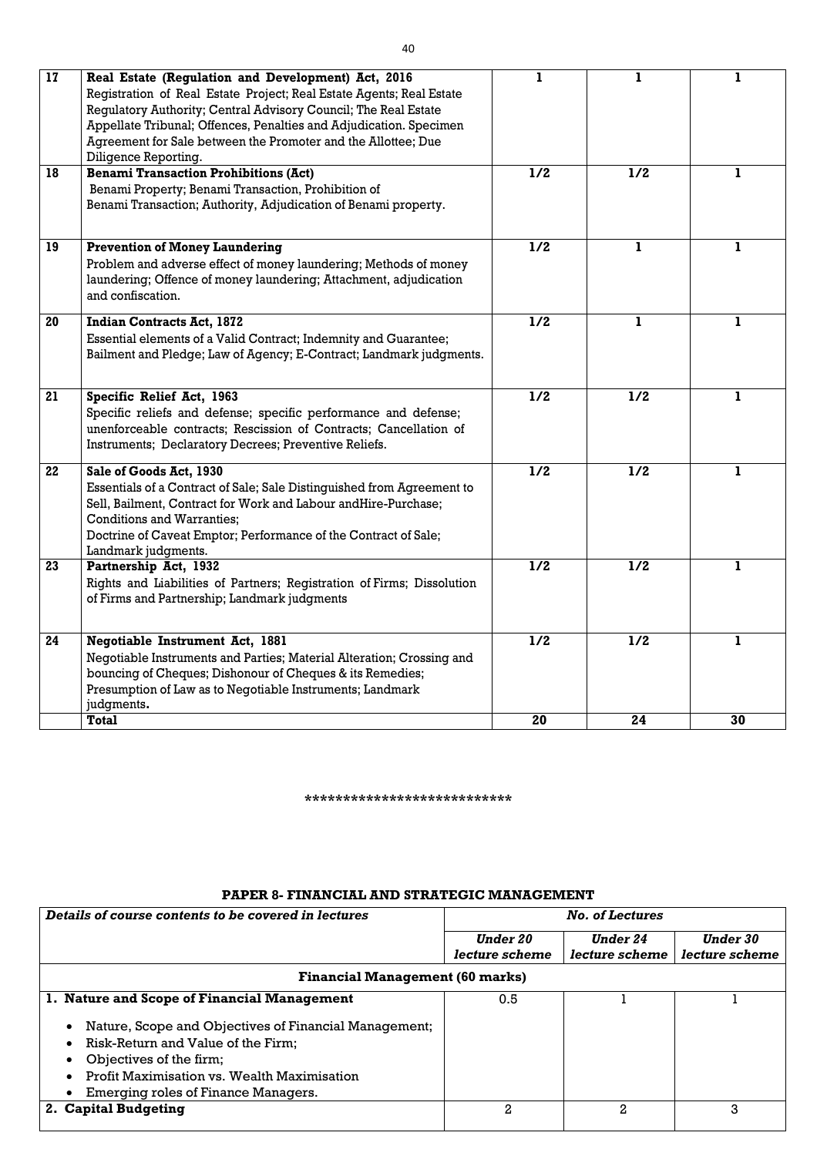| 17 | Real Estate (Regulation and Development) Act, 2016<br>Registration of Real Estate Project; Real Estate Agents; Real Estate<br>Regulatory Authority; Central Advisory Council; The Real Estate<br>Appellate Tribunal; Offences, Penalties and Adjudication. Specimen<br>Agreement for Sale between the Promoter and the Allottee; Due<br>Diligence Reporting. |     |     |    |
|----|--------------------------------------------------------------------------------------------------------------------------------------------------------------------------------------------------------------------------------------------------------------------------------------------------------------------------------------------------------------|-----|-----|----|
| 18 | <b>Benami Transaction Prohibitions (Act)</b><br>Benami Property; Benami Transaction, Prohibition of<br>Benami Transaction; Authority, Adjudication of Benami property.                                                                                                                                                                                       | 1/2 | 1/2 | 1  |
| 19 | <b>Prevention of Money Laundering</b><br>Problem and adverse effect of money laundering; Methods of money<br>laundering; Offence of money laundering; Attachment, adjudication<br>and confiscation.                                                                                                                                                          | 1/2 | 1   | 1  |
| 20 | <b>Indian Contracts Act, 1872</b><br>Essential elements of a Valid Contract; Indemnity and Guarantee;<br>Bailment and Pledge; Law of Agency; E-Contract; Landmark judgments.                                                                                                                                                                                 | 1/2 | ı   | 1  |
| 21 | Specific Relief Act, 1963<br>Specific reliefs and defense; specific performance and defense;<br>unenforceable contracts; Rescission of Contracts; Cancellation of<br>Instruments; Declaratory Decrees; Preventive Reliefs.                                                                                                                                   | 1/2 | 1/2 | L  |
| 22 | Sale of Goods Act, 1930<br>Essentials of a Contract of Sale; Sale Distinguished from Agreement to<br>Sell, Bailment, Contract for Work and Labour andHire-Purchase;<br><b>Conditions and Warranties;</b><br>Doctrine of Caveat Emptor; Performance of the Contract of Sale;<br>Landmark judgments.                                                           | 1/2 | 1/2 | 1  |
| 23 | Partnership Act, 1932<br>Rights and Liabilities of Partners; Registration of Firms; Dissolution<br>of Firms and Partnership; Landmark judgments                                                                                                                                                                                                              | 1/2 | 1/2 |    |
| 24 | Negotiable Instrument Act, 1881<br>Negotiable Instruments and Parties; Material Alteration; Crossing and<br>bouncing of Cheques; Dishonour of Cheques & its Remedies;<br>Presumption of Law as to Negotiable Instruments; Landmark<br>judgments.                                                                                                             | 1/2 | 1/2 | ı  |
|    | <b>Total</b>                                                                                                                                                                                                                                                                                                                                                 | 20  | 24  | 30 |

#### **\*\*\*\*\*\*\*\*\*\*\*\*\*\*\*\*\*\*\*\*\*\*\*\*\*\*\***

### **PAPER 8- FINANCIAL AND STRATEGIC MANAGEMENT**

| Details of course contents to be covered in lectures  |                 | <b>No. of Lectures</b> |                 |
|-------------------------------------------------------|-----------------|------------------------|-----------------|
|                                                       | <b>Under 20</b> | <b>Under 24</b>        | <b>Under 30</b> |
|                                                       | lecture scheme  | lecture scheme         | lecture scheme  |
| <b>Financial Management (60 marks)</b>                |                 |                        |                 |
| 1. Nature and Scope of Financial Management           | 0.5             |                        |                 |
| Nature, Scope and Objectives of Financial Management; |                 |                        |                 |
| Risk-Return and Value of the Firm;                    |                 |                        |                 |
| Objectives of the firm;                               |                 |                        |                 |
| Profit Maximisation vs. Wealth Maximisation           |                 |                        |                 |
| Emerging roles of Finance Managers.                   |                 |                        |                 |
| 2. Capital Budgeting                                  | 2               | 2                      | 3               |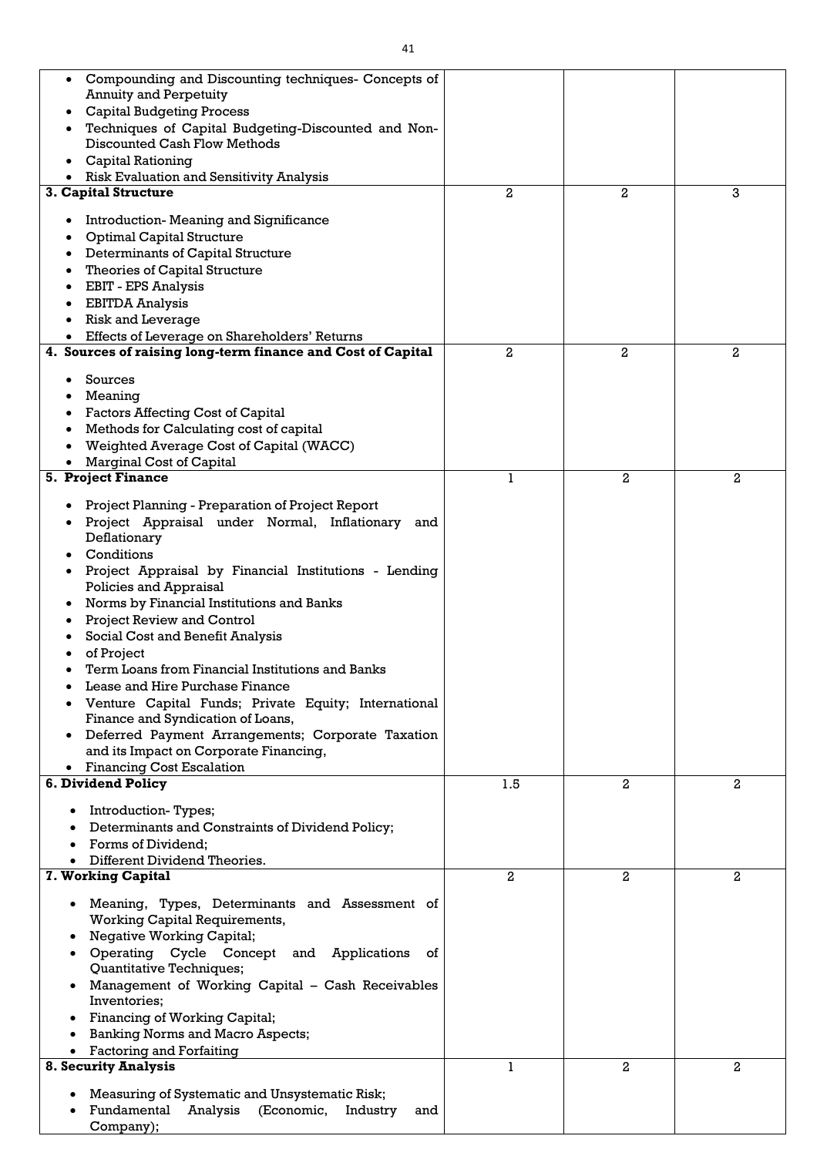| Compounding and Discounting techniques- Concepts of<br>$\bullet$                       |                |                |                |
|----------------------------------------------------------------------------------------|----------------|----------------|----------------|
| <b>Annuity and Perpetuity</b>                                                          |                |                |                |
| <b>Capital Budgeting Process</b><br>$\bullet$                                          |                |                |                |
| Techniques of Capital Budgeting-Discounted and Non-                                    |                |                |                |
| Discounted Cash Flow Methods                                                           |                |                |                |
| <b>Capital Rationing</b>                                                               |                |                |                |
| <b>Risk Evaluation and Sensitivity Analysis</b>                                        |                |                |                |
| 3. Capital Structure                                                                   | $\overline{2}$ | $\overline{2}$ | 3              |
| Introduction-Meaning and Significance<br>٠                                             |                |                |                |
| <b>Optimal Capital Structure</b>                                                       |                |                |                |
| Determinants of Capital Structure                                                      |                |                |                |
| Theories of Capital Structure                                                          |                |                |                |
| <b>EBIT - EPS Analysis</b>                                                             |                |                |                |
| <b>EBITDA Analysis</b>                                                                 |                |                |                |
| <b>Risk and Leverage</b>                                                               |                |                |                |
| Effects of Leverage on Shareholders' Returns                                           |                |                |                |
| 4. Sources of raising long-term finance and Cost of Capital                            | 2              | $\overline{2}$ | 2              |
| Sources                                                                                |                |                |                |
| Meaning                                                                                |                |                |                |
| <b>Factors Affecting Cost of Capital</b>                                               |                |                |                |
| Methods for Calculating cost of capital                                                |                |                |                |
| Weighted Average Cost of Capital (WACC)                                                |                |                |                |
| Marginal Cost of Capital                                                               |                |                |                |
| <b>5. Project Finance</b>                                                              |                | 2              | $\mathbf{2}$   |
|                                                                                        |                |                |                |
| Project Planning - Preparation of Project Report                                       |                |                |                |
| Project Appraisal under Normal, Inflationary<br>and                                    |                |                |                |
| Deflationary<br>Conditions                                                             |                |                |                |
| Project Appraisal by Financial Institutions - Lending                                  |                |                |                |
| Policies and Appraisal                                                                 |                |                |                |
| Norms by Financial Institutions and Banks<br>$\bullet$                                 |                |                |                |
| <b>Project Review and Control</b>                                                      |                |                |                |
| Social Cost and Benefit Analysis                                                       |                |                |                |
| of Project                                                                             |                |                |                |
| Term Loans from Financial Institutions and Banks                                       |                |                |                |
| Lease and Hire Purchase Finance                                                        |                |                |                |
| Venture Capital Funds; Private Equity; International                                   |                |                |                |
| Finance and Syndication of Loans,                                                      |                |                |                |
| Deferred Payment Arrangements; Corporate Taxation<br>$\bullet$                         |                |                |                |
| and its Impact on Corporate Financing,                                                 |                |                |                |
| <b>Financing Cost Escalation</b><br>$\bullet$                                          |                |                |                |
| 6. Dividend Policy                                                                     | 1.5            | $\overline{2}$ | $\overline{2}$ |
| • Introduction-Types;                                                                  |                |                |                |
| Determinants and Constraints of Dividend Policy;                                       |                |                |                |
| Forms of Dividend;                                                                     |                |                |                |
| Different Dividend Theories.                                                           |                |                |                |
| 7. Working Capital                                                                     | $\overline{a}$ | 2              | $\mathbf{2}$   |
|                                                                                        |                |                |                |
| Meaning, Types, Determinants and Assessment of<br><b>Working Capital Requirements,</b> |                |                |                |
| <b>Negative Working Capital;</b>                                                       |                |                |                |
| Operating Cycle Concept and Applications<br>οf                                         |                |                |                |
| Quantitative Techniques;                                                               |                |                |                |
| Management of Working Capital - Cash Receivables                                       |                |                |                |
| Inventories;                                                                           |                |                |                |
| Financing of Working Capital;                                                          |                |                |                |
| <b>Banking Norms and Macro Aspects;</b>                                                |                |                |                |
| <b>Factoring and Forfaiting</b>                                                        |                |                |                |
| <b>8. Security Analysis</b>                                                            | 1              | $\overline{a}$ | $\overline{2}$ |
| Measuring of Systematic and Unsystematic Risk;                                         |                |                |                |
| Fundamental<br>(Economic,<br>Analysis<br>Industry<br>and                               |                |                |                |
| Company);                                                                              |                |                |                |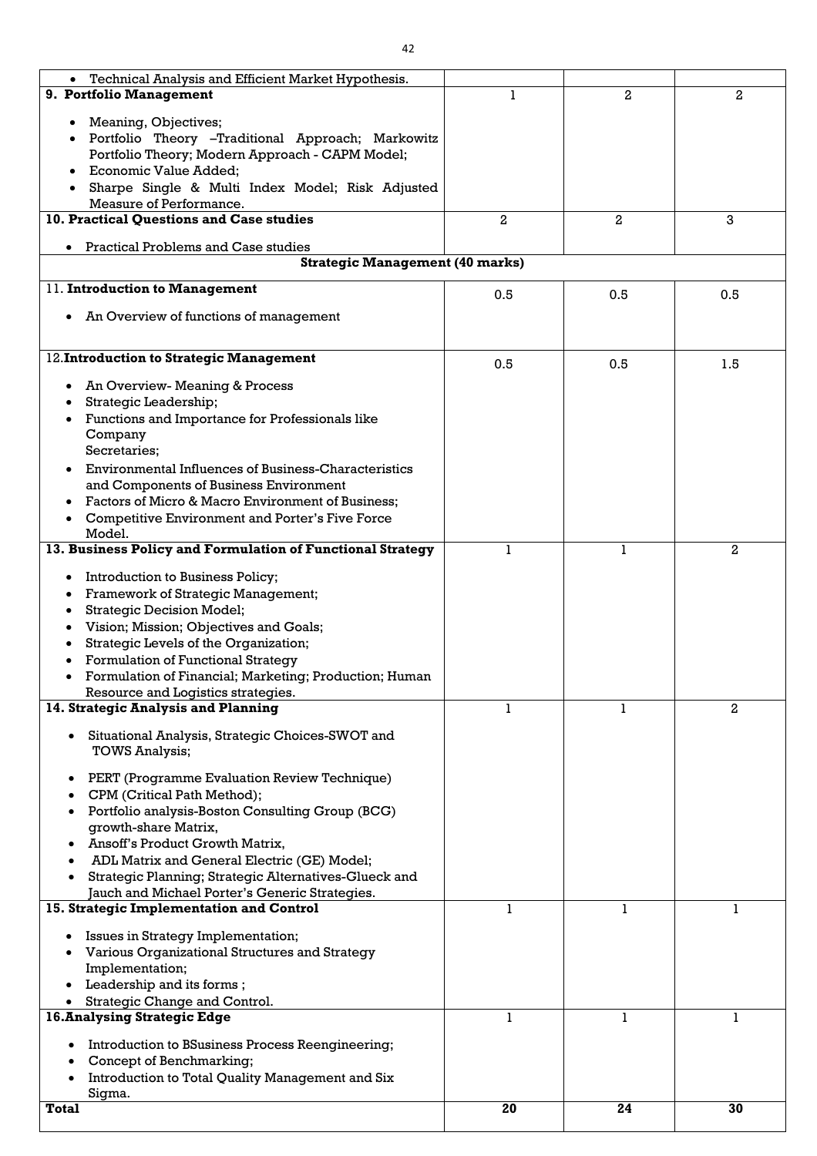| Technical Analysis and Efficient Market Hypothesis.<br>$\bullet$            |              |                |              |
|-----------------------------------------------------------------------------|--------------|----------------|--------------|
| 9. Portfolio Management                                                     |              | $\overline{2}$ | 2            |
| Meaning, Objectives;                                                        |              |                |              |
| Portfolio Theory –Traditional Approach; Markowitz                           |              |                |              |
| Portfolio Theory; Modern Approach - CAPM Model;                             |              |                |              |
| Economic Value Added;                                                       |              |                |              |
| Sharpe Single & Multi Index Model; Risk Adjusted                            |              |                |              |
| Measure of Performance.                                                     |              |                |              |
| 10. Practical Questions and Case studies                                    | $\mathbf{2}$ | $\mathbf{2}$   | 3            |
| <b>Practical Problems and Case studies</b>                                  |              |                |              |
| <b>Strategic Management (40 marks)</b>                                      |              |                |              |
|                                                                             |              |                |              |
| 11. Introduction to Management                                              | 0.5          | 0.5            | 0.5          |
| • An Overview of functions of management                                    |              |                |              |
|                                                                             |              |                |              |
|                                                                             |              |                |              |
| 12. Introduction to Strategic Management                                    | 0.5          | 0.5            | 1.5          |
| • An Overview-Meaning & Process                                             |              |                |              |
| Strategic Leadership;                                                       |              |                |              |
| Functions and Importance for Professionals like                             |              |                |              |
| Company                                                                     |              |                |              |
| Secretaries;                                                                |              |                |              |
| Environmental Influences of Business-Characteristics                        |              |                |              |
| and Components of Business Environment                                      |              |                |              |
| Factors of Micro & Macro Environment of Business;                           |              |                |              |
| <b>Competitive Environment and Porter's Five Force</b>                      |              |                |              |
| Model.                                                                      |              |                |              |
| 13. Business Policy and Formulation of Functional Strategy                  |              | 1              | $\mathbf{2}$ |
| <b>Introduction to Business Policy;</b>                                     |              |                |              |
| Framework of Strategic Management;                                          |              |                |              |
| <b>Strategic Decision Model;</b>                                            |              |                |              |
| Vision; Mission; Objectives and Goals;                                      |              |                |              |
| Strategic Levels of the Organization;                                       |              |                |              |
| <b>Formulation of Functional Strategy</b>                                   |              |                |              |
| Formulation of Financial; Marketing; Production; Human                      |              |                |              |
| Resource and Logistics strategies.                                          |              |                |              |
| 14. Strategic Analysis and Planning                                         |              |                | 2            |
|                                                                             |              |                |              |
| • Situational Analysis, Strategic Choices-SWOT and<br><b>TOWS Analysis;</b> |              |                |              |
|                                                                             |              |                |              |
| PERT (Programme Evaluation Review Technique)                                |              |                |              |
| CPM (Critical Path Method);                                                 |              |                |              |
| Portfolio analysis-Boston Consulting Group (BCG)                            |              |                |              |
| growth-share Matrix,                                                        |              |                |              |
| Ansoff's Product Growth Matrix,                                             |              |                |              |
| ADL Matrix and General Electric (GE) Model;                                 |              |                |              |
| Strategic Planning; Strategic Alternatives-Glueck and                       |              |                |              |
| Jauch and Michael Porter's Generic Strategies.                              |              |                |              |
| 15. Strategic Implementation and Control                                    | 1            | 1              |              |
| <b>Issues in Strategy Implementation;</b>                                   |              |                |              |
| Various Organizational Structures and Strategy                              |              |                |              |
| Implementation;                                                             |              |                |              |
| Leadership and its forms;                                                   |              |                |              |
| Strategic Change and Control.                                               |              |                |              |
| <b>16. Analysing Strategic Edge</b>                                         |              |                |              |
| Introduction to BSusiness Process Reengineering;                            |              |                |              |
| Concept of Benchmarking;                                                    |              |                |              |
| Introduction to Total Quality Management and Six                            |              |                |              |
| Sigma.                                                                      |              |                |              |
| <b>Total</b>                                                                | 20           | 24             | 30           |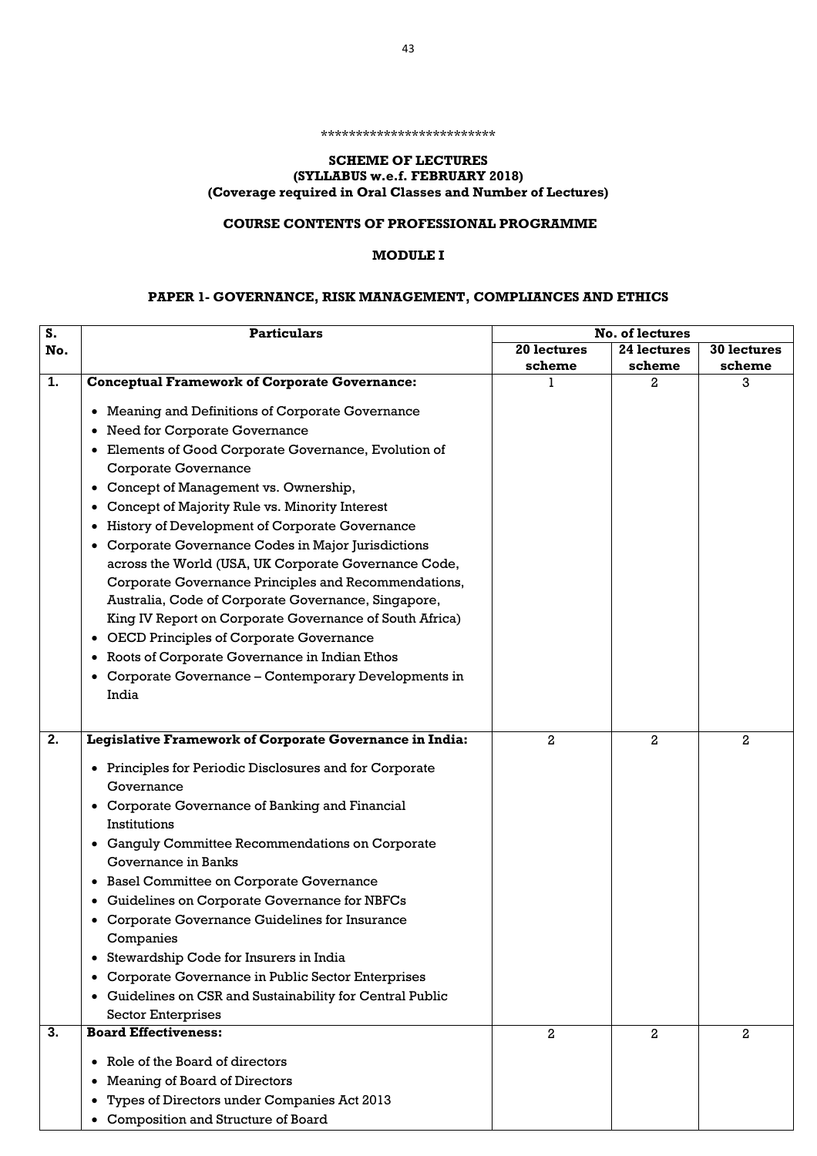#### \*\*\*\*\*\*\*\*\*\*\*\*\*\*\*\*\*\*\*\*\*\*\*\*\*

### **SCHEME OF LECTURES (SYLLABUS w.e.f. FEBRUARY 2018) (Coverage required in Oral Classes and Number of Lectures)**

### **COURSE CONTENTS OF PROFESSIONAL PROGRAMME**

### **MODULE I**

# **PAPER 1- GOVERNANCE, RISK MANAGEMENT, COMPLIANCES AND ETHICS**

| S.  | <b>Particulars</b>                                                   |                | No. of lectures |              |
|-----|----------------------------------------------------------------------|----------------|-----------------|--------------|
| No. |                                                                      | 20 lectures    | 24 lectures     | 30 lectures  |
|     |                                                                      | scheme         | scheme          | scheme       |
| 1.  | <b>Conceptual Framework of Corporate Governance:</b>                 |                | 2               | 3            |
|     | Meaning and Definitions of Corporate Governance<br>$\bullet$         |                |                 |              |
|     | <b>Need for Corporate Governance</b><br>$\bullet$                    |                |                 |              |
|     | Elements of Good Corporate Governance, Evolution of<br>$\bullet$     |                |                 |              |
|     | <b>Corporate Governance</b>                                          |                |                 |              |
|     | Concept of Management vs. Ownership,<br>$\bullet$                    |                |                 |              |
|     | Concept of Majority Rule vs. Minority Interest<br>$\bullet$          |                |                 |              |
|     | History of Development of Corporate Governance<br>$\bullet$          |                |                 |              |
|     | Corporate Governance Codes in Major Jurisdictions<br>$\bullet$       |                |                 |              |
|     | across the World (USA, UK Corporate Governance Code,                 |                |                 |              |
|     | Corporate Governance Principles and Recommendations,                 |                |                 |              |
|     | Australia, Code of Corporate Governance, Singapore,                  |                |                 |              |
|     | King IV Report on Corporate Governance of South Africa)              |                |                 |              |
|     | <b>OECD Principles of Corporate Governance</b><br>$\bullet$          |                |                 |              |
|     | Roots of Corporate Governance in Indian Ethos<br>$\bullet$           |                |                 |              |
|     | Corporate Governance – Contemporary Developments in<br>٠             |                |                 |              |
|     | India                                                                |                |                 |              |
|     |                                                                      |                |                 |              |
| 2.  | Legislative Framework of Corporate Governance in India:              | $\overline{2}$ | $\overline{a}$  | $\mathbf{2}$ |
|     | Principles for Periodic Disclosures and for Corporate<br>$\bullet$   |                |                 |              |
|     | Governance                                                           |                |                 |              |
|     | • Corporate Governance of Banking and Financial                      |                |                 |              |
|     | Institutions                                                         |                |                 |              |
|     | • Ganguly Committee Recommendations on Corporate                     |                |                 |              |
|     | Governance in Banks                                                  |                |                 |              |
|     | <b>Basel Committee on Corporate Governance</b><br>$\bullet$          |                |                 |              |
|     | Guidelines on Corporate Governance for NBFCs<br>$\bullet$            |                |                 |              |
|     | Corporate Governance Guidelines for Insurance                        |                |                 |              |
|     | Companies                                                            |                |                 |              |
|     | Stewardship Code for Insurers in India<br>$\bullet$                  |                |                 |              |
|     | Corporate Governance in Public Sector Enterprises                    |                |                 |              |
|     | Guidelines on CSR and Sustainability for Central Public<br>$\bullet$ |                |                 |              |
|     | <b>Sector Enterprises</b>                                            |                |                 |              |
| 3.  | <b>Board Effectiveness:</b>                                          | $\overline{a}$ | $\overline{a}$  | 2            |
|     | Role of the Board of directors<br>$\bullet$                          |                |                 |              |
|     | <b>Meaning of Board of Directors</b>                                 |                |                 |              |
|     | Types of Directors under Companies Act 2013                          |                |                 |              |
|     | <b>Composition and Structure of Board</b>                            |                |                 |              |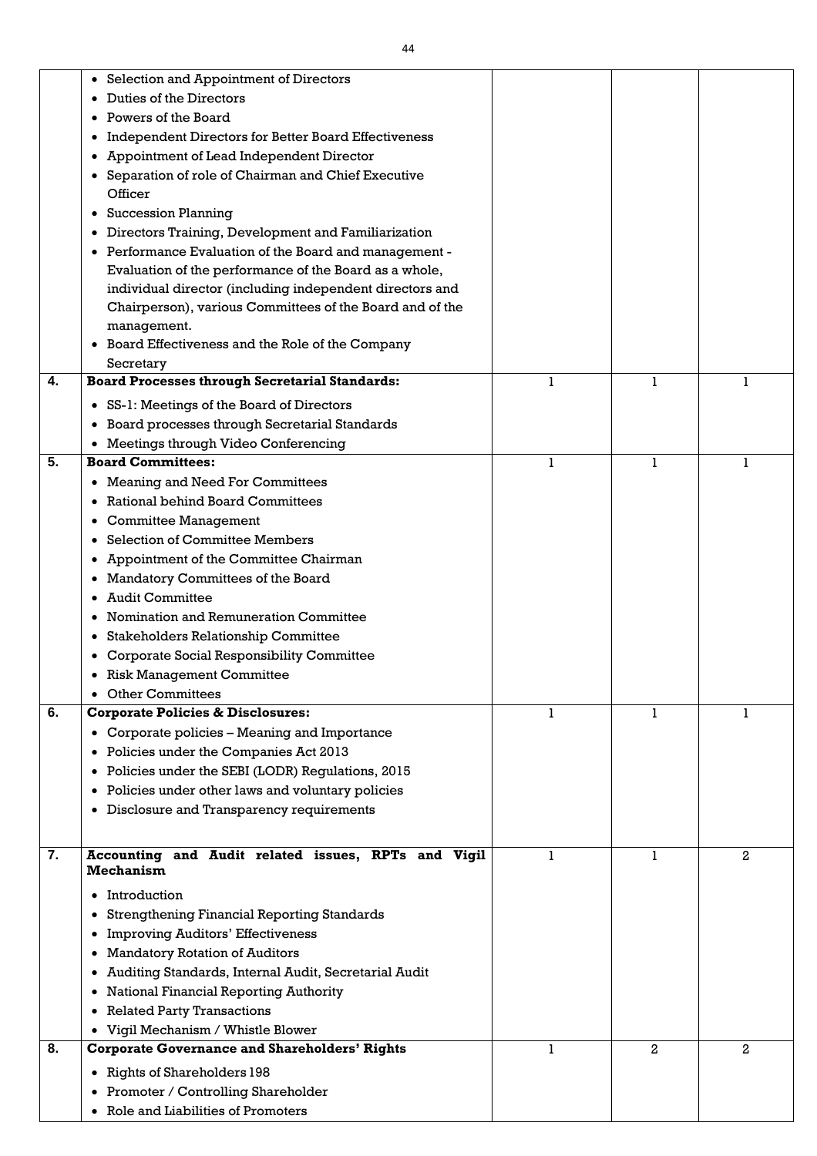|                  | • Selection and Appointment of Directors                                |              |                |              |
|------------------|-------------------------------------------------------------------------|--------------|----------------|--------------|
|                  | Duties of the Directors                                                 |              |                |              |
|                  | Powers of the Board                                                     |              |                |              |
|                  | <b>Independent Directors for Better Board Effectiveness</b>             |              |                |              |
|                  | Appointment of Lead Independent Director                                |              |                |              |
|                  | Separation of role of Chairman and Chief Executive                      |              |                |              |
|                  | Officer                                                                 |              |                |              |
|                  | <b>Succession Planning</b>                                              |              |                |              |
|                  | Directors Training, Development and Familiarization                     |              |                |              |
|                  | • Performance Evaluation of the Board and management -                  |              |                |              |
|                  | Evaluation of the performance of the Board as a whole,                  |              |                |              |
|                  | individual director (including independent directors and                |              |                |              |
|                  | Chairperson), various Committees of the Board and of the                |              |                |              |
|                  | management.                                                             |              |                |              |
|                  | Board Effectiveness and the Role of the Company                         |              |                |              |
|                  | Secretary                                                               |              |                |              |
| 4.               | <b>Board Processes through Secretarial Standards:</b>                   | 1            | 1              | 1            |
|                  | • SS-1: Meetings of the Board of Directors                              |              |                |              |
|                  | • Board processes through Secretarial Standards                         |              |                |              |
|                  | • Meetings through Video Conferencing                                   |              |                |              |
| 5.               | <b>Board Committees:</b>                                                | 1            | 1              | 1            |
|                  | • Meaning and Need For Committees                                       |              |                |              |
|                  | Rational behind Board Committees                                        |              |                |              |
|                  | <b>Committee Management</b>                                             |              |                |              |
|                  | <b>Selection of Committee Members</b>                                   |              |                |              |
|                  | • Appointment of the Committee Chairman                                 |              |                |              |
|                  | • Mandatory Committees of the Board                                     |              |                |              |
|                  | <b>Audit Committee</b>                                                  |              |                |              |
|                  | Nomination and Remuneration Committee<br>$\bullet$                      |              |                |              |
|                  | <b>Stakeholders Relationship Committee</b>                              |              |                |              |
|                  | <b>Corporate Social Responsibility Committee</b>                        |              |                |              |
|                  | <b>Risk Management Committee</b>                                        |              |                |              |
|                  | <b>Other Committees</b>                                                 |              |                |              |
| 6.               | <b>Corporate Policies &amp; Disclosures:</b>                            | $\mathbf{1}$ | 1              | $\mathbf{1}$ |
|                  | • Corporate policies – Meaning and Importance                           |              |                |              |
|                  | • Policies under the Companies Act 2013                                 |              |                |              |
|                  | • Policies under the SEBI (LODR) Regulations, 2015                      |              |                |              |
|                  | • Policies under other laws and voluntary policies                      |              |                |              |
|                  | • Disclosure and Transparency requirements                              |              |                |              |
|                  |                                                                         |              |                |              |
| $\overline{7}$ . | Accounting and Audit related issues, RPTs and Vigil<br><b>Mechanism</b> | 1            | 1              | $\mathbf{2}$ |
|                  | • Introduction                                                          |              |                |              |
|                  | <b>Strengthening Financial Reporting Standards</b>                      |              |                |              |
|                  | <b>Improving Auditors' Effectiveness</b>                                |              |                |              |
|                  | <b>Mandatory Rotation of Auditors</b>                                   |              |                |              |
|                  | Auditing Standards, Internal Audit, Secretarial Audit                   |              |                |              |
|                  | • National Financial Reporting Authority                                |              |                |              |
|                  | • Related Party Transactions                                            |              |                |              |
|                  | • Vigil Mechanism / Whistle Blower                                      |              |                |              |
| 8.               | <b>Corporate Governance and Shareholders' Rights</b>                    | 1            | $\overline{a}$ | $\mathbf{2}$ |
|                  | • Rights of Shareholders 198                                            |              |                |              |
|                  | • Promoter / Controlling Shareholder                                    |              |                |              |
|                  | • Role and Liabilities of Promoters                                     |              |                |              |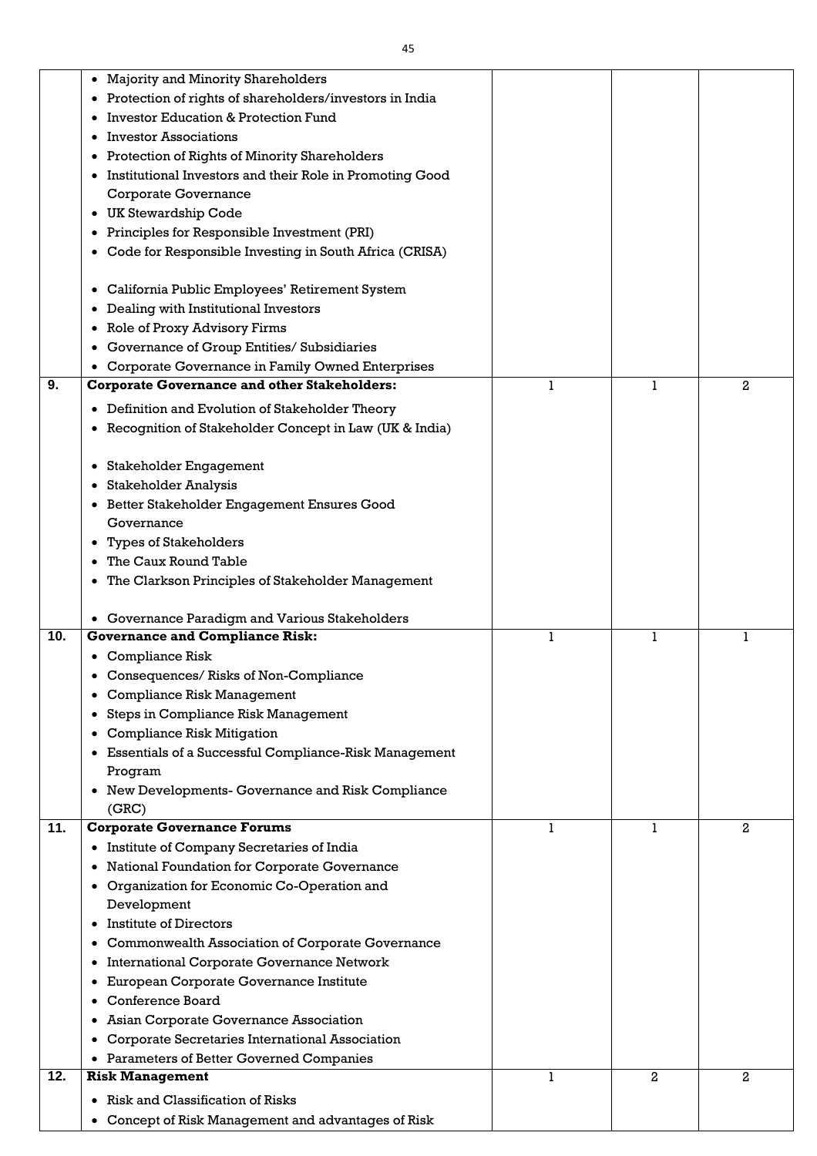|     | <b>Majority and Minority Shareholders</b><br>$\bullet$                                                      |             |   |   |
|-----|-------------------------------------------------------------------------------------------------------------|-------------|---|---|
|     | Protection of rights of shareholders/investors in India<br>٠                                                |             |   |   |
|     | <b>Investor Education &amp; Protection Fund</b>                                                             |             |   |   |
|     | <b>Investor Associations</b>                                                                                |             |   |   |
|     | <b>Protection of Rights of Minority Shareholders</b><br>٠                                                   |             |   |   |
|     | Institutional Investors and their Role in Promoting Good<br>٠                                               |             |   |   |
|     | <b>Corporate Governance</b>                                                                                 |             |   |   |
|     | <b>UK Stewardship Code</b><br>٠                                                                             |             |   |   |
|     | Principles for Responsible Investment (PRI)                                                                 |             |   |   |
|     | Code for Responsible Investing in South Africa (CRISA)<br>٠                                                 |             |   |   |
|     |                                                                                                             |             |   |   |
|     | California Public Employees' Retirement System                                                              |             |   |   |
|     | Dealing with Institutional Investors                                                                        |             |   |   |
|     | <b>Role of Proxy Advisory Firms</b>                                                                         |             |   |   |
|     | Governance of Group Entities/ Subsidiaries                                                                  |             |   |   |
|     | Corporate Governance in Family Owned Enterprises                                                            |             |   |   |
| 9.  | <b>Corporate Governance and other Stakeholders:</b>                                                         | ı           |   | 2 |
|     | Definition and Evolution of Stakeholder Theory<br>٠                                                         |             |   |   |
|     | Recognition of Stakeholder Concept in Law (UK & India)                                                      |             |   |   |
|     |                                                                                                             |             |   |   |
|     | Stakeholder Engagement<br>٠                                                                                 |             |   |   |
|     | <b>Stakeholder Analysis</b>                                                                                 |             |   |   |
|     | Better Stakeholder Engagement Ensures Good                                                                  |             |   |   |
|     | Governance                                                                                                  |             |   |   |
|     | <b>Types of Stakeholders</b><br>٠                                                                           |             |   |   |
|     | The Caux Round Table<br>$\bullet$                                                                           |             |   |   |
|     | The Clarkson Principles of Stakeholder Management<br>$\bullet$                                              |             |   |   |
|     |                                                                                                             |             |   |   |
|     | Governance Paradigm and Various Stakeholders                                                                |             |   |   |
| 10. | <b>Governance and Compliance Risk:</b>                                                                      | 1           |   |   |
|     | <b>Compliance Risk</b>                                                                                      |             |   |   |
|     | Consequences/Risks of Non-Compliance                                                                        |             |   |   |
|     | <b>Compliance Risk Management</b>                                                                           |             |   |   |
|     | Steps in Compliance Risk Management<br>٠                                                                    |             |   |   |
|     | <b>Compliance Risk Mitigation</b>                                                                           |             |   |   |
|     | Essentials of a Successful Compliance-Risk Management                                                       |             |   |   |
|     | Program                                                                                                     |             |   |   |
|     | New Developments- Governance and Risk Compliance<br>$\bullet$                                               |             |   |   |
| 11. | (GRC)                                                                                                       | ı           | 1 |   |
|     | <b>Corporate Governance Forums</b>                                                                          |             |   | 2 |
|     | Institute of Company Secretaries of India<br>$\bullet$<br>National Foundation for Corporate Governance<br>٠ |             |   |   |
|     | Organization for Economic Co-Operation and<br>٠                                                             |             |   |   |
|     | Development                                                                                                 |             |   |   |
|     | Institute of Directors                                                                                      |             |   |   |
|     | Commonwealth Association of Corporate Governance<br>٠                                                       |             |   |   |
|     | <b>International Corporate Governance Network</b><br>٠                                                      |             |   |   |
|     | European Corporate Governance Institute                                                                     |             |   |   |
|     | Conference Board                                                                                            |             |   |   |
|     | Asian Corporate Governance Association                                                                      |             |   |   |
|     | Corporate Secretaries International Association                                                             |             |   |   |
|     | Parameters of Better Governed Companies                                                                     |             |   |   |
| 12. | <b>Risk Management</b>                                                                                      | $\mathbf 1$ | 2 | 2 |
|     | Risk and Classification of Risks                                                                            |             |   |   |
|     | $\bullet$<br>Concept of Risk Management and advantages of Risk<br>$\bullet$                                 |             |   |   |
|     |                                                                                                             |             |   |   |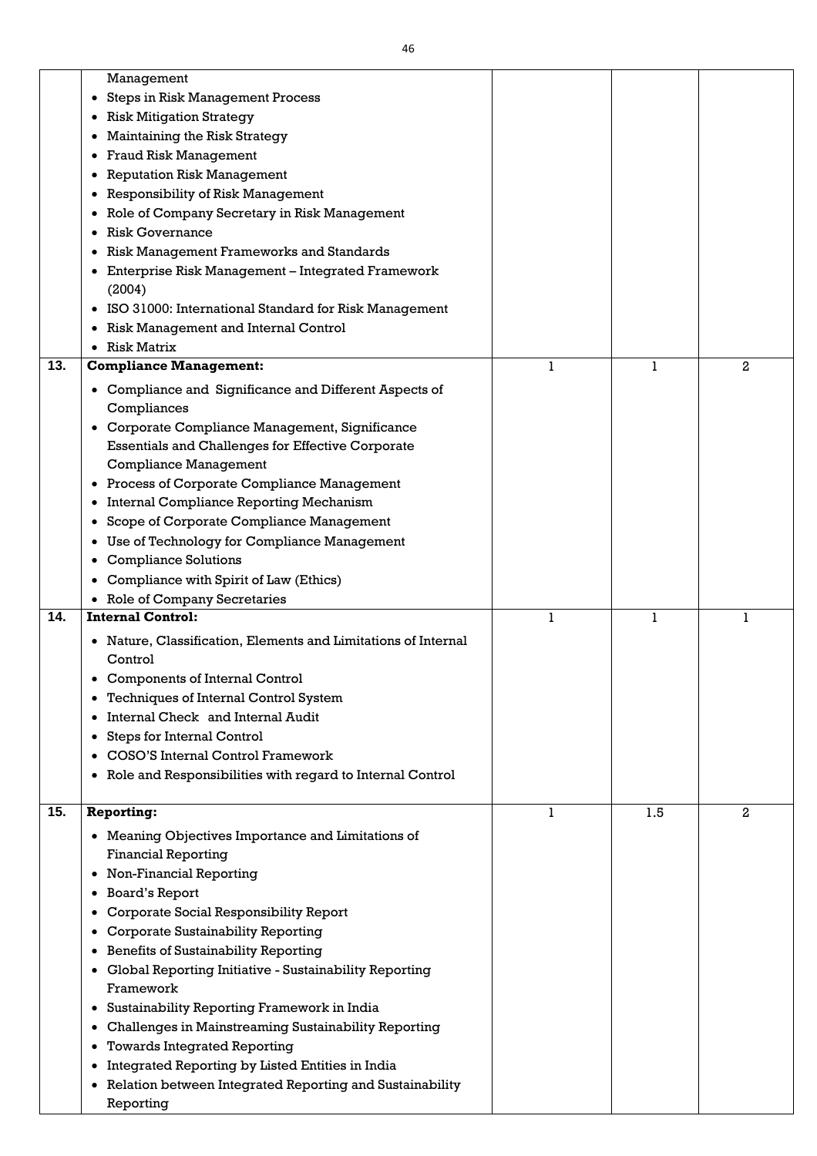|     | Management                                                            |   |     |                |
|-----|-----------------------------------------------------------------------|---|-----|----------------|
|     | <b>Steps in Risk Management Process</b><br>٠                          |   |     |                |
|     | <b>Risk Mitigation Strategy</b>                                       |   |     |                |
|     | Maintaining the Risk Strategy                                         |   |     |                |
|     |                                                                       |   |     |                |
|     | <b>Fraud Risk Management</b>                                          |   |     |                |
|     | <b>Reputation Risk Management</b>                                     |   |     |                |
|     | <b>Responsibility of Risk Management</b>                              |   |     |                |
|     | Role of Company Secretary in Risk Management                          |   |     |                |
|     | <b>Risk Governance</b>                                                |   |     |                |
|     | <b>Risk Management Frameworks and Standards</b>                       |   |     |                |
|     | Enterprise Risk Management - Integrated Framework                     |   |     |                |
|     | (2004)                                                                |   |     |                |
|     | ISO 31000: International Standard for Risk Management                 |   |     |                |
|     | <b>Risk Management and Internal Control</b><br>$\bullet$              |   |     |                |
|     | <b>Risk Matrix</b>                                                    |   |     |                |
| 13. | <b>Compliance Management:</b>                                         | 1 | 1   | $\mathbf{2}$   |
|     | Compliance and Significance and Different Aspects of                  |   |     |                |
|     | Compliances                                                           |   |     |                |
|     | Corporate Compliance Management, Significance<br>٠                    |   |     |                |
|     | <b>Essentials and Challenges for Effective Corporate</b>              |   |     |                |
|     | <b>Compliance Management</b>                                          |   |     |                |
|     | <b>Process of Corporate Compliance Management</b>                     |   |     |                |
|     | Internal Compliance Reporting Mechanism<br>$\bullet$                  |   |     |                |
|     | Scope of Corporate Compliance Management                              |   |     |                |
|     | Use of Technology for Compliance Management<br>$\bullet$              |   |     |                |
|     | <b>Compliance Solutions</b>                                           |   |     |                |
|     | Compliance with Spirit of Law (Ethics)                                |   |     |                |
|     |                                                                       |   |     |                |
|     |                                                                       |   |     |                |
| 14. | <b>Role of Company Secretaries</b><br><b>Internal Control:</b>        | 1 | 1   |                |
|     |                                                                       |   |     |                |
|     | Nature, Classification, Elements and Limitations of Internal          |   |     |                |
|     | Control                                                               |   |     |                |
|     | <b>Components of Internal Control</b>                                 |   |     |                |
|     | <b>Techniques of Internal Control System</b>                          |   |     |                |
|     | Internal Check and Internal Audit                                     |   |     |                |
|     | <b>Steps for Internal Control</b>                                     |   |     |                |
|     | <b>COSO'S Internal Control Framework</b>                              |   |     |                |
|     | Role and Responsibilities with regard to Internal Control<br>٠        |   |     |                |
|     |                                                                       | 1 |     | $\overline{2}$ |
|     | <b>Reporting:</b>                                                     |   | 1.5 |                |
|     | Meaning Objectives Importance and Limitations of                      |   |     |                |
|     | <b>Financial Reporting</b>                                            |   |     |                |
|     | Non-Financial Reporting                                               |   |     |                |
|     | <b>Board's Report</b>                                                 |   |     |                |
| 15. | Corporate Social Responsibility Report                                |   |     |                |
|     | <b>Corporate Sustainability Reporting</b>                             |   |     |                |
|     | <b>Benefits of Sustainability Reporting</b><br>٠                      |   |     |                |
|     | Global Reporting Initiative - Sustainability Reporting                |   |     |                |
|     | Framework                                                             |   |     |                |
|     | Sustainability Reporting Framework in India<br>$\bullet$              |   |     |                |
|     | <b>Challenges in Mainstreaming Sustainability Reporting</b>           |   |     |                |
|     | <b>Towards Integrated Reporting</b>                                   |   |     |                |
|     | Integrated Reporting by Listed Entities in India                      |   |     |                |
|     | Relation between Integrated Reporting and Sustainability<br>Reporting |   |     |                |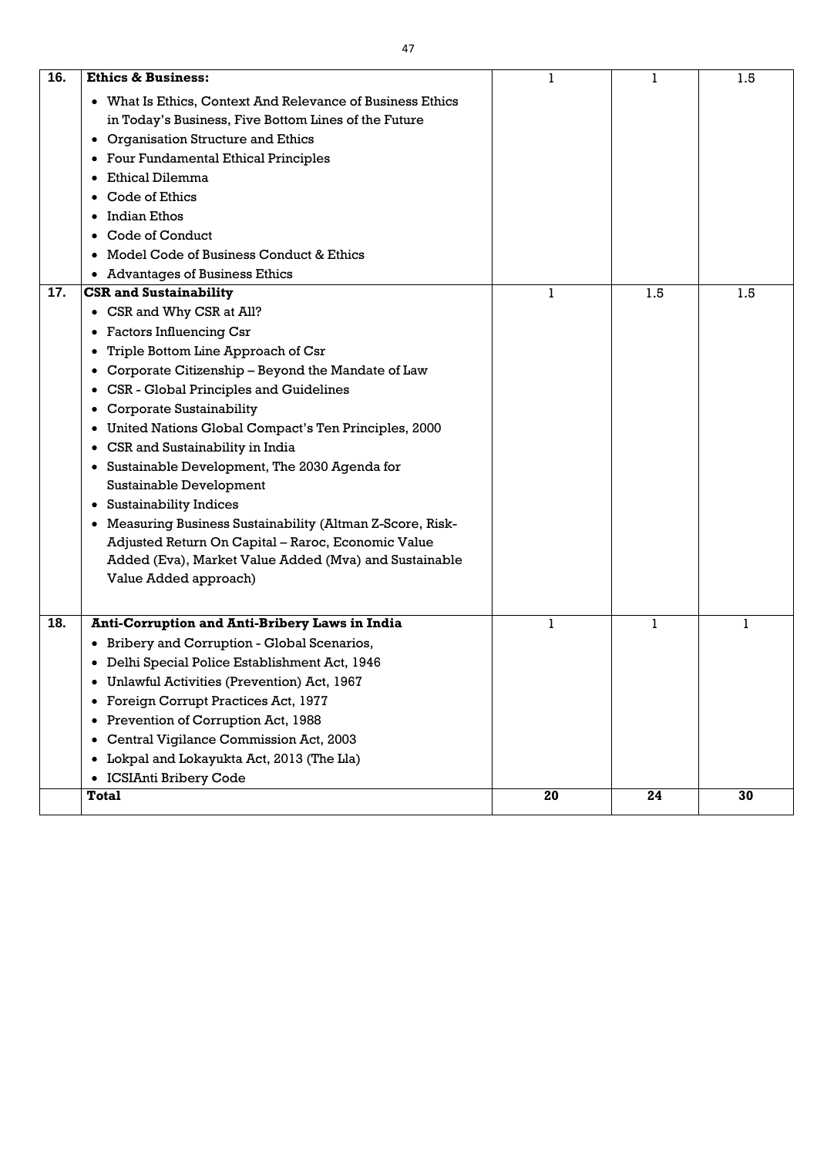| 16. | <b>Ethics &amp; Business:</b>                                                                                                                                                                                                                                                                                                                                                                                                                                                                                                                                                                                                                                                                                                     | 1  | 1   | 1.5 |
|-----|-----------------------------------------------------------------------------------------------------------------------------------------------------------------------------------------------------------------------------------------------------------------------------------------------------------------------------------------------------------------------------------------------------------------------------------------------------------------------------------------------------------------------------------------------------------------------------------------------------------------------------------------------------------------------------------------------------------------------------------|----|-----|-----|
|     | What Is Ethics, Context And Relevance of Business Ethics<br>$\bullet$<br>in Today's Business, Five Bottom Lines of the Future<br>Organisation Structure and Ethics<br>٠<br><b>Four Fundamental Ethical Principles</b><br>$\bullet$<br>Ethical Dilemma<br>Code of Ethics<br><b>Indian Ethos</b><br><b>Code of Conduct</b><br>Model Code of Business Conduct & Ethics<br><b>Advantages of Business Ethics</b><br>$\bullet$                                                                                                                                                                                                                                                                                                          |    |     |     |
| 17. | <b>CSR and Sustainability</b>                                                                                                                                                                                                                                                                                                                                                                                                                                                                                                                                                                                                                                                                                                     | 1  | 1.5 | 1.5 |
|     | CSR and Why CSR at All?<br>$\bullet$<br><b>Factors Influencing Csr</b><br>$\bullet$<br>Triple Bottom Line Approach of Csr<br>Corporate Citizenship - Beyond the Mandate of Law<br>$\bullet$<br>CSR - Global Principles and Guidelines<br>$\bullet$<br><b>Corporate Sustainability</b><br>$\bullet$<br>United Nations Global Compact's Ten Principles, 2000<br>CSR and Sustainability in India<br>٠<br>Sustainable Development, The 2030 Agenda for<br>Sustainable Development<br><b>Sustainability Indices</b><br>$\bullet$<br>• Measuring Business Sustainability (Altman Z-Score, Risk-<br>Adjusted Return On Capital - Raroc, Economic Value<br>Added (Eva), Market Value Added (Mva) and Sustainable<br>Value Added approach) |    |     |     |
| 18. | <b>Anti-Corruption and Anti-Bribery Laws in India</b><br>Bribery and Corruption - Global Scenarios,<br>Delhi Special Police Establishment Act, 1946<br>٠<br>Unlawful Activities (Prevention) Act, 1967<br>٠<br>Foreign Corrupt Practices Act, 1977<br>$\bullet$<br>Prevention of Corruption Act, 1988<br>٠<br><b>Central Vigilance Commission Act, 2003</b><br>٠<br>Lokpal and Lokayukta Act, 2013 (The Lla)<br>٠<br><b>ICSIAnti Bribery Code</b><br>$\bullet$                                                                                                                                                                                                                                                                    |    | 1   |     |
|     | <b>Total</b>                                                                                                                                                                                                                                                                                                                                                                                                                                                                                                                                                                                                                                                                                                                      | 20 | 24  | 30  |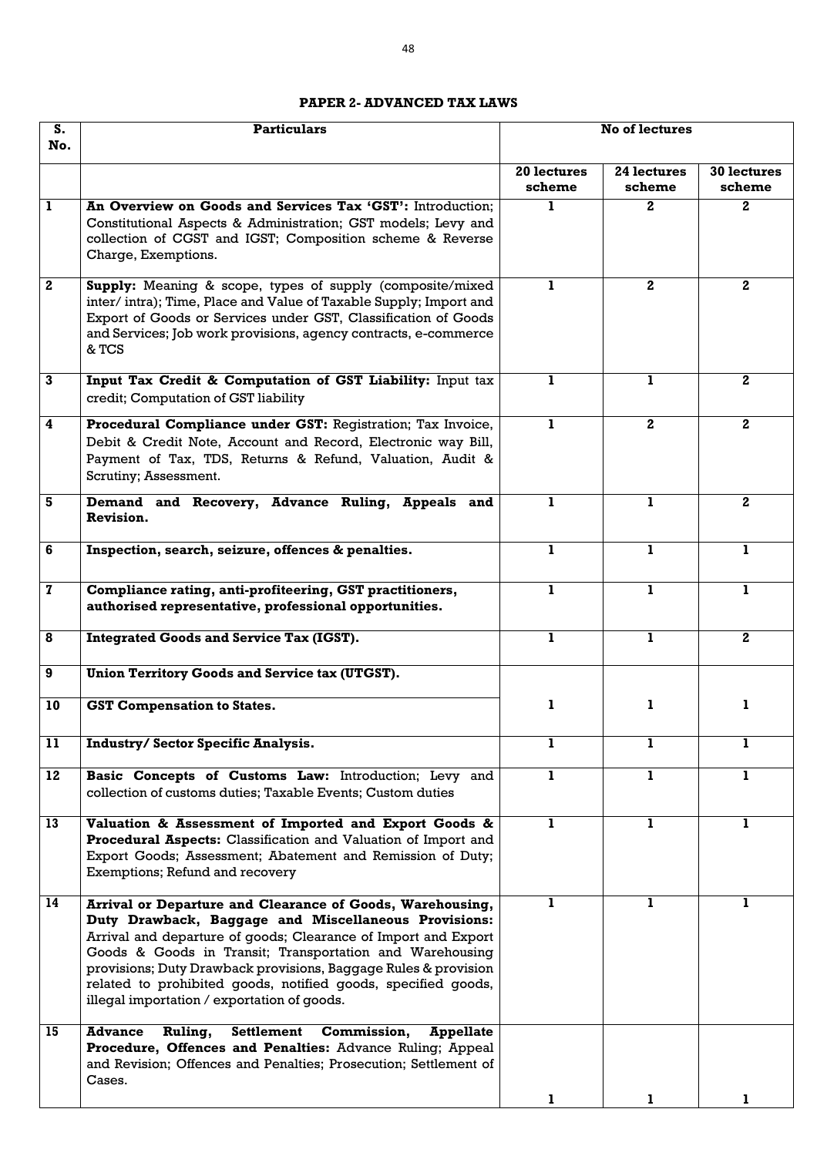### **PAPER 2- ADVANCED TAX LAWS**

| S.<br>No.               | <b>Particulars</b>                                                                                                                                                                                                                                                                                                                                                                                                                 | <b>No of lectures</b> |                       |                              |
|-------------------------|------------------------------------------------------------------------------------------------------------------------------------------------------------------------------------------------------------------------------------------------------------------------------------------------------------------------------------------------------------------------------------------------------------------------------------|-----------------------|-----------------------|------------------------------|
|                         |                                                                                                                                                                                                                                                                                                                                                                                                                                    | 20 lectures<br>scheme | 24 lectures<br>scheme | <b>30 lectures</b><br>scheme |
| 1                       | An Overview on Goods and Services Tax 'GST': Introduction;<br>Constitutional Aspects & Administration; GST models; Levy and<br>collection of CGST and IGST; Composition scheme & Reverse<br>Charge, Exemptions.                                                                                                                                                                                                                    |                       | $\mathbf{2}$          | $\mathbf{2}$                 |
| $\mathbf{2}$            | Supply: Meaning & scope, types of supply (composite/mixed<br>inter/intra); Time, Place and Value of Taxable Supply; Import and<br>Export of Goods or Services under GST, Classification of Goods<br>and Services; Job work provisions, agency contracts, e-commerce<br>& TCS                                                                                                                                                       | L                     | 2 <sub>1</sub>        | $\mathbf{2}$                 |
| 3                       | Input Tax Credit & Computation of GST Liability: Input tax<br>credit; Computation of GST liability                                                                                                                                                                                                                                                                                                                                 |                       | 1                     | $\mathbf{2}$                 |
| $\overline{\mathbf{4}}$ | Procedural Compliance under GST: Registration; Tax Invoice,<br>Debit & Credit Note, Account and Record, Electronic way Bill,<br>Payment of Tax, TDS, Returns & Refund, Valuation, Audit &<br>Scrutiny; Assessment.                                                                                                                                                                                                                 | 1                     | $\mathbf{2}$          | $2^{\circ}$                  |
| 5                       | Demand and Recovery, Advance Ruling, Appeals and<br>Revision.                                                                                                                                                                                                                                                                                                                                                                      | 1                     | 1                     | $2^{\circ}$                  |
| 6                       | Inspection, search, seizure, offences & penalties.                                                                                                                                                                                                                                                                                                                                                                                 | 1                     | 1                     | 1                            |
| 7                       | Compliance rating, anti-profiteering, GST practitioners,<br>authorised representative, professional opportunities.                                                                                                                                                                                                                                                                                                                 | 1                     | ı                     | 1                            |
| 8                       | <b>Integrated Goods and Service Tax (IGST).</b>                                                                                                                                                                                                                                                                                                                                                                                    | ı                     | 1                     | 2 <sub>1</sub>               |
| 9                       | Union Territory Goods and Service tax (UTGST).                                                                                                                                                                                                                                                                                                                                                                                     |                       |                       |                              |
| 10                      | <b>GST Compensation to States.</b>                                                                                                                                                                                                                                                                                                                                                                                                 | 1                     | ı                     | 1                            |
| 11                      | <b>Industry/Sector Specific Analysis.</b>                                                                                                                                                                                                                                                                                                                                                                                          | 1                     | 1                     | 1                            |
| 12                      | Basic Concepts of Customs Law: Introduction; Levy and<br>collection of customs duties; Taxable Events; Custom duties                                                                                                                                                                                                                                                                                                               | L                     | 1                     | 1                            |
| 13                      | Valuation & Assessment of Imported and Export Goods &<br>Procedural Aspects: Classification and Valuation of Import and<br>Export Goods; Assessment; Abatement and Remission of Duty;<br>Exemptions; Refund and recovery                                                                                                                                                                                                           | $\mathbf{I}$          | 1                     | $\mathbf{1}$                 |
| 14                      | Arrival or Departure and Clearance of Goods, Warehousing,<br>Duty Drawback, Baggage and Miscellaneous Provisions:<br>Arrival and departure of goods; Clearance of Import and Export<br>Goods & Goods in Transit; Transportation and Warehousing<br>provisions; Duty Drawback provisions, Baggage Rules & provision<br>related to prohibited goods, notified goods, specified goods,<br>illegal importation / exportation of goods. |                       | 1                     |                              |
| 15                      | Ruling, Settlement Commission,<br><b>Advance</b><br><b>Appellate</b><br>Procedure, Offences and Penalties: Advance Ruling; Appeal<br>and Revision; Offences and Penalties; Prosecution; Settlement of<br>Cases.                                                                                                                                                                                                                    | ı                     | L                     |                              |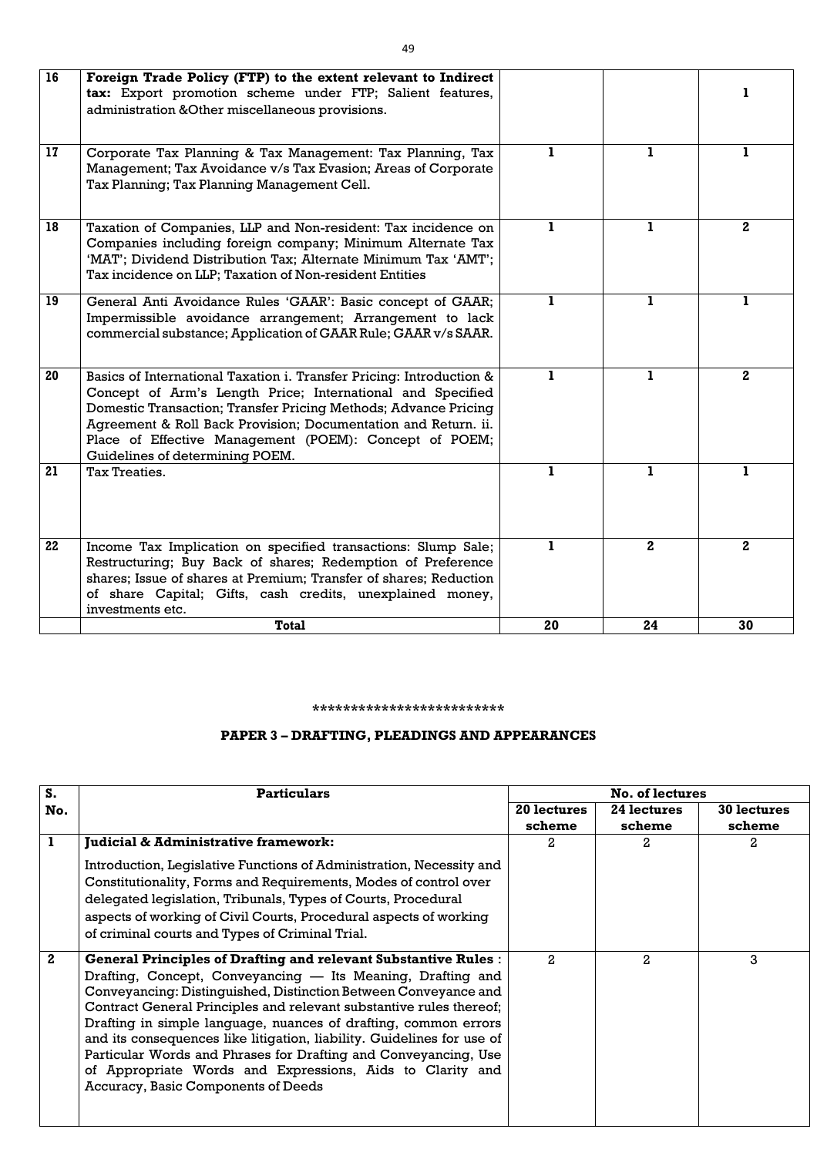| 16 | Foreign Trade Policy (FTP) to the extent relevant to Indirect<br>tax: Export promotion scheme under FTP; Salient features,<br>administration & Other miscellaneous provisions.                                                                                                                                                                                       |              |                  |              |
|----|----------------------------------------------------------------------------------------------------------------------------------------------------------------------------------------------------------------------------------------------------------------------------------------------------------------------------------------------------------------------|--------------|------------------|--------------|
| 17 | Corporate Tax Planning & Tax Management: Tax Planning, Tax<br>Management; Tax Avoidance v/s Tax Evasion; Areas of Corporate<br>Tax Planning; Tax Planning Management Cell.                                                                                                                                                                                           | $\mathbf{I}$ | ı                | 1            |
| 18 | Taxation of Companies, LLP and Non-resident: Tax incidence on<br>Companies including foreign company; Minimum Alternate Tax<br>'MAT'; Dividend Distribution Tax; Alternate Minimum Tax 'AMT';<br>Tax incidence on LLP; Taxation of Non-resident Entities                                                                                                             | $\bf{1}$     | 1                | $2^{\circ}$  |
| 19 | General Anti Avoidance Rules 'GAAR': Basic concept of GAAR;<br>Impermissible avoidance arrangement; Arrangement to lack<br>commercial substance; Application of GAAR Rule; GAAR v/s SAAR.                                                                                                                                                                            | $\bf{1}$     | 1                | 1            |
| 20 | Basics of International Taxation i. Transfer Pricing: Introduction &<br>Concept of Arm's Length Price; International and Specified<br>Domestic Transaction; Transfer Pricing Methods; Advance Pricing<br>Agreement & Roll Back Provision; Documentation and Return. ii.<br>Place of Effective Management (POEM): Concept of POEM;<br>Guidelines of determining POEM. | $\mathbf{1}$ | 1                | $\mathbf{2}$ |
| 21 | <b>Tax Treaties.</b>                                                                                                                                                                                                                                                                                                                                                 | $\mathbf{1}$ | $\mathbf{I}$     | 1            |
| 22 | Income Tax Implication on specified transactions: Slump Sale;<br>Restructuring; Buy Back of shares; Redemption of Preference<br>shares; Issue of shares at Premium; Transfer of shares; Reduction<br>of share Capital; Gifts, cash credits, unexplained money,<br>investments etc.                                                                                   | 1            | $\boldsymbol{2}$ | $\mathbf{2}$ |
|    | <b>Total</b>                                                                                                                                                                                                                                                                                                                                                         | 20           | 24               | 30           |

### **\*\*\*\*\*\*\*\*\*\*\*\*\*\*\*\*\*\*\*\*\*\*\*\*\***

# **PAPER 3 – DRAFTING, PLEADINGS AND APPEARANCES**

| S.               | <b>Particulars</b>                                                                                                                                                                                                                                                                                                                                                                                                                                                                                                                                                                                 | <b>No. of lectures</b> |                       |                              |  |
|------------------|----------------------------------------------------------------------------------------------------------------------------------------------------------------------------------------------------------------------------------------------------------------------------------------------------------------------------------------------------------------------------------------------------------------------------------------------------------------------------------------------------------------------------------------------------------------------------------------------------|------------------------|-----------------------|------------------------------|--|
| No.              |                                                                                                                                                                                                                                                                                                                                                                                                                                                                                                                                                                                                    | 20 lectures<br>scheme  | 24 lectures<br>scheme | <b>30 lectures</b><br>scheme |  |
| 1                | <b>Judicial &amp; Administrative framework:</b><br>Introduction, Legislative Functions of Administration, Necessity and<br>Constitutionality, Forms and Requirements, Modes of control over<br>delegated legislation, Tribunals, Types of Courts, Procedural<br>aspects of working of Civil Courts, Procedural aspects of working<br>of criminal courts and Types of Criminal Trial.                                                                                                                                                                                                               | 2                      | 2.                    | 2.                           |  |
| $\boldsymbol{2}$ | <b>General Principles of Drafting and relevant Substantive Rules:</b><br>Drafting, Concept, Conveyancing — Its Meaning, Drafting and<br>Conveyancing: Distinguished, Distinction Between Conveyance and<br>Contract General Principles and relevant substantive rules thereof;<br>Drafting in simple language, nuances of drafting, common errors<br>and its consequences like litigation, liability. Guidelines for use of<br>Particular Words and Phrases for Drafting and Conveyancing, Use<br>of Appropriate Words and Expressions, Aids to Clarity and<br>Accuracy, Basic Components of Deeds | 2.                     | $\mathcal{L}$         | 3                            |  |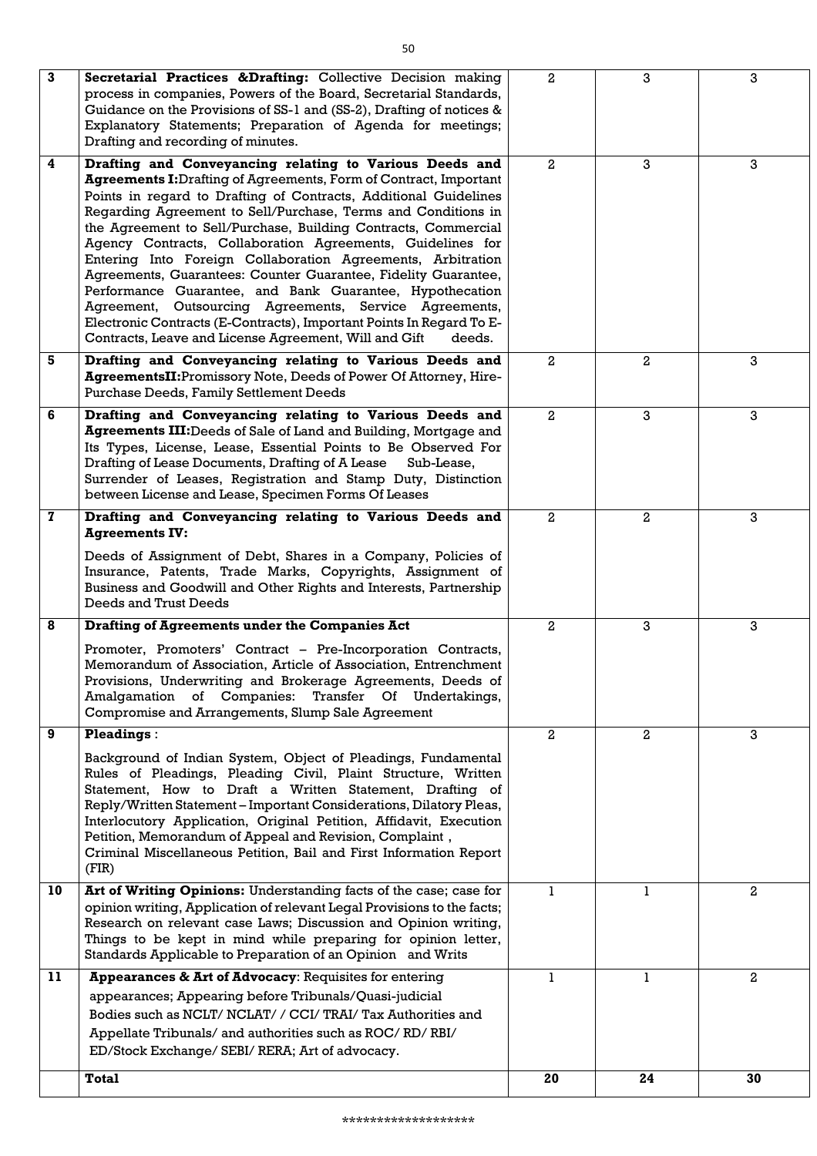| $\mathbf{3}$            | Secretarial Practices & Drafting: Collective Decision making<br>process in companies, Powers of the Board, Secretarial Standards,<br>Guidance on the Provisions of SS-1 and (SS-2), Drafting of notices &<br>Explanatory Statements; Preparation of Agenda for meetings;<br>Drafting and recording of minutes.                                                                                                                                                                                                                                                                                                                                                                                                                                                                                             | $\mathbf{2}$   | 3            | 3              |
|-------------------------|------------------------------------------------------------------------------------------------------------------------------------------------------------------------------------------------------------------------------------------------------------------------------------------------------------------------------------------------------------------------------------------------------------------------------------------------------------------------------------------------------------------------------------------------------------------------------------------------------------------------------------------------------------------------------------------------------------------------------------------------------------------------------------------------------------|----------------|--------------|----------------|
| $\overline{\mathbf{4}}$ | Drafting and Conveyancing relating to Various Deeds and<br><b>Agreements I:</b> Drafting of Agreements, Form of Contract, Important<br>Points in regard to Drafting of Contracts, Additional Guidelines<br>Regarding Agreement to Sell/Purchase, Terms and Conditions in<br>the Agreement to Sell/Purchase, Building Contracts, Commercial<br>Agency Contracts, Collaboration Agreements, Guidelines for<br>Entering Into Foreign Collaboration Agreements, Arbitration<br>Agreements, Guarantees: Counter Guarantee, Fidelity Guarantee,<br>Performance Guarantee, and Bank Guarantee, Hypothecation<br>Agreement, Outsourcing Agreements, Service Agreements,<br>Electronic Contracts (E-Contracts), Important Points In Regard To E-<br>Contracts, Leave and License Agreement, Will and Gift<br>deeds. | $\mathbf{2}$   | 3            | 3              |
| 5                       | Drafting and Conveyancing relating to Various Deeds and<br>AgreementsII: Promissory Note, Deeds of Power Of Attorney, Hire-<br><b>Purchase Deeds, Family Settlement Deeds</b>                                                                                                                                                                                                                                                                                                                                                                                                                                                                                                                                                                                                                              | $\mathbf{2}$   | $\mathbf{2}$ | 3              |
| 6                       | Drafting and Conveyancing relating to Various Deeds and<br><b>Agreements III:</b> Deeds of Sale of Land and Building, Mortgage and<br>Its Types, License, Lease, Essential Points to Be Observed For<br>Drafting of Lease Documents, Drafting of A Lease<br>Sub-Lease,<br>Surrender of Leases, Registration and Stamp Duty, Distinction<br>between License and Lease, Specimen Forms Of Leases                                                                                                                                                                                                                                                                                                                                                                                                             | $\overline{2}$ | 3            | 3              |
| $\mathbf{z}$            | Drafting and Conveyancing relating to Various Deeds and<br><b>Agreements IV:</b>                                                                                                                                                                                                                                                                                                                                                                                                                                                                                                                                                                                                                                                                                                                           | $\mathbf{2}$   | 2            | 3              |
|                         | Deeds of Assignment of Debt, Shares in a Company, Policies of<br>Insurance, Patents, Trade Marks, Copyrights, Assignment of<br>Business and Goodwill and Other Rights and Interests, Partnership<br>Deeds and Trust Deeds                                                                                                                                                                                                                                                                                                                                                                                                                                                                                                                                                                                  |                |              |                |
| 8                       | <b>Drafting of Agreements under the Companies Act</b>                                                                                                                                                                                                                                                                                                                                                                                                                                                                                                                                                                                                                                                                                                                                                      | $\mathbf{2}$   | 3            | 3              |
|                         | Promoter, Promoters' Contract – Pre-Incorporation Contracts,<br>Memorandum of Association, Article of Association, Entrenchment<br>Provisions, Underwriting and Brokerage Agreements, Deeds of<br>Amalgamation of Companies: Transfer Of Undertakings,<br>Compromise and Arrangements, Slump Sale Agreement                                                                                                                                                                                                                                                                                                                                                                                                                                                                                                |                |              |                |
| 9                       | <b>Pleadings:</b>                                                                                                                                                                                                                                                                                                                                                                                                                                                                                                                                                                                                                                                                                                                                                                                          | $\mathbf{2}$   | $\mathbf{2}$ | 3              |
|                         | Background of Indian System, Object of Pleadings, Fundamental<br>Rules of Pleadings, Pleading Civil, Plaint Structure, Written<br>Statement, How to Draft a Written Statement, Drafting of<br>Reply/Written Statement – Important Considerations, Dilatory Pleas,<br>Interlocutory Application, Original Petition, Affidavit, Execution<br>Petition, Memorandum of Appeal and Revision, Complaint,<br>Criminal Miscellaneous Petition, Bail and First Information Report<br>(FIR)                                                                                                                                                                                                                                                                                                                          |                |              |                |
| 10                      | Art of Writing Opinions: Understanding facts of the case; case for                                                                                                                                                                                                                                                                                                                                                                                                                                                                                                                                                                                                                                                                                                                                         | $\mathbf{1}$   | 1            | $\overline{a}$ |
|                         | opinion writing, Application of relevant Legal Provisions to the facts;<br>Research on relevant case Laws; Discussion and Opinion writing,<br>Things to be kept in mind while preparing for opinion letter,<br>Standards Applicable to Preparation of an Opinion and Writs                                                                                                                                                                                                                                                                                                                                                                                                                                                                                                                                 |                |              |                |
| 11                      | Appearances & Art of Advocacy: Requisites for entering                                                                                                                                                                                                                                                                                                                                                                                                                                                                                                                                                                                                                                                                                                                                                     | 1              | 1            | $\mathbf{2}$   |
|                         | appearances; Appearing before Tribunals/Quasi-judicial<br>Bodies such as NCLT/ NCLAT/ / CCI/ TRAI/ Tax Authorities and<br>Appellate Tribunals/ and authorities such as ROC/RD/RBI/<br>ED/Stock Exchange/ SEBI/ RERA; Art of advocacy.                                                                                                                                                                                                                                                                                                                                                                                                                                                                                                                                                                      |                |              |                |
|                         | <b>Total</b>                                                                                                                                                                                                                                                                                                                                                                                                                                                                                                                                                                                                                                                                                                                                                                                               | 20             | 24           | 30             |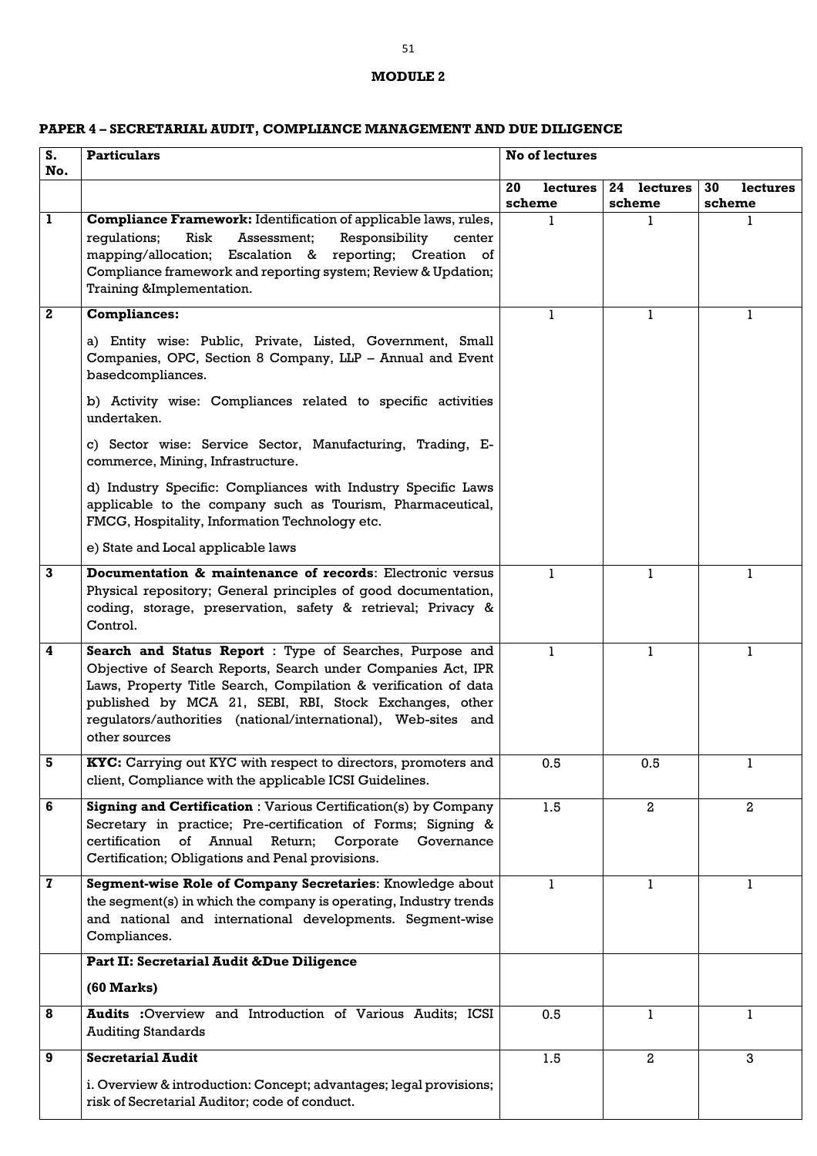## **MODULE 2**

# **PAPER 4 – SECRETARIAL AUDIT, COMPLIANCE MANAGEMENT AND DUE DILIGENCE**

| $S_{-}$<br>No. | <b>Particulars</b>                                                                                                                                                                                                                                                                                                                       | No of lectures                  |                          |                          |
|----------------|------------------------------------------------------------------------------------------------------------------------------------------------------------------------------------------------------------------------------------------------------------------------------------------------------------------------------------------|---------------------------------|--------------------------|--------------------------|
|                |                                                                                                                                                                                                                                                                                                                                          | 20<br><b>lectures</b><br>scheme | lectures<br>24<br>scheme | 30<br>lectures<br>scheme |
| 1              | Compliance Framework: Identification of applicable laws, rules,<br>Risk<br>Assessment;<br>regulations;<br>Responsibility<br>center<br>mapping/allocation; Escalation & reporting; Creation of<br>Compliance framework and reporting system; Review & Updation;<br>Training &Implementation.                                              |                                 |                          |                          |
| $\mathbf{2}$   | <b>Compliances:</b>                                                                                                                                                                                                                                                                                                                      |                                 | 1                        | 1                        |
|                | a) Entity wise: Public, Private, Listed, Government, Small<br>Companies, OPC, Section 8 Company, LLP - Annual and Event<br>basedcompliances.                                                                                                                                                                                             |                                 |                          |                          |
|                | b) Activity wise: Compliances related to specific activities<br>undertaken.                                                                                                                                                                                                                                                              |                                 |                          |                          |
|                | c) Sector wise: Service Sector, Manufacturing, Trading, E-<br>commerce, Mining, Infrastructure.                                                                                                                                                                                                                                          |                                 |                          |                          |
|                | d) Industry Specific: Compliances with Industry Specific Laws<br>applicable to the company such as Tourism, Pharmaceutical,<br>FMCG, Hospitality, Information Technology etc.                                                                                                                                                            |                                 |                          |                          |
|                | e) State and Local applicable laws                                                                                                                                                                                                                                                                                                       |                                 |                          |                          |
| 3              | Documentation & maintenance of records: Electronic versus<br>Physical repository; General principles of good documentation,<br>coding, storage, preservation, safety & retrieval; Privacy &<br>Control.                                                                                                                                  |                                 | 1                        | 1                        |
| 4              | Search and Status Report : Type of Searches, Purpose and<br>Objective of Search Reports, Search under Companies Act, IPR<br>Laws, Property Title Search, Compilation & verification of data<br>published by MCA 21, SEBI, RBI, Stock Exchanges, other<br>regulators/authorities (national/international), Web-sites and<br>other sources |                                 |                          | ı                        |
| 5              | KYC: Carrying out KYC with respect to directors, promoters and<br>client, Compliance with the applicable ICSI Guidelines.                                                                                                                                                                                                                | 0.5                             | 0.5                      | 1                        |
| 6              | <b>Signing and Certification: Various Certification(s) by Company</b><br>Secretary in practice; Pre-certification of Forms; Signing &<br>certification<br>$\circ$ f<br>Annual Return; Corporate<br>Governance<br>Certification; Obligations and Penal provisions.                                                                        | 1.5                             | $\overline{a}$           | $\mathbf{2}$             |
| $\mathbf{z}$   | Segment-wise Role of Company Secretaries: Knowledge about<br>the segment(s) in which the company is operating, Industry trends<br>and national and international developments. Segment-wise<br>Compliances.                                                                                                                              | 1                               | 1                        | 1                        |
|                | Part II: Secretarial Audit & Due Diligence                                                                                                                                                                                                                                                                                               |                                 |                          |                          |
|                | (60 Marks)                                                                                                                                                                                                                                                                                                                               |                                 |                          |                          |
| 8              | Audits : Overview and Introduction of Various Audits; ICSI<br><b>Auditing Standards</b>                                                                                                                                                                                                                                                  | 0.5                             | 1                        | 1                        |
| 9              | <b>Secretarial Audit</b>                                                                                                                                                                                                                                                                                                                 | 1.5                             | $\mathbf{2}$             | 3                        |
|                | i. Overview & introduction: Concept; advantages; legal provisions;<br>risk of Secretarial Auditor; code of conduct.                                                                                                                                                                                                                      |                                 |                          |                          |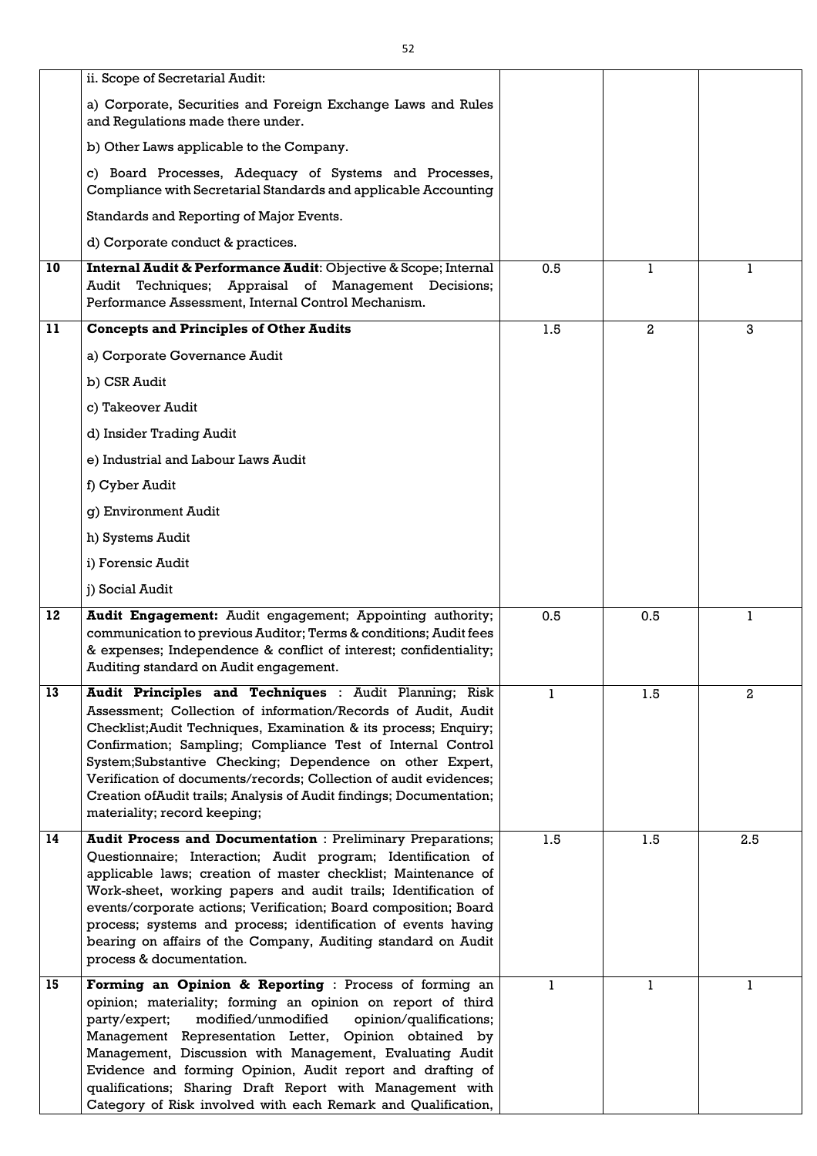|    | ii. Scope of Secretarial Audit:                                                                                                                                                                                                                                                                                                                                                                                                                                                                           |              |                |                |
|----|-----------------------------------------------------------------------------------------------------------------------------------------------------------------------------------------------------------------------------------------------------------------------------------------------------------------------------------------------------------------------------------------------------------------------------------------------------------------------------------------------------------|--------------|----------------|----------------|
|    | a) Corporate, Securities and Foreign Exchange Laws and Rules<br>and Regulations made there under.                                                                                                                                                                                                                                                                                                                                                                                                         |              |                |                |
|    | b) Other Laws applicable to the Company.                                                                                                                                                                                                                                                                                                                                                                                                                                                                  |              |                |                |
|    | c) Board Processes, Adequacy of Systems and Processes,<br>Compliance with Secretarial Standards and applicable Accounting                                                                                                                                                                                                                                                                                                                                                                                 |              |                |                |
|    | Standards and Reporting of Major Events.                                                                                                                                                                                                                                                                                                                                                                                                                                                                  |              |                |                |
|    | d) Corporate conduct & practices.                                                                                                                                                                                                                                                                                                                                                                                                                                                                         |              |                |                |
| 10 | Internal Audit & Performance Audit: Objective & Scope; Internal<br>Techniques; Appraisal of Management Decisions;<br>Audit<br>Performance Assessment, Internal Control Mechanism.                                                                                                                                                                                                                                                                                                                         | 0.5          |                | 1              |
| 11 | <b>Concepts and Principles of Other Audits</b>                                                                                                                                                                                                                                                                                                                                                                                                                                                            | 1.5          | $\overline{2}$ | 3              |
|    | a) Corporate Governance Audit                                                                                                                                                                                                                                                                                                                                                                                                                                                                             |              |                |                |
|    | b) CSR Audit                                                                                                                                                                                                                                                                                                                                                                                                                                                                                              |              |                |                |
|    | c) Takeover Audit                                                                                                                                                                                                                                                                                                                                                                                                                                                                                         |              |                |                |
|    | d) Insider Trading Audit                                                                                                                                                                                                                                                                                                                                                                                                                                                                                  |              |                |                |
|    | e) Industrial and Labour Laws Audit                                                                                                                                                                                                                                                                                                                                                                                                                                                                       |              |                |                |
|    | f) Cyber Audit                                                                                                                                                                                                                                                                                                                                                                                                                                                                                            |              |                |                |
|    | g) Environment Audit                                                                                                                                                                                                                                                                                                                                                                                                                                                                                      |              |                |                |
|    | h) Systems Audit                                                                                                                                                                                                                                                                                                                                                                                                                                                                                          |              |                |                |
|    | i) Forensic Audit                                                                                                                                                                                                                                                                                                                                                                                                                                                                                         |              |                |                |
|    | j) Social Audit                                                                                                                                                                                                                                                                                                                                                                                                                                                                                           |              |                |                |
| 12 | Audit Engagement: Audit engagement; Appointing authority;<br>communication to previous Auditor; Terms & conditions; Audit fees<br>& expenses; Independence & conflict of interest; confidentiality;<br>Auditing standard on Audit engagement.                                                                                                                                                                                                                                                             | 0.5          | 0.5            | 1              |
| 13 | Audit Principles and Techniques : Audit Planning; Risk<br>Assessment; Collection of information/Records of Audit, Audit<br>Checklist; Audit Techniques, Examination & its process; Enquiry;<br>Confirmation; Sampling; Compliance Test of Internal Control<br>System;Substantive Checking; Dependence on other Expert,<br>Verification of documents/records; Collection of audit evidences;<br>Creation of Audit trails; Analysis of Audit findings; Documentation;<br>materiality; record keeping;       | $\mathbf{1}$ | 1.5            | $\overline{a}$ |
| 14 | <b>Audit Process and Documentation: Preliminary Preparations;</b><br>Questionnaire; Interaction; Audit program; Identification of<br>applicable laws; creation of master checklist; Maintenance of<br>Work-sheet, working papers and audit trails; Identification of<br>events/corporate actions; Verification; Board composition; Board<br>process; systems and process; identification of events having<br>bearing on affairs of the Company, Auditing standard on Audit<br>process & documentation.    | 1.5          | 1.5            | 2.5            |
| 15 | Forming an Opinion & Reporting : Process of forming an<br>opinion; materiality; forming an opinion on report of third<br>modified/unmodified<br>opinion/qualifications;<br>party/expert;<br>Management Representation Letter, Opinion obtained by<br>Management, Discussion with Management, Evaluating Audit<br>Evidence and forming Opinion, Audit report and drafting of<br>qualifications; Sharing Draft Report with Management with<br>Category of Risk involved with each Remark and Qualification, | 1            | 1              | 1              |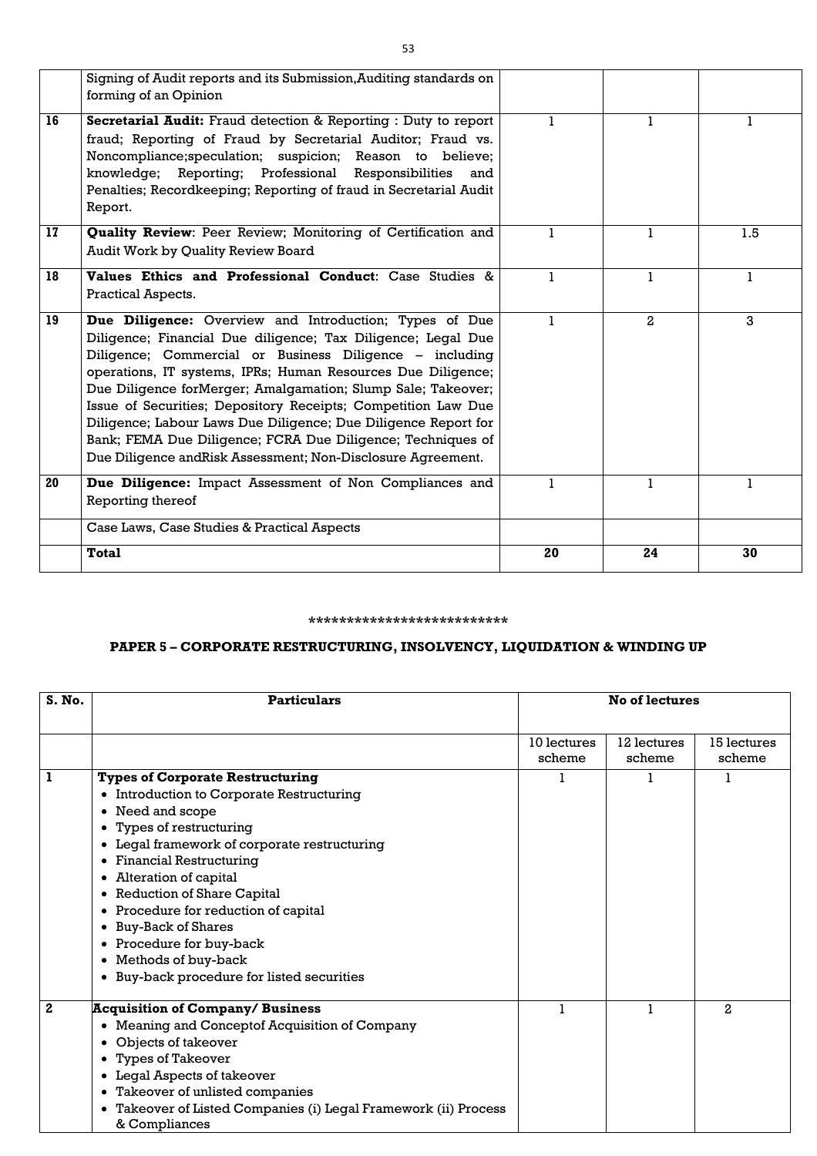|                 | Signing of Audit reports and its Submission, Auditing standards on<br>forming of an Opinion                                                                                                                                                                                                                                                                                                                                                                                                                                                                                         |              |                |              |
|-----------------|-------------------------------------------------------------------------------------------------------------------------------------------------------------------------------------------------------------------------------------------------------------------------------------------------------------------------------------------------------------------------------------------------------------------------------------------------------------------------------------------------------------------------------------------------------------------------------------|--------------|----------------|--------------|
| 16              | Secretarial Audit: Fraud detection & Reporting : Duty to report<br>fraud; Reporting of Fraud by Secretarial Auditor; Fraud vs.<br>Noncompliance; speculation; suspicion; Reason to believe;<br>knowledge; Reporting; Professional Responsibilities and<br>Penalties; Recordkeeping; Reporting of fraud in Secretarial Audit<br>Report.                                                                                                                                                                                                                                              | $\mathbf{1}$ | 1              | 1            |
| 17 <sup>2</sup> | Quality Review: Peer Review; Monitoring of Certification and<br>Audit Work by Quality Review Board                                                                                                                                                                                                                                                                                                                                                                                                                                                                                  | $\mathbf{1}$ | 1              | 1.5          |
| 18              | Values Ethics and Professional Conduct: Case Studies &<br>Practical Aspects.                                                                                                                                                                                                                                                                                                                                                                                                                                                                                                        | $\mathbf{1}$ | $\mathbf{1}$   | $\mathbf{1}$ |
| 19              | Due Diligence: Overview and Introduction; Types of Due<br>Diligence; Financial Due diligence; Tax Diligence; Legal Due<br>Diligence; Commercial or Business Diligence - including<br>operations, IT systems, IPRs; Human Resources Due Diligence;<br>Due Diligence forMerger; Amalgamation; Slump Sale; Takeover;<br>Issue of Securities; Depository Receipts; Competition Law Due<br>Diligence; Labour Laws Due Diligence; Due Diligence Report for<br>Bank; FEMA Due Diligence; FCRA Due Diligence; Techniques of<br>Due Diligence and Risk Assessment; Non-Disclosure Agreement. | $\mathbf{1}$ | $\overline{a}$ | 3            |
| 20              | Due Diligence: Impact Assessment of Non Compliances and<br>Reporting thereof                                                                                                                                                                                                                                                                                                                                                                                                                                                                                                        | $\mathbf{1}$ | $\mathbf{1}$   | $\mathbf{1}$ |
|                 | Case Laws, Case Studies & Practical Aspects                                                                                                                                                                                                                                                                                                                                                                                                                                                                                                                                         |              |                |              |
|                 | <b>Total</b>                                                                                                                                                                                                                                                                                                                                                                                                                                                                                                                                                                        | 20           | 24             | 30           |

### **\*\*\*\*\*\*\*\*\*\*\*\*\*\*\*\*\*\*\*\*\*\*\*\*\*\***

# **PAPER 5 – CORPORATE RESTRUCTURING, INSOLVENCY, LIQUIDATION & WINDING UP**

| S. No.       | <b>Particulars</b>                                            |                       | <b>No of lectures</b> |                       |
|--------------|---------------------------------------------------------------|-----------------------|-----------------------|-----------------------|
|              |                                                               | 10 lectures<br>scheme | 12 lectures<br>scheme | 15 lectures<br>scheme |
| 1            | <b>Types of Corporate Restructuring</b>                       |                       |                       |                       |
|              | • Introduction to Corporate Restructuring                     |                       |                       |                       |
|              | Need and scope<br>$\bullet$                                   |                       |                       |                       |
|              | Types of restructuring<br>$\bullet$                           |                       |                       |                       |
|              | Legal framework of corporate restructuring<br>$\bullet$       |                       |                       |                       |
|              | <b>Financial Restructuring</b><br>$\bullet$                   |                       |                       |                       |
|              | Alteration of capital<br>$\bullet$                            |                       |                       |                       |
|              | <b>Reduction of Share Capital</b><br>$\bullet$                |                       |                       |                       |
|              | Procedure for reduction of capital<br>$\bullet$               |                       |                       |                       |
|              | <b>Buy-Back of Shares</b><br>$\bullet$                        |                       |                       |                       |
|              | Procedure for buy-back<br>$\bullet$                           |                       |                       |                       |
|              | Methods of buy-back<br>$\bullet$                              |                       |                       |                       |
|              | • Buy-back procedure for listed securities                    |                       |                       |                       |
| $\mathbf{2}$ | <b>Acquisition of Company/ Business</b>                       |                       |                       | $\overline{a}$        |
|              | Meaning and Conceptof Acquisition of Company<br>$\bullet$     |                       |                       |                       |
|              | Objects of takeover                                           |                       |                       |                       |
|              | <b>Types of Takeover</b><br>$\bullet$                         |                       |                       |                       |
|              | Legal Aspects of takeover<br>$\bullet$                        |                       |                       |                       |
|              | • Takeover of unlisted companies                              |                       |                       |                       |
|              | Takeover of Listed Companies (i) Legal Framework (ii) Process |                       |                       |                       |
|              | & Compliances                                                 |                       |                       |                       |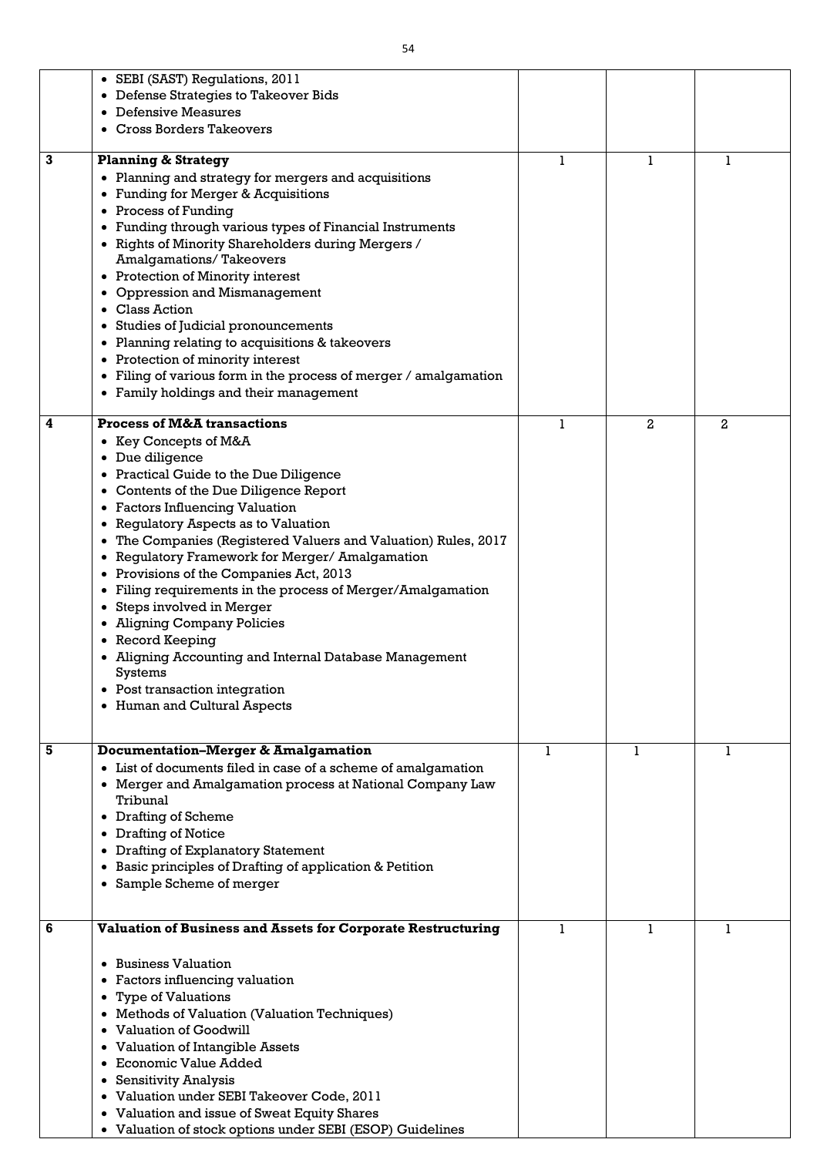|   | • SEBI (SAST) Regulations, 2011                                               |   |                |                |
|---|-------------------------------------------------------------------------------|---|----------------|----------------|
|   | Defense Strategies to Takeover Bids                                           |   |                |                |
|   | Defensive Measures                                                            |   |                |                |
|   | <b>Cross Borders Takeovers</b>                                                |   |                |                |
|   |                                                                               |   |                |                |
| 3 | <b>Planning &amp; Strategy</b>                                                | 1 |                |                |
|   | • Planning and strategy for mergers and acquisitions                          |   |                |                |
|   | <b>Funding for Merger &amp; Acquisitions</b>                                  |   |                |                |
|   | • Process of Funding                                                          |   |                |                |
|   | Funding through various types of Financial Instruments                        |   |                |                |
|   | Rights of Minority Shareholders during Mergers /                              |   |                |                |
|   | <b>Amalgamations/Takeovers</b>                                                |   |                |                |
|   | • Protection of Minority interest                                             |   |                |                |
|   | <b>Oppression and Mismanagement</b>                                           |   |                |                |
|   | <b>Class Action</b>                                                           |   |                |                |
|   | Studies of Judicial pronouncements<br>$\bullet$                               |   |                |                |
|   | Planning relating to acquisitions & takeovers                                 |   |                |                |
|   | • Protection of minority interest                                             |   |                |                |
|   | Filing of various form in the process of merger / amalgamation                |   |                |                |
|   | • Family holdings and their management                                        |   |                |                |
|   |                                                                               |   |                |                |
| 4 | <b>Process of M&amp;A transactions</b>                                        | 1 | $\overline{a}$ | $\overline{2}$ |
|   | Key Concepts of M&A                                                           |   |                |                |
|   | Due diligence<br>$\bullet$                                                    |   |                |                |
|   | • Practical Guide to the Due Diligence                                        |   |                |                |
|   | Contents of the Due Diligence Report<br>$\bullet$                             |   |                |                |
|   | • Factors Influencing Valuation                                               |   |                |                |
|   | Regulatory Aspects as to Valuation<br>$\bullet$                               |   |                |                |
|   | The Companies (Registered Valuers and Valuation) Rules, 2017<br>$\bullet$     |   |                |                |
|   | Regulatory Framework for Merger/ Amalgamation                                 |   |                |                |
|   | Provisions of the Companies Act, 2013                                         |   |                |                |
|   |                                                                               |   |                |                |
|   | • Filing requirements in the process of Merger/Amalgamation                   |   |                |                |
|   | • Steps involved in Merger                                                    |   |                |                |
|   | <b>Aligning Company Policies</b>                                              |   |                |                |
|   | • Record Keeping                                                              |   |                |                |
|   | Aligning Accounting and Internal Database Management                          |   |                |                |
|   | <b>Systems</b>                                                                |   |                |                |
|   | • Post transaction integration                                                |   |                |                |
|   | • Human and Cultural Aspects                                                  |   |                |                |
|   |                                                                               |   |                |                |
| 5 | <b>Documentation-Merger &amp; Amalgamation</b>                                | L | 1              | 1              |
|   | • List of documents filed in case of a scheme of amalgamation                 |   |                |                |
|   | Merger and Amalgamation process at National Company Law                       |   |                |                |
|   | Tribunal                                                                      |   |                |                |
|   | <b>Drafting of Scheme</b>                                                     |   |                |                |
|   | $\bullet$<br><b>Drafting of Notice</b>                                        |   |                |                |
|   |                                                                               |   |                |                |
|   | <b>Drafting of Explanatory Statement</b>                                      |   |                |                |
|   | Basic principles of Drafting of application & Petition                        |   |                |                |
|   | • Sample Scheme of merger                                                     |   |                |                |
|   |                                                                               |   |                |                |
| 6 | <b>Valuation of Business and Assets for Corporate Restructuring</b>           | 1 | 1              |                |
|   |                                                                               |   |                |                |
|   | <b>Business Valuation</b>                                                     |   |                |                |
|   | • Factors influencing valuation                                               |   |                |                |
|   | <b>Type of Valuations</b>                                                     |   |                |                |
|   |                                                                               |   |                |                |
|   | • Methods of Valuation (Valuation Techniques)<br><b>Valuation of Goodwill</b> |   |                |                |
|   |                                                                               |   |                |                |
|   | • Valuation of Intangible Assets                                              |   |                |                |
|   | Economic Value Added                                                          |   |                |                |
|   | • Sensitivity Analysis                                                        |   |                |                |
|   | Valuation under SEBI Takeover Code, 2011<br>$\bullet$                         |   |                |                |
|   | • Valuation and issue of Sweat Equity Shares                                  |   |                |                |
|   | • Valuation of stock options under SEBI (ESOP) Guidelines                     |   |                |                |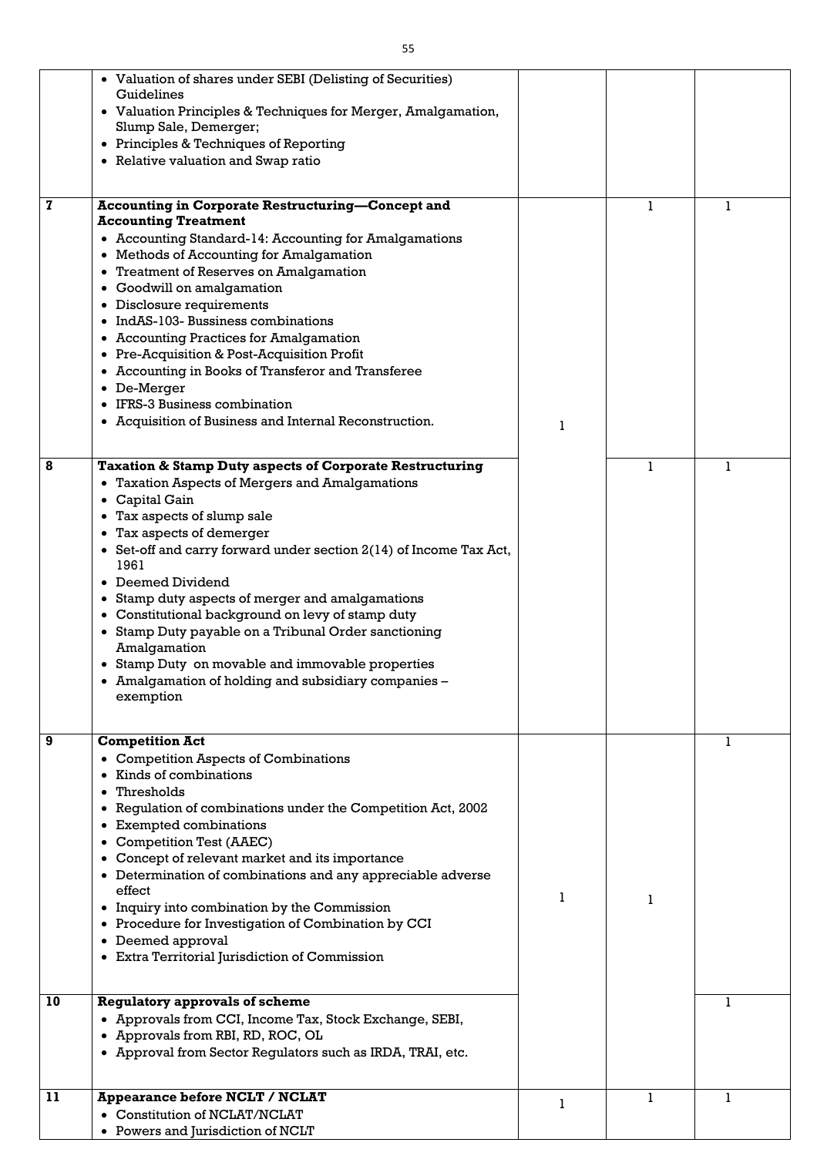| $\mathbf 7$ | • Valuation of shares under SEBI (Delisting of Securities)<br>Guidelines<br>• Valuation Principles & Techniques for Merger, Amalgamation,<br>Slump Sale, Demerger;<br>Principles & Techniques of Reporting<br>$\bullet$<br>• Relative valuation and Swap ratio<br><b>Accounting in Corporate Restructuring-Concept and</b>                                                                                                                                                                                                                                                                                                                                                            |   | 1 | 1 |
|-------------|---------------------------------------------------------------------------------------------------------------------------------------------------------------------------------------------------------------------------------------------------------------------------------------------------------------------------------------------------------------------------------------------------------------------------------------------------------------------------------------------------------------------------------------------------------------------------------------------------------------------------------------------------------------------------------------|---|---|---|
|             | <b>Accounting Treatment</b><br>• Accounting Standard-14: Accounting for Amalgamations<br><b>Methods of Accounting for Amalgamation</b><br>$\bullet$<br>• Treatment of Reserves on Amalgamation<br>Goodwill on amalgamation<br>$\bullet$<br>Disclosure requirements<br>$\bullet$<br>IndAS-103- Bussiness combinations<br>• Accounting Practices for Amalgamation<br>• Pre-Acquisition & Post-Acquisition Profit<br>Accounting in Books of Transferor and Transferee<br>De-Merger<br>٠<br><b>IFRS-3 Business combination</b><br>• Acquisition of Business and Internal Reconstruction.                                                                                                  |   |   |   |
| 8           | <b>Taxation &amp; Stamp Duty aspects of Corporate Restructuring</b><br><b>Taxation Aspects of Mergers and Amalgamations</b><br>$\bullet$<br>Capital Gain<br>٠<br>Tax aspects of slump sale<br>$\bullet$<br>• Tax aspects of demerger<br>• Set-off and carry forward under section $2(14)$ of Income Tax Act,<br>1961<br>Deemed Dividend<br>$\bullet$<br>Stamp duty aspects of merger and amalgamations<br>٠<br>Constitutional background on levy of stamp duty<br>$\bullet$<br>Stamp Duty payable on a Tribunal Order sanctioning<br>Amalgamation<br>Stamp Duty on movable and immovable properties<br>$\bullet$<br>• Amalgamation of holding and subsidiary companies -<br>exemption |   |   |   |
| 9           | <b>Competition Act</b><br><b>Competition Aspects of Combinations</b><br>$\bullet$<br>Kinds of combinations<br>Thresholds<br>Regulation of combinations under the Competition Act, 2002<br>٠<br><b>Exempted combinations</b><br>$\bullet$<br><b>Competition Test (AAEC)</b><br>Concept of relevant market and its importance<br>$\bullet$<br>Determination of combinations and any appreciable adverse<br>$\bullet$<br>effect<br>Inquiry into combination by the Commission<br>$\bullet$<br>• Procedure for Investigation of Combination by CCI<br>Deemed approval<br>$\bullet$<br>• Extra Territorial Jurisdiction of Commission                                                      |   |   | 1 |
| 10          | <b>Regulatory approvals of scheme</b><br>• Approvals from CCI, Income Tax, Stock Exchange, SEBI,<br>Approvals from RBI, RD, ROC, OL<br>$\bullet$<br>• Approval from Sector Regulators such as IRDA, TRAI, etc.                                                                                                                                                                                                                                                                                                                                                                                                                                                                        |   |   | 1 |
| 11          | <b>Appearance before NCLT / NCLAT</b><br>• Constitution of NCLAT/NCLAT<br>• Powers and Jurisdiction of NCLT                                                                                                                                                                                                                                                                                                                                                                                                                                                                                                                                                                           | 1 |   | 1 |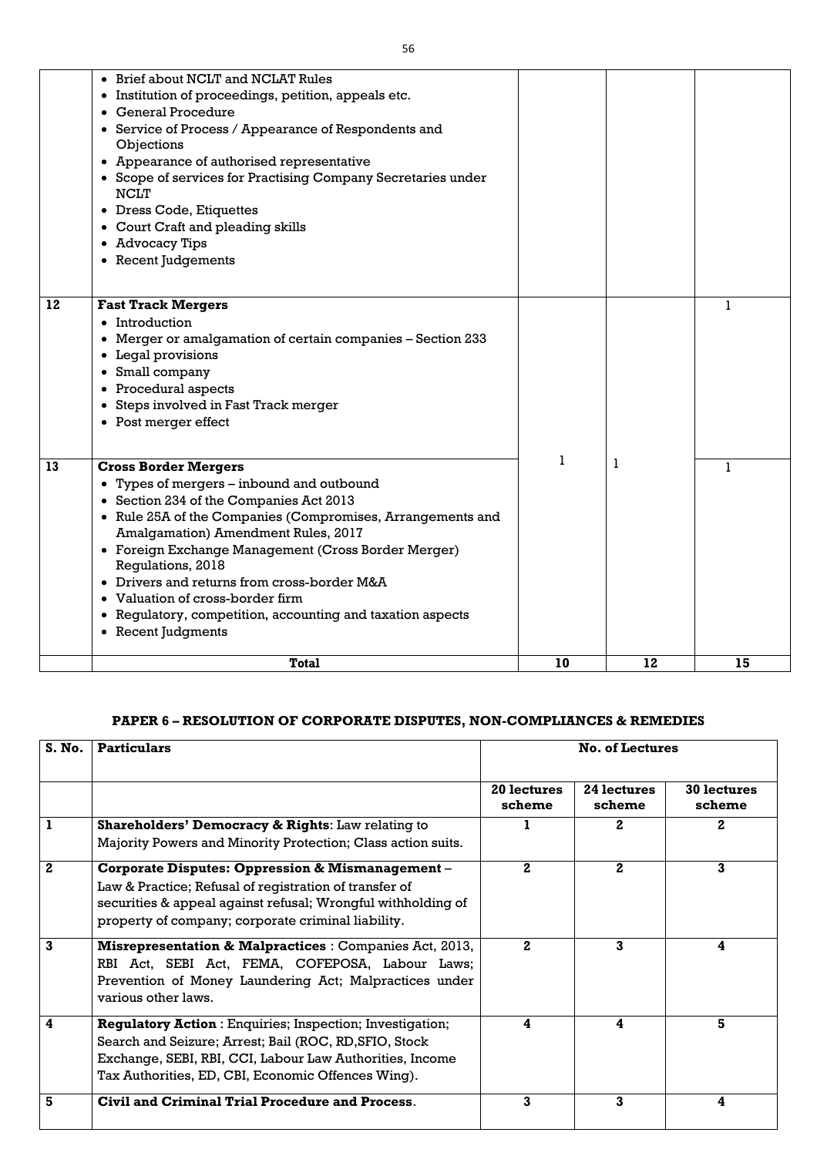|    | • Brief about NCLT and NCLAT Rules                           |    |    |    |
|----|--------------------------------------------------------------|----|----|----|
|    | • Institution of proceedings, petition, appeals etc.         |    |    |    |
|    | <b>General Procedure</b>                                     |    |    |    |
|    | • Service of Process / Appearance of Respondents and         |    |    |    |
|    | Objections                                                   |    |    |    |
|    | • Appearance of authorised representative                    |    |    |    |
|    | • Scope of services for Practising Company Secretaries under |    |    |    |
|    | <b>NCLT</b>                                                  |    |    |    |
|    | • Dress Code, Etiquettes                                     |    |    |    |
|    | • Court Craft and pleading skills                            |    |    |    |
|    | • Advocacy Tips                                              |    |    |    |
|    | • Recent Judgements                                          |    |    |    |
|    |                                                              |    |    |    |
|    |                                                              |    |    |    |
| 12 | <b>Fast Track Mergers</b>                                    |    |    | 1  |
|    | • Introduction                                               |    |    |    |
|    | • Merger or amalgamation of certain companies - Section 233  |    |    |    |
|    | • Legal provisions                                           |    |    |    |
|    | Small company<br>$\bullet$                                   |    |    |    |
|    | • Procedural aspects                                         |    |    |    |
|    | • Steps involved in Fast Track merger                        |    |    |    |
|    | • Post merger effect                                         |    |    |    |
|    |                                                              |    |    |    |
| 13 | <b>Cross Border Mergers</b>                                  |    | 1  | 1  |
|    | • Types of mergers – inbound and outbound                    |    |    |    |
|    | • Section 234 of the Companies Act 2013                      |    |    |    |
|    | • Rule 25A of the Companies (Compromises, Arrangements and   |    |    |    |
|    | Amalgamation) Amendment Rules, 2017                          |    |    |    |
|    | • Foreign Exchange Management (Cross Border Merger)          |    |    |    |
|    | Regulations, 2018                                            |    |    |    |
|    | • Drivers and returns from cross-border M&A                  |    |    |    |
|    | • Valuation of cross-border firm                             |    |    |    |
|    | • Regulatory, competition, accounting and taxation aspects   |    |    |    |
|    | • Recent Judgments                                           |    |    |    |
|    | <b>Total</b>                                                 | 10 | 12 | 15 |
|    |                                                              |    |    |    |

# **PAPER 6 – RESOLUTION OF CORPORATE DISPUTES, NON-COMPLIANCES & REMEDIES**

| S. No. | <b>Particulars</b>                                                                                                                                                                                                                          |                       | <b>No. of Lectures</b>       |                              |
|--------|---------------------------------------------------------------------------------------------------------------------------------------------------------------------------------------------------------------------------------------------|-----------------------|------------------------------|------------------------------|
|        |                                                                                                                                                                                                                                             | 20 lectures<br>scheme | <b>24 lectures</b><br>scheme | <b>30 lectures</b><br>scheme |
|        | <b>Shareholders' Democracy &amp; Rights:</b> Law relating to                                                                                                                                                                                |                       | $\boldsymbol{2}$             | 2                            |
|        | Majority Powers and Minority Protection; Class action suits.                                                                                                                                                                                |                       |                              |                              |
| 2      | <b>Corporate Disputes: Oppression &amp; Mismanagement -</b><br>Law & Practice; Refusal of registration of transfer of<br>securities & appeal against refusal; Wrongful withholding of<br>property of company; corporate criminal liability. | $\mathbf{2}$          | $\mathbf{2}$                 | 3                            |
| 3      | <b>Misrepresentation &amp; Malpractices : Companies Act, 2013,</b><br>RBI Act, SEBI Act, FEMA, COFEPOSA, Labour Laws;<br>Prevention of Money Laundering Act; Malpractices under<br>various other laws.                                      | $\mathbf{2}$          | 3                            | 4                            |
| 4      | <b>Regulatory Action: Enquiries; Inspection; Investigation;</b><br>Search and Seizure; Arrest; Bail (ROC, RD, SFIO, Stock<br>Exchange, SEBI, RBI, CCI, Labour Law Authorities, Income<br>Tax Authorities, ED, CBI, Economic Offences Wing). | 4                     | 4                            | 5                            |
| 5      | Civil and Criminal Trial Procedure and Process.                                                                                                                                                                                             | 3                     | 3                            | 4                            |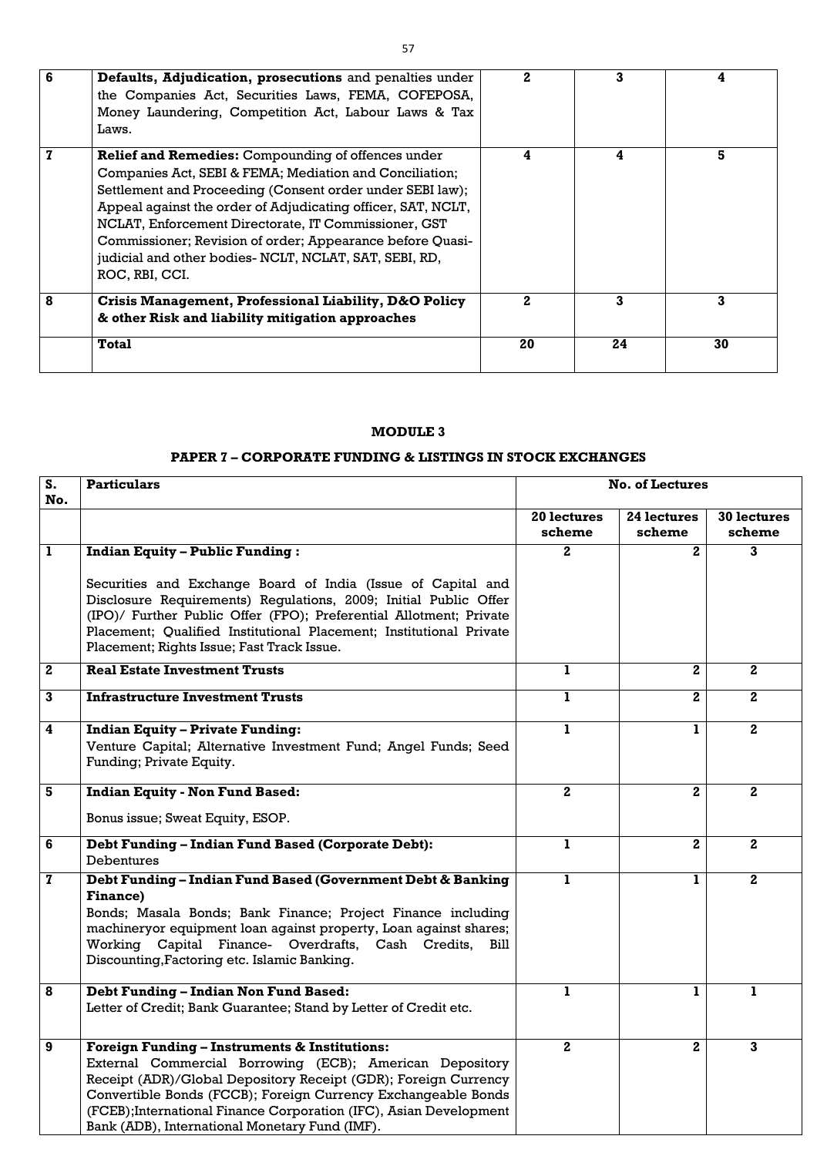| 6 | Defaults, Adjudication, prosecutions and penalties under<br>the Companies Act, Securities Laws, FEMA, COFEPOSA,<br>Money Laundering, Competition Act, Labour Laws & Tax<br>Laws.                                                                                                                                                                                                                                                                   |    | 3  |    |
|---|----------------------------------------------------------------------------------------------------------------------------------------------------------------------------------------------------------------------------------------------------------------------------------------------------------------------------------------------------------------------------------------------------------------------------------------------------|----|----|----|
|   | <b>Relief and Remedies: Compounding of offences under</b><br>Companies Act, SEBI & FEMA; Mediation and Conciliation;<br>Settlement and Proceeding (Consent order under SEBI law);<br>Appeal against the order of Adjudicating officer, SAT, NCLT,<br>NCLAT, Enforcement Directorate, IT Commissioner, GST<br>Commissioner; Revision of order; Appearance before Quasi-<br>judicial and other bodies- NCLT, NCLAT, SAT, SEBI, RD,<br>ROC, RBI, CCI. | 4  | 4  | 5  |
| 8 | Crisis Management, Professional Liability, D&O Policy<br>& other Risk and liability mitigation approaches                                                                                                                                                                                                                                                                                                                                          | 2. | 3  | 3  |
|   | <b>Total</b>                                                                                                                                                                                                                                                                                                                                                                                                                                       | 20 | 24 | 30 |

# **MODULE 3**

# **PAPER 7 – CORPORATE FUNDING & LISTINGS IN STOCK EXCHANGES**

| S.<br>No.               | <b>Particulars</b>                                                                                                                                                                                                                                                                                                                                                               | <b>No. of Lectures</b> |                |                    |
|-------------------------|----------------------------------------------------------------------------------------------------------------------------------------------------------------------------------------------------------------------------------------------------------------------------------------------------------------------------------------------------------------------------------|------------------------|----------------|--------------------|
|                         |                                                                                                                                                                                                                                                                                                                                                                                  | 20 lectures            | 24 lectures    | <b>30 lectures</b> |
|                         |                                                                                                                                                                                                                                                                                                                                                                                  | scheme                 | scheme         | scheme             |
| $\mathbf{1}$            | <b>Indian Equity - Public Funding:</b>                                                                                                                                                                                                                                                                                                                                           | $\mathbf{2}$           | $\overline{2}$ | 3                  |
|                         | Securities and Exchange Board of India (Issue of Capital and<br>Disclosure Requirements) Regulations, 2009; Initial Public Offer<br>(IPO)/ Further Public Offer (FPO); Preferential Allotment; Private<br>Placement; Qualified Institutional Placement; Institutional Private<br>Placement; Rights Issue; Fast Track Issue.                                                      |                        |                |                    |
| $\mathbf{2}$            | <b>Real Estate Investment Trusts</b>                                                                                                                                                                                                                                                                                                                                             | $\mathbf{1}$           | $\mathbf{2}$   | $\mathbf{2}$       |
| $\mathbf{3}$            | <b>Infrastructure Investment Trusts</b>                                                                                                                                                                                                                                                                                                                                          | 1                      | $\overline{2}$ | $2^{\circ}$        |
| $\overline{\mathbf{4}}$ | <b>Indian Equity - Private Funding:</b><br>Venture Capital; Alternative Investment Fund; Angel Funds; Seed<br>Funding; Private Equity.                                                                                                                                                                                                                                           | 1                      | 1              | $\mathbf{2}$       |
| 5                       | <b>Indian Equity - Non Fund Based:</b>                                                                                                                                                                                                                                                                                                                                           | 2 <sub>1</sub>         | $\mathbf{2}$   | $\mathbf{2}$       |
|                         | Bonus issue; Sweat Equity, ESOP.                                                                                                                                                                                                                                                                                                                                                 |                        |                |                    |
| 6                       | <b>Debt Funding - Indian Fund Based (Corporate Debt):</b>                                                                                                                                                                                                                                                                                                                        | 1                      | $\mathbf 2$    | $\mathbf{2}$       |
|                         | <b>Debentures</b>                                                                                                                                                                                                                                                                                                                                                                |                        |                |                    |
| $\mathbf{z}$            | Debt Funding - Indian Fund Based (Government Debt & Banking<br><b>Finance)</b><br>Bonds; Masala Bonds; Bank Finance; Project Finance including<br>machineryor equipment loan against property, Loan against shares;<br>Working Capital Finance- Overdrafts, Cash Credits,<br>Bill<br>Discounting, Factoring etc. Islamic Banking.                                                | ı.                     | 1              | $\mathbf{2}$       |
| 8                       | <b>Debt Funding - Indian Non Fund Based:</b><br>Letter of Credit; Bank Guarantee; Stand by Letter of Credit etc.                                                                                                                                                                                                                                                                 | Ъ                      |                |                    |
| 9                       | <b>Foreign Funding - Instruments &amp; Institutions:</b><br>External Commercial Borrowing (ECB); American Depository<br>Receipt (ADR)/Global Depository Receipt (GDR); Foreign Currency<br>Convertible Bonds (FCCB); Foreign Currency Exchangeable Bonds<br>(FCEB); International Finance Corporation (IFC), Asian Development<br>Bank (ADB), International Monetary Fund (IMF). | $2^{\circ}$            | $\mathbf{2}$   | 3                  |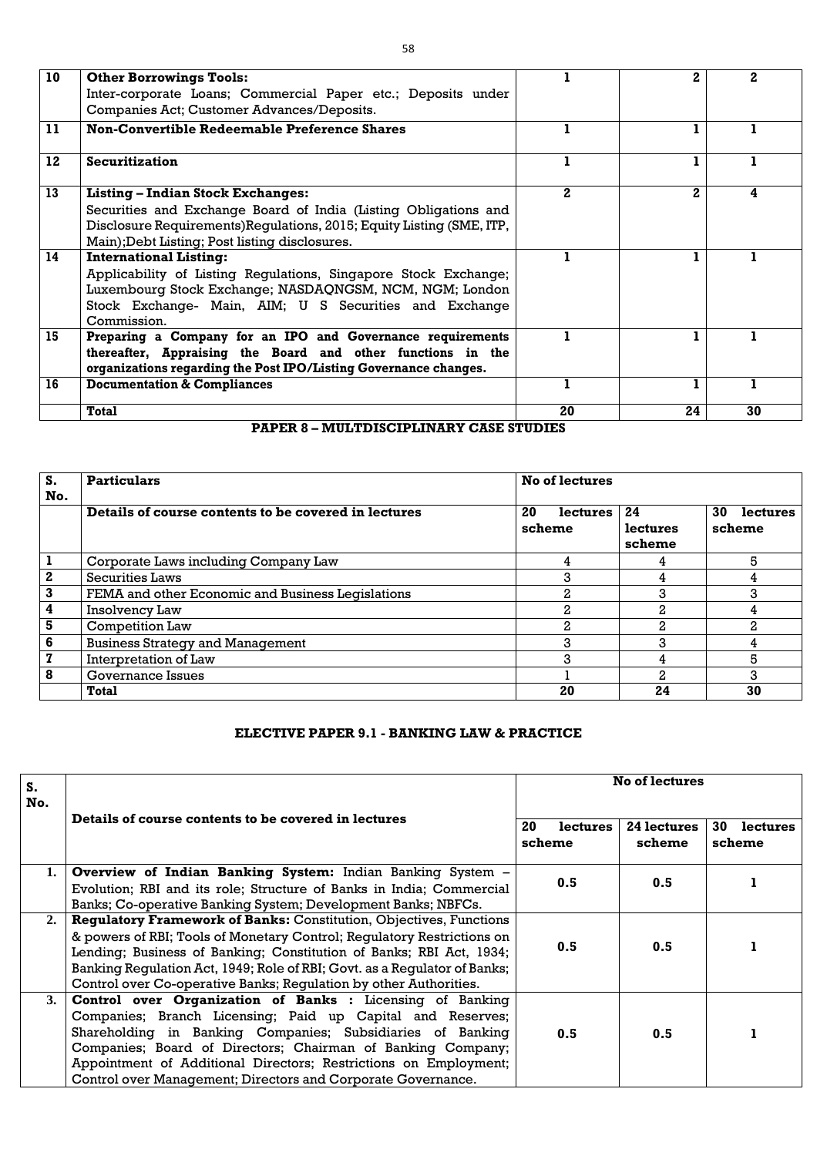| 10 | <b>Other Borrowings Tools:</b>                                        |              | 2            | 2  |
|----|-----------------------------------------------------------------------|--------------|--------------|----|
|    | Inter-corporate Loans; Commercial Paper etc.; Deposits under          |              |              |    |
|    | Companies Act; Customer Advances/Deposits.                            |              |              |    |
| 11 | <b>Non-Convertible Redeemable Preference Shares</b>                   |              |              |    |
| 12 | <b>Securitization</b>                                                 |              |              |    |
| 13 | <b>Listing – Indian Stock Exchanges:</b>                              | $\mathbf{2}$ | $\mathbf{2}$ |    |
|    | Securities and Exchange Board of India (Listing Obligations and       |              |              |    |
|    | Disclosure Requirements) Regulations, 2015; Equity Listing (SME, ITP, |              |              |    |
|    | Main); Debt Listing; Post listing disclosures.                        |              |              |    |
| 14 | <b>International Listing:</b>                                         |              |              |    |
|    | Applicability of Listing Regulations, Singapore Stock Exchange;       |              |              |    |
|    | Luxembourg Stock Exchange; NASDAQNGSM, NCM, NGM; London               |              |              |    |
|    | Stock Exchange- Main, AIM; U S Securities and Exchange                |              |              |    |
|    | Commission.                                                           |              |              |    |
| 15 | Preparing a Company for an IPO and Governance requirements            |              |              |    |
|    | thereafter, Appraising the Board and other functions in the           |              |              |    |
|    | organizations regarding the Post IPO/Listing Governance changes.      |              |              |    |
| 16 | <b>Documentation &amp; Compliances</b>                                |              | 1            |    |
|    | <b>Total</b>                                                          | 20           | 24           | 30 |

### **PAPER 8 – MULTDISCIPLINARY CASE STUDIES**

| S.               | <b>Particulars</b>                                   | No of lectures           |                          |                          |
|------------------|------------------------------------------------------|--------------------------|--------------------------|--------------------------|
| No.              | Details of course contents to be covered in lectures | 20<br>lectures<br>scheme | 24<br>lectures<br>scheme | 30<br>lectures<br>scheme |
|                  | Corporate Laws including Company Law                 |                          |                          | 5                        |
| $\boldsymbol{2}$ | <b>Securities Laws</b>                               | З                        |                          | 4                        |
| 3                | FEMA and other Economic and Business Legislations    | 2.                       | 3                        | 3                        |
| 4                | Insolvency Law                                       | n                        |                          |                          |
| 5                | <b>Competition Law</b>                               | 2                        | 2                        | $\mathbf{2}$             |
| 6                | <b>Business Strategy and Management</b>              | 3                        | 3                        |                          |
| $\mathbf{z}$     | Interpretation of Law                                | 3                        |                          | 5                        |
| 8                | <b>Governance Issues</b>                             |                          |                          | 3                        |
|                  | <b>Total</b>                                         | 20                       | 24                       | 30                       |

### **ELECTIVE PAPER 9.1 - BANKING LAW & PRACTICE**

| S.<br>No. | Details of course contents to be covered in lectures                                                                                          | <b>No of lectures</b>           |                       |                          |
|-----------|-----------------------------------------------------------------------------------------------------------------------------------------------|---------------------------------|-----------------------|--------------------------|
|           |                                                                                                                                               | 20<br><b>lectures</b><br>scheme | 24 lectures<br>scheme | 30<br>lectures<br>scheme |
| 1.        | Overview of Indian Banking System: Indian Banking System -                                                                                    | 0.5                             | 0.5                   |                          |
|           | Evolution; RBI and its role; Structure of Banks in India; Commercial<br>Banks; Co-operative Banking System; Development Banks; NBFCs.         |                                 |                       |                          |
| 2.        | <b>Regulatory Framework of Banks: Constitution, Objectives, Functions</b>                                                                     | 0.5                             |                       |                          |
|           | & powers of RBI; Tools of Monetary Control; Requiatory Restrictions on<br>Lending; Business of Banking; Constitution of Banks; RBI Act, 1934; |                                 | 0.5                   |                          |
|           | Banking Regulation Act, 1949; Role of RBI; Govt. as a Regulator of Banks;                                                                     |                                 |                       |                          |
|           | Control over Co-operative Banks; Requiation by other Authorities.                                                                             |                                 |                       |                          |
| 3.        | <b>Control over Organization of Banks :</b> Licensing of Banking                                                                              |                                 |                       |                          |
|           | Companies; Branch Licensing; Paid up Capital and Reserves;                                                                                    |                                 |                       |                          |
|           | Shareholding in Banking Companies; Subsidiaries of Banking                                                                                    | 0.5                             | 0.5                   |                          |
|           | Companies; Board of Directors; Chairman of Banking Company;                                                                                   |                                 |                       |                          |
|           | Appointment of Additional Directors; Restrictions on Employment;                                                                              |                                 |                       |                          |
|           | Control over Management; Directors and Corporate Governance.                                                                                  |                                 |                       |                          |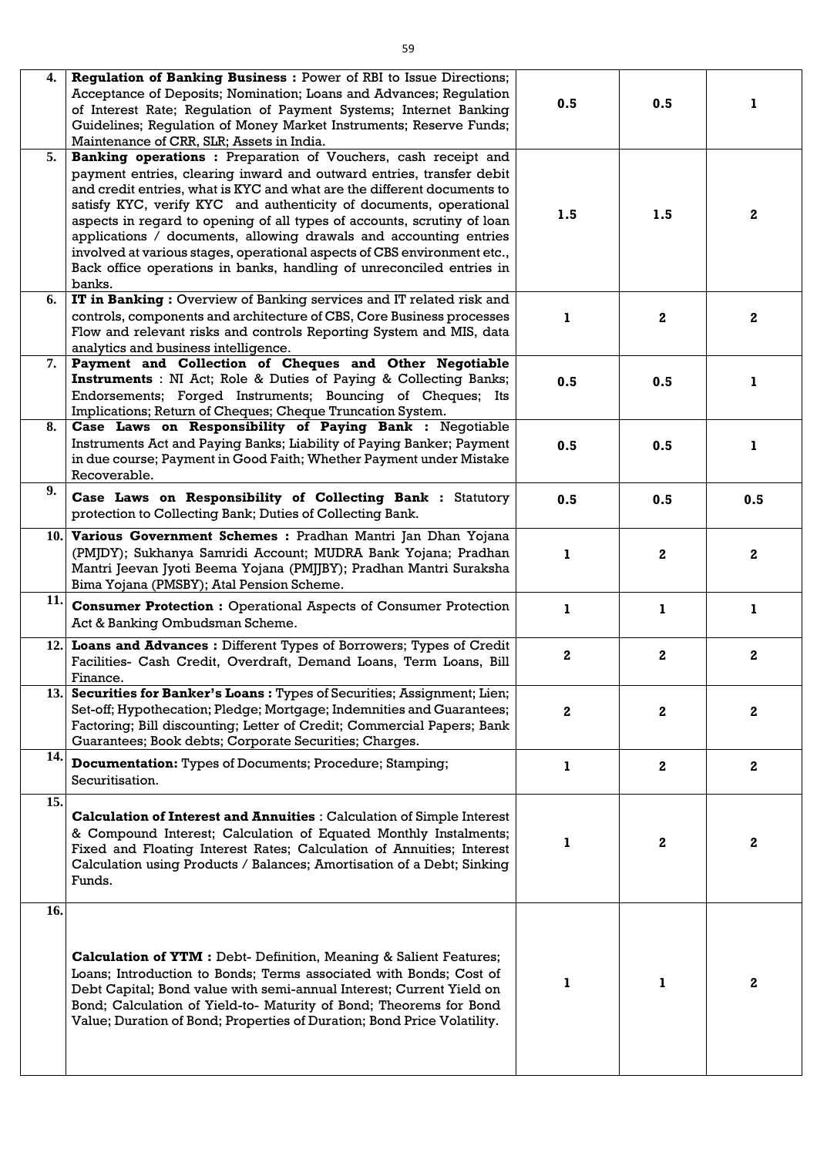| 4.  | Regulation of Banking Business : Power of RBI to Issue Directions;                                                                            |                         |              |              |
|-----|-----------------------------------------------------------------------------------------------------------------------------------------------|-------------------------|--------------|--------------|
|     | Acceptance of Deposits; Nomination; Loans and Advances; Regulation                                                                            | 0.5                     | 0.5          |              |
|     | of Interest Rate; Regulation of Payment Systems; Internet Banking                                                                             |                         |              |              |
|     | Guidelines; Regulation of Money Market Instruments; Reserve Funds;                                                                            |                         |              |              |
|     | Maintenance of CRR, SLR; Assets in India.                                                                                                     |                         |              |              |
| 5.  | Banking operations : Preparation of Vouchers, cash receipt and                                                                                |                         |              |              |
|     | payment entries, clearing inward and outward entries, transfer debit                                                                          |                         |              |              |
|     | and credit entries, what is KYC and what are the different documents to<br>satisfy KYC, verify KYC and authenticity of documents, operational |                         |              |              |
|     | aspects in regard to opening of all types of accounts, scrutiny of loan                                                                       | 1.5                     | 1.5          | $\mathbf{2}$ |
|     | applications / documents, allowing drawals and accounting entries                                                                             |                         |              |              |
|     | involved at various stages, operational aspects of CBS environment etc.,                                                                      |                         |              |              |
|     | Back office operations in banks, handling of unreconciled entries in                                                                          |                         |              |              |
|     | banks.                                                                                                                                        |                         |              |              |
| 6.  | IT in Banking: Overview of Banking services and IT related risk and                                                                           |                         |              |              |
|     | controls, components and architecture of CBS, Core Business processes                                                                         |                         | $\mathbf{2}$ | $\bf{2}$     |
|     | Flow and relevant risks and controls Reporting System and MIS, data                                                                           |                         |              |              |
|     | analytics and business intelligence.                                                                                                          |                         |              |              |
| 7.  | Payment and Collection of Cheques and Other Negotiable                                                                                        |                         |              |              |
|     | <b>Instruments</b> : NI Act; Role & Duties of Paying & Collecting Banks;                                                                      | 0.5                     | 0.5          | 1            |
|     | Endorsements; Forged Instruments; Bouncing of Cheques; Its                                                                                    |                         |              |              |
|     | Implications; Return of Cheques; Cheque Truncation System.                                                                                    |                         |              |              |
| 8.  | Case Laws on Responsibility of Paying Bank : Negotiable                                                                                       |                         |              |              |
|     | Instruments Act and Paying Banks; Liability of Paying Banker; Payment<br>in due course; Payment in Good Faith; Whether Payment under Mistake  | 0.5                     | 0.5          | ı            |
|     | Recoverable.                                                                                                                                  |                         |              |              |
| 9.  |                                                                                                                                               |                         |              |              |
|     | Case Laws on Responsibility of Collecting Bank : Statutory                                                                                    | 0.5                     | 0.5          | 0.5          |
|     | protection to Collecting Bank; Duties of Collecting Bank.                                                                                     |                         |              |              |
| 10. | Various Government Schemes : Pradhan Mantri Jan Dhan Yojana                                                                                   |                         |              |              |
|     | (PMJDY); Sukhanya Samridi Account; MUDRA Bank Yojana; Pradhan                                                                                 | 1                       | $\mathbf{2}$ | 2            |
|     | Mantri Jeevan Jyoti Beema Yojana (PMJJBY); Pradhan Mantri Suraksha                                                                            |                         |              |              |
|     | Bima Yojana (PMSBY); Atal Pension Scheme.                                                                                                     |                         |              |              |
| 11. | <b>Consumer Protection :</b> Operational Aspects of Consumer Protection                                                                       | L                       | Ъ            |              |
|     | Act & Banking Ombudsman Scheme.                                                                                                               |                         |              |              |
|     | 12. Loans and Advances : Different Types of Borrowers; Types of Credit                                                                        |                         |              |              |
|     | Facilities- Cash Credit, Overdraft, Demand Loans, Term Loans, Bill                                                                            | $\overline{\mathbf{2}}$ | $\mathbf{2}$ | $\mathbf{2}$ |
|     | Finance.                                                                                                                                      |                         |              |              |
|     | 13. Securities for Banker's Loans: Types of Securities; Assignment; Lien;                                                                     |                         |              |              |
|     | Set-off; Hypothecation; Pledge; Mortgage; Indemnities and Guarantees;                                                                         | $\mathbf{2}$            | $\mathbf{2}$ | $\bf{2}$     |
|     | Factoring; Bill discounting; Letter of Credit; Commercial Papers; Bank                                                                        |                         |              |              |
|     | Guarantees; Book debts; Corporate Securities; Charges.                                                                                        |                         |              |              |
| 14. | <b>Documentation:</b> Types of Documents; Procedure; Stamping;                                                                                | 1                       | $\mathbf{2}$ | $\mathbf{2}$ |
|     | Securitisation.                                                                                                                               |                         |              |              |
|     |                                                                                                                                               |                         |              |              |
| 15. | <b>Calculation of Interest and Annuities: Calculation of Simple Interest</b>                                                                  |                         |              |              |
|     | & Compound Interest; Calculation of Equated Monthly Instalments;                                                                              |                         |              |              |
|     | Fixed and Floating Interest Rates; Calculation of Annuities; Interest                                                                         |                         | $\mathbf{2}$ | $\mathbf{2}$ |
|     | Calculation using Products / Balances; Amortisation of a Debt; Sinking                                                                        |                         |              |              |
|     | Funds.                                                                                                                                        |                         |              |              |
|     |                                                                                                                                               |                         |              |              |
| 16. |                                                                                                                                               |                         |              |              |
|     |                                                                                                                                               |                         |              |              |
|     |                                                                                                                                               |                         |              |              |
|     | <b>Calculation of YTM</b> : Debt- Definition, Meaning & Salient Features;                                                                     |                         |              |              |
|     | Loans; Introduction to Bonds; Terms associated with Bonds; Cost of                                                                            |                         |              | $\bf{2}$     |
|     | Debt Capital; Bond value with semi-annual Interest; Current Yield on                                                                          |                         |              |              |
|     | Bond; Calculation of Yield-to- Maturity of Bond; Theorems for Bond<br>Value; Duration of Bond; Properties of Duration; Bond Price Volatility. |                         |              |              |
|     |                                                                                                                                               |                         |              |              |
|     |                                                                                                                                               |                         |              |              |
|     |                                                                                                                                               |                         |              |              |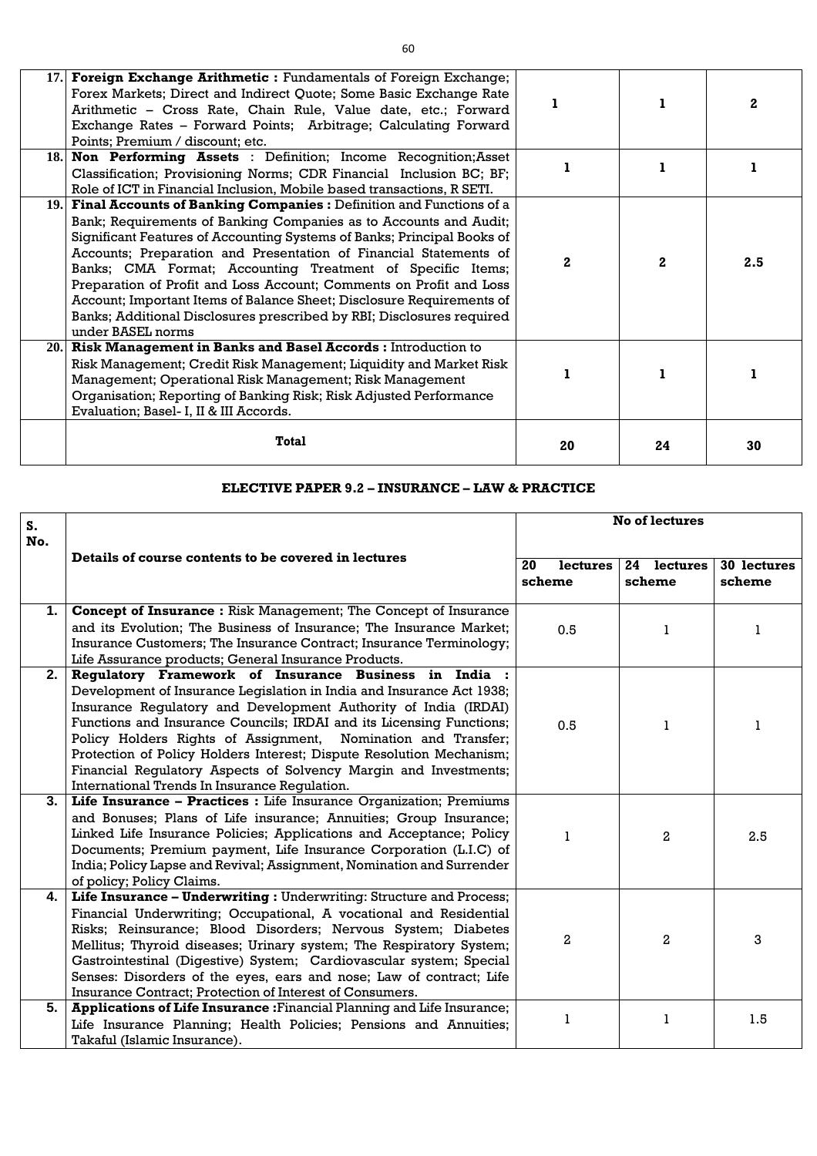|      | Forex Markets; Direct and Indirect Quote; Some Basic Exchange Rate<br>Arithmetic - Cross Rate, Chain Rule, Value date, etc.; Forward<br>Exchange Rates - Forward Points; Arbitrage; Calculating Forward<br>Points; Premium / discount; etc.<br>18. Non Performing Assets : Definition; Income Recognition; Asset<br>Classification; Provisioning Norms; CDR Financial Inclusion BC; BF;                                                                                                                                                                                                                                                                                           |          |              | $\mathbf{2}$ |
|------|-----------------------------------------------------------------------------------------------------------------------------------------------------------------------------------------------------------------------------------------------------------------------------------------------------------------------------------------------------------------------------------------------------------------------------------------------------------------------------------------------------------------------------------------------------------------------------------------------------------------------------------------------------------------------------------|----------|--------------|--------------|
|      | Role of ICT in Financial Inclusion, Mobile based transactions, R SETI.<br>19. Final Accounts of Banking Companies: Definition and Functions of a<br>Bank; Requirements of Banking Companies as to Accounts and Audit;<br>Significant Features of Accounting Systems of Banks; Principal Books of<br>Accounts; Preparation and Presentation of Financial Statements of<br>Banks; CMA Format; Accounting Treatment of Specific Items;<br>Preparation of Profit and Loss Account; Comments on Profit and Loss<br>Account; Important Items of Balance Sheet; Disclosure Requirements of<br>Banks; Additional Disclosures prescribed by RBI; Disclosures required<br>under BASEL norms | $\bf{2}$ | $\mathbf{2}$ | 2.5          |
| 20.1 | Risk Management in Banks and Basel Accords : Introduction to<br>Risk Management; Credit Risk Management; Liquidity and Market Risk<br>Management; Operational Risk Management; Risk Management<br>Organisation; Reporting of Banking Risk; Risk Adjusted Performance<br>Evaluation; Basel- I, II & III Accords.                                                                                                                                                                                                                                                                                                                                                                   |          |              |              |
|      | <b>Total</b>                                                                                                                                                                                                                                                                                                                                                                                                                                                                                                                                                                                                                                                                      | 20       | 24           | 30           |

### **ELECTIVE PAPER 9.2 – INSURANCE – LAW & PRACTICE**

| S.  |                                                                                                                                            |                | <b>No of lectures</b> |             |
|-----|--------------------------------------------------------------------------------------------------------------------------------------------|----------------|-----------------------|-------------|
| No. |                                                                                                                                            |                |                       |             |
|     | Details of course contents to be covered in lectures                                                                                       | 20<br>lectures | 24 lectures           | 30 lectures |
|     |                                                                                                                                            | scheme         | scheme                | scheme      |
|     |                                                                                                                                            |                |                       |             |
| 1.  | <b>Concept of Insurance:</b> Risk Management; The Concept of Insurance                                                                     |                |                       |             |
|     | and its Evolution; The Business of Insurance; The Insurance Market;                                                                        | 0.5            | 1                     | 1           |
|     | Insurance Customers; The Insurance Contract; Insurance Terminology;                                                                        |                |                       |             |
|     | Life Assurance products; General Insurance Products.                                                                                       |                |                       |             |
| 2.  | Regulatory Framework of Insurance Business in India :                                                                                      |                |                       |             |
|     | Development of Insurance Legislation in India and Insurance Act 1938;                                                                      |                |                       |             |
|     | Insurance Regulatory and Development Authority of India (IRDAI)                                                                            |                |                       |             |
|     | Functions and Insurance Councils; IRDAI and its Licensing Functions;                                                                       | 0.5            | 1                     | 1           |
|     | Policy Holders Rights of Assignment, Nomination and Transfer;                                                                              |                |                       |             |
|     | Protection of Policy Holders Interest; Dispute Resolution Mechanism;                                                                       |                |                       |             |
|     | Financial Regulatory Aspects of Solvency Margin and Investments;                                                                           |                |                       |             |
|     | International Trends In Insurance Regulation.                                                                                              |                |                       |             |
| 3.  | Life Insurance - Practices : Life Insurance Organization; Premiums                                                                         |                |                       |             |
|     | and Bonuses; Plans of Life insurance; Annuities; Group Insurance;                                                                          |                |                       |             |
|     | Linked Life Insurance Policies; Applications and Acceptance; Policy                                                                        |                | $\mathbf{2}$          | 2.5         |
|     | Documents; Premium payment, Life Insurance Corporation (L.I.C) of<br>India; Policy Lapse and Revival; Assignment, Nomination and Surrender |                |                       |             |
|     | of policy; Policy Claims.                                                                                                                  |                |                       |             |
| 4.  | Life Insurance - Underwriting : Underwriting: Structure and Process;                                                                       |                |                       |             |
|     | Financial Underwriting; Occupational, A vocational and Residential                                                                         |                |                       |             |
|     | Risks; Reinsurance; Blood Disorders; Nervous System; Diabetes                                                                              |                |                       |             |
|     | Mellitus; Thyroid diseases; Urinary system; The Respiratory System;                                                                        | $\overline{a}$ | $\mathbf{2}$          | 3           |
|     | Gastrointestinal (Digestive) System; Cardiovascular system; Special                                                                        |                |                       |             |
|     | Senses: Disorders of the eyes, ears and nose; Law of contract; Life                                                                        |                |                       |             |
|     | Insurance Contract; Protection of Interest of Consumers.                                                                                   |                |                       |             |
| 5.  | Applications of Life Insurance: Financial Planning and Life Insurance;                                                                     |                |                       |             |
|     | Life Insurance Planning; Health Policies; Pensions and Annuities;                                                                          | 1              | 1                     | 1.5         |
|     | Takaful (Islamic Insurance).                                                                                                               |                |                       |             |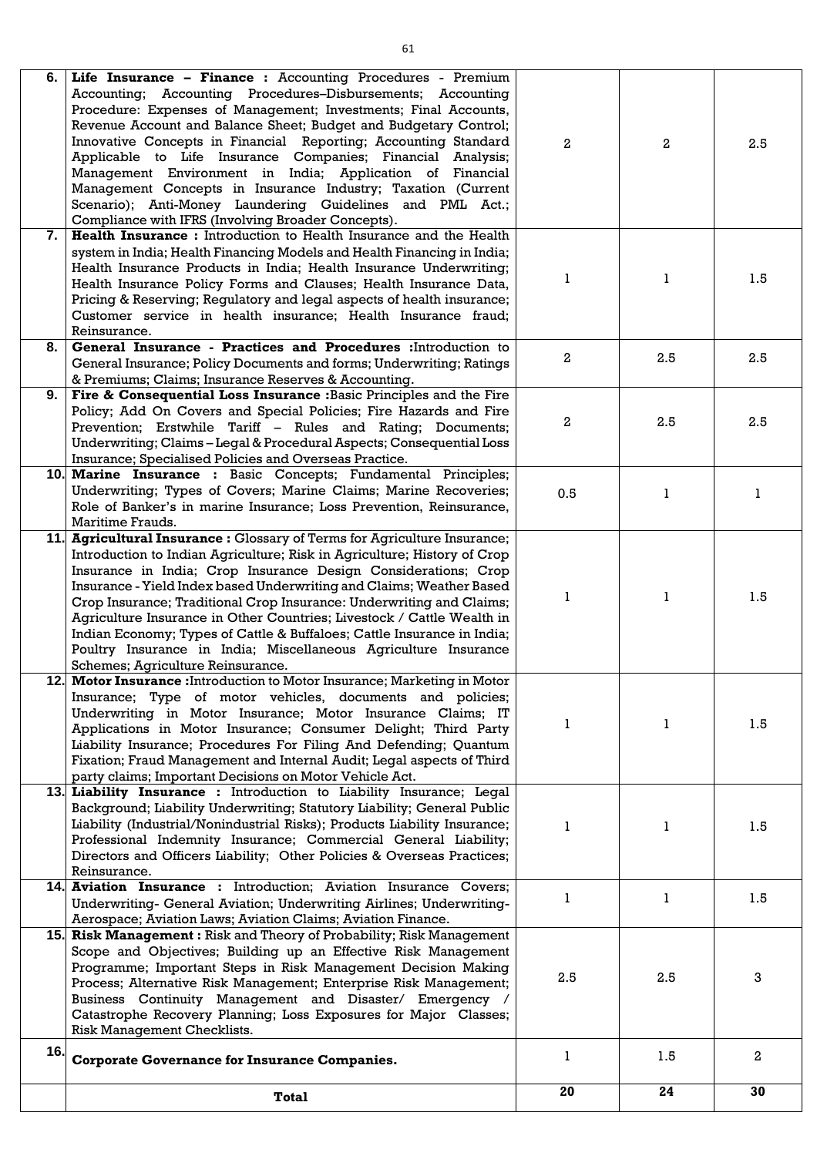| 6.  | Life Insurance - Finance : Accounting Procedures - Premium<br>Accounting; Accounting Procedures-Disbursements; Accounting<br>Procedure: Expenses of Management; Investments; Final Accounts,<br>Revenue Account and Balance Sheet; Budget and Budgetary Control;<br>Innovative Concepts in Financial Reporting; Accounting Standard<br>Applicable to Life Insurance Companies; Financial Analysis;<br>Management Environment in India; Application of Financial<br>Management Concepts in Insurance Industry; Taxation (Current<br>Scenario); Anti-Money Laundering Guidelines and PML Act.;<br>Compliance with IFRS (Involving Broader Concepts). | 2   | $\overline{a}$ | 2.5            |
|-----|----------------------------------------------------------------------------------------------------------------------------------------------------------------------------------------------------------------------------------------------------------------------------------------------------------------------------------------------------------------------------------------------------------------------------------------------------------------------------------------------------------------------------------------------------------------------------------------------------------------------------------------------------|-----|----------------|----------------|
| 7.  | <b>Health Insurance :</b> Introduction to Health Insurance and the Health<br>system in India; Health Financing Models and Health Financing in India;<br>Health Insurance Products in India; Health Insurance Underwriting;<br>Health Insurance Policy Forms and Clauses; Health Insurance Data,<br>Pricing & Reserving; Regulatory and legal aspects of health insurance;<br>Customer service in health insurance; Health Insurance fraud;<br>Reinsurance.                                                                                                                                                                                         | 1.  | 1              | 1.5            |
| 8.  | General Insurance - Practices and Procedures : Introduction to<br>General Insurance; Policy Documents and forms; Underwriting; Ratings<br>& Premiums; Claims; Insurance Reserves & Accounting.                                                                                                                                                                                                                                                                                                                                                                                                                                                     | 2   | 2.5            | 2.5            |
| 9.  | Fire & Consequential Loss Insurance : Basic Principles and the Fire<br>Policy; Add On Covers and Special Policies; Fire Hazards and Fire<br>Prevention; Erstwhile Tariff - Rules and Rating; Documents;<br>Underwriting; Claims - Legal & Procedural Aspects; Consequential Loss<br>Insurance; Specialised Policies and Overseas Practice.                                                                                                                                                                                                                                                                                                         | 2   | 2.5            | 2.5            |
|     | <b>10. Marine Insurance :</b> Basic Concepts; Fundamental Principles;<br>Underwriting; Types of Covers; Marine Claims; Marine Recoveries;<br>Role of Banker's in marine Insurance; Loss Prevention, Reinsurance,<br>Maritime Frauds.                                                                                                                                                                                                                                                                                                                                                                                                               | 0.5 | 1              | 1              |
|     | 11. Agricultural Insurance: Glossary of Terms for Agriculture Insurance;<br>Introduction to Indian Agriculture; Risk in Agriculture; History of Crop<br>Insurance in India; Crop Insurance Design Considerations; Crop<br>Insurance - Yield Index based Underwriting and Claims; Weather Based<br>Crop Insurance; Traditional Crop Insurance: Underwriting and Claims;<br>Agriculture Insurance in Other Countries; Livestock / Cattle Wealth in<br>Indian Economy; Types of Cattle & Buffaloes; Cattle Insurance in India;<br>Poultry Insurance in India; Miscellaneous Agriculture Insurance<br>Schemes; Agriculture Reinsurance.                |     | 1              | 1.5            |
|     | 12. Motor Insurance: Introduction to Motor Insurance; Marketing in Motor<br>Insurance; Type of motor vehicles, documents and policies;<br>Underwriting in Motor Insurance; Motor Insurance Claims; IT<br>Applications in Motor Insurance; Consumer Delight; Third Party<br>Liability Insurance; Procedures For Filing And Defending; Quantum<br>Fixation; Fraud Management and Internal Audit; Legal aspects of Third<br>party claims; Important Decisions on Motor Vehicle Act.                                                                                                                                                                   |     | 1              | 1.5            |
|     | 13. Liability Insurance: Introduction to Liability Insurance; Legal<br>Background; Liability Underwriting; Statutory Liability; General Public<br>Liability (Industrial/Nonindustrial Risks); Products Liability Insurance;<br>Professional Indemnity Insurance; Commercial General Liability;<br>Directors and Officers Liability; Other Policies & Overseas Practices;<br>Reinsurance.                                                                                                                                                                                                                                                           |     | 1              | 1.5            |
|     | 14. Aviation Insurance : Introduction; Aviation Insurance Covers;<br>Underwriting- General Aviation; Underwriting Airlines; Underwriting-<br>Aerospace; Aviation Laws; Aviation Claims; Aviation Finance.                                                                                                                                                                                                                                                                                                                                                                                                                                          |     | 1              | 1.5            |
|     | 15. Risk Management: Risk and Theory of Probability; Risk Management<br>Scope and Objectives; Building up an Effective Risk Management<br>Programme; Important Steps in Risk Management Decision Making<br>Process; Alternative Risk Management; Enterprise Risk Management;<br>Business Continuity Management and Disaster/ Emergency /<br>Catastrophe Recovery Planning; Loss Exposures for Major Classes;<br>Risk Management Checklists.                                                                                                                                                                                                        | 2.5 | 2.5            | 3              |
| 16. | <b>Corporate Governance for Insurance Companies.</b>                                                                                                                                                                                                                                                                                                                                                                                                                                                                                                                                                                                               |     | 1.5            | $\overline{2}$ |
|     | <b>Total</b>                                                                                                                                                                                                                                                                                                                                                                                                                                                                                                                                                                                                                                       | 20  | 24             | 30             |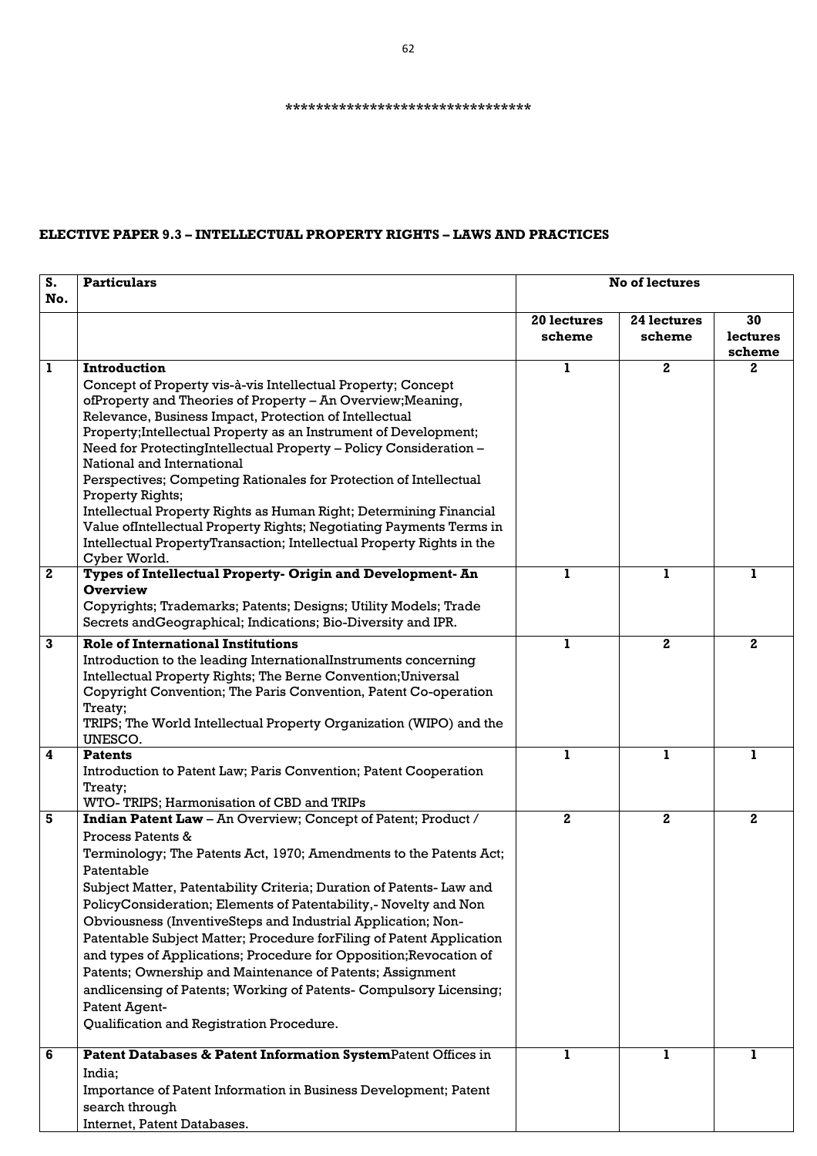# **ELECTIVE PAPER 9.3 – INTELLECTUAL PROPERTY RIGHTS – LAWS AND PRACTICES**

| S.                      | <b>Particulars</b>                                                                                                                    | <b>No of lectures</b> |                |                    |
|-------------------------|---------------------------------------------------------------------------------------------------------------------------------------|-----------------------|----------------|--------------------|
| No.                     |                                                                                                                                       |                       |                |                    |
|                         |                                                                                                                                       | 20 lectures           | 24 lectures    | 30                 |
|                         |                                                                                                                                       | scheme                | scheme         | lectures<br>scheme |
| $\mathbf{1}$            | Introduction                                                                                                                          | 1                     | 2 <sub>1</sub> | $\mathbf{2}$       |
|                         | Concept of Property vis-à-vis Intellectual Property; Concept                                                                          |                       |                |                    |
|                         | ofProperty and Theories of Property - An Overview; Meaning,                                                                           |                       |                |                    |
|                         | Relevance, Business Impact, Protection of Intellectual                                                                                |                       |                |                    |
|                         | Property; Intellectual Property as an Instrument of Development;<br>Need for ProtectingIntellectual Property - Policy Consideration - |                       |                |                    |
|                         | National and International                                                                                                            |                       |                |                    |
|                         | Perspectives; Competing Rationales for Protection of Intellectual<br>Property Rights;                                                 |                       |                |                    |
|                         | Intellectual Property Rights as Human Right; Determining Financial                                                                    |                       |                |                    |
|                         | Value ofIntellectual Property Rights; Negotiating Payments Terms in                                                                   |                       |                |                    |
|                         | Intellectual PropertyTransaction; Intellectual Property Rights in the                                                                 |                       |                |                    |
|                         | Cyber World.                                                                                                                          |                       |                |                    |
| $\mathbf{2}$            | Types of Intellectual Property- Origin and Development- An                                                                            |                       | ı              | ı                  |
|                         | <b>Overview</b>                                                                                                                       |                       |                |                    |
|                         | Copyrights; Trademarks; Patents; Designs; Utility Models; Trade                                                                       |                       |                |                    |
|                         | Secrets and Geographical; Indications; Bio-Diversity and IPR.                                                                         |                       |                |                    |
| $\mathbf{3}$            | <b>Role of International Institutions</b>                                                                                             | L                     | $\mathbf{2}$   | $\mathbf{2}$       |
|                         | Introduction to the leading InternationalInstruments concerning                                                                       |                       |                |                    |
|                         | Intellectual Property Rights; The Berne Convention; Universal                                                                         |                       |                |                    |
|                         | Copyright Convention; The Paris Convention, Patent Co-operation                                                                       |                       |                |                    |
|                         | Treaty;<br>TRIPS; The World Intellectual Property Organization (WIPO) and the                                                         |                       |                |                    |
|                         | UNESCO.                                                                                                                               |                       |                |                    |
| $\overline{\mathbf{4}}$ | <b>Patents</b>                                                                                                                        |                       |                | 1                  |
|                         | Introduction to Patent Law; Paris Convention; Patent Cooperation                                                                      |                       |                |                    |
|                         | Treaty;                                                                                                                               |                       |                |                    |
|                         | WTO-TRIPS; Harmonisation of CBD and TRIPs                                                                                             |                       |                |                    |
| 5                       | <b>Indian Patent Law</b> – An Overview; Concept of Patent; Product /                                                                  | $\mathbf{2}$          | $\mathbf{2}$   | $\mathbf{2}$       |
|                         | Process Patents &                                                                                                                     |                       |                |                    |
|                         | Terminology; The Patents Act, 1970; Amendments to the Patents Act;                                                                    |                       |                |                    |
|                         | Patentable                                                                                                                            |                       |                |                    |
|                         | Subject Matter, Patentability Criteria; Duration of Patents- Law and                                                                  |                       |                |                    |
|                         | PolicyConsideration; Elements of Patentability,- Novelty and Non                                                                      |                       |                |                    |
|                         | Obviousness (InventiveSteps and Industrial Application; Non-                                                                          |                       |                |                    |
|                         | Patentable Subject Matter; Procedure for Filing of Patent Application                                                                 |                       |                |                    |
|                         | and types of Applications; Procedure for Opposition; Revocation of                                                                    |                       |                |                    |
|                         | Patents; Ownership and Maintenance of Patents; Assignment                                                                             |                       |                |                    |
|                         | andlicensing of Patents; Working of Patents- Compulsory Licensing;                                                                    |                       |                |                    |
|                         | Patent Agent-                                                                                                                         |                       |                |                    |
|                         | Qualification and Registration Procedure.                                                                                             |                       |                |                    |
| 6                       | Patent Databases & Patent Information SystemPatent Offices in                                                                         | 1                     | 1.             | 1                  |
|                         | India;                                                                                                                                |                       |                |                    |
|                         | Importance of Patent Information in Business Development; Patent                                                                      |                       |                |                    |
|                         | search through                                                                                                                        |                       |                |                    |
|                         | Internet, Patent Databases.                                                                                                           |                       |                |                    |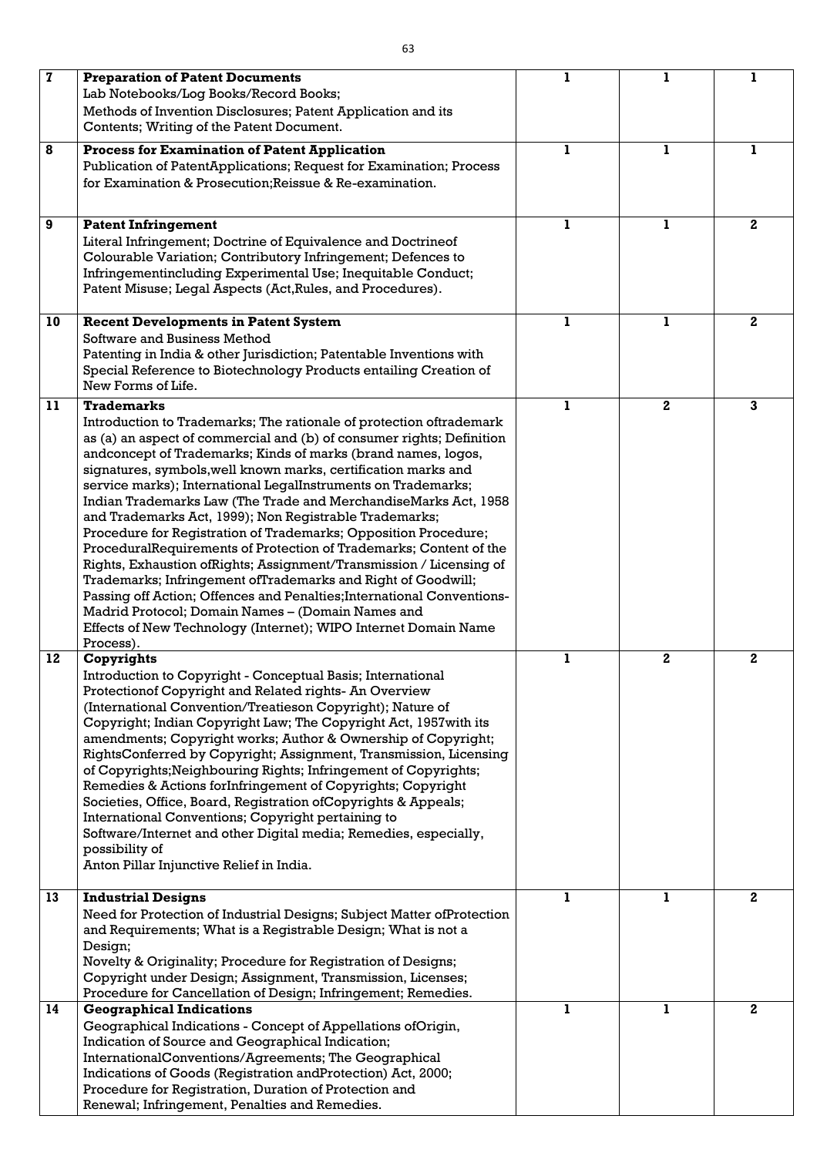| $\mathbf 7$ | <b>Preparation of Patent Documents</b>                                                                                    | ı | 1            | 1            |
|-------------|---------------------------------------------------------------------------------------------------------------------------|---|--------------|--------------|
|             | Lab Notebooks/Log Books/Record Books;                                                                                     |   |              |              |
|             | Methods of Invention Disclosures; Patent Application and its                                                              |   |              |              |
|             | Contents; Writing of the Patent Document.                                                                                 |   |              |              |
| 8           | <b>Process for Examination of Patent Application</b>                                                                      | L | 1            | 1            |
|             | Publication of PatentApplications; Request for Examination; Process                                                       |   |              |              |
|             | for Examination & Prosecution; Reissue & Re-examination.                                                                  |   |              |              |
|             |                                                                                                                           |   |              |              |
|             |                                                                                                                           |   |              |              |
| 9           | <b>Patent Infringement</b>                                                                                                | т | L            | $\mathbf{2}$ |
|             | Literal Infringement; Doctrine of Equivalence and Doctrineof                                                              |   |              |              |
|             | Colourable Variation; Contributory Infringement; Defences to                                                              |   |              |              |
|             | Infringementincluding Experimental Use; Inequitable Conduct;                                                              |   |              |              |
|             | Patent Misuse; Legal Aspects (Act, Rules, and Procedures).                                                                |   |              |              |
|             |                                                                                                                           |   |              |              |
| 10          | <b>Recent Developments in Patent System</b>                                                                               |   | 1            | $\mathbf{2}$ |
|             | Software and Business Method                                                                                              |   |              |              |
|             | Patenting in India & other Jurisdiction; Patentable Inventions with                                                       |   |              |              |
|             | Special Reference to Biotechnology Products entailing Creation of<br>New Forms of Life.                                   |   |              |              |
|             |                                                                                                                           |   |              |              |
| 11          | <b>Trademarks</b>                                                                                                         |   | $\mathbf{2}$ | $\mathbf{3}$ |
|             | Introduction to Trademarks; The rationale of protection oftrademark                                                       |   |              |              |
|             | as (a) an aspect of commercial and (b) of consumer rights; Definition                                                     |   |              |              |
|             | andconcept of Trademarks; Kinds of marks (brand names, logos,                                                             |   |              |              |
|             | signatures, symbols, well known marks, certification marks and                                                            |   |              |              |
|             | service marks); International LegalInstruments on Trademarks;                                                             |   |              |              |
|             | Indian Trademarks Law (The Trade and MerchandiseMarks Act, 1958                                                           |   |              |              |
|             | and Trademarks Act, 1999); Non Registrable Trademarks;<br>Procedure for Registration of Trademarks; Opposition Procedure; |   |              |              |
|             | ProceduralRequirements of Protection of Trademarks; Content of the                                                        |   |              |              |
|             | Rights, Exhaustion of Rights; Assignment/Transmission / Licensing of                                                      |   |              |              |
|             | Trademarks; Infringement ofTrademarks and Right of Goodwill;                                                              |   |              |              |
|             | Passing off Action; Offences and Penalties; International Conventions-                                                    |   |              |              |
|             | Madrid Protocol; Domain Names - (Domain Names and                                                                         |   |              |              |
|             | Effects of New Technology (Internet); WIPO Internet Domain Name                                                           |   |              |              |
|             | Process).                                                                                                                 |   |              |              |
| 12          | Copyrights                                                                                                                | ı | $\mathbf{2}$ | $\mathbf{2}$ |
|             | Introduction to Copyright - Conceptual Basis; International                                                               |   |              |              |
|             | Protectionof Copyright and Related rights- An Overview                                                                    |   |              |              |
|             | (International Convention/Treatieson Copyright); Nature of                                                                |   |              |              |
|             | Copyright; Indian Copyright Law; The Copyright Act, 1957 with its                                                         |   |              |              |
|             | amendments; Copyright works; Author & Ownership of Copyright;                                                             |   |              |              |
|             | RightsConferred by Copyright; Assignment, Transmission, Licensing                                                         |   |              |              |
|             | of Copyrights; Neighbouring Rights; Infringement of Copyrights;                                                           |   |              |              |
|             | Remedies & Actions forInfringement of Copyrights; Copyright                                                               |   |              |              |
|             | Societies, Office, Board, Registration of Copyrights & Appeals;                                                           |   |              |              |
|             | International Conventions; Copyright pertaining to                                                                        |   |              |              |
|             | Software/Internet and other Digital media; Remedies, especially,                                                          |   |              |              |
|             | possibility of                                                                                                            |   |              |              |
|             | Anton Pillar Injunctive Relief in India.                                                                                  |   |              |              |
|             |                                                                                                                           |   |              |              |
| 13          | <b>Industrial Designs</b>                                                                                                 |   | 1            | $\mathbf{2}$ |
|             | Need for Protection of Industrial Designs; Subject Matter of Protection                                                   |   |              |              |
|             | and Requirements; What is a Registrable Design; What is not a                                                             |   |              |              |
|             | Design;                                                                                                                   |   |              |              |
|             | Novelty & Originality; Procedure for Registration of Designs;                                                             |   |              |              |
|             | Copyright under Design; Assignment, Transmission, Licenses;                                                               |   |              |              |
|             | Procedure for Cancellation of Design; Infringement; Remedies.                                                             |   |              |              |
| 14          | <b>Geographical Indications</b>                                                                                           | Т | 1            | $\mathbf{2}$ |
|             | Geographical Indications - Concept of Appellations ofOrigin,                                                              |   |              |              |
|             | Indication of Source and Geographical Indication;<br>InternationalConventions/Agreements; The Geographical                |   |              |              |
|             | Indications of Goods (Registration andProtection) Act, 2000;                                                              |   |              |              |
|             | Procedure for Registration, Duration of Protection and                                                                    |   |              |              |
|             | Renewal; Infringement, Penalties and Remedies.                                                                            |   |              |              |
|             |                                                                                                                           |   |              |              |

 $\lfloor$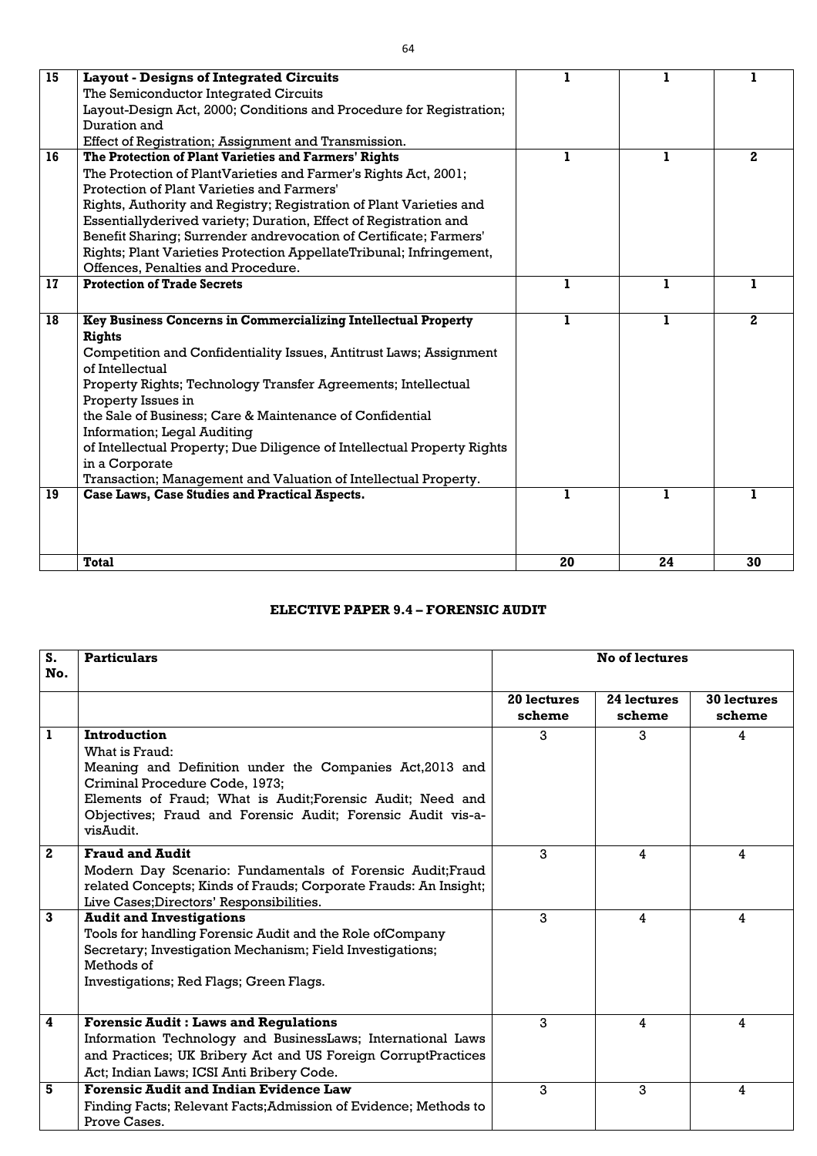| 15 | <b>Layout - Designs of Integrated Circuits</b>                          | 1  | ı.           |             |
|----|-------------------------------------------------------------------------|----|--------------|-------------|
|    | The Semiconductor Integrated Circuits                                   |    |              |             |
|    | Layout-Design Act, 2000; Conditions and Procedure for Registration;     |    |              |             |
|    | Duration and                                                            |    |              |             |
|    | Effect of Registration; Assignment and Transmission.                    |    |              |             |
| 16 | The Protection of Plant Varieties and Farmers' Rights                   | 1  | ı            | $2^{\circ}$ |
|    | The Protection of PlantVarieties and Farmer's Rights Act, 2001;         |    |              |             |
|    | Protection of Plant Varieties and Farmers'                              |    |              |             |
|    | Rights, Authority and Registry; Registration of Plant Varieties and     |    |              |             |
|    | Essentially derived variety; Duration, Effect of Registration and       |    |              |             |
|    | Benefit Sharing; Surrender andrevocation of Certificate; Farmers'       |    |              |             |
|    | Rights; Plant Varieties Protection AppellateTribunal; Infringement,     |    |              |             |
|    | Offences, Penalties and Procedure.                                      |    |              |             |
| 17 | <b>Protection of Trade Secrets</b>                                      | 1  | 1            |             |
|    |                                                                         |    |              |             |
| 18 | Key Business Concerns in Commercializing Intellectual Property          | 1  | $\mathbf{1}$ | $2^{\circ}$ |
|    | <b>Rights</b>                                                           |    |              |             |
|    | Competition and Confidentiality Issues, Antitrust Laws; Assignment      |    |              |             |
|    | of Intellectual                                                         |    |              |             |
|    | Property Rights; Technology Transfer Agreements; Intellectual           |    |              |             |
|    | Property Issues in                                                      |    |              |             |
|    | the Sale of Business; Care & Maintenance of Confidential                |    |              |             |
|    | <b>Information</b> ; Legal Auditing                                     |    |              |             |
|    | of Intellectual Property; Due Diligence of Intellectual Property Rights |    |              |             |
|    | in a Corporate                                                          |    |              |             |
|    | Transaction; Management and Valuation of Intellectual Property.         |    |              |             |
| 19 | Case Laws, Case Studies and Practical Aspects.                          | 1  | 1            | L           |
|    |                                                                         |    |              |             |
|    |                                                                         |    |              |             |
|    |                                                                         |    |              |             |
|    | <b>Total</b>                                                            | 20 | 24           | 30          |

# **ELECTIVE PAPER 9.4 – FORENSIC AUDIT**

| $S_{-}$<br>No.          | <b>Particulars</b>                                                                                                                                                                                                                                                     | <b>No of lectures</b> |                       |                              |
|-------------------------|------------------------------------------------------------------------------------------------------------------------------------------------------------------------------------------------------------------------------------------------------------------------|-----------------------|-----------------------|------------------------------|
|                         |                                                                                                                                                                                                                                                                        | 20 lectures<br>scheme | 24 lectures<br>scheme | <b>30 lectures</b><br>scheme |
| $\mathbf{1}$            | Introduction<br>What is Fraud:<br>Meaning and Definition under the Companies Act, 2013 and<br>Criminal Procedure Code, 1973;<br>Elements of Fraud; What is Audit; Forensic Audit; Need and<br>Objectives; Fraud and Forensic Audit; Forensic Audit vis-a-<br>visAudit. | 3                     | 3                     | 4                            |
| $\mathbf{2}$            | <b>Fraud and Audit</b><br>Modern Day Scenario: Fundamentals of Forensic Audit; Fraud<br>related Concepts; Kinds of Frauds; Corporate Frauds: An Insight;<br>Live Cases; Directors' Responsibilities.                                                                   | 3                     | 4                     | 4                            |
| $\mathbf{3}$            | <b>Audit and Investigations</b><br>Tools for handling Forensic Audit and the Role ofCompany<br>Secretary; Investigation Mechanism; Field Investigations;<br>Methods of<br>Investigations; Red Flags; Green Flags.                                                      | $\mathbf{3}$          | 4                     | 4                            |
| $\overline{\mathbf{4}}$ | <b>Forensic Audit: Laws and Regulations</b><br>Information Technology and BusinessLaws; International Laws<br>and Practices; UK Bribery Act and US Foreign CorruptPractices<br>Act; Indian Laws; ICSI Anti Bribery Code.                                               | 3                     | 4                     | 4                            |
| 5                       | <b>Forensic Audit and Indian Evidence Law</b><br>Finding Facts; Relevant Facts; Admission of Evidence; Methods to<br>Prove Cases.                                                                                                                                      | 3                     | 3                     | $\overline{\mathbf{4}}$      |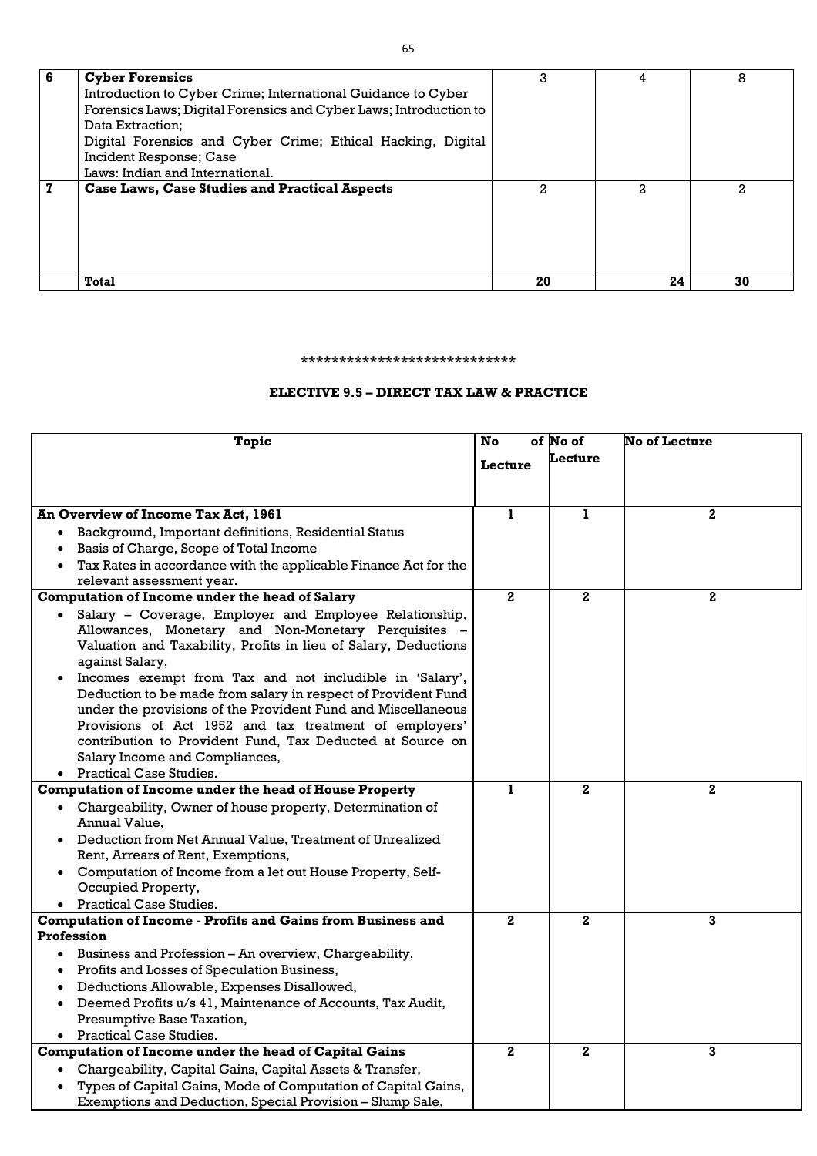| 6 | <b>Cyber Forensics</b>                                            | 3  |    | 8  |
|---|-------------------------------------------------------------------|----|----|----|
|   | Introduction to Cyber Crime; International Guidance to Cyber      |    |    |    |
|   | Forensics Laws; Digital Forensics and Cyber Laws; Introduction to |    |    |    |
|   | Data Extraction;                                                  |    |    |    |
|   | Digital Forensics and Cyber Crime; Ethical Hacking, Digital       |    |    |    |
|   | Incident Response; Case                                           |    |    |    |
|   | Laws: Indian and International.                                   |    |    |    |
| 7 | <b>Case Laws, Case Studies and Practical Aspects</b>              | 2. | 2  | 2. |
|   |                                                                   |    |    |    |
|   |                                                                   |    |    |    |
|   |                                                                   |    |    |    |
|   |                                                                   |    |    |    |
|   |                                                                   |    |    |    |
|   | <b>Total</b>                                                      | 20 | 24 | 30 |

#### **\*\*\*\*\*\*\*\*\*\*\*\*\*\*\*\*\*\*\*\*\*\*\*\*\*\*\*\***

# **ELECTIVE 9.5 – DIRECT TAX LAW & PRACTICE**

|           | <b>Topic</b>                                                                                                        | No           | of No of       | <b>No of Lecture</b> |
|-----------|---------------------------------------------------------------------------------------------------------------------|--------------|----------------|----------------------|
|           |                                                                                                                     | Lecture      | Lecture        |                      |
|           |                                                                                                                     |              |                |                      |
|           |                                                                                                                     |              |                |                      |
|           | <b>An Overview of Income Tax Act, 1961</b>                                                                          | $\mathbf{1}$ | $\mathbf{1}$   | $\mathbf{2}$         |
|           | Background, Important definitions, Residential Status                                                               |              |                |                      |
|           | Basis of Charge, Scope of Total Income                                                                              |              |                |                      |
|           | Tax Rates in accordance with the applicable Finance Act for the                                                     |              |                |                      |
|           | relevant assessment year.                                                                                           |              |                |                      |
|           | <b>Computation of Income under the head of Salary</b>                                                               | $\mathbf{2}$ | $\overline{2}$ | $\mathbf{2}$         |
|           | Salary - Coverage, Employer and Employee Relationship,                                                              |              |                |                      |
|           | Allowances, Monetary and Non-Monetary Perquisites -                                                                 |              |                |                      |
|           | Valuation and Taxability, Profits in lieu of Salary, Deductions                                                     |              |                |                      |
|           | against Salary,                                                                                                     |              |                |                      |
|           | Incomes exempt from Tax and not includible in 'Salary',                                                             |              |                |                      |
|           | Deduction to be made from salary in respect of Provident Fund                                                       |              |                |                      |
|           | under the provisions of the Provident Fund and Miscellaneous                                                        |              |                |                      |
|           | Provisions of Act 1952 and tax treatment of employers'<br>contribution to Provident Fund, Tax Deducted at Source on |              |                |                      |
|           | Salary Income and Compliances,                                                                                      |              |                |                      |
|           | • Practical Case Studies.                                                                                           |              |                |                      |
|           | <b>Computation of Income under the head of House Property</b>                                                       | ı.           | $\mathbf{2}$   | $\mathbf{2}$         |
|           | Chargeability, Owner of house property, Determination of                                                            |              |                |                      |
|           | Annual Value,                                                                                                       |              |                |                      |
|           | Deduction from Net Annual Value, Treatment of Unrealized                                                            |              |                |                      |
|           | Rent, Arrears of Rent, Exemptions,                                                                                  |              |                |                      |
|           | Computation of Income from a let out House Property, Self-                                                          |              |                |                      |
|           | Occupied Property,                                                                                                  |              |                |                      |
|           | <b>Practical Case Studies.</b>                                                                                      |              |                |                      |
|           | <b>Computation of Income - Profits and Gains from Business and</b>                                                  | $\mathbf{2}$ | $\mathbf 2$    | 3                    |
|           | Profession                                                                                                          |              |                |                      |
|           | Business and Profession - An overview, Chargeability,                                                               |              |                |                      |
|           | Profits and Losses of Speculation Business,                                                                         |              |                |                      |
|           | Deductions Allowable, Expenses Disallowed,                                                                          |              |                |                      |
|           | Deemed Profits u/s 41, Maintenance of Accounts, Tax Audit,                                                          |              |                |                      |
|           | Presumptive Base Taxation,                                                                                          |              |                |                      |
| $\bullet$ | <b>Practical Case Studies.</b>                                                                                      |              |                |                      |
|           | <b>Computation of Income under the head of Capital Gains</b>                                                        | $\mathbf{2}$ | $\mathbf{2}$   | 3                    |
|           | Chargeability, Capital Gains, Capital Assets & Transfer,                                                            |              |                |                      |
|           | Types of Capital Gains, Mode of Computation of Capital Gains,                                                       |              |                |                      |
|           | Exemptions and Deduction, Special Provision - Slump Sale,                                                           |              |                |                      |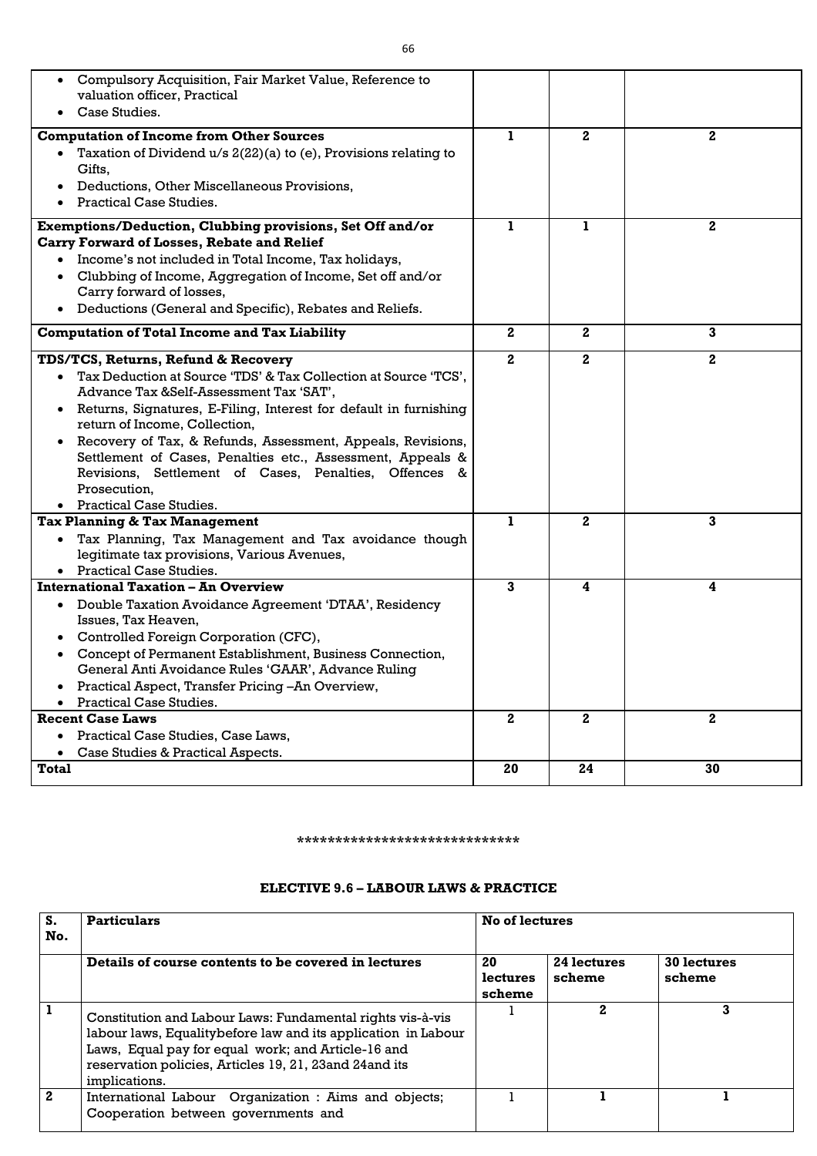| Compulsory Acquisition, Fair Market Value, Reference to<br>٠<br>valuation officer, Practical<br>Case Studies.                                                                                                                                                                                                                                                                                                                                                                                                |              |              |                  |
|--------------------------------------------------------------------------------------------------------------------------------------------------------------------------------------------------------------------------------------------------------------------------------------------------------------------------------------------------------------------------------------------------------------------------------------------------------------------------------------------------------------|--------------|--------------|------------------|
| <b>Computation of Income from Other Sources</b><br>Taxation of Dividend $u/s$ 2(22)(a) to (e), Provisions relating to<br>Gifts,<br>Deductions, Other Miscellaneous Provisions,<br><b>Practical Case Studies.</b>                                                                                                                                                                                                                                                                                             | 1            | $\mathbf{2}$ | $\mathbf{2}$     |
| Exemptions/Deduction, Clubbing provisions, Set Off and/or<br><b>Carry Forward of Losses, Rebate and Relief</b><br>Income's not included in Total Income, Tax holidays,<br>Clubbing of Income, Aggregation of Income, Set off and/or<br>Carry forward of losses,<br>Deductions (General and Specific), Rebates and Reliefs.<br>$\bullet$                                                                                                                                                                      | ı            | ı.           | $\boldsymbol{2}$ |
| <b>Computation of Total Income and Tax Liability</b>                                                                                                                                                                                                                                                                                                                                                                                                                                                         | $\mathbf{2}$ | $\mathbf{2}$ | $\mathbf{3}$     |
| TDS/TCS, Returns, Refund & Recovery<br>Tax Deduction at Source 'TDS' & Tax Collection at Source 'TCS',<br>$\bullet$<br>Advance Tax &Self-Assessment Tax 'SAT',<br>Returns, Signatures, E-Filing, Interest for default in furnishing<br>٠<br>return of Income, Collection,<br>Recovery of Tax, & Refunds, Assessment, Appeals, Revisions,<br>Settlement of Cases, Penalties etc., Assessment, Appeals &<br>Revisions, Settlement of Cases, Penalties, Offences &<br>Prosecution,<br>• Practical Case Studies. | $\mathbf{2}$ | $\mathbf{2}$ | $\mathbf{2}$     |
| <b>Tax Planning &amp; Tax Management</b><br>Tax Planning, Tax Management and Tax avoidance though<br>$\bullet$<br>legitimate tax provisions, Various Avenues,<br>• Practical Case Studies.                                                                                                                                                                                                                                                                                                                   | ı            | $\mathbf{2}$ | 3                |
| <b>International Taxation – An Overview</b><br>Double Taxation Avoidance Agreement 'DTAA', Residency<br>$\bullet$<br>Issues, Tax Heaven,<br>Controlled Foreign Corporation (CFC),<br>Concept of Permanent Establishment, Business Connection,<br>General Anti Avoidance Rules 'GAAR', Advance Ruling<br>Practical Aspect, Transfer Pricing -An Overview,<br><b>Practical Case Studies.</b>                                                                                                                   | 3            | 4            | 4                |
| <b>Recent Case Laws</b><br>Practical Case Studies, Case Laws,<br>Case Studies & Practical Aspects.                                                                                                                                                                                                                                                                                                                                                                                                           | $\mathbf{2}$ | $\mathbf{2}$ | $\boldsymbol{2}$ |
| <b>Total</b>                                                                                                                                                                                                                                                                                                                                                                                                                                                                                                 | 20           | 24           | 30               |

#### **\*\*\*\*\*\*\*\*\*\*\*\*\*\*\*\*\*\*\*\*\*\*\*\*\*\*\*\*\***

### **ELECTIVE 9.6 – LABOUR LAWS & PRACTICE**

| S.<br>No.    | <b>Particulars</b>                                                                                                                                                                                                                                              | No of lectures           |                       |                       |
|--------------|-----------------------------------------------------------------------------------------------------------------------------------------------------------------------------------------------------------------------------------------------------------------|--------------------------|-----------------------|-----------------------|
|              | Details of course contents to be covered in lectures                                                                                                                                                                                                            | 20<br>lectures<br>scheme | 24 lectures<br>scheme | 30 lectures<br>scheme |
| $\mathbf{1}$ | Constitution and Labour Laws: Fundamental rights vis-à-vis<br>labour laws, Equality before law and its application in Labour<br>Laws, Equal pay for equal work; and Article-16 and<br>reservation policies, Articles 19, 21, 23 and 24 and its<br>implications. |                          | 2                     | 3                     |
| $\mathbf{2}$ | International Labour Organization : Aims and objects;<br>Cooperation between governments and                                                                                                                                                                    |                          |                       |                       |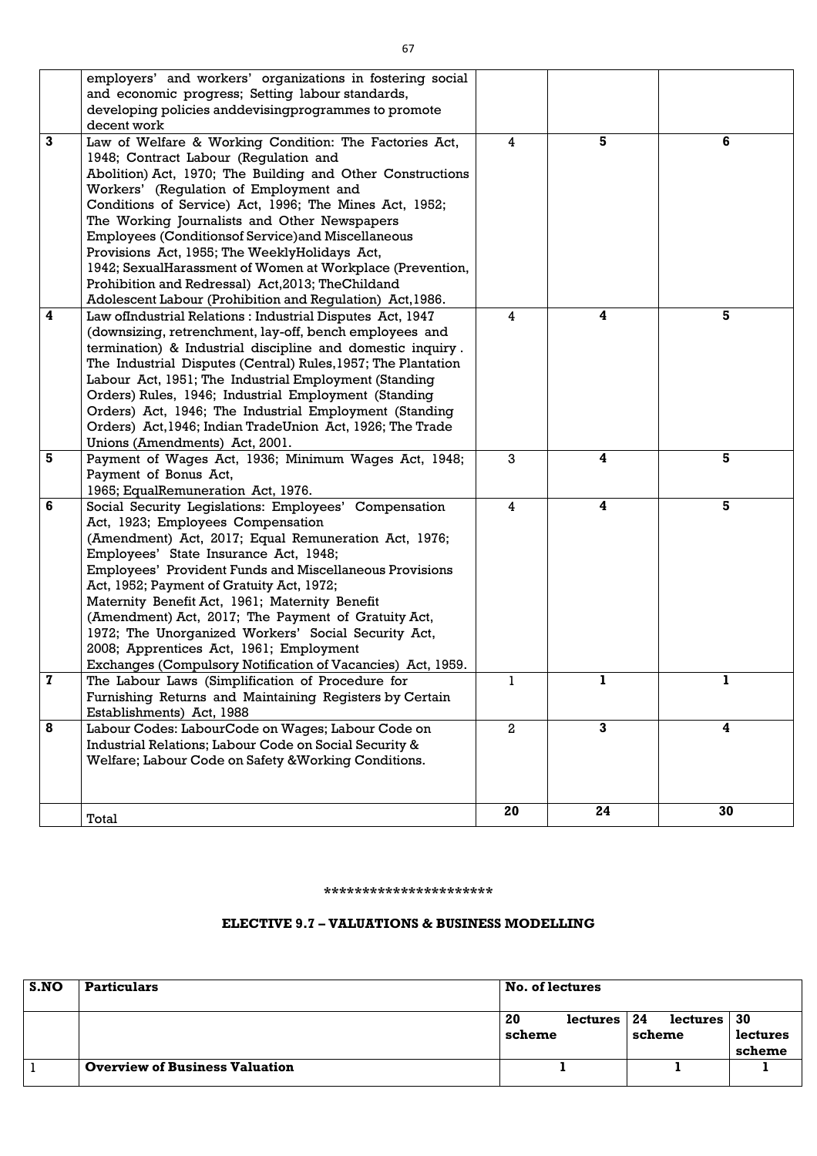|                         | employers' and workers' organizations in fostering social<br>and economic progress; Setting labour standards,<br>developing policies and devising programmes to promote |              |    |    |
|-------------------------|-------------------------------------------------------------------------------------------------------------------------------------------------------------------------|--------------|----|----|
|                         | decent work                                                                                                                                                             |              |    |    |
| $\mathbf{3}$            | Law of Welfare & Working Condition: The Factories Act,                                                                                                                  | 4            | 5  | 6  |
|                         | 1948; Contract Labour (Regulation and                                                                                                                                   |              |    |    |
|                         | Abolition) Act, 1970; The Building and Other Constructions                                                                                                              |              |    |    |
|                         | Workers' (Regulation of Employment and                                                                                                                                  |              |    |    |
|                         | Conditions of Service) Act, 1996; The Mines Act, 1952;                                                                                                                  |              |    |    |
|                         | The Working Journalists and Other Newspapers                                                                                                                            |              |    |    |
|                         | <b>Employees (Conditionsof Service) and Miscellaneous</b>                                                                                                               |              |    |    |
|                         | Provisions Act, 1955; The WeeklyHolidays Act,                                                                                                                           |              |    |    |
|                         | 1942; SexualHarassment of Women at Workplace (Prevention,                                                                                                               |              |    |    |
|                         | Prohibition and Redressal) Act, 2013; The Childand                                                                                                                      |              |    |    |
|                         | Adolescent Labour (Prohibition and Regulation) Act, 1986.                                                                                                               |              |    |    |
| $\overline{\mathbf{4}}$ | Law ofIndustrial Relations: Industrial Disputes Act, 1947                                                                                                               | 4            | 4  | 5  |
|                         | (downsizing, retrenchment, lay-off, bench employees and                                                                                                                 |              |    |    |
|                         | termination) & Industrial discipline and domestic inquiry.                                                                                                              |              |    |    |
|                         | The Industrial Disputes (Central) Rules, 1957; The Plantation                                                                                                           |              |    |    |
|                         | Labour Act, 1951; The Industrial Employment (Standing                                                                                                                   |              |    |    |
|                         | Orders) Rules, 1946; Industrial Employment (Standing                                                                                                                    |              |    |    |
|                         | Orders) Act, 1946; The Industrial Employment (Standing                                                                                                                  |              |    |    |
|                         | Orders) Act, 1946; Indian TradeUnion Act, 1926; The Trade                                                                                                               |              |    |    |
|                         | Unions (Amendments) Act, 2001.                                                                                                                                          |              |    |    |
| 5                       | Payment of Wages Act, 1936; Minimum Wages Act, 1948;                                                                                                                    | 3            | 4  | 5  |
|                         | Payment of Bonus Act,                                                                                                                                                   |              |    |    |
|                         | 1965; EqualRemuneration Act, 1976.                                                                                                                                      |              |    |    |
| 6                       | Social Security Legislations: Employees' Compensation                                                                                                                   | 4            | 4  | 5  |
|                         | Act, 1923; Employees Compensation                                                                                                                                       |              |    |    |
|                         | (Amendment) Act, 2017; Equal Remuneration Act, 1976;                                                                                                                    |              |    |    |
|                         | Employees' State Insurance Act, 1948;                                                                                                                                   |              |    |    |
|                         | <b>Employees' Provident Funds and Miscellaneous Provisions</b>                                                                                                          |              |    |    |
|                         | Act, 1952; Payment of Gratuity Act, 1972;                                                                                                                               |              |    |    |
|                         | Maternity Benefit Act, 1961; Maternity Benefit                                                                                                                          |              |    |    |
|                         | (Amendment) Act, 2017; The Payment of Gratuity Act,                                                                                                                     |              |    |    |
|                         | 1972; The Unorganized Workers' Social Security Act,                                                                                                                     |              |    |    |
|                         | 2008; Apprentices Act, 1961; Employment                                                                                                                                 |              |    |    |
|                         | Exchanges (Compulsory Notification of Vacancies) Act, 1959.                                                                                                             |              |    |    |
| $\mathbf{z}$            | The Labour Laws (Simplification of Procedure for                                                                                                                        | 1            | 1  | 1. |
|                         | Furnishing Returns and Maintaining Registers by Certain                                                                                                                 |              |    |    |
|                         | Establishments) Act, 1988                                                                                                                                               |              |    |    |
| 8                       | Labour Codes: LabourCode on Wages; Labour Code on                                                                                                                       | $\mathbf{2}$ | 3  | 4  |
|                         | Industrial Relations; Labour Code on Social Security &                                                                                                                  |              |    |    |
|                         | Welfare; Labour Code on Safety & Working Conditions.                                                                                                                    |              |    |    |
|                         |                                                                                                                                                                         |              |    |    |
|                         |                                                                                                                                                                         |              |    |    |
|                         |                                                                                                                                                                         | 20           | 24 | 30 |
|                         | Total                                                                                                                                                                   |              |    |    |

**\*\*\*\*\*\*\*\*\*\*\*\*\*\*\*\*\*\*\*\*\*\***

# **ELECTIVE 9.7 – VALUATIONS & BUSINESS MODELLING**

| S.NO | <b>Particulars</b>                    | <b>No. of lectures</b> |          |        |          |          |
|------|---------------------------------------|------------------------|----------|--------|----------|----------|
|      |                                       | 20                     | lectures | 24     | lectures | 30       |
|      |                                       | scheme                 |          | scheme |          | lectures |
|      |                                       |                        |          |        |          | scheme   |
|      | <b>Overview of Business Valuation</b> |                        |          |        |          |          |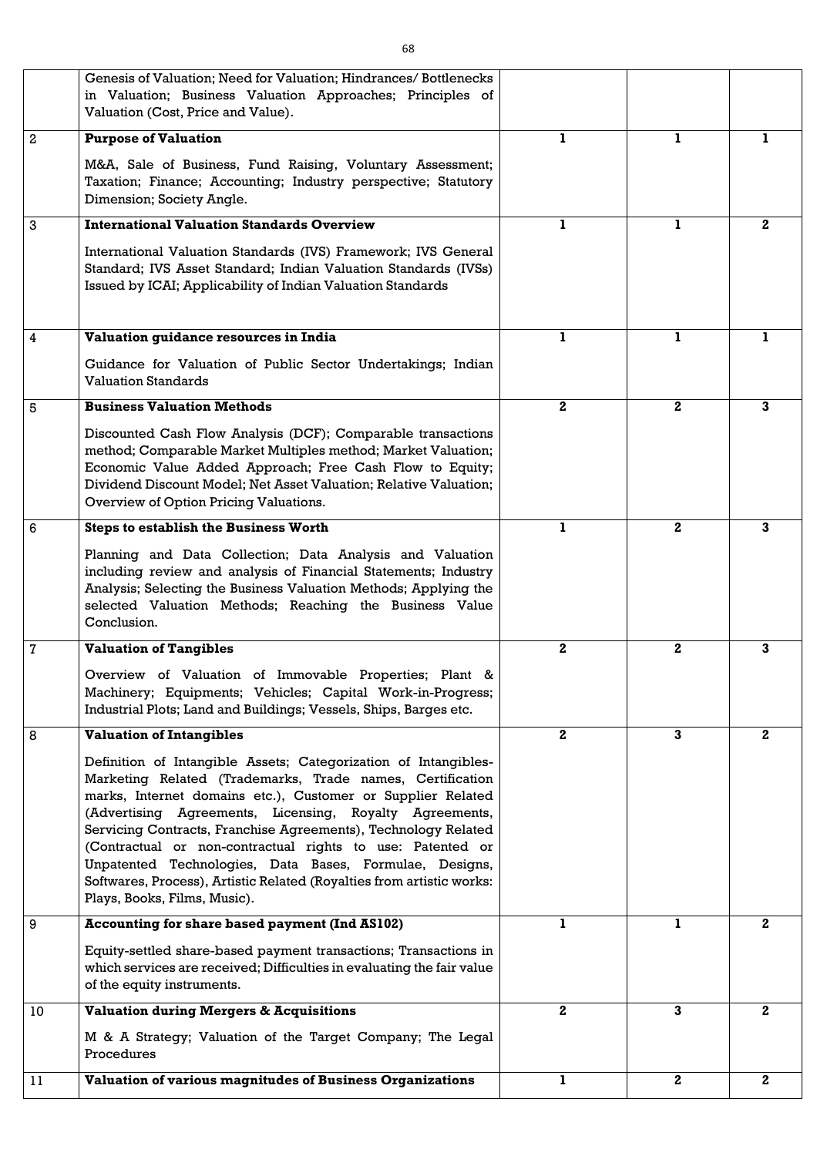|                 | Genesis of Valuation; Need for Valuation; Hindrances/Bottlenecks<br>in Valuation; Business Valuation Approaches; Principles of<br>Valuation (Cost, Price and Value).                                                                                                                                                                                                                                                                                                                                                                                       |                |                  |              |
|-----------------|------------------------------------------------------------------------------------------------------------------------------------------------------------------------------------------------------------------------------------------------------------------------------------------------------------------------------------------------------------------------------------------------------------------------------------------------------------------------------------------------------------------------------------------------------------|----------------|------------------|--------------|
| 2               | <b>Purpose of Valuation</b>                                                                                                                                                                                                                                                                                                                                                                                                                                                                                                                                | ı.             | ı.               |              |
|                 | M&A, Sale of Business, Fund Raising, Voluntary Assessment;<br>Taxation; Finance; Accounting; Industry perspective; Statutory<br>Dimension; Society Angle.                                                                                                                                                                                                                                                                                                                                                                                                  |                |                  |              |
| 3               | <b>International Valuation Standards Overview</b>                                                                                                                                                                                                                                                                                                                                                                                                                                                                                                          |                | L                | $\mathbf{2}$ |
|                 | International Valuation Standards (IVS) Framework; IVS General<br>Standard; IVS Asset Standard; Indian Valuation Standards (IVSs)<br>Issued by ICAI; Applicability of Indian Valuation Standards                                                                                                                                                                                                                                                                                                                                                           |                |                  |              |
| 4               | Valuation guidance resources in India                                                                                                                                                                                                                                                                                                                                                                                                                                                                                                                      | Т              | L                |              |
|                 | Guidance for Valuation of Public Sector Undertakings; Indian<br><b>Valuation Standards</b>                                                                                                                                                                                                                                                                                                                                                                                                                                                                 |                |                  |              |
| 5               | <b>Business Valuation Methods</b>                                                                                                                                                                                                                                                                                                                                                                                                                                                                                                                          | $\mathbf{2}$   | $\mathbf{2}$     | 3            |
|                 | Discounted Cash Flow Analysis (DCF); Comparable transactions<br>method; Comparable Market Multiples method; Market Valuation;<br>Economic Value Added Approach; Free Cash Flow to Equity;<br>Dividend Discount Model; Net Asset Valuation; Relative Valuation;<br>Overview of Option Pricing Valuations.                                                                                                                                                                                                                                                   |                |                  |              |
| 6               | <b>Steps to establish the Business Worth</b>                                                                                                                                                                                                                                                                                                                                                                                                                                                                                                               | ı.             | $\mathbf{2}$     | 3            |
|                 | Planning and Data Collection; Data Analysis and Valuation<br>including review and analysis of Financial Statements; Industry<br>Analysis; Selecting the Business Valuation Methods; Applying the<br>selected Valuation Methods; Reaching the Business Value<br>Conclusion.                                                                                                                                                                                                                                                                                 |                |                  |              |
| $\overline{7}$  | <b>Valuation of Tangibles</b>                                                                                                                                                                                                                                                                                                                                                                                                                                                                                                                              | 2 <sub>1</sub> | $\mathbf{2}$     | $\mathbf{3}$ |
|                 | Overview of Valuation of Immovable Properties; Plant &<br>Machinery; Equipments; Vehicles; Capital Work-in-Progress;<br>Industrial Plots; Land and Buildings; Vessels, Ships, Barges etc.                                                                                                                                                                                                                                                                                                                                                                  |                |                  |              |
| 8               | <b>Valuation of Intangibles</b>                                                                                                                                                                                                                                                                                                                                                                                                                                                                                                                            | 2 <sub>1</sub> | $\mathbf{3}$     | $\mathbf{2}$ |
|                 | Definition of Intangible Assets; Categorization of Intangibles-<br>Marketing Related (Trademarks, Trade names, Certification<br>marks, Internet domains etc.), Customer or Supplier Related<br>(Advertising Agreements, Licensing, Royalty Agreements,<br>Servicing Contracts, Franchise Agreements), Technology Related<br>(Contractual or non-contractual rights to use: Patented or<br>Unpatented Technologies, Data Bases, Formulae, Designs,<br>Softwares, Process), Artistic Related (Royalties from artistic works:<br>Plays, Books, Films, Music). |                |                  |              |
| 9               | <b>Accounting for share based payment (Ind AS102)</b>                                                                                                                                                                                                                                                                                                                                                                                                                                                                                                      | ı.             | ı.               | $\mathbf{2}$ |
|                 | Equity-settled share-based payment transactions; Transactions in<br>which services are received; Difficulties in evaluating the fair value<br>of the equity instruments.                                                                                                                                                                                                                                                                                                                                                                                   |                |                  |              |
| 10 <sup>°</sup> | <b>Valuation during Mergers &amp; Acquisitions</b>                                                                                                                                                                                                                                                                                                                                                                                                                                                                                                         | $\mathbf{2}$   | 3                | $\mathbf{2}$ |
|                 | M & A Strategy; Valuation of the Target Company; The Legal<br>Procedures                                                                                                                                                                                                                                                                                                                                                                                                                                                                                   |                |                  |              |
| 11              | <b>Valuation of various magnitudes of Business Organizations</b>                                                                                                                                                                                                                                                                                                                                                                                                                                                                                           | 1              | $\boldsymbol{2}$ | $\mathbf 2$  |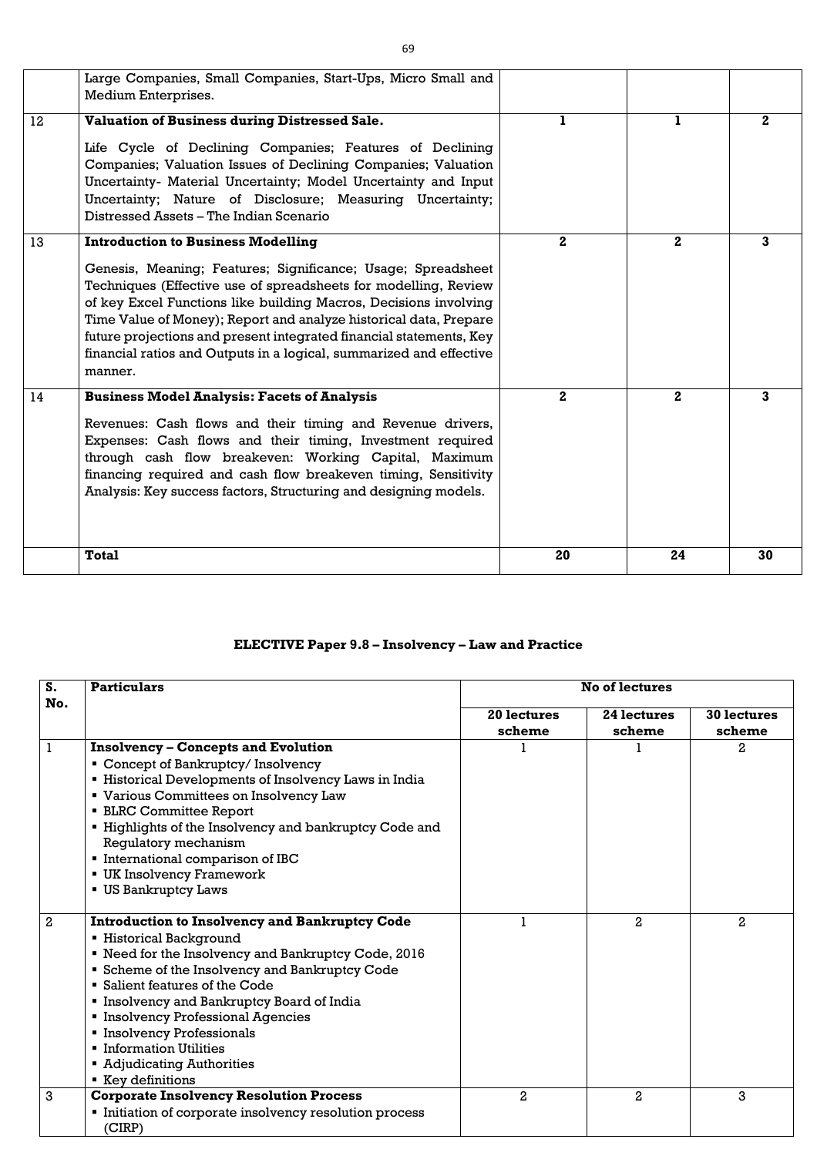|    | Large Companies, Small Companies, Start-Ups, Micro Small and<br>Medium Enterprises.                                                                                                                                                                                                                                                                                                                                                                                            |              |              |             |
|----|--------------------------------------------------------------------------------------------------------------------------------------------------------------------------------------------------------------------------------------------------------------------------------------------------------------------------------------------------------------------------------------------------------------------------------------------------------------------------------|--------------|--------------|-------------|
| 12 | <b>Valuation of Business during Distressed Sale.</b><br>Life Cycle of Declining Companies; Features of Declining<br>Companies; Valuation Issues of Declining Companies; Valuation<br>Uncertainty- Material Uncertainty; Model Uncertainty and Input<br>Uncertainty; Nature of Disclosure; Measuring Uncertainty;<br>Distressed Assets – The Indian Scenario                                                                                                                    |              | 1            | $2^{\circ}$ |
| 13 | <b>Introduction to Business Modelling</b><br>Genesis, Meaning; Features; Significance; Usage; Spreadsheet<br>Techniques (Effective use of spreadsheets for modelling, Review<br>of key Excel Functions like building Macros, Decisions involving<br>Time Value of Money); Report and analyze historical data, Prepare<br>future projections and present integrated financial statements, Key<br>financial ratios and Outputs in a logical, summarized and effective<br>manner. | $\mathbf{2}$ | $2^{\circ}$  | 3           |
| 14 | <b>Business Model Analysis: Facets of Analysis</b><br>Revenues: Cash flows and their timing and Revenue drivers,<br>Expenses: Cash flows and their timing, Investment required<br>through cash flow breakeven: Working Capital, Maximum<br>financing required and cash flow breakeven timing, Sensitivity<br>Analysis: Key success factors, Structuring and designing models.                                                                                                  | $\mathbf{2}$ | $\mathbf{2}$ | 3           |
|    | <b>Total</b>                                                                                                                                                                                                                                                                                                                                                                                                                                                                   | 20           | 24           | 30          |

# **ELECTIVE Paper 9.8 – Insolvency – Law and Practice**

| S.  | <b>Particulars</b>                                                                                                                                                                                                                                                                                                                                                                                                                                      | <b>No of lectures</b> |                       |                       |
|-----|---------------------------------------------------------------------------------------------------------------------------------------------------------------------------------------------------------------------------------------------------------------------------------------------------------------------------------------------------------------------------------------------------------------------------------------------------------|-----------------------|-----------------------|-----------------------|
| No. |                                                                                                                                                                                                                                                                                                                                                                                                                                                         | 20 lectures<br>scheme | 24 lectures<br>scheme | 30 lectures<br>scheme |
| 1   | <b>Insolvency – Concepts and Evolution</b><br>• Concept of Bankruptcy/ Insolvency<br><b>Example 3 Historical Developments of Insolvency Laws in India</b><br>" Various Committees on Insolvency Law<br><b>BLRC Committee Report</b><br>• Highlights of the Insolvency and bankruptcy Code and<br>Regulatory mechanism<br>International comparison of IBC<br><b>UK Insolvency Framework</b><br><b>US Bankruptcy Laws</b>                                 |                       |                       | 2                     |
| 2   | <b>Introduction to Insolvency and Bankruptcy Code</b><br><b>Historical Background</b><br>" Need for the Insolvency and Bankruptcy Code, 2016<br><b>Scheme of the Insolvency and Bankruptcy Code</b><br>• Salient features of the Code<br>Insolvency and Bankruptcy Board of India<br><b>Insolvency Professional Agencies</b><br><b>Insolvency Professionals</b><br><b>Information Utilities</b><br><b>Adjudicating Authorities</b><br>■ Key definitions |                       | $\overline{a}$        | $\overline{2}$        |
| 3   | <b>Corporate Insolvency Resolution Process</b><br>Initiation of corporate insolvency resolution process<br>(CIRP)                                                                                                                                                                                                                                                                                                                                       | $\overline{a}$        | $\mathbf{2}$          | 3                     |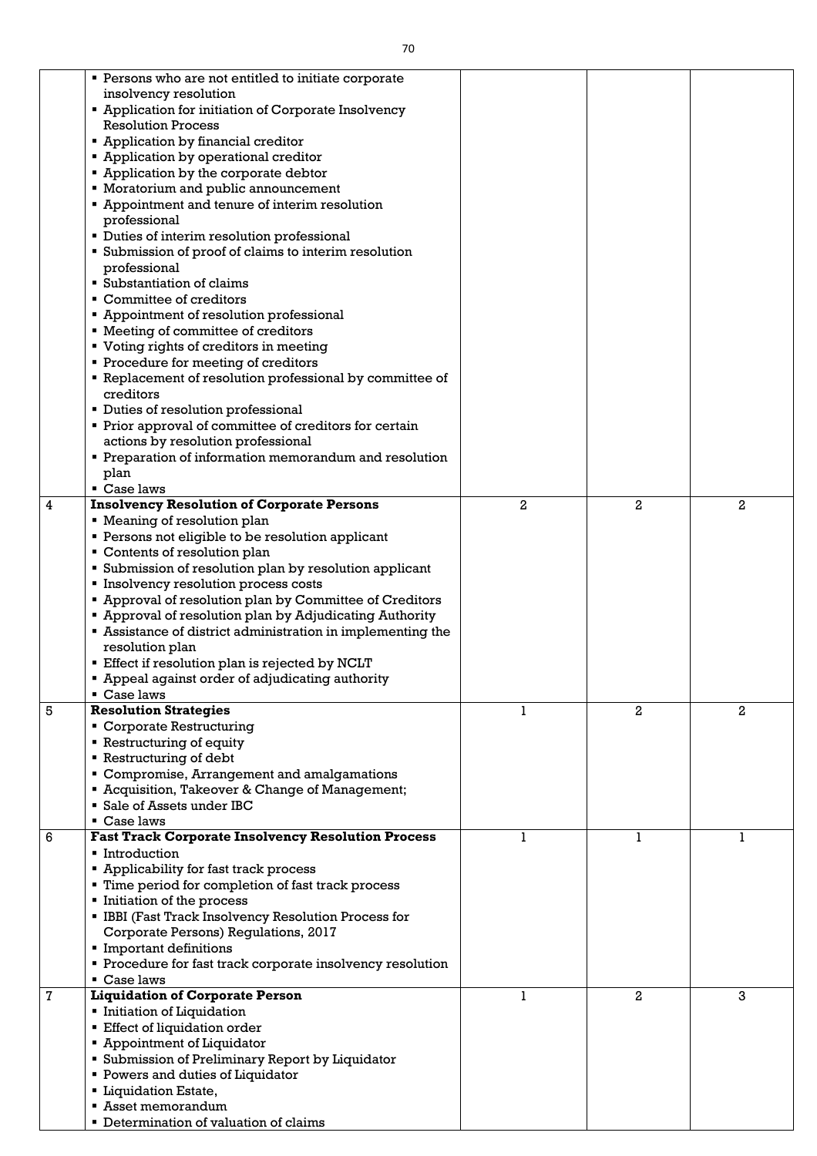|   | • Persons who are not entitled to initiate corporate             |                |                |                |
|---|------------------------------------------------------------------|----------------|----------------|----------------|
|   | insolvency resolution                                            |                |                |                |
|   | • Application for initiation of Corporate Insolvency             |                |                |                |
|   | <b>Resolution Process</b>                                        |                |                |                |
|   |                                                                  |                |                |                |
|   | • Application by financial creditor                              |                |                |                |
|   | <b>Example 2 Application by operational creditor</b>             |                |                |                |
|   | • Application by the corporate debtor                            |                |                |                |
|   | • Moratorium and public announcement                             |                |                |                |
|   | • Appointment and tenure of interim resolution                   |                |                |                |
|   | professional                                                     |                |                |                |
|   | • Duties of interim resolution professional                      |                |                |                |
|   | • Submission of proof of claims to interim resolution            |                |                |                |
|   | professional                                                     |                |                |                |
|   | ■ Substantiation of claims                                       |                |                |                |
|   | • Committee of creditors                                         |                |                |                |
|   | • Appointment of resolution professional                         |                |                |                |
|   | " Meeting of committee of creditors                              |                |                |                |
|   |                                                                  |                |                |                |
|   | • Voting rights of creditors in meeting                          |                |                |                |
|   | • Procedure for meeting of creditors                             |                |                |                |
|   | • Replacement of resolution professional by committee of         |                |                |                |
|   | creditors                                                        |                |                |                |
|   | • Duties of resolution professional                              |                |                |                |
|   | • Prior approval of committee of creditors for certain           |                |                |                |
|   | actions by resolution professional                               |                |                |                |
|   | • Preparation of information memorandum and resolution           |                |                |                |
|   | plan                                                             |                |                |                |
|   | Case laws                                                        |                |                |                |
| 4 | <b>Insolvency Resolution of Corporate Persons</b>                | $\overline{2}$ | $\overline{a}$ | $\overline{2}$ |
|   | • Meaning of resolution plan                                     |                |                |                |
|   |                                                                  |                |                |                |
|   | • Persons not eligible to be resolution applicant                |                |                |                |
|   | • Contents of resolution plan                                    |                |                |                |
|   | <b>Submission of resolution plan by resolution applicant</b>     |                |                |                |
|   | Insolvency resolution process costs                              |                |                |                |
|   | " Approval of resolution plan by Committee of Creditors          |                |                |                |
|   | • Approval of resolution plan by Adjudicating Authority          |                |                |                |
|   | <b>Assistance of district administration in implementing the</b> |                |                |                |
|   | resolution plan                                                  |                |                |                |
|   | Effect if resolution plan is rejected by NCLT                    |                |                |                |
|   | • Appeal against order of adjudicating authority                 |                |                |                |
|   | $\blacksquare$ Case laws                                         |                |                |                |
| 5 | <b>Resolution Strategies</b>                                     | 1              | 2              | $\overline{2}$ |
|   |                                                                  |                |                |                |
|   | • Corporate Restructuring                                        |                |                |                |
|   | <b>-</b> Restructuring of equity                                 |                |                |                |
|   | Restructuring of debt                                            |                |                |                |
|   | • Compromise, Arrangement and amalgamations                      |                |                |                |
|   | " Acquisition, Takeover & Change of Management;                  |                |                |                |
|   | • Sale of Assets under IBC                                       |                |                |                |
|   | ■ Case laws                                                      |                |                |                |
| 6 | <b>Fast Track Corporate Insolvency Resolution Process</b>        |                |                | 1              |
|   | • Introduction                                                   |                |                |                |
|   | • Applicability for fast track process                           |                |                |                |
|   | ■ Time period for completion of fast track process               |                |                |                |
|   | Initiation of the process                                        |                |                |                |
|   | • IBBI (Fast Track Insolvency Resolution Process for             |                |                |                |
|   | Corporate Persons) Regulations, 2017                             |                |                |                |
|   | Important definitions                                            |                |                |                |
|   |                                                                  |                |                |                |
|   | • Procedure for fast track corporate insolvency resolution       |                |                |                |
|   | Case laws                                                        |                |                |                |
| 7 | <b>Liquidation of Corporate Person</b>                           | 1              | $\overline{2}$ | 3              |
|   | Initiation of Liquidation                                        |                |                |                |
|   | <b>Effect of liquidation order</b>                               |                |                |                |
|   | • Appointment of Liquidator                                      |                |                |                |
|   | <b>Submission of Preliminary Report by Liquidator</b>            |                |                |                |
|   | <b>Powers and duties of Liquidator</b>                           |                |                |                |
|   | <b>Liquidation Estate,</b>                                       |                |                |                |
|   | ■ Asset memorandum                                               |                |                |                |
|   | • Determination of valuation of claims                           |                |                |                |
|   |                                                                  |                |                |                |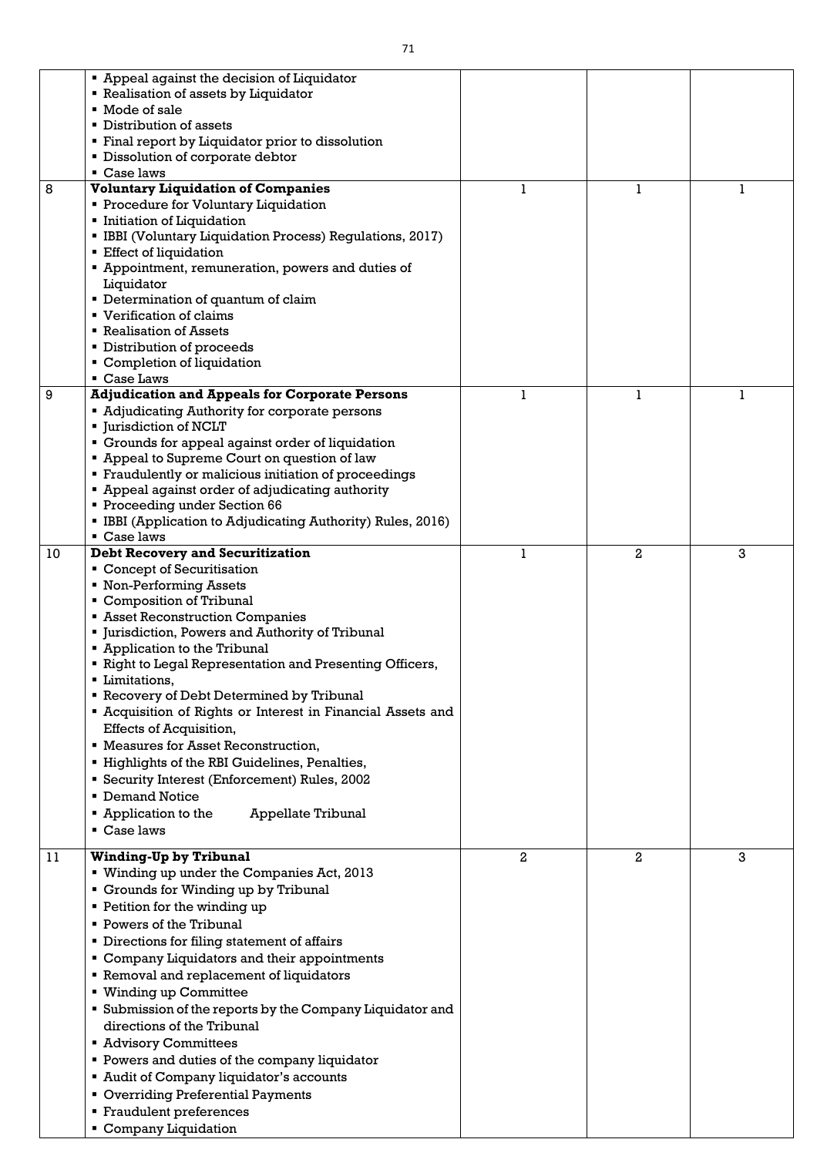|    | • Appeal against the decision of Liquidator                    |   |   |   |
|----|----------------------------------------------------------------|---|---|---|
|    | <b>Example 1</b> Realisation of assets by Liquidator           |   |   |   |
|    | ■ Mode of sale                                                 |   |   |   |
|    | • Distribution of assets                                       |   |   |   |
|    |                                                                |   |   |   |
|    | • Final report by Liquidator prior to dissolution              |   |   |   |
|    | <b>Dissolution of corporate debtor</b>                         |   |   |   |
|    | • Case laws                                                    |   |   |   |
| 8  | <b>Voluntary Liquidation of Companies</b>                      |   | 1 |   |
|    | <b>Procedure for Voluntary Liquidation</b>                     |   |   |   |
|    | <b>Initiation of Liquidation</b>                               |   |   |   |
|    | • IBBI (Voluntary Liquidation Process) Regulations, 2017)      |   |   |   |
|    | <b>Effect of liquidation</b>                                   |   |   |   |
|    | " Appointment, remuneration, powers and duties of              |   |   |   |
|    | Liquidator                                                     |   |   |   |
|    | • Determination of quantum of claim                            |   |   |   |
|    | ■ Verification of claims                                       |   |   |   |
|    | ■ Realisation of Assets                                        |   |   |   |
|    |                                                                |   |   |   |
|    | • Distribution of proceeds                                     |   |   |   |
|    | • Completion of liquidation                                    |   |   |   |
|    | Case Laws                                                      |   |   |   |
| 9  | <b>Adjudication and Appeals for Corporate Persons</b>          | 1 | 1 | 1 |
|    | • Adjudicating Authority for corporate persons                 |   |   |   |
|    | <b>I</b> urisdiction of NCLT                                   |   |   |   |
|    | • Grounds for appeal against order of liquidation              |   |   |   |
|    | " Appeal to Supreme Court on question of law                   |   |   |   |
|    | • Fraudulently or malicious initiation of proceedings          |   |   |   |
|    | " Appeal against order of adjudicating authority               |   |   |   |
|    | Proceeding under Section 66                                    |   |   |   |
|    | • IBBI (Application to Adjudicating Authority) Rules, 2016)    |   |   |   |
|    | $\blacksquare$ Case laws                                       |   |   |   |
| 10 | <b>Debt Recovery and Securitization</b>                        |   | 2 | 3 |
|    | • Concept of Securitisation                                    |   |   |   |
|    | • Non-Performing Assets                                        |   |   |   |
|    | • Composition of Tribunal                                      |   |   |   |
|    |                                                                |   |   |   |
|    | <b>Example 3 Asset Reconstruction Companies</b>                |   |   |   |
|    | " Jurisdiction, Powers and Authority of Tribunal               |   |   |   |
|    | • Application to the Tribunal                                  |   |   |   |
|    | " Right to Legal Representation and Presenting Officers,       |   |   |   |
|    | ■ Limitations,                                                 |   |   |   |
|    | Recovery of Debt Determined by Tribunal                        |   |   |   |
|    | " Acquisition of Rights or Interest in Financial Assets and    |   |   |   |
|    | Effects of Acquisition,                                        |   |   |   |
|    | <b>EXECUTE:</b> Measures for Asset Reconstruction,             |   |   |   |
|    | " Highlights of the RBI Guidelines, Penalties,                 |   |   |   |
|    | <b>Security Interest (Enforcement) Rules, 2002</b>             |   |   |   |
|    | • Demand Notice                                                |   |   |   |
|    |                                                                |   |   |   |
|    | $\blacksquare$ Application to the<br><b>Appellate Tribunal</b> |   |   |   |
|    | $\blacksquare$ Case laws                                       |   |   |   |
| 11 | <b>Winding-Up by Tribunal</b>                                  | 2 | 2 | 3 |
|    | " Winding up under the Companies Act, 2013                     |   |   |   |
|    |                                                                |   |   |   |
|    | • Grounds for Winding up by Tribunal                           |   |   |   |
|    | • Petition for the winding up                                  |   |   |   |
|    | • Powers of the Tribunal                                       |   |   |   |
|    | <b>•</b> Directions for filing statement of affairs            |   |   |   |
|    | • Company Liquidators and their appointments                   |   |   |   |
|    | Removal and replacement of liquidators                         |   |   |   |
|    | ■ Winding up Committee                                         |   |   |   |
|    |                                                                |   |   |   |
|    | <b>Submission of the reports by the Company Liquidator and</b> |   |   |   |
|    | directions of the Tribunal                                     |   |   |   |
|    | <b>Advisory Committees</b>                                     |   |   |   |
|    | • Powers and duties of the company liquidator                  |   |   |   |
|    | Audit of Company liquidator's accounts                         |   |   |   |
|    | • Overriding Preferential Payments                             |   |   |   |
|    | • Fraudulent preferences                                       |   |   |   |
|    | Company Liquidation                                            |   |   |   |
|    |                                                                |   |   |   |

 $\lfloor$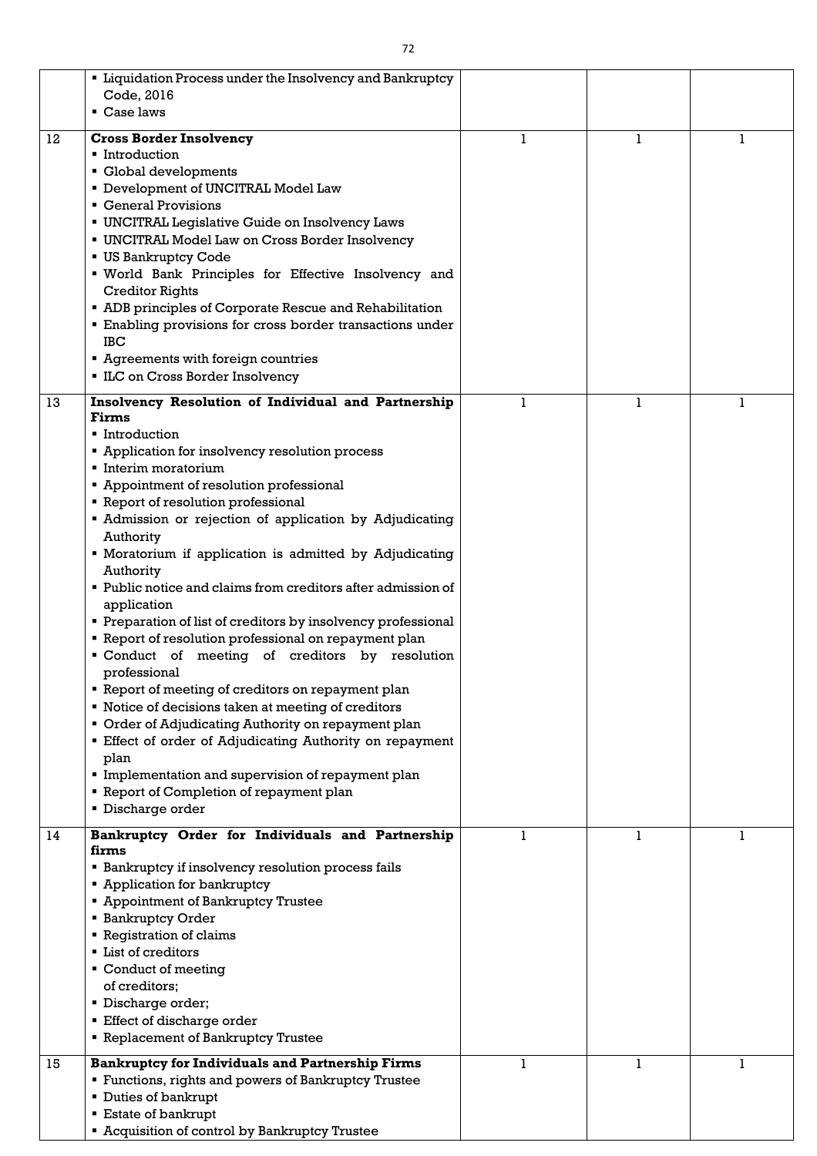|    | • Liquidation Process under the Insolvency and Bankruptcy<br>Code, 2016<br>$\blacksquare$ Case laws                                                                                                                                                                                                                                                                                                                                                                                                                                                                                                                                                                                                                                                                                                                                                                                                                                                                                                                                                       |   |  |
|----|-----------------------------------------------------------------------------------------------------------------------------------------------------------------------------------------------------------------------------------------------------------------------------------------------------------------------------------------------------------------------------------------------------------------------------------------------------------------------------------------------------------------------------------------------------------------------------------------------------------------------------------------------------------------------------------------------------------------------------------------------------------------------------------------------------------------------------------------------------------------------------------------------------------------------------------------------------------------------------------------------------------------------------------------------------------|---|--|
| 12 | <b>Cross Border Insolvency</b><br>• Introduction<br>Global developments<br>Development of UNCITRAL Model Law<br>• General Provisions<br><b>UNCITRAL Legislative Guide on Insolvency Laws</b><br><b>UNCITRAL Model Law on Cross Border Insolvency</b><br><b>US Bankruptcy Code</b><br>" World Bank Principles for Effective Insolvency and<br><b>Creditor Rights</b><br>• ADB principles of Corporate Rescue and Rehabilitation<br>• Enabling provisions for cross border transactions under<br><b>IBC</b><br>Agreements with foreign countries<br>• ILC on Cross Border Insolvency                                                                                                                                                                                                                                                                                                                                                                                                                                                                        | 1 |  |
| 13 | Insolvency Resolution of Individual and Partnership<br><b>Firms</b><br>■ Introduction<br>• Application for insolvency resolution process<br>Interim moratorium<br>• Appointment of resolution professional<br><b>Report of resolution professional</b><br>• Admission or rejection of application by Adjudicating<br>Authority<br>• Moratorium if application is admitted by Adjudicating<br>Authority<br>• Public notice and claims from creditors after admission of<br>application<br>• Preparation of list of creditors by insolvency professional<br>" Report of resolution professional on repayment plan<br>" Conduct of meeting of creditors by resolution<br>professional<br>• Report of meeting of creditors on repayment plan<br>" Notice of decisions taken at meeting of creditors<br>• Order of Adjudicating Authority on repayment plan<br><b>Effect of order of Adjudicating Authority on repayment</b><br>plan<br>Implementation and supervision of repayment plan<br>" Report of Completion of repayment plan<br><b>Discharge order</b> | 1 |  |
| 14 | Bankruptcy Order for Individuals and Partnership<br>firms<br><b>Example 1</b> Bankruptcy if insolvency resolution process fails<br><b>Example:</b> Application for bankruptcy<br><b>Appointment of Bankruptcy Trustee</b><br><b>Bankruptcy Order</b><br><b>• Registration of claims</b><br><b>List of creditors</b><br>• Conduct of meeting<br>of creditors;<br>Discharge order;<br><b>Effect of discharge order</b><br><b>Example 2 Replacement of Bankruptcy Trustee</b>                                                                                                                                                                                                                                                                                                                                                                                                                                                                                                                                                                                | 1 |  |
| 15 | <b>Bankruptcy for Individuals and Partnership Firms</b><br>" Functions, rights and powers of Bankruptcy Trustee<br>• Duties of bankrupt<br><b>Estate of bankrupt</b><br><b>E</b> Acquisition of control by Bankruptcy Trustee                                                                                                                                                                                                                                                                                                                                                                                                                                                                                                                                                                                                                                                                                                                                                                                                                             | 1 |  |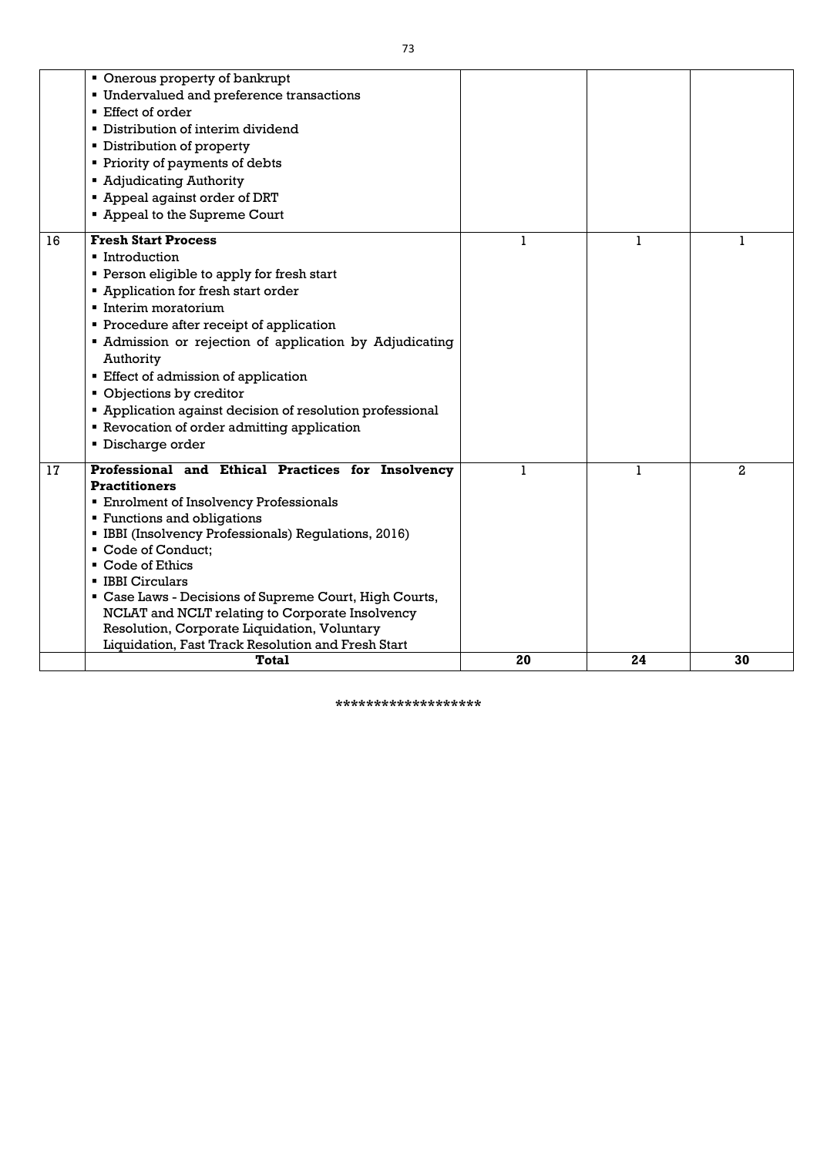|    | • Onerous property of bankrupt                            |    |    |                |
|----|-----------------------------------------------------------|----|----|----------------|
|    | <b>Undervalued and preference transactions</b>            |    |    |                |
|    | ■ Effect of order                                         |    |    |                |
|    | • Distribution of interim dividend                        |    |    |                |
|    | • Distribution of property                                |    |    |                |
|    | • Priority of payments of debts                           |    |    |                |
|    | • Adjudicating Authority                                  |    |    |                |
|    | " Appeal against order of DRT                             |    |    |                |
|    | " Appeal to the Supreme Court                             |    |    |                |
| 16 | <b>Fresh Start Process</b>                                | 1  | 1  | 1              |
|    | • Introduction                                            |    |    |                |
|    | • Person eligible to apply for fresh start                |    |    |                |
|    | • Application for fresh start order                       |    |    |                |
|    | Interim moratorium                                        |    |    |                |
|    | • Procedure after receipt of application                  |    |    |                |
|    | • Admission or rejection of application by Adjudicating   |    |    |                |
|    | Authority                                                 |    |    |                |
|    | <b>Effect of admission of application</b>                 |    |    |                |
|    | • Objections by creditor                                  |    |    |                |
|    | • Application against decision of resolution professional |    |    |                |
|    | <b>Exerce 3 Fevocation of order admitting application</b> |    |    |                |
|    | <b>Discharge order</b>                                    |    |    |                |
|    |                                                           |    |    |                |
| 17 | Professional and Ethical Practices for Insolvency         |    |    | $\overline{2}$ |
|    | <b>Practitioners</b>                                      |    |    |                |
|    | <b>Enrolment of Insolvency Professionals</b>              |    |    |                |
|    | <b>Functions and obligations</b>                          |    |    |                |
|    | • IBBI (Insolvency Professionals) Regulations, 2016)      |    |    |                |
|    | Code of Conduct;                                          |    |    |                |
|    | Code of Ethics<br>$\blacksquare$                          |    |    |                |
|    | <b>E</b> IBBI Circulars                                   |    |    |                |
|    | " Case Laws - Decisions of Supreme Court, High Courts,    |    |    |                |
|    | NCLAT and NCLT relating to Corporate Insolvency           |    |    |                |
|    | Resolution, Corporate Liquidation, Voluntary              |    |    |                |
|    | Liquidation, Fast Track Resolution and Fresh Start        |    |    |                |
|    | <b>Total</b>                                              | 20 | 24 | 30             |

**\*\*\*\*\*\*\*\*\*\*\*\*\*\*\*\*\*\*\***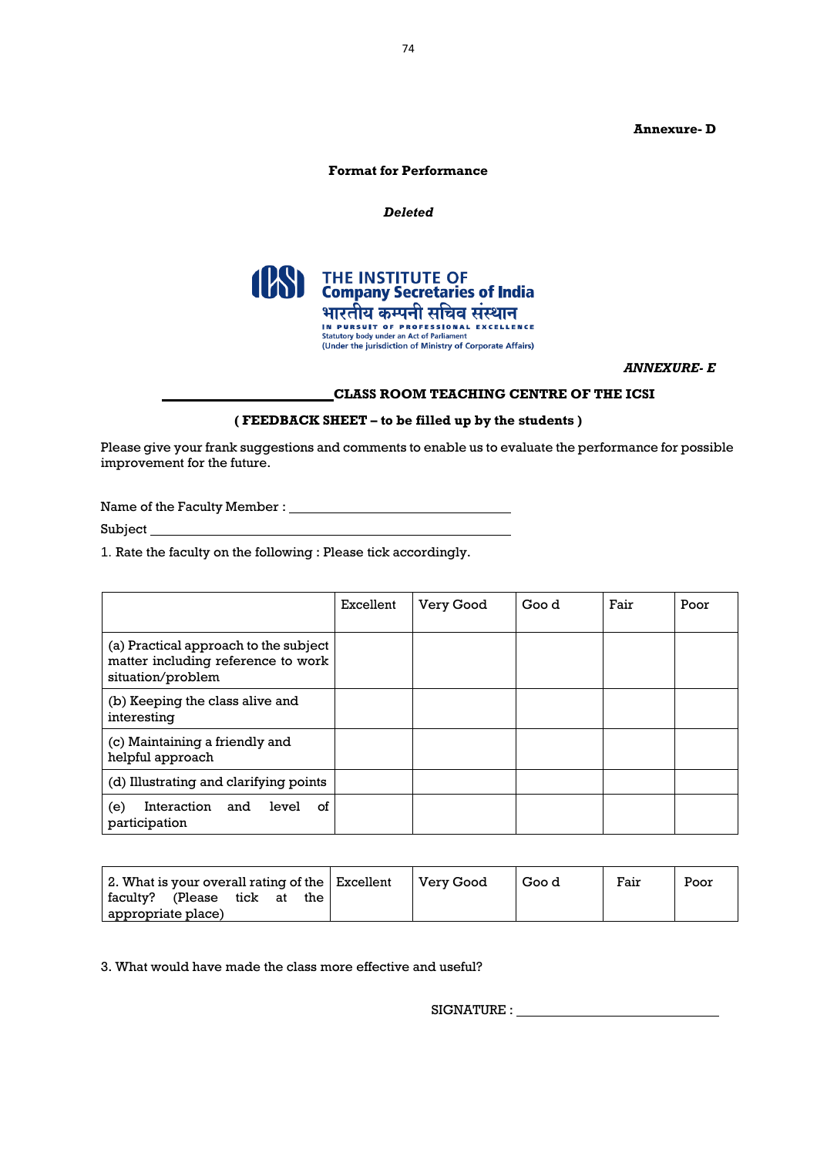# **Annexure- D**

# **Format for Performance**

#### *Deleted*



*ANNEXURE- E*

# **CLASS ROOM TEACHING CENTRE OF THE ICSI**

#### **( FEEDBACK SHEET – to be filled up by the students )**

Please give your frank suggestions and comments to enable us to evaluate the performance for possible improvement for the future.

Name of the Faculty Member : \_\_\_\_\_\_\_\_\_

Subject\_

1. Rate the faculty on the following : Please tick accordingly.

|                                                                                                  | Excellent | <b>Very Good</b> | Goo d | Fair | Poor |
|--------------------------------------------------------------------------------------------------|-----------|------------------|-------|------|------|
| (a) Practical approach to the subject<br>matter including reference to work<br>situation/problem |           |                  |       |      |      |
| (b) Keeping the class alive and<br>interesting                                                   |           |                  |       |      |      |
| (c) Maintaining a friendly and<br>helpful approach                                               |           |                  |       |      |      |
| (d) Illustrating and clarifying points                                                           |           |                  |       |      |      |
| Interaction and level<br>of<br>(e)<br>participation                                              |           |                  |       |      |      |

|                    |      |    |     | 2. What is your overall rating of the $\vert$ Excellent | <b>Very Good</b> | Goo d | Fair | Poor |
|--------------------|------|----|-----|---------------------------------------------------------|------------------|-------|------|------|
| faculty? (Please   | tick | at | the |                                                         |                  |       |      |      |
| appropriate place) |      |    |     |                                                         |                  |       |      |      |

3. What would have made the class more effective and useful?

SIGNATURE :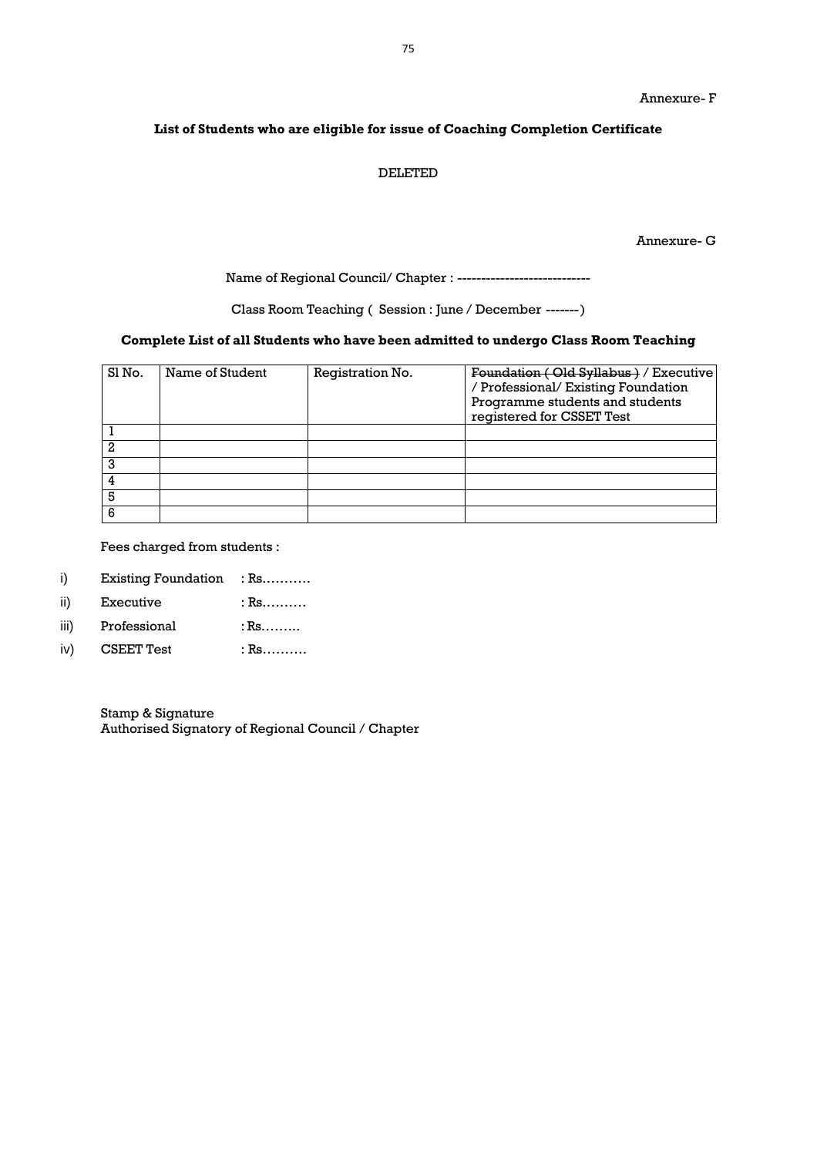# **List of Students who are eligible for issue of Coaching Completion Certificate**

#### DELETED

Annexure- G

Name of Regional Council/ Chapter : ----------------------------

Class Room Teaching ( Session : June / December -------)

# **Complete List of all Students who have been admitted to undergo Class Room Teaching**

| Sl <sub>No.</sub> | Name of Student | Registration No. | Foundation (Old Syllabus) / Executive<br>/ Professional/ Existing Foundation<br>Programme students and students<br>registered for CSSET Test |
|-------------------|-----------------|------------------|----------------------------------------------------------------------------------------------------------------------------------------------|
|                   |                 |                  |                                                                                                                                              |
| 2                 |                 |                  |                                                                                                                                              |
| 3                 |                 |                  |                                                                                                                                              |
|                   |                 |                  |                                                                                                                                              |
| 5                 |                 |                  |                                                                                                                                              |
|                   |                 |                  |                                                                                                                                              |

Fees charged from students :

- i) Existing Foundation : Rs...........
- ii) Executive : Rs..........
- iii) Professional : Rs.........
- iv) CSEET Test : Rs………

Stamp & Signature Authorised Signatory of Regional Council / Chapter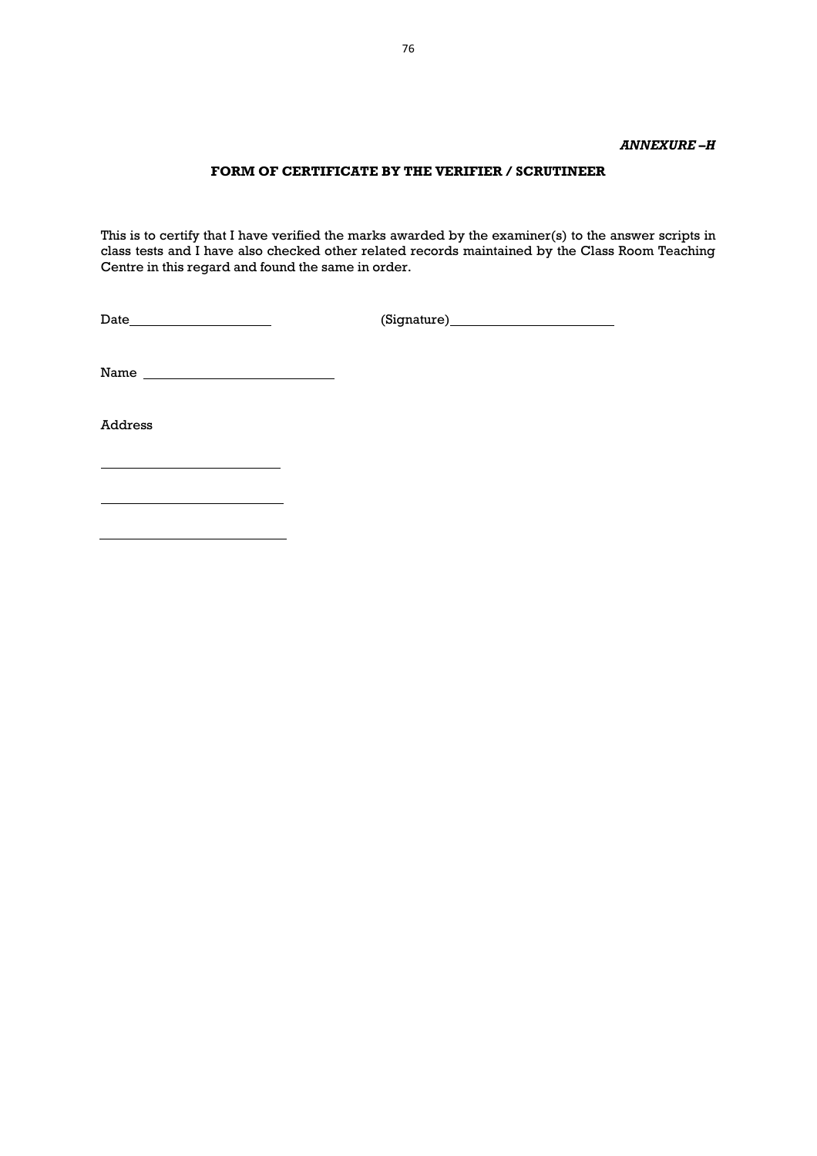## *ANNEXURE –H*

# **FORM OF CERTIFICATE BY THE VERIFIER / SCRUTINEER**

This is to certify that I have verified the marks awarded by the examiner(s) to the answer scripts in class tests and I have also checked other related records maintained by the Class Room Teaching Centre in this regard and found the same in order.

Date (Signature)

Name

<u> 1980 - Johann Barbara, martin basa</u>

Address

76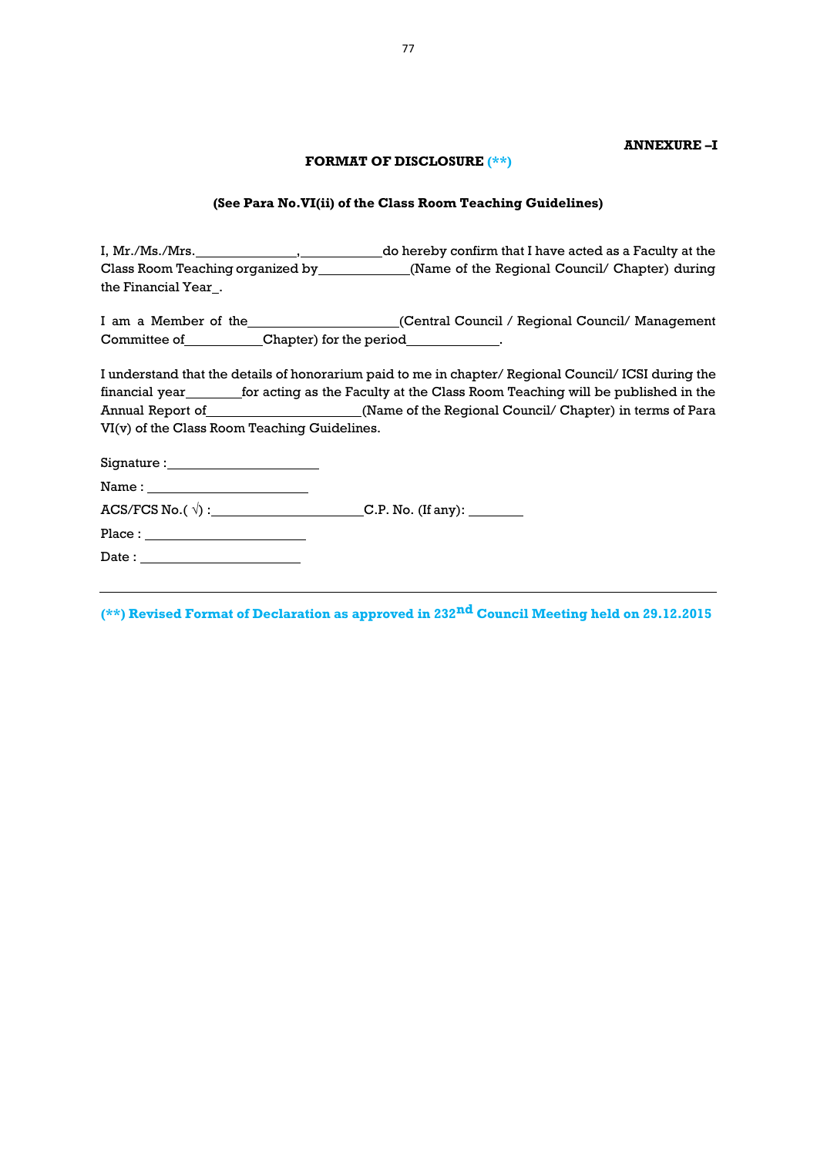### **ANNEXURE –I**

## **FORMAT OF DISCLOSURE (\*\*)**

### **(See Para No.VI(ii) of the Class Room Teaching Guidelines)**

I, Mr./Ms./Mrs. 1. Mr./Mrs. 1. Mr./Mrs. 1. Mr./Ms./Mrs. 1. Mr./Ms./Mrs. 2. Media 2. Media 2. Media 2. Media 2. Class Room Teaching organized by \_\_\_\_\_\_\_\_\_\_\_\_\_\_\_(Name of the Regional Council/ Chapter) during the Financial Year...

I am a Member of the \_\_\_\_\_\_\_\_\_\_\_\_\_\_\_\_\_\_(Central Council / Regional Council/ Management Committee of \_\_\_\_\_\_\_\_\_\_\_\_Chapter) for the period \_\_\_\_\_\_\_\_\_\_\_\_\_.

I understand that the details of honorarium paid to me in chapter/ Regional Council/ ICSI during the financial year\_\_\_\_\_\_\_\_for acting as the Faculty at the Class Room Teaching will be published in the Annual Report of \_\_\_\_\_\_\_\_\_\_\_\_\_\_\_\_\_\_\_\_\_\_\_(Name of the Regional Council/ Chapter) in terms of Para VI(v) of the Class Room Teaching Guidelines.

| Signature : |  |
|-------------|--|
| Name:       |  |

ACS/FCS No.( √) : C.P. No. (If any):

Place :

Date :

**(\*\*) Revised Format of Declaration as approved in 232nd Council Meeting held on 29.12.2015**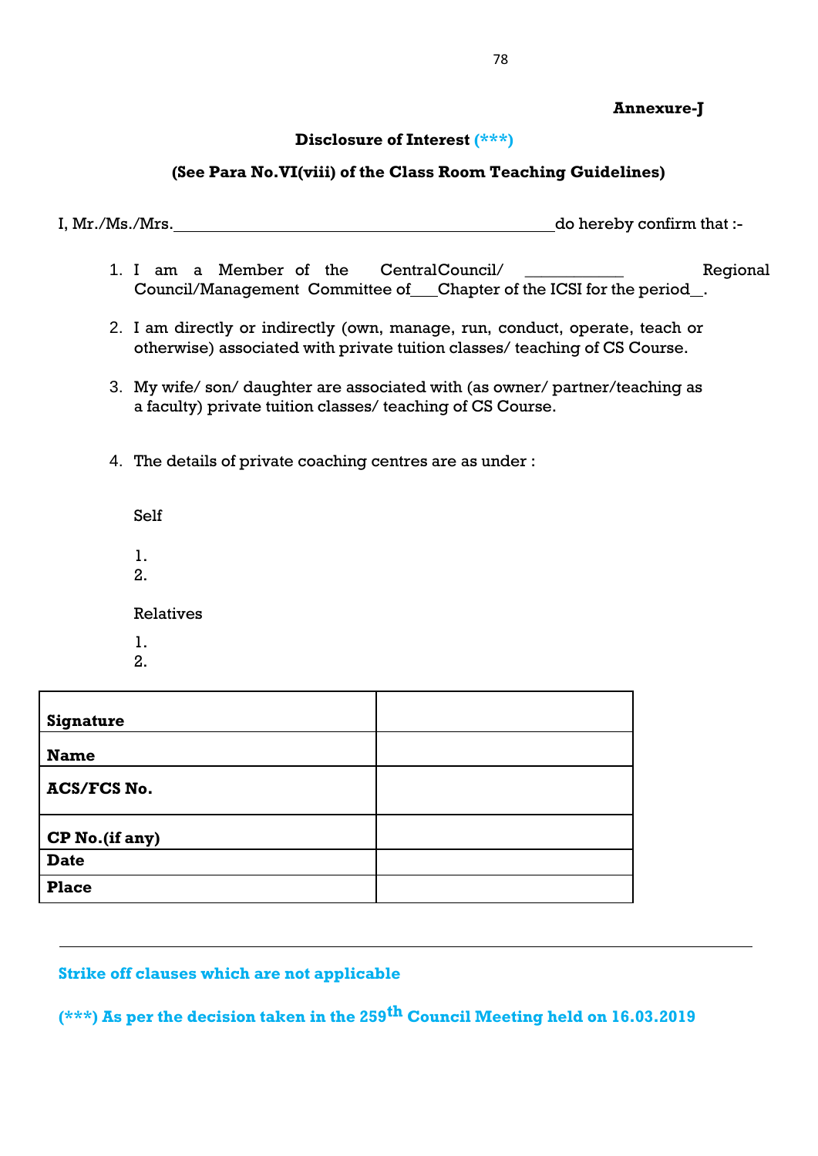# **Annexure-J**

### **Disclosure of Interest (\*\*\*)**

## **(See Para No.VI(viii) of the Class Room Teaching Guidelines)**

I, Mr./Ms./Mrs. do hereby confirm that :-

- 1. I am a Member of the CentralCouncil/ The Regional Council/Management Committee of Chapter of the ICSI for the period...
- 2. I am directly or indirectly (own, manage, run, conduct, operate, teach or otherwise) associated with private tuition classes/ teaching of CS Course.
- 3. My wife/ son/ daughter are associated with (as owner/ partner/teaching as a faculty) private tuition classes/ teaching of CS Course.
- 4. The details of private coaching centres are as under :

Self

- 1.
- 2.

Relatives

- 1.
- 2.

| <b>Signature</b>   |  |
|--------------------|--|
| <b>Name</b>        |  |
| <b>ACS/FCS No.</b> |  |
| CP No.(if any)     |  |
| <b>Date</b>        |  |
| <b>Place</b>       |  |

#### **Strike off clauses which are not applicable**

**(\*\*\*) As per the decision taken in the 259th Council Meeting held on 16.03.2019**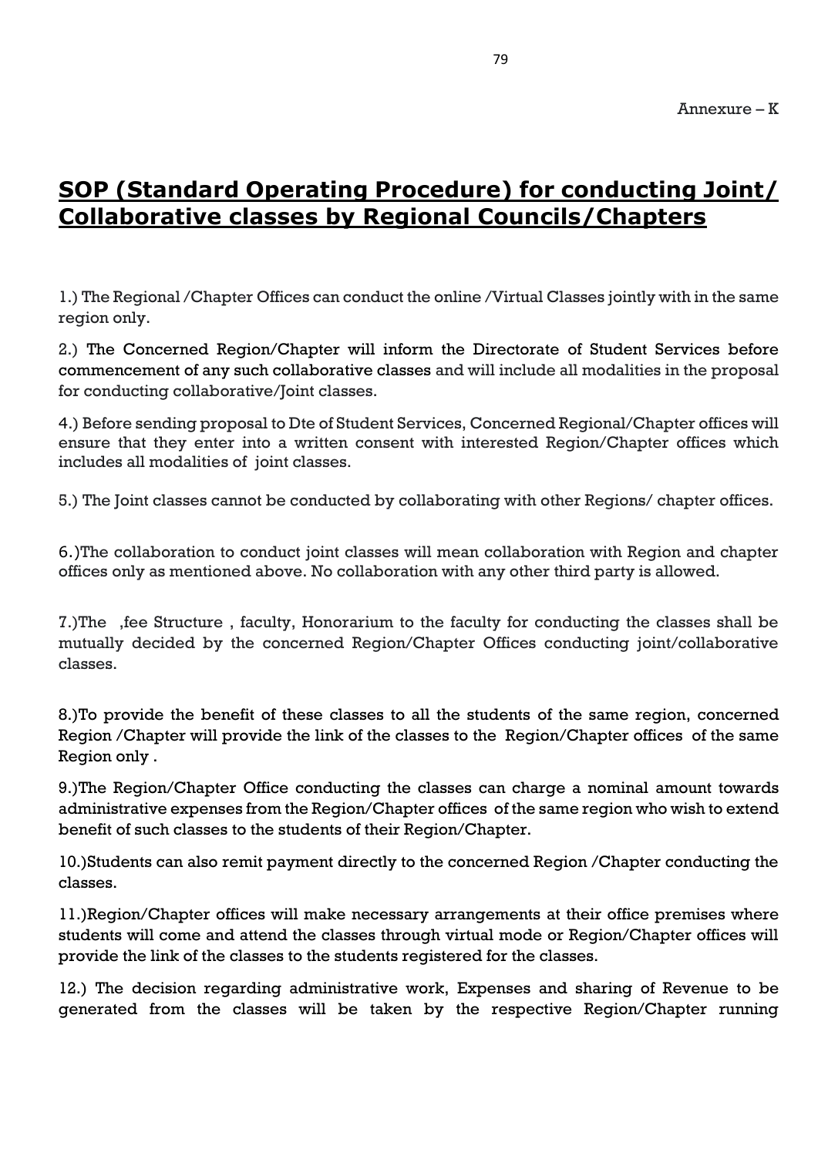# **SOP (Standard Operating Procedure) for conducting Joint/ Collaborative classes by Regional Councils/Chapters**

1.) The Regional /Chapter Offices can conduct the online /Virtual Classes jointly with in the same region only.

2.) The Concerned Region/Chapter will inform the Directorate of Student Services before commencement of any such collaborative classes and will include all modalities in the proposal for conducting collaborative/Joint classes.

4.) Before sending proposal to Dte of Student Services, Concerned Regional/Chapter offices will ensure that they enter into a written consent with interested Region/Chapter offices which includes all modalities of joint classes.

5.) The Joint classes cannot be conducted by collaborating with other Regions/ chapter offices.

6.)The collaboration to conduct joint classes will mean collaboration with Region and chapter offices only as mentioned above. No collaboration with any other third party is allowed.

7.)The ,fee Structure , faculty, Honorarium to the faculty for conducting the classes shall be mutually decided by the concerned Region/Chapter Offices conducting joint/collaborative classes.

8.)To provide the benefit of these classes to all the students of the same region, concerned Region /Chapter will provide the link of the classes to the Region/Chapter offices of the same Region only .

9.)The Region/Chapter Office conducting the classes can charge a nominal amount towards administrative expenses from the Region/Chapter offices of the same region who wish to extend benefit of such classes to the students of their Region/Chapter.

10.)Students can also remit payment directly to the concerned Region /Chapter conducting the classes.

11.)Region/Chapter offices will make necessary arrangements at their office premises where students will come and attend the classes through virtual mode or Region/Chapter offices will provide the link of the classes to the students registered for the classes.

12.) The decision regarding administrative work, Expenses and sharing of Revenue to be generated from the classes will be taken by the respective Region/Chapter running